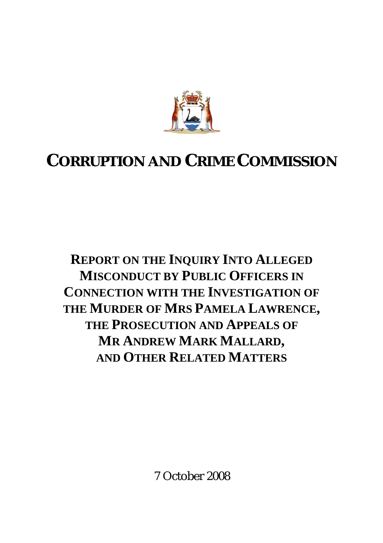

# **CORRUPTION AND CRIME COMMISSION**

**REPORT ON THE INQUIRY INTO ALLEGED MISCONDUCT BY PUBLIC OFFICERS IN CONNECTION WITH THE INVESTIGATION OF THE MURDER OF MRS PAMELA LAWRENCE, THE PROSECUTION AND APPEALS OF MR ANDREW MARK MALLARD, AND OTHER RELATED MATTERS**

7 October 2008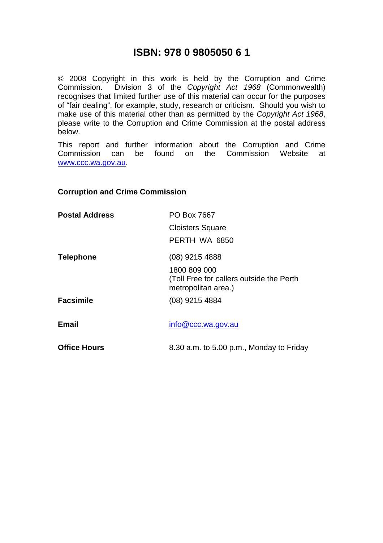### **ISBN: 978 0 9805050 6 1**

© 2008 Copyright in this work is held by the Corruption and Crime Commission. Division 3 of the *Copyright Act 1968* (Commonwealth) recognises that limited further use of this material can occur for the purposes of "fair dealing", for example, study, research or criticism. Should you wish to make use of this material other than as permitted by the *Copyright Act 1968*, please write to the Corruption and Crime Commission at the postal address below.

This report and further information about the Corruption and Crime<br>Commission can be found on the Commission Website at Commission can be found on the Commission Website at www.ccc.wa.gov.au.

#### **Corruption and Crime Commission**

| <b>Postal Address</b> | PO Box 7667                                                                     |
|-----------------------|---------------------------------------------------------------------------------|
|                       | <b>Cloisters Square</b>                                                         |
|                       | PERTH WA 6850                                                                   |
| <b>Telephone</b>      | $(08)$ 9215 4888                                                                |
|                       | 1800 809 000<br>(Toll Free for callers outside the Perth<br>metropolitan area.) |
| <b>Facsimile</b>      | (08) 9215 4884                                                                  |
| <b>Email</b>          | info@ccc.wa.gov.au                                                              |
| <b>Office Hours</b>   | 8.30 a.m. to 5.00 p.m., Monday to Friday                                        |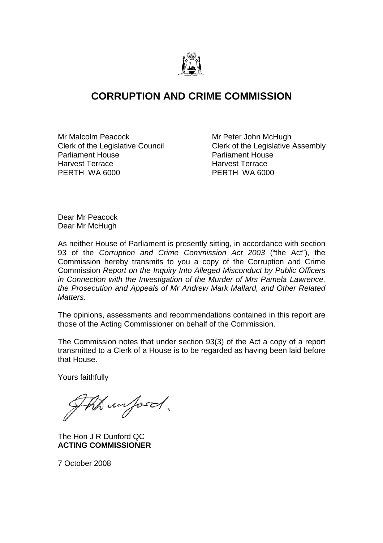

## **CORRUPTION AND CRIME COMMISSION**

Clerk of the Legislative Council Parliament House **Parliament House** Harvest Terrace Harvest Terrace PERTH WA 6000 PERTH WA 6000

Mr Malcolm Peacock<br>Clerk of the Legislative Council **Mread Clerk of the Legislative Assembly** 

Dear Mr Peacock Dear Mr McHugh

As neither House of Parliament is presently sitting, in accordance with section 93 of the *Corruption and Crime Commission Act 2003* ("the Act"), the Commission hereby transmits to you a copy of the Corruption and Crime Commission *Report on the Inquiry Into Alleged Misconduct by Public Officers in Connection with the Investigation of the Murder of Mrs Pamela Lawrence, the Prosecution and Appeals of Mr Andrew Mark Mallard, and Other Related Matters.* 

The opinions, assessments and recommendations contained in this report are those of the Acting Commissioner on behalf of the Commission.

The Commission notes that under section 93(3) of the Act a copy of a report transmitted to a Clerk of a House is to be regarded as having been laid before that House.

Yours faithfully

the unfood.

The Hon J R Dunford QC **ACTING COMMISSIONER** 

7 October 2008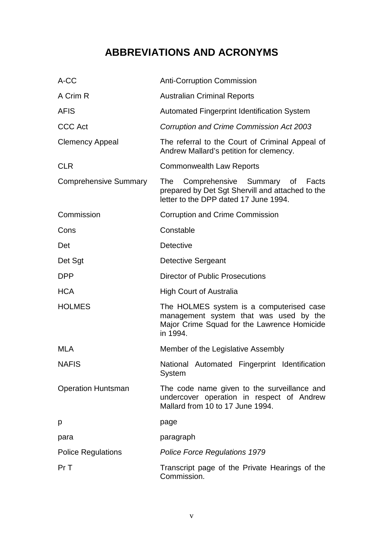# **ABBREVIATIONS AND ACRONYMS**

| A-CC                         | <b>Anti-Corruption Commission</b>                                                                                                             |
|------------------------------|-----------------------------------------------------------------------------------------------------------------------------------------------|
| A Crim R                     | <b>Australian Criminal Reports</b>                                                                                                            |
| <b>AFIS</b>                  | <b>Automated Fingerprint Identification System</b>                                                                                            |
| <b>CCC Act</b>               | Corruption and Crime Commission Act 2003                                                                                                      |
| <b>Clemency Appeal</b>       | The referral to the Court of Criminal Appeal of<br>Andrew Mallard's petition for clemency.                                                    |
| <b>CLR</b>                   | <b>Commonwealth Law Reports</b>                                                                                                               |
| <b>Comprehensive Summary</b> | Comprehensive Summary of Facts<br><b>The</b><br>prepared by Det Sgt Shervill and attached to the<br>letter to the DPP dated 17 June 1994.     |
| Commission                   | <b>Corruption and Crime Commission</b>                                                                                                        |
| Cons                         | Constable                                                                                                                                     |
| Det                          | <b>Detective</b>                                                                                                                              |
| Det Sgt                      | <b>Detective Sergeant</b>                                                                                                                     |
| <b>DPP</b>                   | <b>Director of Public Prosecutions</b>                                                                                                        |
| <b>HCA</b>                   | <b>High Court of Australia</b>                                                                                                                |
| <b>HOLMES</b>                | The HOLMES system is a computerised case<br>management system that was used by the<br>Major Crime Squad for the Lawrence Homicide<br>in 1994. |
| <b>MLA</b>                   | Member of the Legislative Assembly                                                                                                            |
| <b>NAFIS</b>                 | National Automated Fingerprint Identification<br>System                                                                                       |
| <b>Operation Huntsman</b>    | The code name given to the surveillance and<br>undercover operation in respect of Andrew<br>Mallard from 10 to 17 June 1994.                  |
| p                            | page                                                                                                                                          |
| para                         | paragraph                                                                                                                                     |
| <b>Police Regulations</b>    | <b>Police Force Regulations 1979</b>                                                                                                          |
| Pr T                         | Transcript page of the Private Hearings of the<br>Commission.                                                                                 |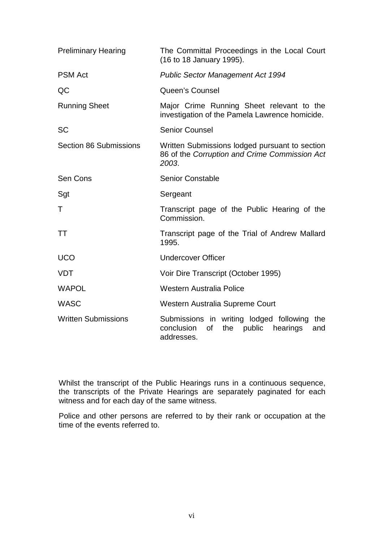| <b>Preliminary Hearing</b>    | The Committal Proceedings in the Local Court<br>(16 to 18 January 1995).                                             |
|-------------------------------|----------------------------------------------------------------------------------------------------------------------|
| <b>PSM Act</b>                | <b>Public Sector Management Act 1994</b>                                                                             |
| QC                            | <b>Queen's Counsel</b>                                                                                               |
| <b>Running Sheet</b>          | Major Crime Running Sheet relevant to the<br>investigation of the Pamela Lawrence homicide.                          |
| <b>SC</b>                     | <b>Senior Counsel</b>                                                                                                |
| <b>Section 86 Submissions</b> | Written Submissions lodged pursuant to section<br>86 of the Corruption and Crime Commission Act<br>2003.             |
| Sen Cons                      | <b>Senior Constable</b>                                                                                              |
| Sgt                           | Sergeant                                                                                                             |
| T                             | Transcript page of the Public Hearing of the<br>Commission.                                                          |
| TT                            | Transcript page of the Trial of Andrew Mallard<br>1995.                                                              |
| <b>UCO</b>                    | <b>Undercover Officer</b>                                                                                            |
| <b>VDT</b>                    | Voir Dire Transcript (October 1995)                                                                                  |
| <b>WAPOL</b>                  | Western Australia Police                                                                                             |
| <b>WASC</b>                   | Western Australia Supreme Court                                                                                      |
| <b>Written Submissions</b>    | Submissions in writing lodged following<br>the<br>conclusion<br>of<br>public<br>hearings<br>the<br>and<br>addresses. |

Whilst the transcript of the Public Hearings runs in a continuous sequence, the transcripts of the Private Hearings are separately paginated for each witness and for each day of the same witness.

Police and other persons are referred to by their rank or occupation at the time of the events referred to.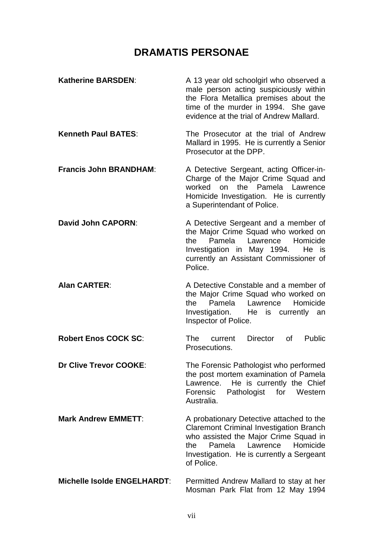## **DRAMATIS PERSONAE**

| <b>Katherine BARSDEN:</b>          | A 13 year old schoolgirl who observed a<br>male person acting suspiciously within<br>the Flora Metallica premises about the<br>time of the murder in 1994. She gave<br>evidence at the trial of Andrew Mallard.                         |
|------------------------------------|-----------------------------------------------------------------------------------------------------------------------------------------------------------------------------------------------------------------------------------------|
| <b>Kenneth Paul BATES:</b>         | The Prosecutor at the trial of Andrew<br>Mallard in 1995. He is currently a Senior<br>Prosecutor at the DPP.                                                                                                                            |
| <b>Francis John BRANDHAM:</b>      | A Detective Sergeant, acting Officer-in-<br>Charge of the Major Crime Squad and<br>worked on the Pamela Lawrence<br>Homicide Investigation. He is currently<br>a Superintendant of Police.                                              |
| <b>David John CAPORN:</b>          | A Detective Sergeant and a member of<br>the Major Crime Squad who worked on<br>Pamela<br>Lawrence<br>Homicide<br>the<br>Investigation in May 1994.<br>He is<br>currently an Assistant Commissioner of<br>Police.                        |
| <b>Alan CARTER:</b>                | A Detective Constable and a member of<br>the Major Crime Squad who worked on<br>Pamela<br>Lawrence<br>Homicide<br>the<br>Investigation. He is currently an<br>Inspector of Police.                                                      |
| <b>Robert Enos COCK SC:</b>        | <b>Director</b><br>of<br><b>Public</b><br>The<br>current<br>Prosecutions.                                                                                                                                                               |
| <b>Dr Clive Trevor COOKE:</b>      | The Forensic Pathologist who performed<br>the post mortem examination of Pamela<br>He is currently the Chief<br>Lawrence.<br>Forensic<br>Pathologist for<br>Western<br>Australia.                                                       |
| <b>Mark Andrew EMMETT:</b>         | A probationary Detective attached to the<br><b>Claremont Criminal Investigation Branch</b><br>who assisted the Major Crime Squad in<br>Pamela<br>Lawrence<br>Homicide<br>the<br>Investigation. He is currently a Sergeant<br>of Police. |
| <b>Michelle Isolde ENGELHARDT:</b> | Permitted Andrew Mallard to stay at her<br>Mosman Park Flat from 12 May 1994                                                                                                                                                            |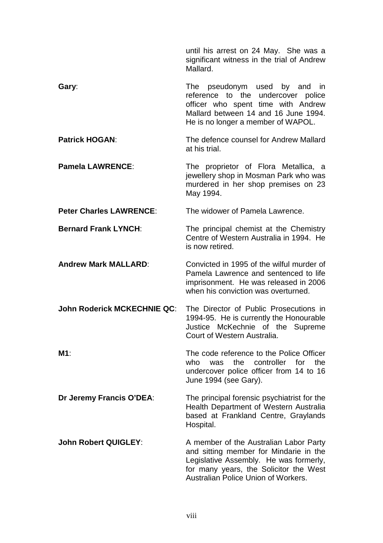until his arrest on 24 May. She was a significant witness in the trial of Andrew Mallard.

**Gary:** Cary: The pseudonym used by and in reference to the undercover police officer who spent time with Andrew Mallard between 14 and 16 June 1994. He is no longer a member of WAPOL.

**Patrick HOGAN**: The defence counsel for Andrew Mallard at his trial.

**Pamela LAWRENCE:** The proprietor of Flora Metallica, a jewellery shop in Mosman Park who was murdered in her shop premises on 23 May 1994.

**Peter Charles LAWRENCE**: The widower of Pamela Lawrence.

**Bernard Frank LYNCH:** The principal chemist at the Chemistry Centre of Western Australia in 1994. He is now retired.

**Andrew Mark MALLARD**: Convicted in 1995 of the wilful murder of Pamela Lawrence and sentenced to life imprisonment. He was released in 2006 when his conviction was overturned.

**John Roderick MCKECHNIE QC**: The Director of Public Prosecutions in 1994-95. He is currently the Honourable Justice McKechnie of the Supreme Court of Western Australia.

**M1**: The code reference to the Police Officer who was the controller for the undercover police officer from 14 to 16 June 1994 (see Gary).

**Dr Jeremy Francis O'DEA**: The principal forensic psychiatrist for the Health Department of Western Australia based at Frankland Centre, Graylands Hospital.

**John Robert QUIGLEY:** A member of the Australian Labor Party and sitting member for Mindarie in the Legislative Assembly. He was formerly, for many years, the Solicitor the West Australian Police Union of Workers.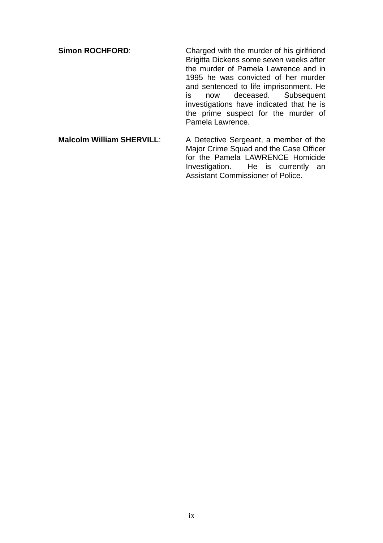**Simon ROCHFORD:** Charged with the murder of his girlfriend Brigitta Dickens some seven weeks after the murder of Pamela Lawrence and in 1995 he was convicted of her murder and sentenced to life imprisonment. He is now deceased. Subsequent investigations have indicated that he is the prime suspect for the murder of Pamela Lawrence. **Malcolm William SHERVILL**: A Detective Sergeant, a member of the

Major Crime Squad and the Case Officer for the Pamela LAWRENCE Homicide<br>Investigation. He is currently an He is currently an Assistant Commissioner of Police.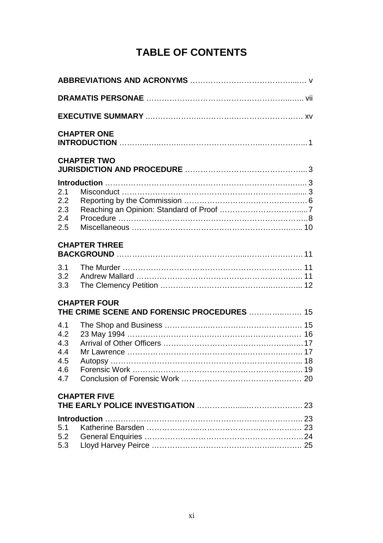# **TABLE OF CONTENTS**

|                                               | <b>CHAPTER ONE</b>                                                 |
|-----------------------------------------------|--------------------------------------------------------------------|
|                                               | <b>CHAPTER TWO</b>                                                 |
| 2.1<br>2.2<br>2.3<br>2.4<br>2.5               |                                                                    |
|                                               | <b>CHAPTER THREE</b>                                               |
| 3.1<br>3.2<br>3.3                             |                                                                    |
|                                               | <b>CHAPTER FOUR</b><br>THE CRIME SCENE AND FORENSIC PROCEDURES  15 |
| 4.1<br>4.2<br>4.3<br>4.4<br>4.5<br>4.6<br>4.7 |                                                                    |
|                                               | <b>CHAPTER FIVE</b>                                                |
| 5.1<br>5.2<br>5.3                             |                                                                    |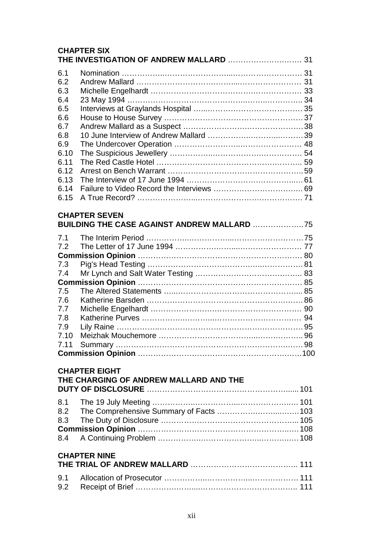|                                                                                                             | <b>CHAPTER SIX</b>                                                         |  |
|-------------------------------------------------------------------------------------------------------------|----------------------------------------------------------------------------|--|
| 6.1<br>6.2<br>6.3<br>6.4<br>6.5<br>6.6<br>6.7<br>6.8<br>6.9<br>6.10<br>6.11<br>6.12<br>6.13<br>6.14<br>6.15 |                                                                            |  |
|                                                                                                             | <b>CHAPTER SEVEN</b><br><b>BUILDING THE CASE AGAINST ANDREW MALLARD 75</b> |  |
| 7.1<br>7.2<br>7.3<br>7.4<br>7.5<br>7.6<br>7.7<br>7.8<br>7.9<br>7.10<br>7.11                                 |                                                                            |  |
|                                                                                                             | <b>CHAPTER EIGHT</b><br>THE CHARGING OF ANDREW MALLARD AND THE             |  |
| 8.1<br>8.2<br>8.3<br>8.4                                                                                    |                                                                            |  |
|                                                                                                             | <b>CHAPTER NINE</b>                                                        |  |
| 9.1<br>9.2                                                                                                  |                                                                            |  |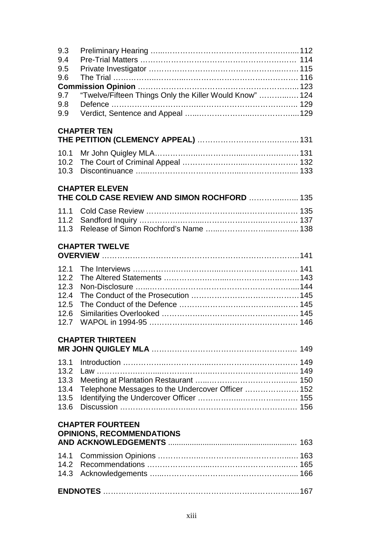| 9.3<br>9.4<br>9.5                                           |                                                                       |  |
|-------------------------------------------------------------|-----------------------------------------------------------------------|--|
| 9.6                                                         |                                                                       |  |
| 9.7<br>9.8<br>9.9                                           | "Twelve/Fifteen Things Only the Killer Would Know"  124               |  |
|                                                             | <b>CHAPTER TEN</b>                                                    |  |
| 10.1<br>10.2<br>10.3                                        |                                                                       |  |
|                                                             | <b>CHAPTER ELEVEN</b><br>THE COLD CASE REVIEW AND SIMON ROCHFORD  135 |  |
| 11.1<br>11.2<br>11.3                                        |                                                                       |  |
|                                                             | <b>CHAPTER TWELVE</b>                                                 |  |
| 12.1<br>12.2<br>12.3<br>12.4<br>12.5<br>12.6<br>12.7        |                                                                       |  |
|                                                             | <b>CHAPTER THIRTEEN</b>                                               |  |
| 13.1<br>13.2<br>13.3<br>13.4<br>13.5<br>13.6                | Telephone Messages to the Undercover Officer  152                     |  |
| <b>CHAPTER FOURTEEN</b><br><b>OPINIONS, RECOMMENDATIONS</b> |                                                                       |  |
| 14.1<br>14.2<br>14.3                                        |                                                                       |  |
|                                                             |                                                                       |  |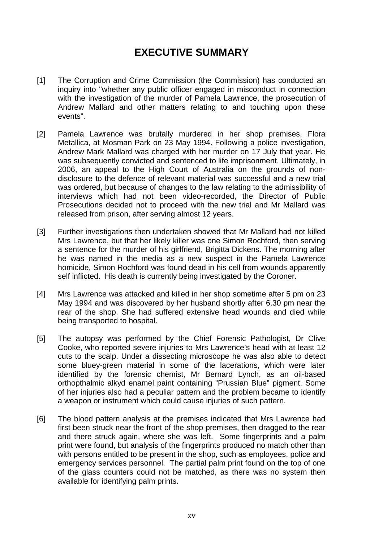## **EXECUTIVE SUMMARY**

- [1] The Corruption and Crime Commission (the Commission) has conducted an inquiry into "whether any public officer engaged in misconduct in connection with the investigation of the murder of Pamela Lawrence, the prosecution of Andrew Mallard and other matters relating to and touching upon these events".
- [2] Pamela Lawrence was brutally murdered in her shop premises, Flora Metallica, at Mosman Park on 23 May 1994. Following a police investigation, Andrew Mark Mallard was charged with her murder on 17 July that year. He was subsequently convicted and sentenced to life imprisonment. Ultimately, in 2006, an appeal to the High Court of Australia on the grounds of nondisclosure to the defence of relevant material was successful and a new trial was ordered, but because of changes to the law relating to the admissibility of interviews which had not been video-recorded, the Director of Public Prosecutions decided not to proceed with the new trial and Mr Mallard was released from prison, after serving almost 12 years.
- [3] Further investigations then undertaken showed that Mr Mallard had not killed Mrs Lawrence, but that her likely killer was one Simon Rochford, then serving a sentence for the murder of his girlfriend, Brigitta Dickens. The morning after he was named in the media as a new suspect in the Pamela Lawrence homicide, Simon Rochford was found dead in his cell from wounds apparently self inflicted. His death is currently being investigated by the Coroner.
- [4] Mrs Lawrence was attacked and killed in her shop sometime after 5 pm on 23 May 1994 and was discovered by her husband shortly after 6.30 pm near the rear of the shop. She had suffered extensive head wounds and died while being transported to hospital.
- [5] The autopsy was performed by the Chief Forensic Pathologist, Dr Clive Cooke, who reported severe injuries to Mrs Lawrence's head with at least 12 cuts to the scalp. Under a dissecting microscope he was also able to detect some bluey-green material in some of the lacerations, which were later identified by the forensic chemist, Mr Bernard Lynch, as an oil-based orthopthalmic alkyd enamel paint containing "Prussian Blue" pigment. Some of her injuries also had a peculiar pattern and the problem became to identify a weapon or instrument which could cause injuries of such pattern.
- [6] The blood pattern analysis at the premises indicated that Mrs Lawrence had first been struck near the front of the shop premises, then dragged to the rear and there struck again, where she was left. Some fingerprints and a palm print were found, but analysis of the fingerprints produced no match other than with persons entitled to be present in the shop, such as employees, police and emergency services personnel. The partial palm print found on the top of one of the glass counters could not be matched, as there was no system then available for identifying palm prints.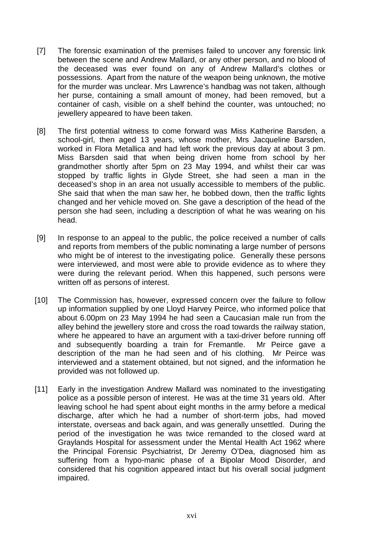- [7] The forensic examination of the premises failed to uncover any forensic link between the scene and Andrew Mallard, or any other person, and no blood of the deceased was ever found on any of Andrew Mallard's clothes or possessions. Apart from the nature of the weapon being unknown, the motive for the murder was unclear. Mrs Lawrence's handbag was not taken, although her purse, containing a small amount of money, had been removed, but a container of cash, visible on a shelf behind the counter, was untouched; no jewellery appeared to have been taken.
- [8] The first potential witness to come forward was Miss Katherine Barsden, a school-girl, then aged 13 years, whose mother, Mrs Jacqueline Barsden, worked in Flora Metallica and had left work the previous day at about 3 pm. Miss Barsden said that when being driven home from school by her grandmother shortly after 5pm on 23 May 1994, and whilst their car was stopped by traffic lights in Glyde Street, she had seen a man in the deceased's shop in an area not usually accessible to members of the public. She said that when the man saw her, he bobbed down, then the traffic lights changed and her vehicle moved on. She gave a description of the head of the person she had seen, including a description of what he was wearing on his head.
- [9] In response to an appeal to the public, the police received a number of calls and reports from members of the public nominating a large number of persons who might be of interest to the investigating police. Generally these persons were interviewed, and most were able to provide evidence as to where they were during the relevant period. When this happened, such persons were written off as persons of interest.
- [10] The Commission has, however, expressed concern over the failure to follow up information supplied by one Lloyd Harvey Peirce, who informed police that about 6.00pm on 23 May 1994 he had seen a Caucasian male run from the alley behind the jewellery store and cross the road towards the railway station, where he appeared to have an argument with a taxi-driver before running off and subsequently boarding a train for Fremantle. Mr Peirce gave a description of the man he had seen and of his clothing. Mr Peirce was interviewed and a statement obtained, but not signed, and the information he provided was not followed up.
- [11] Early in the investigation Andrew Mallard was nominated to the investigating police as a possible person of interest. He was at the time 31 years old. After leaving school he had spent about eight months in the army before a medical discharge, after which he had a number of short-term jobs, had moved interstate, overseas and back again, and was generally unsettled. During the period of the investigation he was twice remanded to the closed ward at Graylands Hospital for assessment under the Mental Health Act 1962 where the Principal Forensic Psychiatrist, Dr Jeremy O'Dea, diagnosed him as suffering from a hypo-manic phase of a Bipolar Mood Disorder, and considered that his cognition appeared intact but his overall social judgment impaired.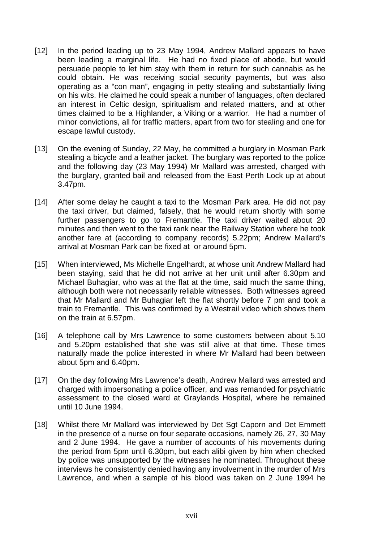- [12] In the period leading up to 23 May 1994, Andrew Mallard appears to have been leading a marginal life. He had no fixed place of abode, but would persuade people to let him stay with them in return for such cannabis as he could obtain. He was receiving social security payments, but was also operating as a "con man", engaging in petty stealing and substantially living on his wits. He claimed he could speak a number of languages, often declared an interest in Celtic design, spiritualism and related matters, and at other times claimed to be a Highlander, a Viking or a warrior. He had a number of minor convictions, all for traffic matters, apart from two for stealing and one for escape lawful custody.
- [13] On the evening of Sunday, 22 May, he committed a burglary in Mosman Park stealing a bicycle and a leather jacket. The burglary was reported to the police and the following day (23 May 1994) Mr Mallard was arrested, charged with the burglary, granted bail and released from the East Perth Lock up at about 3.47pm.
- [14] After some delay he caught a taxi to the Mosman Park area. He did not pay the taxi driver, but claimed, falsely, that he would return shortly with some further passengers to go to Fremantle. The taxi driver waited about 20 minutes and then went to the taxi rank near the Railway Station where he took another fare at (according to company records) 5.22pm; Andrew Mallard's arrival at Mosman Park can be fixed at or around 5pm.
- [15] When interviewed, Ms Michelle Engelhardt, at whose unit Andrew Mallard had been staying, said that he did not arrive at her unit until after 6.30pm and Michael Buhagiar, who was at the flat at the time, said much the same thing, although both were not necessarily reliable witnesses. Both witnesses agreed that Mr Mallard and Mr Buhagiar left the flat shortly before 7 pm and took a train to Fremantle. This was confirmed by a Westrail video which shows them on the train at 6.57pm.
- [16] A telephone call by Mrs Lawrence to some customers between about 5.10 and 5.20pm established that she was still alive at that time. These times naturally made the police interested in where Mr Mallard had been between about 5pm and 6.40pm.
- [17] On the day following Mrs Lawrence's death, Andrew Mallard was arrested and charged with impersonating a police officer, and was remanded for psychiatric assessment to the closed ward at Graylands Hospital, where he remained until 10 June 1994.
- [18] Whilst there Mr Mallard was interviewed by Det Sgt Caporn and Det Emmett in the presence of a nurse on four separate occasions, namely 26, 27, 30 May and 2 June 1994. He gave a number of accounts of his movements during the period from 5pm until 6.30pm, but each alibi given by him when checked by police was unsupported by the witnesses he nominated. Throughout these interviews he consistently denied having any involvement in the murder of Mrs Lawrence, and when a sample of his blood was taken on 2 June 1994 he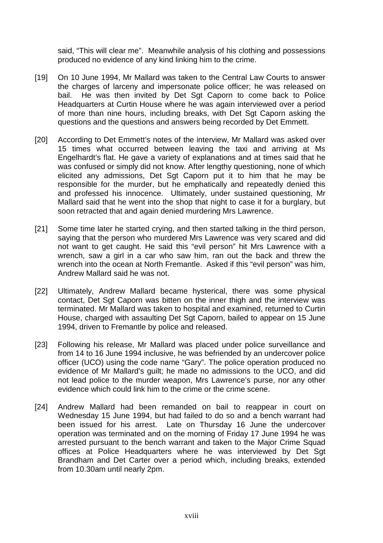said, "This will clear me". Meanwhile analysis of his clothing and possessions produced no evidence of any kind linking him to the crime.

- [19] On 10 June 1994, Mr Mallard was taken to the Central Law Courts to answer the charges of larceny and impersonate police officer; he was released on bail. He was then invited by Det Sqt Caporn to come back to Police Headquarters at Curtin House where he was again interviewed over a period of more than nine hours, including breaks, with Det Sgt Caporn asking the questions and the questions and answers being recorded by Det Emmett.
- [20] According to Det Emmett's notes of the interview, Mr Mallard was asked over 15 times what occurred between leaving the taxi and arriving at Ms Engelhardt's flat. He gave a variety of explanations and at times said that he was confused or simply did not know. After lengthy questioning, none of which elicited any admissions, Det Sgt Caporn put it to him that he may be responsible for the murder, but he emphatically and repeatedly denied this and professed his innocence. Ultimately, under sustained questioning, Mr Mallard said that he went into the shop that night to case it for a burglary, but soon retracted that and again denied murdering Mrs Lawrence.
- [21] Some time later he started crying, and then started talking in the third person, saying that the person who murdered Mrs Lawrence was very scared and did not want to get caught. He said this "evil person" hit Mrs Lawrence with a wrench, saw a girl in a car who saw him, ran out the back and threw the wrench into the ocean at North Fremantle. Asked if this "evil person" was him, Andrew Mallard said he was not.
- [22] Ultimately, Andrew Mallard became hysterical, there was some physical contact, Det Sgt Caporn was bitten on the inner thigh and the interview was terminated. Mr Mallard was taken to hospital and examined, returned to Curtin House, charged with assaulting Det Sgt Caporn, bailed to appear on 15 June 1994, driven to Fremantle by police and released.
- [23] Following his release, Mr Mallard was placed under police surveillance and from 14 to 16 June 1994 inclusive, he was befriended by an undercover police officer (UCO) using the code name "Gary". The police operation produced no evidence of Mr Mallard's guilt; he made no admissions to the UCO, and did not lead police to the murder weapon, Mrs Lawrence's purse, nor any other evidence which could link him to the crime or the crime scene.
- [24] Andrew Mallard had been remanded on bail to reappear in court on Wednesday 15 June 1994, but had failed to do so and a bench warrant had been issued for his arrest. Late on Thursday 16 June the undercover operation was terminated and on the morning of Friday 17 June 1994 he was arrested pursuant to the bench warrant and taken to the Major Crime Squad offices at Police Headquarters where he was interviewed by Det Sgt Brandham and Det Carter over a period which, including breaks, extended from 10.30am until nearly 2pm.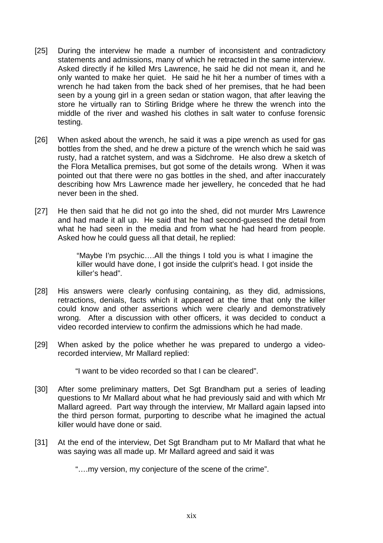- [25] During the interview he made a number of inconsistent and contradictory statements and admissions, many of which he retracted in the same interview. Asked directly if he killed Mrs Lawrence, he said he did not mean it, and he only wanted to make her quiet. He said he hit her a number of times with a wrench he had taken from the back shed of her premises, that he had been seen by a young girl in a green sedan or station wagon, that after leaving the store he virtually ran to Stirling Bridge where he threw the wrench into the middle of the river and washed his clothes in salt water to confuse forensic testing.
- [26] When asked about the wrench, he said it was a pipe wrench as used for gas bottles from the shed, and he drew a picture of the wrench which he said was rusty, had a ratchet system, and was a Sidchrome. He also drew a sketch of the Flora Metallica premises, but got some of the details wrong. When it was pointed out that there were no gas bottles in the shed, and after inaccurately describing how Mrs Lawrence made her jewellery, he conceded that he had never been in the shed.
- [27] He then said that he did not go into the shed, did not murder Mrs Lawrence and had made it all up. He said that he had second-guessed the detail from what he had seen in the media and from what he had heard from people. Asked how he could guess all that detail, he replied:

"Maybe I'm psychic….All the things I told you is what I imagine the killer would have done, I got inside the culprit's head. I got inside the killer's head".

- [28] His answers were clearly confusing containing, as they did, admissions, retractions, denials, facts which it appeared at the time that only the killer could know and other assertions which were clearly and demonstratively wrong. After a discussion with other officers, it was decided to conduct a video recorded interview to confirm the admissions which he had made.
- [29] When asked by the police whether he was prepared to undergo a videorecorded interview, Mr Mallard replied:

"I want to be video recorded so that I can be cleared".

- [30] After some preliminary matters, Det Sgt Brandham put a series of leading questions to Mr Mallard about what he had previously said and with which Mr Mallard agreed. Part way through the interview, Mr Mallard again lapsed into the third person format, purporting to describe what he imagined the actual killer would have done or said.
- [31] At the end of the interview, Det Sgt Brandham put to Mr Mallard that what he was saying was all made up. Mr Mallard agreed and said it was

"….my version, my conjecture of the scene of the crime".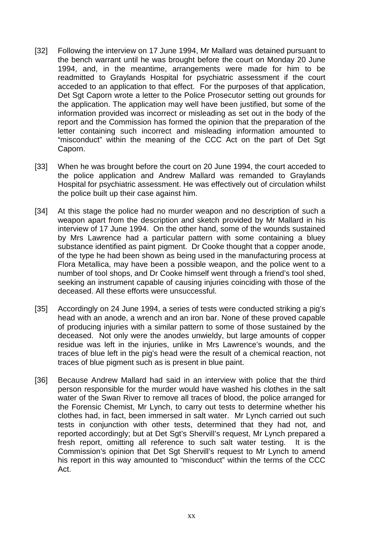- [32] Following the interview on 17 June 1994, Mr Mallard was detained pursuant to the bench warrant until he was brought before the court on Monday 20 June 1994, and, in the meantime, arrangements were made for him to be readmitted to Graylands Hospital for psychiatric assessment if the court acceded to an application to that effect. For the purposes of that application, Det Sgt Caporn wrote a letter to the Police Prosecutor setting out grounds for the application. The application may well have been justified, but some of the information provided was incorrect or misleading as set out in the body of the report and the Commission has formed the opinion that the preparation of the letter containing such incorrect and misleading information amounted to "misconduct" within the meaning of the CCC Act on the part of Det Sgt Caporn.
- [33] When he was brought before the court on 20 June 1994, the court acceded to the police application and Andrew Mallard was remanded to Graylands Hospital for psychiatric assessment. He was effectively out of circulation whilst the police built up their case against him.
- [34] At this stage the police had no murder weapon and no description of such a weapon apart from the description and sketch provided by Mr Mallard in his interview of 17 June 1994. On the other hand, some of the wounds sustained by Mrs Lawrence had a particular pattern with some containing a bluey substance identified as paint pigment. Dr Cooke thought that a copper anode, of the type he had been shown as being used in the manufacturing process at Flora Metallica, may have been a possible weapon, and the police went to a number of tool shops, and Dr Cooke himself went through a friend's tool shed, seeking an instrument capable of causing injuries coinciding with those of the deceased. All these efforts were unsuccessful.
- [35] Accordingly on 24 June 1994, a series of tests were conducted striking a pig's head with an anode, a wrench and an iron bar. None of these proved capable of producing injuries with a similar pattern to some of those sustained by the deceased. Not only were the anodes unwieldy, but large amounts of copper residue was left in the injuries, unlike in Mrs Lawrence's wounds, and the traces of blue left in the pig's head were the result of a chemical reaction, not traces of blue pigment such as is present in blue paint.
- [36] Because Andrew Mallard had said in an interview with police that the third person responsible for the murder would have washed his clothes in the salt water of the Swan River to remove all traces of blood, the police arranged for the Forensic Chemist, Mr Lynch, to carry out tests to determine whether his clothes had, in fact, been immersed in salt water. Mr Lynch carried out such tests in conjunction with other tests, determined that they had not, and reported accordingly; but at Det Sgt's Shervill's request, Mr Lynch prepared a fresh report, omitting all reference to such salt water testing. It is the Commission's opinion that Det Sgt Shervill's request to Mr Lynch to amend his report in this way amounted to "misconduct" within the terms of the CCC Act.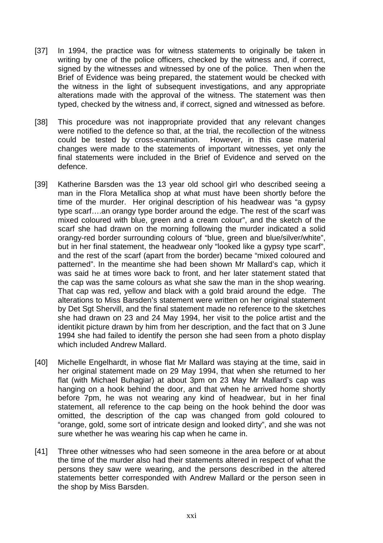- [37] In 1994, the practice was for witness statements to originally be taken in writing by one of the police officers, checked by the witness and, if correct, signed by the witnesses and witnessed by one of the police. Then when the Brief of Evidence was being prepared, the statement would be checked with the witness in the light of subsequent investigations, and any appropriate alterations made with the approval of the witness. The statement was then typed, checked by the witness and, if correct, signed and witnessed as before.
- [38] This procedure was not inappropriate provided that any relevant changes were notified to the defence so that, at the trial, the recollection of the witness could be tested by cross-examination. However, in this case material changes were made to the statements of important witnesses, yet only the final statements were included in the Brief of Evidence and served on the defence.
- [39] Katherine Barsden was the 13 year old school girl who described seeing a man in the Flora Metallica shop at what must have been shortly before the time of the murder. Her original description of his headwear was "a gypsy type scarf….an orangy type border around the edge. The rest of the scarf was mixed coloured with blue, green and a cream colour", and the sketch of the scarf she had drawn on the morning following the murder indicated a solid orangy-red border surrounding colours of "blue, green and blue/silver/white", but in her final statement, the headwear only "looked like a gypsy type scarf", and the rest of the scarf (apart from the border) became "mixed coloured and patterned". In the meantime she had been shown Mr Mallard's cap, which it was said he at times wore back to front, and her later statement stated that the cap was the same colours as what she saw the man in the shop wearing. That cap was red, yellow and black with a gold braid around the edge. The alterations to Miss Barsden's statement were written on her original statement by Det Sgt Shervill, and the final statement made no reference to the sketches she had drawn on 23 and 24 May 1994, her visit to the police artist and the identikit picture drawn by him from her description, and the fact that on 3 June 1994 she had failed to identify the person she had seen from a photo display which included Andrew Mallard.
- [40] Michelle Engelhardt, in whose flat Mr Mallard was staying at the time, said in her original statement made on 29 May 1994, that when she returned to her flat (with Michael Buhagiar) at about 3pm on 23 May Mr Mallard's cap was hanging on a hook behind the door, and that when he arrived home shortly before 7pm, he was not wearing any kind of headwear, but in her final statement, all reference to the cap being on the hook behind the door was omitted, the description of the cap was changed from gold coloured to "orange, gold, some sort of intricate design and looked dirty", and she was not sure whether he was wearing his cap when he came in.
- [41] Three other witnesses who had seen someone in the area before or at about the time of the murder also had their statements altered in respect of what the persons they saw were wearing, and the persons described in the altered statements better corresponded with Andrew Mallard or the person seen in the shop by Miss Barsden.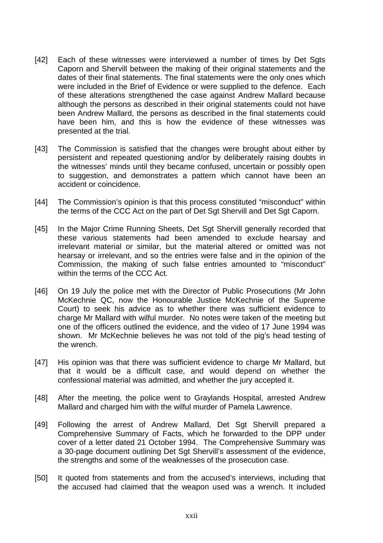- [42] Each of these witnesses were interviewed a number of times by Det Sgts Caporn and Shervill between the making of their original statements and the dates of their final statements. The final statements were the only ones which were included in the Brief of Evidence or were supplied to the defence. Each of these alterations strengthened the case against Andrew Mallard because although the persons as described in their original statements could not have been Andrew Mallard, the persons as described in the final statements could have been him, and this is how the evidence of these witnesses was presented at the trial.
- [43] The Commission is satisfied that the changes were brought about either by persistent and repeated questioning and/or by deliberately raising doubts in the witnesses' minds until they became confused, uncertain or possibly open to suggestion, and demonstrates a pattern which cannot have been an accident or coincidence.
- [44] The Commission's opinion is that this process constituted "misconduct" within the terms of the CCC Act on the part of Det Sgt Shervill and Det Sgt Caporn.
- [45] In the Major Crime Running Sheets, Det Sgt Shervill generally recorded that these various statements had been amended to exclude hearsay and irrelevant material or similar, but the material altered or omitted was not hearsay or irrelevant, and so the entries were false and in the opinion of the Commission, the making of such false entries amounted to "misconduct" within the terms of the CCC Act.
- [46] On 19 July the police met with the Director of Public Prosecutions (Mr John McKechnie QC, now the Honourable Justice McKechnie of the Supreme Court) to seek his advice as to whether there was sufficient evidence to charge Mr Mallard with wilful murder. No notes were taken of the meeting but one of the officers outlined the evidence, and the video of 17 June 1994 was shown. Mr McKechnie believes he was not told of the pig's head testing of the wrench.
- [47] His opinion was that there was sufficient evidence to charge Mr Mallard, but that it would be a difficult case, and would depend on whether the confessional material was admitted, and whether the jury accepted it.
- [48] After the meeting, the police went to Graylands Hospital, arrested Andrew Mallard and charged him with the wilful murder of Pamela Lawrence.
- [49] Following the arrest of Andrew Mallard, Det Sqt Shervill prepared a Comprehensive Summary of Facts, which he forwarded to the DPP under cover of a letter dated 21 October 1994. The Comprehensive Summary was a 30-page document outlining Det Sgt Shervill's assessment of the evidence, the strengths and some of the weaknesses of the prosecution case.
- [50] It quoted from statements and from the accused's interviews, including that the accused had claimed that the weapon used was a wrench. It included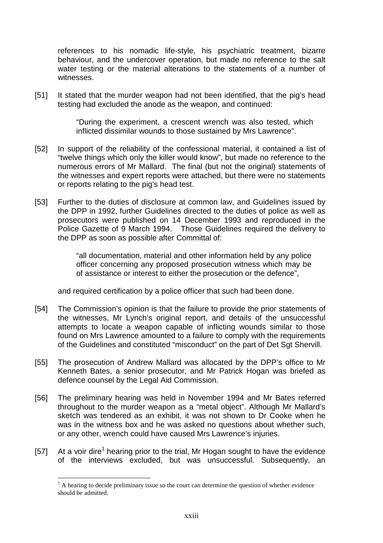references to his nomadic life-style, his psychiatric treatment, bizarre behaviour, and the undercover operation, but made no reference to the salt water testing or the material alterations to the statements of a number of witnesses.

[51] It stated that the murder weapon had not been identified, that the pig's head testing had excluded the anode as the weapon, and continued:

> "During the experiment, a crescent wrench was also tested, which inflicted dissimilar wounds to those sustained by Mrs Lawrence".

- [52] In support of the reliability of the confessional material, it contained a list of "twelve things which only the killer would know", but made no reference to the numerous errors of Mr Mallard. The final (but not the original) statements of the witnesses and expert reports were attached, but there were no statements or reports relating to the pig's head test.
- [53] Further to the duties of disclosure at common law, and Guidelines issued by the DPP in 1992, further Guidelines directed to the duties of police as well as prosecutors were published on 14 December 1993 and reproduced in the Police Gazette of 9 March 1994. Those Guidelines required the delivery to the DPP as soon as possible after Committal of:

"all documentation, material and other information held by any police officer concerning any proposed prosecution witness which may be of assistance or interest to either the prosecution or the defence",

and required certification by a police officer that such had been done.

- [54] The Commission's opinion is that the failure to provide the prior statements of the witnesses, Mr Lynch's original report, and details of the unsuccessful attempts to locate a weapon capable of inflicting wounds similar to those found on Mrs Lawrence amounted to a failure to comply with the requirements of the Guidelines and constituted "misconduct" on the part of Det Sgt Shervill.
- [55] The prosecution of Andrew Mallard was allocated by the DPP's office to Mr Kenneth Bates, a senior prosecutor, and Mr Patrick Hogan was briefed as defence counsel by the Legal Aid Commission.
- [56] The preliminary hearing was held in November 1994 and Mr Bates referred throughout to the murder weapon as a "metal object". Although Mr Mallard's sketch was tendered as an exhibit, it was not shown to Dr Cooke when he was in the witness box and he was asked no questions about whether such, or any other, wrench could have caused Mrs Lawrence's injuries.
- [57] At a voir dire<sup>1</sup> hearing prior to the trial, Mr Hogan sought to have the evidence of the interviews excluded, but was unsuccessful. Subsequently, an

 $\overline{a}$  $<sup>1</sup>$  A hearing to decide preliminary issue so the court can determine the question of whether evidence</sup> should be admitted.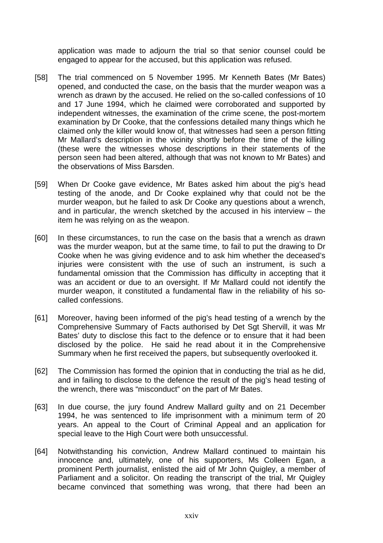application was made to adjourn the trial so that senior counsel could be engaged to appear for the accused, but this application was refused.

- [58] The trial commenced on 5 November 1995. Mr Kenneth Bates (Mr Bates) opened, and conducted the case, on the basis that the murder weapon was a wrench as drawn by the accused. He relied on the so-called confessions of 10 and 17 June 1994, which he claimed were corroborated and supported by independent witnesses, the examination of the crime scene, the post-mortem examination by Dr Cooke, that the confessions detailed many things which he claimed only the killer would know of, that witnesses had seen a person fitting Mr Mallard's description in the vicinity shortly before the time of the killing (these were the witnesses whose descriptions in their statements of the person seen had been altered, although that was not known to Mr Bates) and the observations of Miss Barsden.
- [59] When Dr Cooke gave evidence, Mr Bates asked him about the pig's head testing of the anode, and Dr Cooke explained why that could not be the murder weapon, but he failed to ask Dr Cooke any questions about a wrench, and in particular, the wrench sketched by the accused in his interview – the item he was relying on as the weapon.
- [60] In these circumstances, to run the case on the basis that a wrench as drawn was the murder weapon, but at the same time, to fail to put the drawing to Dr Cooke when he was giving evidence and to ask him whether the deceased's injuries were consistent with the use of such an instrument, is such a fundamental omission that the Commission has difficulty in accepting that it was an accident or due to an oversight. If Mr Mallard could not identify the murder weapon, it constituted a fundamental flaw in the reliability of his socalled confessions.
- [61] Moreover, having been informed of the pig's head testing of a wrench by the Comprehensive Summary of Facts authorised by Det Sgt Shervill, it was Mr Bates' duty to disclose this fact to the defence or to ensure that it had been disclosed by the police. He said he read about it in the Comprehensive Summary when he first received the papers, but subsequently overlooked it.
- [62] The Commission has formed the opinion that in conducting the trial as he did, and in failing to disclose to the defence the result of the pig's head testing of the wrench, there was "misconduct" on the part of Mr Bates.
- [63] In due course, the jury found Andrew Mallard guilty and on 21 December 1994, he was sentenced to life imprisonment with a minimum term of 20 years. An appeal to the Court of Criminal Appeal and an application for special leave to the High Court were both unsuccessful.
- [64] Notwithstanding his conviction, Andrew Mallard continued to maintain his innocence and, ultimately, one of his supporters, Ms Colleen Egan, a prominent Perth journalist, enlisted the aid of Mr John Quigley, a member of Parliament and a solicitor. On reading the transcript of the trial, Mr Quigley became convinced that something was wrong, that there had been an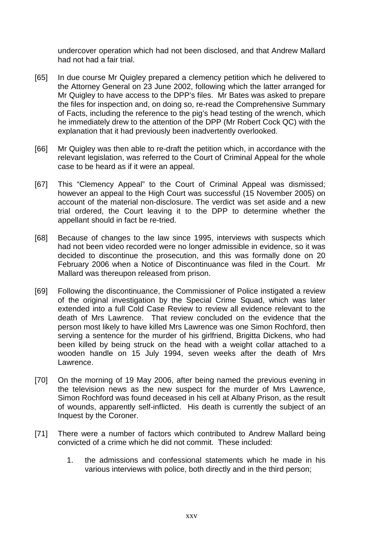undercover operation which had not been disclosed, and that Andrew Mallard had not had a fair trial.

- [65] In due course Mr Quigley prepared a clemency petition which he delivered to the Attorney General on 23 June 2002, following which the latter arranged for Mr Quigley to have access to the DPP's files. Mr Bates was asked to prepare the files for inspection and, on doing so, re-read the Comprehensive Summary of Facts, including the reference to the pig's head testing of the wrench, which he immediately drew to the attention of the DPP (Mr Robert Cock QC) with the explanation that it had previously been inadvertently overlooked.
- [66] Mr Quigley was then able to re-draft the petition which, in accordance with the relevant legislation, was referred to the Court of Criminal Appeal for the whole case to be heard as if it were an appeal.
- [67] This "Clemency Appeal" to the Court of Criminal Appeal was dismissed; however an appeal to the High Court was successful (15 November 2005) on account of the material non-disclosure. The verdict was set aside and a new trial ordered, the Court leaving it to the DPP to determine whether the appellant should in fact be re-tried.
- [68] Because of changes to the law since 1995, interviews with suspects which had not been video recorded were no longer admissible in evidence, so it was decided to discontinue the prosecution, and this was formally done on 20 February 2006 when a Notice of Discontinuance was filed in the Court. Mr Mallard was thereupon released from prison.
- [69] Following the discontinuance, the Commissioner of Police instigated a review of the original investigation by the Special Crime Squad, which was later extended into a full Cold Case Review to review all evidence relevant to the death of Mrs Lawrence. That review concluded on the evidence that the person most likely to have killed Mrs Lawrence was one Simon Rochford, then serving a sentence for the murder of his girlfriend, Brigitta Dickens, who had been killed by being struck on the head with a weight collar attached to a wooden handle on 15 July 1994, seven weeks after the death of Mrs Lawrence.
- [70] On the morning of 19 May 2006, after being named the previous evening in the television news as the new suspect for the murder of Mrs Lawrence, Simon Rochford was found deceased in his cell at Albany Prison, as the result of wounds, apparently self-inflicted. His death is currently the subject of an Inquest by the Coroner.
- [71] There were a number of factors which contributed to Andrew Mallard being convicted of a crime which he did not commit. These included:
	- 1. the admissions and confessional statements which he made in his various interviews with police, both directly and in the third person;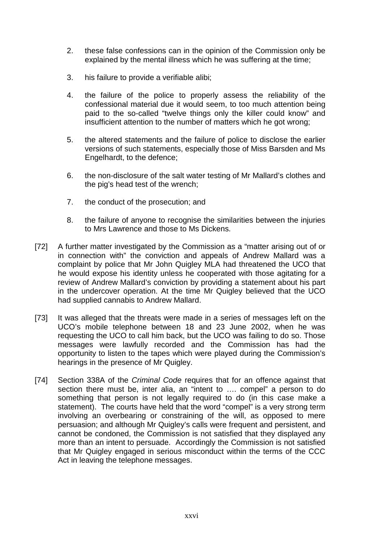- 2. these false confessions can in the opinion of the Commission only be explained by the mental illness which he was suffering at the time;
- 3. his failure to provide a verifiable alibi;
- 4. the failure of the police to properly assess the reliability of the confessional material due it would seem, to too much attention being paid to the so-called "twelve things only the killer could know" and insufficient attention to the number of matters which he got wrong;
- 5. the altered statements and the failure of police to disclose the earlier versions of such statements, especially those of Miss Barsden and Ms Engelhardt, to the defence;
- 6. the non-disclosure of the salt water testing of Mr Mallard's clothes and the pig's head test of the wrench;
- 7. the conduct of the prosecution; and
- 8. the failure of anyone to recognise the similarities between the injuries to Mrs Lawrence and those to Ms Dickens.
- [72] A further matter investigated by the Commission as a "matter arising out of or in connection with" the conviction and appeals of Andrew Mallard was a complaint by police that Mr John Quigley MLA had threatened the UCO that he would expose his identity unless he cooperated with those agitating for a review of Andrew Mallard's conviction by providing a statement about his part in the undercover operation. At the time Mr Quigley believed that the UCO had supplied cannabis to Andrew Mallard.
- [73] It was alleged that the threats were made in a series of messages left on the UCO's mobile telephone between 18 and 23 June 2002, when he was requesting the UCO to call him back, but the UCO was failing to do so. Those messages were lawfully recorded and the Commission has had the opportunity to listen to the tapes which were played during the Commission's hearings in the presence of Mr Quigley.
- [74] Section 338A of the *Criminal Code* requires that for an offence against that section there must be, inter alia, an "intent to …. compel" a person to do something that person is not legally required to do (in this case make a statement). The courts have held that the word "compel" is a very strong term involving an overbearing or constraining of the will, as opposed to mere persuasion; and although Mr Quigley's calls were frequent and persistent, and cannot be condoned, the Commission is not satisfied that they displayed any more than an intent to persuade. Accordingly the Commission is not satisfied that Mr Quigley engaged in serious misconduct within the terms of the CCC Act in leaving the telephone messages.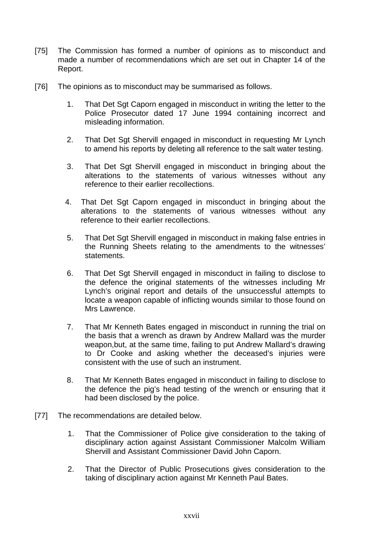- [75] The Commission has formed a number of opinions as to misconduct and made a number of recommendations which are set out in Chapter 14 of the Report.
- [76] The opinions as to misconduct may be summarised as follows.
	- 1. That Det Sgt Caporn engaged in misconduct in writing the letter to the Police Prosecutor dated 17 June 1994 containing incorrect and misleading information.
	- 2. That Det Sqt Shervill engaged in misconduct in requesting Mr Lynch to amend his reports by deleting all reference to the salt water testing.
	- 3. That Det Sgt Shervill engaged in misconduct in bringing about the alterations to the statements of various witnesses without any reference to their earlier recollections.
	- 4. That Det Sgt Caporn engaged in misconduct in bringing about the alterations to the statements of various witnesses without any reference to their earlier recollections.
	- 5. That Det Sgt Shervill engaged in misconduct in making false entries in the Running Sheets relating to the amendments to the witnesses' statements.
	- 6. That Det Sgt Shervill engaged in misconduct in failing to disclose to the defence the original statements of the witnesses including Mr Lynch's original report and details of the unsuccessful attempts to locate a weapon capable of inflicting wounds similar to those found on Mrs Lawrence.
	- 7. That Mr Kenneth Bates engaged in misconduct in running the trial on the basis that a wrench as drawn by Andrew Mallard was the murder weapon,but, at the same time, failing to put Andrew Mallard's drawing to Dr Cooke and asking whether the deceased's injuries were consistent with the use of such an instrument.
	- 8. That Mr Kenneth Bates engaged in misconduct in failing to disclose to the defence the pig's head testing of the wrench or ensuring that it had been disclosed by the police.
- [77] The recommendations are detailed below.
	- 1. That the Commissioner of Police give consideration to the taking of disciplinary action against Assistant Commissioner Malcolm William Shervill and Assistant Commissioner David John Caporn.
	- 2. That the Director of Public Prosecutions gives consideration to the taking of disciplinary action against Mr Kenneth Paul Bates.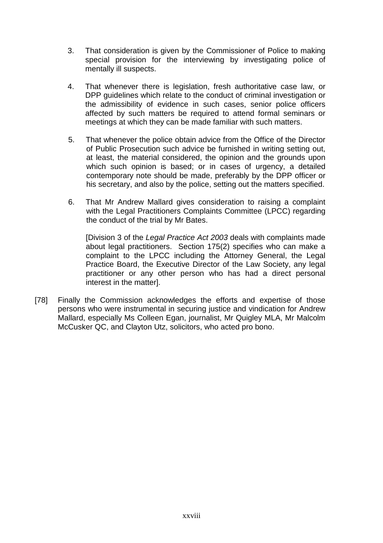- 3. That consideration is given by the Commissioner of Police to making special provision for the interviewing by investigating police of mentally ill suspects.
- 4. That whenever there is legislation, fresh authoritative case law, or DPP guidelines which relate to the conduct of criminal investigation or the admissibility of evidence in such cases, senior police officers affected by such matters be required to attend formal seminars or meetings at which they can be made familiar with such matters.
- 5. That whenever the police obtain advice from the Office of the Director of Public Prosecution such advice be furnished in writing setting out, at least, the material considered, the opinion and the grounds upon which such opinion is based; or in cases of urgency, a detailed contemporary note should be made, preferably by the DPP officer or his secretary, and also by the police, setting out the matters specified.
- 6. That Mr Andrew Mallard gives consideration to raising a complaint with the Legal Practitioners Complaints Committee (LPCC) regarding the conduct of the trial by Mr Bates.

[Division 3 of the *Legal Practice Act 2003* deals with complaints made about legal practitioners. Section 175(2) specifies who can make a complaint to the LPCC including the Attorney General, the Legal Practice Board, the Executive Director of the Law Society, any legal practitioner or any other person who has had a direct personal interest in the matter].

[78] Finally the Commission acknowledges the efforts and expertise of those persons who were instrumental in securing justice and vindication for Andrew Mallard, especially Ms Colleen Egan, journalist, Mr Quigley MLA, Mr Malcolm McCusker QC, and Clayton Utz, solicitors, who acted pro bono.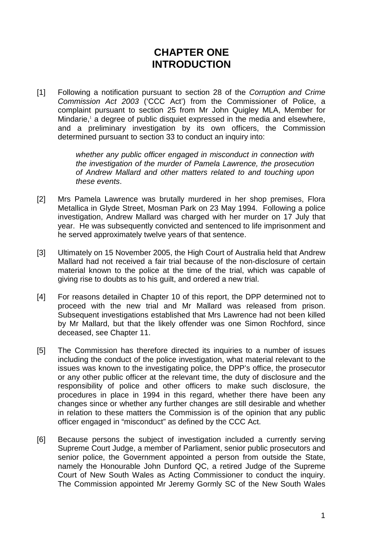## **CHAPTER ONE INTRODUCTION**

[1] Following a notification pursuant to section 28 of the *Corruption and Crime Commission Act 2003* ('CCC Act') from the Commissioner of Police, a complaint pursuant to section 25 from Mr John Quigley MLA, Member for Mindarie,<sup>1</sup> a degree of public disquiet expressed in the media and elsewhere, and a preliminary investigation by its own officers, the Commission determined pursuant to section 33 to conduct an inquiry into:

> *whether any public officer engaged in misconduct in connection with the investigation of the murder of Pamela Lawrence, the prosecution of Andrew Mallard and other matters related to and touching upon these events*.

- [2] Mrs Pamela Lawrence was brutally murdered in her shop premises, Flora Metallica in Glyde Street, Mosman Park on 23 May 1994. Following a police investigation, Andrew Mallard was charged with her murder on 17 July that year. He was subsequently convicted and sentenced to life imprisonment and he served approximately twelve years of that sentence.
- [3] Ultimately on 15 November 2005, the High Court of Australia held that Andrew Mallard had not received a fair trial because of the non-disclosure of certain material known to the police at the time of the trial, which was capable of giving rise to doubts as to his guilt, and ordered a new trial.
- [4] For reasons detailed in Chapter 10 of this report, the DPP determined not to proceed with the new trial and Mr Mallard was released from prison. Subsequent investigations established that Mrs Lawrence had not been killed by Mr Mallard, but that the likely offender was one Simon Rochford, since deceased, see Chapter 11.
- [5] The Commission has therefore directed its inquiries to a number of issues including the conduct of the police investigation, what material relevant to the issues was known to the investigating police, the DPP's office, the prosecutor or any other public officer at the relevant time, the duty of disclosure and the responsibility of police and other officers to make such disclosure, the procedures in place in 1994 in this regard, whether there have been any changes since or whether any further changes are still desirable and whether in relation to these matters the Commission is of the opinion that any public officer engaged in "misconduct" as defined by the CCC Act.
- [6] Because persons the subject of investigation included a currently serving Supreme Court Judge, a member of Parliament, senior public prosecutors and senior police, the Government appointed a person from outside the State, namely the Honourable John Dunford QC, a retired Judge of the Supreme Court of New South Wales as Acting Commissioner to conduct the inquiry. The Commission appointed Mr Jeremy Gormly SC of the New South Wales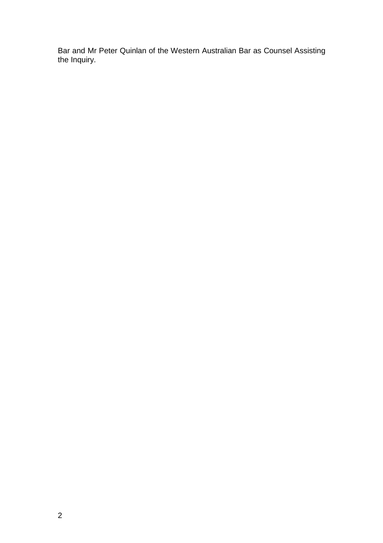Bar and Mr Peter Quinlan of the Western Australian Bar as Counsel Assisting the Inquiry.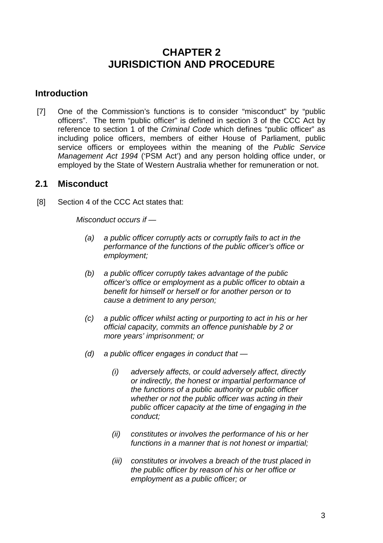## **CHAPTER 2 JURISDICTION AND PROCEDURE**

#### **Introduction**

[7] One of the Commission's functions is to consider "misconduct" by "public officers". The term "public officer" is defined in section 3 of the CCC Act by reference to section 1 of the *Criminal Code* which defines "public officer" as including police officers, members of either House of Parliament, public service officers or employees within the meaning of the *Public Service Management Act 1994* ('PSM Act') and any person holding office under, or employed by the State of Western Australia whether for remuneration or not.

#### **2.1 Misconduct**

[8] Section 4 of the CCC Act states that:

*Misconduct occurs if —* 

- *(a) a public officer corruptly acts or corruptly fails to act in the performance of the functions of the public officer's office or employment;*
- *(b) a public officer corruptly takes advantage of the public officer's office or employment as a public officer to obtain a benefit for himself or herself or for another person or to cause a detriment to any person;*
- *(c) a public officer whilst acting or purporting to act in his or her official capacity, commits an offence punishable by 2 or more years' imprisonment; or*
- *(d) a public officer engages in conduct that* 
	- *(i) adversely affects, or could adversely affect, directly or indirectly, the honest or impartial performance of the functions of a public authority or public officer whether or not the public officer was acting in their public officer capacity at the time of engaging in the conduct;*
	- *(ii) constitutes or involves the performance of his or her functions in a manner that is not honest or impartial;*
	- *(iii) constitutes or involves a breach of the trust placed in the public officer by reason of his or her office or employment as a public officer; or*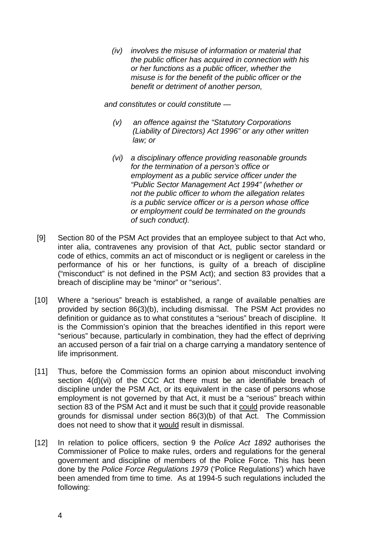*(iv) involves the misuse of information or material that the public officer has acquired in connection with his or her functions as a public officer, whether the misuse is for the benefit of the public officer or the benefit or detriment of another person,* 

*and constitutes or could constitute —* 

- *(v) an offence against the "Statutory Corporations (Liability of Directors) Act 1996" or any other written law; or*
- *(vi) a disciplinary offence providing reasonable grounds for the termination of a person's office or employment as a public service officer under the "Public Sector Management Act 1994" (whether or not the public officer to whom the allegation relates is a public service officer or is a person whose office or employment could be terminated on the grounds of such conduct).*
- [9] Section 80 of the PSM Act provides that an employee subject to that Act who, inter alia, contravenes any provision of that Act, public sector standard or code of ethics, commits an act of misconduct or is negligent or careless in the performance of his or her functions, is guilty of a breach of discipline ("misconduct" is not defined in the PSM Act); and section 83 provides that a breach of discipline may be "minor" or "serious".
- [10] Where a "serious" breach is established, a range of available penalties are provided by section 86(3)(b), including dismissal. The PSM Act provides no definition or guidance as to what constitutes a "serious" breach of discipline. It is the Commission's opinion that the breaches identified in this report were "serious" because, particularly in combination, they had the effect of depriving an accused person of a fair trial on a charge carrying a mandatory sentence of life imprisonment.
- [11] Thus, before the Commission forms an opinion about misconduct involving section 4(d)(vi) of the CCC Act there must be an identifiable breach of discipline under the PSM Act, or its equivalent in the case of persons whose employment is not governed by that Act, it must be a "serious" breach within section 83 of the PSM Act and it must be such that it could provide reasonable grounds for dismissal under section 86(3)(b) of that Act. The Commission does not need to show that it would result in dismissal.
- [12] In relation to police officers, section 9 the *Police Act 1892* authorises the Commissioner of Police to make rules, orders and regulations for the general government and discipline of members of the Police Force. This has been done by the *Police Force Regulations 1979* ('Police Regulations') which have been amended from time to time. As at 1994-5 such regulations included the following: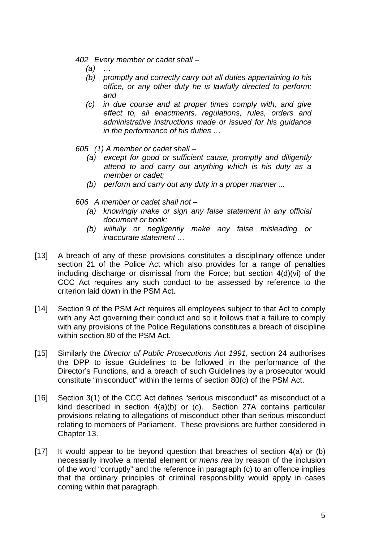- *402 Every member or cadet shall* 
	- *(a) …*
	- *(b) promptly and correctly carry out all duties appertaining to his office, or any other duty he is lawfully directed to perform; and*
	- *(c) in due course and at proper times comply with, and give effect to, all enactments, regulations, rules, orders and administrative instructions made or issued for his guidance in the performance of his duties …*
- *605 (1) A member or cadet shall* 
	- *(a) except for good or sufficient cause, promptly and diligently attend to and carry out anything which is his duty as a member or cadet;*
	- *(b) perform and carry out any duty in a proper manner ...*
- *606 A member or cadet shall not* 
	- *(a) knowingly make or sign any false statement in any official document or book;*
	- *(b) wilfully or negligently make any false misleading or inaccurate statement …*
- [13] A breach of any of these provisions constitutes a disciplinary offence under section 21 of the Police Act which also provides for a range of penalties including discharge or dismissal from the Force; but section 4(d)(vi) of the CCC Act requires any such conduct to be assessed by reference to the criterion laid down in the PSM Act.
- [14] Section 9 of the PSM Act requires all employees subject to that Act to comply with any Act governing their conduct and so it follows that a failure to comply with any provisions of the Police Regulations constitutes a breach of discipline within section 80 of the PSM Act.
- [15] Similarly the *Director of Public Prosecutions Act 1991*, section 24 authorises the DPP to issue Guidelines to be followed in the performance of the Director's Functions, and a breach of such Guidelines by a prosecutor would constitute "misconduct" within the terms of section 80(c) of the PSM Act.
- [16] Section 3(1) of the CCC Act defines "serious misconduct" as misconduct of a kind described in section 4(a)(b) or (c). Section 27A contains particular provisions relating to allegations of misconduct other than serious misconduct relating to members of Parliament. These provisions are further considered in Chapter 13.
- [17] It would appear to be beyond question that breaches of section 4(a) or (b) necessarily involve a mental element or *mens rea* by reason of the inclusion of the word "corruptly" and the reference in paragraph (c) to an offence implies that the ordinary principles of criminal responsibility would apply in cases coming within that paragraph.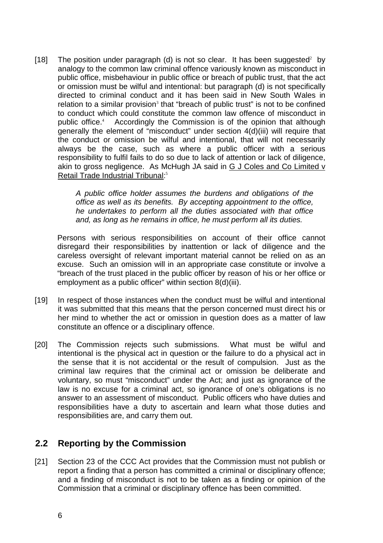[18] The position under paragraph (d) is not so clear. It has been suggested<sup>2</sup> by analogy to the common law criminal offence variously known as misconduct in public office, misbehaviour in public office or breach of public trust, that the act or omission must be wilful and intentional: but paragraph (d) is not specifically directed to criminal conduct and it has been said in New South Wales in relation to a similar provision<sup>3</sup> that "breach of public trust" is not to be confined to conduct which could constitute the common law offence of misconduct in public office.<sup>4</sup> Accordingly the Commission is of the opinion that although generally the element of "misconduct" under section 4(d)(iii) will require that the conduct or omission be wilful and intentional, that will not necessarily always be the case, such as where a public officer with a serious responsibility to fulfil fails to do so due to lack of attention or lack of diligence, akin to gross negligence. As McHugh JA said in G J Coles and Co Limited v Retail Trade Industrial Tribunal:<sup>5</sup>

> *A public office holder assumes the burdens and obligations of the office as well as its benefits. By accepting appointment to the office, he undertakes to perform all the duties associated with that office and, as long as he remains in office, he must perform all its duties.*

Persons with serious responsibilities on account of their office cannot disregard their responsibilities by inattention or lack of diligence and the careless oversight of relevant important material cannot be relied on as an excuse. Such an omission will in an appropriate case constitute or involve a "breach of the trust placed in the public officer by reason of his or her office or employment as a public officer" within section 8(d)(iii).

- [19] In respect of those instances when the conduct must be wilful and intentional it was submitted that this means that the person concerned must direct his or her mind to whether the act or omission in question does as a matter of law constitute an offence or a disciplinary offence.
- [20] The Commission rejects such submissions. What must be wilful and intentional is the physical act in question or the failure to do a physical act in the sense that it is not accidental or the result of compulsion. Just as the criminal law requires that the criminal act or omission be deliberate and voluntary, so must "misconduct" under the Act; and just as ignorance of the law is no excuse for a criminal act, so ignorance of one's obligations is no answer to an assessment of misconduct. Public officers who have duties and responsibilities have a duty to ascertain and learn what those duties and responsibilities are, and carry them out.

#### **2.2 Reporting by the Commission**

[21] Section 23 of the CCC Act provides that the Commission must not publish or report a finding that a person has committed a criminal or disciplinary offence; and a finding of misconduct is not to be taken as a finding or opinion of the Commission that a criminal or disciplinary offence has been committed.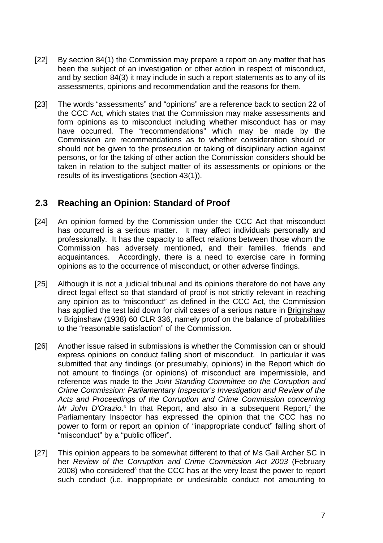- [22] By section 84(1) the Commission may prepare a report on any matter that has been the subject of an investigation or other action in respect of misconduct, and by section 84(3) it may include in such a report statements as to any of its assessments, opinions and recommendation and the reasons for them.
- [23] The words "assessments" and "opinions" are a reference back to section 22 of the CCC Act, which states that the Commission may make assessments and form opinions as to misconduct including whether misconduct has or may have occurred. The "recommendations" which may be made by the Commission are recommendations as to whether consideration should or should not be given to the prosecution or taking of disciplinary action against persons, or for the taking of other action the Commission considers should be taken in relation to the subject matter of its assessments or opinions or the results of its investigations (section 43(1)).

#### **2.3 Reaching an Opinion: Standard of Proof**

- [24] An opinion formed by the Commission under the CCC Act that misconduct has occurred is a serious matter. It may affect individuals personally and professionally. It has the capacity to affect relations between those whom the Commission has adversely mentioned, and their families, friends and acquaintances. Accordingly, there is a need to exercise care in forming opinions as to the occurrence of misconduct, or other adverse findings.
- [25] Although it is not a judicial tribunal and its opinions therefore do not have any direct legal effect so that standard of proof is not strictly relevant in reaching any opinion as to "misconduct" as defined in the CCC Act, the Commission has applied the test laid down for civil cases of a serious nature in Briginshaw v Briginshaw (1938) 60 CLR 336, namely proof on the balance of probabilities to the "reasonable satisfaction" of the Commission.
- [26] Another issue raised in submissions is whether the Commission can or should express opinions on conduct falling short of misconduct. In particular it was submitted that any findings (or presumably, opinions) in the Report which do not amount to findings (or opinions) of misconduct are impermissible, and reference was made to the *Joint Standing Committee on the Corruption and Crime Commission: Parliamentary Inspector's Investigation and Review of the Acts and Proceedings of the Corruption and Crime Commission concerning*  Mr John D'Orazio.<sup>6</sup> In that Report, and also in a subsequent Report,<sup>7</sup> the Parliamentary Inspector has expressed the opinion that the CCC has no power to form or report an opinion of "inappropriate conduct" falling short of "misconduct" by a "public officer".
- [27] This opinion appears to be somewhat different to that of Ms Gail Archer SC in her *Review of the Corruption and Crime Commission Act 2003* (February 2008) who considered<sup>8</sup> that the CCC has at the very least the power to report such conduct (i.e. inappropriate or undesirable conduct not amounting to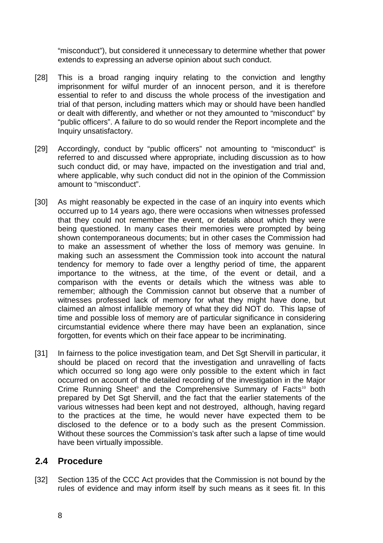"misconduct"), but considered it unnecessary to determine whether that power extends to expressing an adverse opinion about such conduct.

- [28] This is a broad ranging inquiry relating to the conviction and lengthy imprisonment for wilful murder of an innocent person, and it is therefore essential to refer to and discuss the whole process of the investigation and trial of that person, including matters which may or should have been handled or dealt with differently, and whether or not they amounted to "misconduct" by "public officers". A failure to do so would render the Report incomplete and the Inquiry unsatisfactory.
- [29] Accordingly, conduct by "public officers" not amounting to "misconduct" is referred to and discussed where appropriate, including discussion as to how such conduct did, or may have, impacted on the investigation and trial and, where applicable, why such conduct did not in the opinion of the Commission amount to "misconduct".
- [30] As might reasonably be expected in the case of an inquiry into events which occurred up to 14 years ago, there were occasions when witnesses professed that they could not remember the event, or details about which they were being questioned. In many cases their memories were prompted by being shown contemporaneous documents; but in other cases the Commission had to make an assessment of whether the loss of memory was genuine. In making such an assessment the Commission took into account the natural tendency for memory to fade over a lengthy period of time, the apparent importance to the witness, at the time, of the event or detail, and a comparison with the events or details which the witness was able to remember; although the Commission cannot but observe that a number of witnesses professed lack of memory for what they might have done, but claimed an almost infallible memory of what they did NOT do. This lapse of time and possible loss of memory are of particular significance in considering circumstantial evidence where there may have been an explanation, since forgotten, for events which on their face appear to be incriminating.
- [31] In fairness to the police investigation team, and Det Sgt Shervill in particular, it should be placed on record that the investigation and unravelling of facts which occurred so long ago were only possible to the extent which in fact occurred on account of the detailed recording of the investigation in the Major Crime Running Sheet<sup>9</sup> and the Comprehensive Summary of Facts<sup>10</sup> both prepared by Det Sgt Shervill, and the fact that the earlier statements of the various witnesses had been kept and not destroyed, although, having regard to the practices at the time, he would never have expected them to be disclosed to the defence or to a body such as the present Commission. Without these sources the Commission's task after such a lapse of time would have been virtually impossible.

#### **2.4 Procedure**

[32] Section 135 of the CCC Act provides that the Commission is not bound by the rules of evidence and may inform itself by such means as it sees fit. In this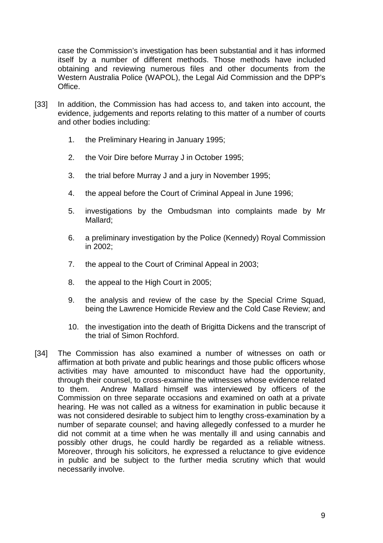case the Commission's investigation has been substantial and it has informed itself by a number of different methods. Those methods have included obtaining and reviewing numerous files and other documents from the Western Australia Police (WAPOL), the Legal Aid Commission and the DPP's Office.

- [33] In addition, the Commission has had access to, and taken into account, the evidence, judgements and reports relating to this matter of a number of courts and other bodies including:
	- 1. the Preliminary Hearing in January 1995;
	- 2. the Voir Dire before Murray J in October 1995;
	- 3. the trial before Murray J and a jury in November 1995;
	- 4. the appeal before the Court of Criminal Appeal in June 1996;
	- 5. investigations by the Ombudsman into complaints made by Mr Mallard;
	- 6. a preliminary investigation by the Police (Kennedy) Royal Commission in 2002;
	- 7. the appeal to the Court of Criminal Appeal in 2003;
	- 8. the appeal to the High Court in 2005;
	- 9. the analysis and review of the case by the Special Crime Squad, being the Lawrence Homicide Review and the Cold Case Review; and
	- 10. the investigation into the death of Brigitta Dickens and the transcript of the trial of Simon Rochford.
- [34] The Commission has also examined a number of witnesses on oath or affirmation at both private and public hearings and those public officers whose activities may have amounted to misconduct have had the opportunity, through their counsel, to cross-examine the witnesses whose evidence related to them. Andrew Mallard himself was interviewed by officers of the Commission on three separate occasions and examined on oath at a private hearing. He was not called as a witness for examination in public because it was not considered desirable to subject him to lengthy cross-examination by a number of separate counsel; and having allegedly confessed to a murder he did not commit at a time when he was mentally ill and using cannabis and possibly other drugs, he could hardly be regarded as a reliable witness. Moreover, through his solicitors, he expressed a reluctance to give evidence in public and be subject to the further media scrutiny which that would necessarily involve.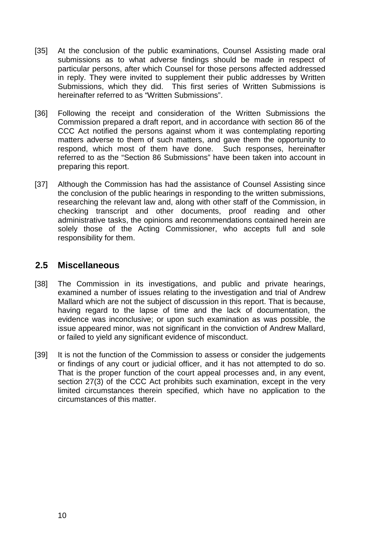- [35] At the conclusion of the public examinations, Counsel Assisting made oral submissions as to what adverse findings should be made in respect of particular persons, after which Counsel for those persons affected addressed in reply. They were invited to supplement their public addresses by Written Submissions, which they did. This first series of Written Submissions is hereinafter referred to as "Written Submissions".
- [36] Following the receipt and consideration of the Written Submissions the Commission prepared a draft report, and in accordance with section 86 of the CCC Act notified the persons against whom it was contemplating reporting matters adverse to them of such matters, and gave them the opportunity to respond, which most of them have done. Such responses, hereinafter referred to as the "Section 86 Submissions" have been taken into account in preparing this report.
- [37] Although the Commission has had the assistance of Counsel Assisting since the conclusion of the public hearings in responding to the written submissions, researching the relevant law and, along with other staff of the Commission, in checking transcript and other documents, proof reading and other administrative tasks, the opinions and recommendations contained herein are solely those of the Acting Commissioner, who accepts full and sole responsibility for them.

#### **2.5 Miscellaneous**

- [38] The Commission in its investigations, and public and private hearings, examined a number of issues relating to the investigation and trial of Andrew Mallard which are not the subject of discussion in this report. That is because, having regard to the lapse of time and the lack of documentation, the evidence was inconclusive; or upon such examination as was possible, the issue appeared minor, was not significant in the conviction of Andrew Mallard, or failed to yield any significant evidence of misconduct.
- [39] It is not the function of the Commission to assess or consider the judgements or findings of any court or judicial officer, and it has not attempted to do so. That is the proper function of the court appeal processes and, in any event, section 27(3) of the CCC Act prohibits such examination, except in the very limited circumstances therein specified, which have no application to the circumstances of this matter.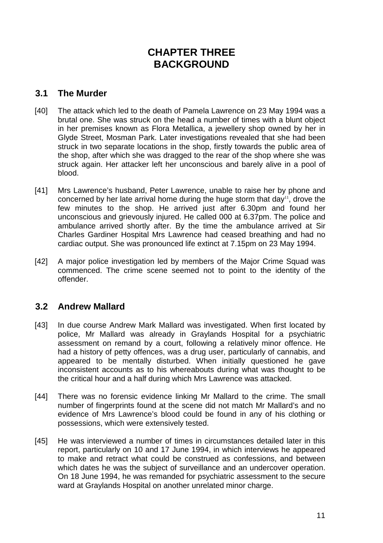# **CHAPTER THREE BACKGROUND**

### **3.1 The Murder**

- [40] The attack which led to the death of Pamela Lawrence on 23 May 1994 was a brutal one. She was struck on the head a number of times with a blunt object in her premises known as Flora Metallica, a jewellery shop owned by her in Glyde Street, Mosman Park. Later investigations revealed that she had been struck in two separate locations in the shop, firstly towards the public area of the shop, after which she was dragged to the rear of the shop where she was struck again. Her attacker left her unconscious and barely alive in a pool of blood.
- [41] Mrs Lawrence's husband, Peter Lawrence, unable to raise her by phone and concerned by her late arrival home during the huge storm that day<sup>11</sup>, drove the few minutes to the shop. He arrived just after 6.30pm and found her unconscious and grievously injured. He called 000 at 6.37pm. The police and ambulance arrived shortly after. By the time the ambulance arrived at Sir Charles Gardiner Hospital Mrs Lawrence had ceased breathing and had no cardiac output. She was pronounced life extinct at 7.15pm on 23 May 1994.
- [42] A major police investigation led by members of the Major Crime Squad was commenced. The crime scene seemed not to point to the identity of the offender.

# **3.2 Andrew Mallard**

- [43] In due course Andrew Mark Mallard was investigated. When first located by police, Mr Mallard was already in Graylands Hospital for a psychiatric assessment on remand by a court, following a relatively minor offence. He had a history of petty offences, was a drug user, particularly of cannabis, and appeared to be mentally disturbed. When initially questioned he gave inconsistent accounts as to his whereabouts during what was thought to be the critical hour and a half during which Mrs Lawrence was attacked.
- [44] There was no forensic evidence linking Mr Mallard to the crime. The small number of fingerprints found at the scene did not match Mr Mallard's and no evidence of Mrs Lawrence's blood could be found in any of his clothing or possessions, which were extensively tested.
- [45] He was interviewed a number of times in circumstances detailed later in this report, particularly on 10 and 17 June 1994, in which interviews he appeared to make and retract what could be construed as confessions, and between which dates he was the subject of surveillance and an undercover operation. On 18 June 1994, he was remanded for psychiatric assessment to the secure ward at Graylands Hospital on another unrelated minor charge.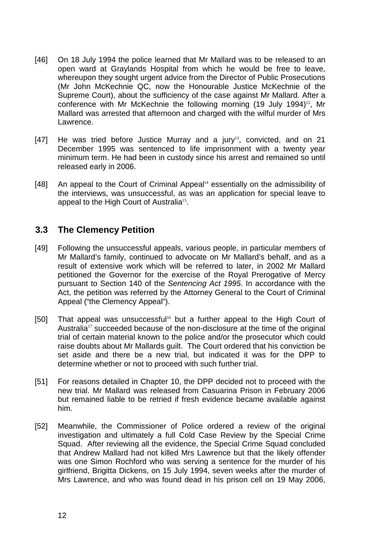- [46] On 18 July 1994 the police learned that Mr Mallard was to be released to an open ward at Graylands Hospital from which he would be free to leave, whereupon they sought urgent advice from the Director of Public Prosecutions (Mr John McKechnie QC, now the Honourable Justice McKechnie of the Supreme Court), about the sufficiency of the case against Mr Mallard. After a conference with Mr McKechnie the following morning (19 July 1994)<sup>12</sup>, Mr Mallard was arrested that afternoon and charged with the wilful murder of Mrs Lawrence.
- [47] He was tried before Justice Murray and a jury<sup>13</sup>, convicted, and on 21 December 1995 was sentenced to life imprisonment with a twenty year minimum term. He had been in custody since his arrest and remained so until released early in 2006.
- [48] An appeal to the Court of Criminal Appeal<sup>14</sup> essentially on the admissibility of the interviews, was unsuccessful, as was an application for special leave to appeal to the High Court of Australia<sup>15</sup>.

#### **3.3 The Clemency Petition**

- [49] Following the unsuccessful appeals, various people, in particular members of Mr Mallard's family, continued to advocate on Mr Mallard's behalf, and as a result of extensive work which will be referred to later, in 2002 Mr Mallard petitioned the Governor for the exercise of the Royal Prerogative of Mercy pursuant to Section 140 of the *Sentencing Act 1995*. In accordance with the Act, the petition was referred by the Attorney General to the Court of Criminal Appeal ("the Clemency Appeal").
- [50] That appeal was unsuccessful<sup>16</sup> but a further appeal to the High Court of Australia<sup>17</sup> succeeded because of the non-disclosure at the time of the original trial of certain material known to the police and/or the prosecutor which could raise doubts about Mr Mallards guilt. The Court ordered that his conviction be set aside and there be a new trial, but indicated it was for the DPP to determine whether or not to proceed with such further trial.
- [51] For reasons detailed in Chapter 10, the DPP decided not to proceed with the new trial. Mr Mallard was released from Casuarina Prison in February 2006 but remained liable to be retried if fresh evidence became available against him.
- [52] Meanwhile, the Commissioner of Police ordered a review of the original investigation and ultimately a full Cold Case Review by the Special Crime Squad. After reviewing all the evidence, the Special Crime Squad concluded that Andrew Mallard had not killed Mrs Lawrence but that the likely offender was one Simon Rochford who was serving a sentence for the murder of his girlfriend, Brigitta Dickens, on 15 July 1994, seven weeks after the murder of Mrs Lawrence, and who was found dead in his prison cell on 19 May 2006,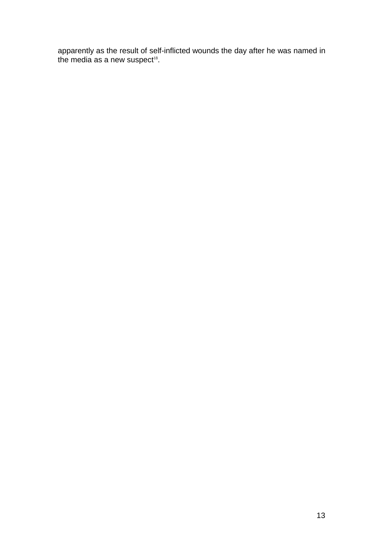apparently as the result of self-inflicted wounds the day after he was named in the media as a new suspect $^{18}$ .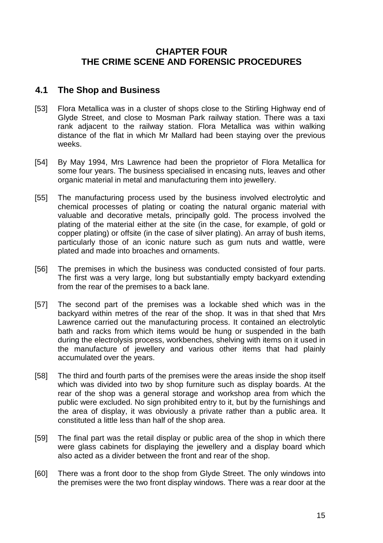# **CHAPTER FOUR THE CRIME SCENE AND FORENSIC PROCEDURES**

#### **4.1 The Shop and Business**

- [53] Flora Metallica was in a cluster of shops close to the Stirling Highway end of Glyde Street, and close to Mosman Park railway station. There was a taxi rank adjacent to the railway station. Flora Metallica was within walking distance of the flat in which Mr Mallard had been staying over the previous weeks.
- [54] By May 1994, Mrs Lawrence had been the proprietor of Flora Metallica for some four years. The business specialised in encasing nuts, leaves and other organic material in metal and manufacturing them into jewellery.
- [55] The manufacturing process used by the business involved electrolytic and chemical processes of plating or coating the natural organic material with valuable and decorative metals, principally gold. The process involved the plating of the material either at the site (in the case, for example, of gold or copper plating) or offsite (in the case of silver plating). An array of bush items, particularly those of an iconic nature such as gum nuts and wattle, were plated and made into broaches and ornaments.
- [56] The premises in which the business was conducted consisted of four parts. The first was a very large, long but substantially empty backyard extending from the rear of the premises to a back lane.
- [57] The second part of the premises was a lockable shed which was in the backyard within metres of the rear of the shop. It was in that shed that Mrs Lawrence carried out the manufacturing process. It contained an electrolytic bath and racks from which items would be hung or suspended in the bath during the electrolysis process, workbenches, shelving with items on it used in the manufacture of jewellery and various other items that had plainly accumulated over the years.
- [58] The third and fourth parts of the premises were the areas inside the shop itself which was divided into two by shop furniture such as display boards. At the rear of the shop was a general storage and workshop area from which the public were excluded. No sign prohibited entry to it, but by the furnishings and the area of display, it was obviously a private rather than a public area. It constituted a little less than half of the shop area.
- [59] The final part was the retail display or public area of the shop in which there were glass cabinets for displaying the jewellery and a display board which also acted as a divider between the front and rear of the shop.
- [60] There was a front door to the shop from Glyde Street. The only windows into the premises were the two front display windows. There was a rear door at the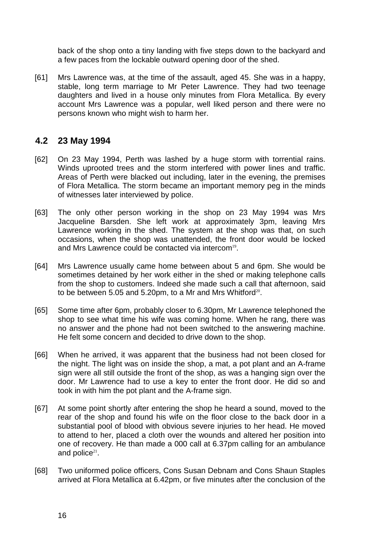back of the shop onto a tiny landing with five steps down to the backyard and a few paces from the lockable outward opening door of the shed.

[61] Mrs Lawrence was, at the time of the assault, aged 45. She was in a happy, stable, long term marriage to Mr Peter Lawrence. They had two teenage daughters and lived in a house only minutes from Flora Metallica. By every account Mrs Lawrence was a popular, well liked person and there were no persons known who might wish to harm her.

#### **4.2 23 May 1994**

- [62] On 23 May 1994, Perth was lashed by a huge storm with torrential rains. Winds uprooted trees and the storm interfered with power lines and traffic. Areas of Perth were blacked out including, later in the evening, the premises of Flora Metallica. The storm became an important memory peg in the minds of witnesses later interviewed by police.
- [63] The only other person working in the shop on 23 May 1994 was Mrs Jacqueline Barsden. She left work at approximately 3pm, leaving Mrs Lawrence working in the shed. The system at the shop was that, on such occasions, when the shop was unattended, the front door would be locked and Mrs Lawrence could be contacted via intercom<sup>19</sup>.
- [64] Mrs Lawrence usually came home between about 5 and 6pm. She would be sometimes detained by her work either in the shed or making telephone calls from the shop to customers. Indeed she made such a call that afternoon, said to be between 5.05 and 5.20pm, to a Mr and Mrs Whitford<sup>20</sup>.
- [65] Some time after 6pm, probably closer to 6.30pm, Mr Lawrence telephoned the shop to see what time his wife was coming home. When he rang, there was no answer and the phone had not been switched to the answering machine. He felt some concern and decided to drive down to the shop.
- [66] When he arrived, it was apparent that the business had not been closed for the night. The light was on inside the shop, a mat, a pot plant and an A-frame sign were all still outside the front of the shop, as was a hanging sign over the door. Mr Lawrence had to use a key to enter the front door. He did so and took in with him the pot plant and the A-frame sign.
- [67] At some point shortly after entering the shop he heard a sound, moved to the rear of the shop and found his wife on the floor close to the back door in a substantial pool of blood with obvious severe injuries to her head. He moved to attend to her, placed a cloth over the wounds and altered her position into one of recovery. He than made a 000 call at 6.37pm calling for an ambulance and police $21$ .
- [68] Two uniformed police officers, Cons Susan Debnam and Cons Shaun Staples arrived at Flora Metallica at 6.42pm, or five minutes after the conclusion of the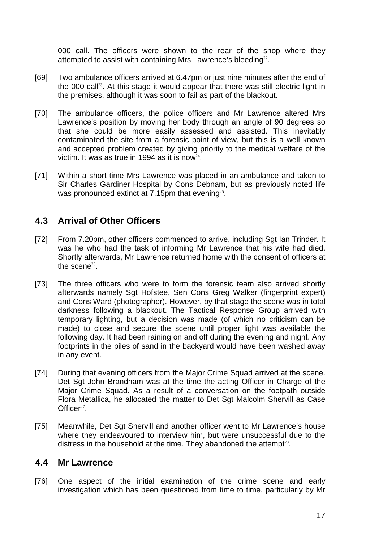000 call. The officers were shown to the rear of the shop where they attempted to assist with containing Mrs Lawrence's bleeding<sup>22</sup>.

- [69] Two ambulance officers arrived at 6.47pm or just nine minutes after the end of the 000 call<sup>23</sup>. At this stage it would appear that there was still electric light in the premises, although it was soon to fail as part of the blackout.
- [70] The ambulance officers, the police officers and Mr Lawrence altered Mrs Lawrence's position by moving her body through an angle of 90 degrees so that she could be more easily assessed and assisted. This inevitably contaminated the site from a forensic point of view, but this is a well known and accepted problem created by giving priority to the medical welfare of the victim. It was as true in 1994 as it is now  $24$ .
- [71] Within a short time Mrs Lawrence was placed in an ambulance and taken to Sir Charles Gardiner Hospital by Cons Debnam, but as previously noted life was pronounced extinct at 7.15pm that evening<sup>25</sup>.

# **4.3 Arrival of Other Officers**

- [72] From 7.20pm, other officers commenced to arrive, including Sgt Ian Trinder. It was he who had the task of informing Mr Lawrence that his wife had died. Shortly afterwards, Mr Lawrence returned home with the consent of officers at the scene $26$ .
- [73] The three officers who were to form the forensic team also arrived shortly afterwards namely Sgt Hofstee, Sen Cons Greg Walker (fingerprint expert) and Cons Ward (photographer). However, by that stage the scene was in total darkness following a blackout. The Tactical Response Group arrived with temporary lighting, but a decision was made (of which no criticism can be made) to close and secure the scene until proper light was available the following day. It had been raining on and off during the evening and night. Any footprints in the piles of sand in the backyard would have been washed away in any event.
- [74] During that evening officers from the Major Crime Squad arrived at the scene. Det Sgt John Brandham was at the time the acting Officer in Charge of the Major Crime Squad. As a result of a conversation on the footpath outside Flora Metallica, he allocated the matter to Det Sgt Malcolm Shervill as Case Office $r^{27}$ .
- [75] Meanwhile, Det Sgt Shervill and another officer went to Mr Lawrence's house where they endeavoured to interview him, but were unsuccessful due to the distress in the household at the time. They abandoned the attempt<sup>28</sup>.

#### **4.4 Mr Lawrence**

[76] One aspect of the initial examination of the crime scene and early investigation which has been questioned from time to time, particularly by Mr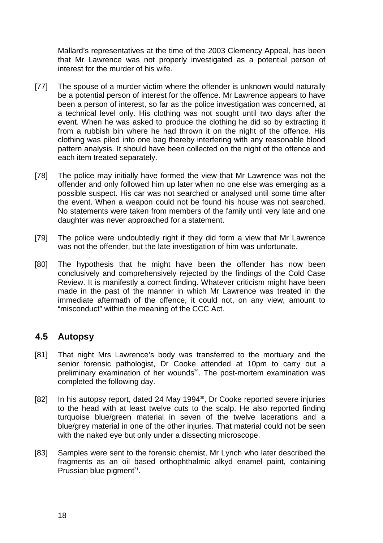Mallard's representatives at the time of the 2003 Clemency Appeal, has been that Mr Lawrence was not properly investigated as a potential person of interest for the murder of his wife.

- [77] The spouse of a murder victim where the offender is unknown would naturally be a potential person of interest for the offence. Mr Lawrence appears to have been a person of interest, so far as the police investigation was concerned, at a technical level only. His clothing was not sought until two days after the event. When he was asked to produce the clothing he did so by extracting it from a rubbish bin where he had thrown it on the night of the offence. His clothing was piled into one bag thereby interfering with any reasonable blood pattern analysis. It should have been collected on the night of the offence and each item treated separately.
- [78] The police may initially have formed the view that Mr Lawrence was not the offender and only followed him up later when no one else was emerging as a possible suspect. His car was not searched or analysed until some time after the event. When a weapon could not be found his house was not searched. No statements were taken from members of the family until very late and one daughter was never approached for a statement.
- [79] The police were undoubtedly right if they did form a view that Mr Lawrence was not the offender, but the late investigation of him was unfortunate.
- [80] The hypothesis that he might have been the offender has now been conclusively and comprehensively rejected by the findings of the Cold Case Review. It is manifestly a correct finding. Whatever criticism might have been made in the past of the manner in which Mr Lawrence was treated in the immediate aftermath of the offence, it could not, on any view, amount to "misconduct" within the meaning of the CCC Act.

#### **4.5 Autopsy**

- [81] That night Mrs Lawrence's body was transferred to the mortuary and the senior forensic pathologist, Dr Cooke attended at 10pm to carry out a preliminary examination of her wounds<sup>29</sup>. The post-mortem examination was completed the following day.
- [82] In his autopsy report, dated 24 May 1994<sup>30</sup>, Dr Cooke reported severe injuries to the head with at least twelve cuts to the scalp. He also reported finding turquoise blue/green material in seven of the twelve lacerations and a blue/grey material in one of the other injuries. That material could not be seen with the naked eye but only under a dissecting microscope.
- [83] Samples were sent to the forensic chemist, Mr Lynch who later described the fragments as an oil based orthophthalmic alkyd enamel paint, containing Prussian blue pigment $31$ .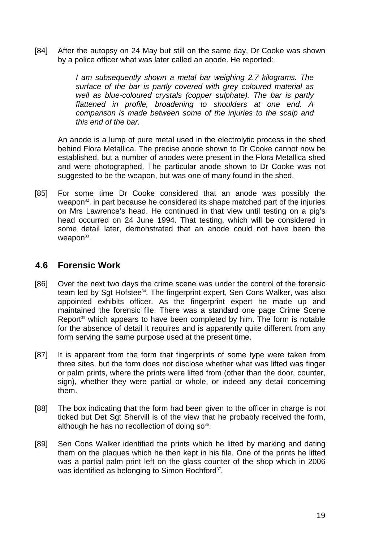[84] After the autopsy on 24 May but still on the same day, Dr Cooke was shown by a police officer what was later called an anode. He reported:

> *I am subsequently shown a metal bar weighing 2.7 kilograms. The surface of the bar is partly covered with grey coloured material as well as blue-coloured crystals (copper sulphate). The bar is partly flattened in profile, broadening to shoulders at one end. A comparison is made between some of the injuries to the scalp and this end of the bar.*

An anode is a lump of pure metal used in the electrolytic process in the shed behind Flora Metallica. The precise anode shown to Dr Cooke cannot now be established, but a number of anodes were present in the Flora Metallica shed and were photographed. The particular anode shown to Dr Cooke was not suggested to be the weapon, but was one of many found in the shed.

[85] For some time Dr Cooke considered that an anode was possibly the weapon<sup>32</sup>, in part because he considered its shape matched part of the injuries on Mrs Lawrence's head. He continued in that view until testing on a pig's head occurred on 24 June 1994. That testing, which will be considered in some detail later, demonstrated that an anode could not have been the weapon $33$ .

### **4.6 Forensic Work**

- [86] Over the next two days the crime scene was under the control of the forensic team led by Sqt Hofstee<sup>34</sup>. The fingerprint expert, Sen Cons Walker, was also appointed exhibits officer. As the fingerprint expert he made up and maintained the forensic file. There was a standard one page Crime Scene Report<sup>35</sup> which appears to have been completed by him. The form is notable for the absence of detail it requires and is apparently quite different from any form serving the same purpose used at the present time.
- [87] It is apparent from the form that fingerprints of some type were taken from three sites, but the form does not disclose whether what was lifted was finger or palm prints, where the prints were lifted from (other than the door, counter, sign), whether they were partial or whole, or indeed any detail concerning them.
- [88] The box indicating that the form had been given to the officer in charge is not ticked but Det Sgt Shervill is of the view that he probably received the form, although he has no recollection of doing  $so^{36}$ .
- [89] Sen Cons Walker identified the prints which he lifted by marking and dating them on the plaques which he then kept in his file. One of the prints he lifted was a partial palm print left on the glass counter of the shop which in 2006 was identified as belonging to Simon Rochford<sup>37</sup>.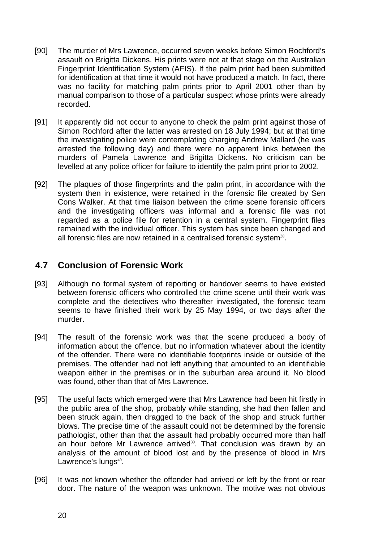- [90] The murder of Mrs Lawrence, occurred seven weeks before Simon Rochford's assault on Brigitta Dickens. His prints were not at that stage on the Australian Fingerprint Identification System (AFIS). If the palm print had been submitted for identification at that time it would not have produced a match. In fact, there was no facility for matching palm prints prior to April 2001 other than by manual comparison to those of a particular suspect whose prints were already recorded.
- [91] It apparently did not occur to anyone to check the palm print against those of Simon Rochford after the latter was arrested on 18 July 1994; but at that time the investigating police were contemplating charging Andrew Mallard (he was arrested the following day) and there were no apparent links between the murders of Pamela Lawrence and Brigitta Dickens. No criticism can be levelled at any police officer for failure to identify the palm print prior to 2002.
- [92] The plaques of those fingerprints and the palm print, in accordance with the system then in existence, were retained in the forensic file created by Sen Cons Walker. At that time liaison between the crime scene forensic officers and the investigating officers was informal and a forensic file was not regarded as a police file for retention in a central system. Fingerprint files remained with the individual officer. This system has since been changed and all forensic files are now retained in a centralised forensic system $38$ .

### **4.7 Conclusion of Forensic Work**

- [93] Although no formal system of reporting or handover seems to have existed between forensic officers who controlled the crime scene until their work was complete and the detectives who thereafter investigated, the forensic team seems to have finished their work by 25 May 1994, or two days after the murder.
- [94] The result of the forensic work was that the scene produced a body of information about the offence, but no information whatever about the identity of the offender. There were no identifiable footprints inside or outside of the premises. The offender had not left anything that amounted to an identifiable weapon either in the premises or in the suburban area around it. No blood was found, other than that of Mrs Lawrence.
- [95] The useful facts which emerged were that Mrs Lawrence had been hit firstly in the public area of the shop, probably while standing, she had then fallen and been struck again, then dragged to the back of the shop and struck further blows. The precise time of the assault could not be determined by the forensic pathologist, other than that the assault had probably occurred more than half an hour before Mr Lawrence arrived<sup>39</sup>. That conclusion was drawn by an analysis of the amount of blood lost and by the presence of blood in Mrs Lawrence's lungs<sup>40</sup>.
- [96] It was not known whether the offender had arrived or left by the front or rear door. The nature of the weapon was unknown. The motive was not obvious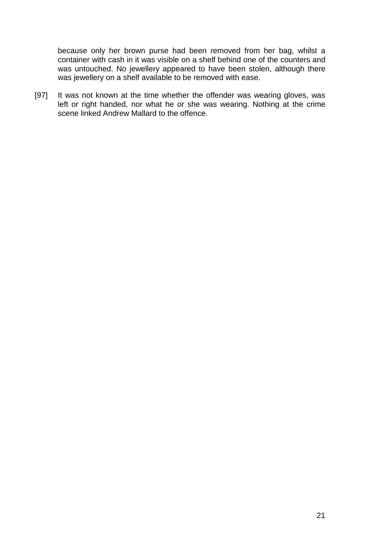because only her brown purse had been removed from her bag, whilst a container with cash in it was visible on a shelf behind one of the counters and was untouched. No jewellery appeared to have been stolen, although there was jewellery on a shelf available to be removed with ease.

[97] It was not known at the time whether the offender was wearing gloves, was left or right handed, nor what he or she was wearing. Nothing at the crime scene linked Andrew Mallard to the offence.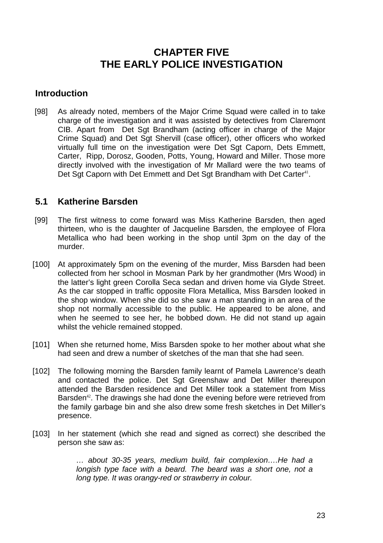# **CHAPTER FIVE THE EARLY POLICE INVESTIGATION**

### **Introduction**

[98] As already noted, members of the Major Crime Squad were called in to take charge of the investigation and it was assisted by detectives from Claremont CIB. Apart from Det Sgt Brandham (acting officer in charge of the Major Crime Squad) and Det Sgt Shervill (case officer), other officers who worked virtually full time on the investigation were Det Sgt Caporn, Dets Emmett, Carter, Ripp, Dorosz, Gooden, Potts, Young, Howard and Miller. Those more directly involved with the investigation of Mr Mallard were the two teams of Det Sgt Caporn with Det Emmett and Det Sgt Brandham with Det Carter<sup>41</sup>.

### **5.1 Katherine Barsden**

- [99] The first witness to come forward was Miss Katherine Barsden, then aged thirteen, who is the daughter of Jacqueline Barsden, the employee of Flora Metallica who had been working in the shop until 3pm on the day of the murder.
- [100] At approximately 5pm on the evening of the murder, Miss Barsden had been collected from her school in Mosman Park by her grandmother (Mrs Wood) in the latter's light green Corolla Seca sedan and driven home via Glyde Street. As the car stopped in traffic opposite Flora Metallica, Miss Barsden looked in the shop window. When she did so she saw a man standing in an area of the shop not normally accessible to the public. He appeared to be alone, and when he seemed to see her, he bobbed down. He did not stand up again whilst the vehicle remained stopped.
- [101] When she returned home, Miss Barsden spoke to her mother about what she had seen and drew a number of sketches of the man that she had seen.
- [102] The following morning the Barsden family learnt of Pamela Lawrence's death and contacted the police. Det Sgt Greenshaw and Det Miller thereupon attended the Barsden residence and Det Miller took a statement from Miss Barsden<sup>42</sup>. The drawings she had done the evening before were retrieved from the family garbage bin and she also drew some fresh sketches in Det Miller's presence.
- [103] In her statement (which she read and signed as correct) she described the person she saw as:

*… about 30-35 years, medium build, fair complexion….He had a*  longish type face with a beard. The beard was a short one, not a *long type. It was orangy-red or strawberry in colour.*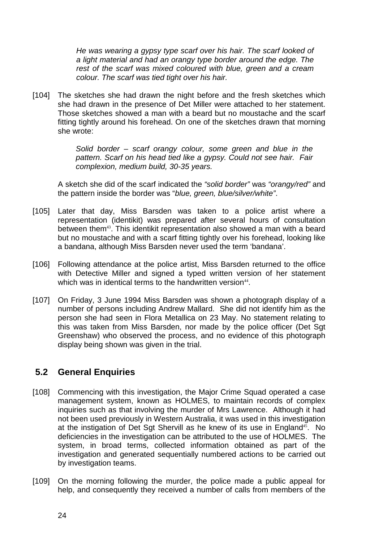*He was wearing a gypsy type scarf over his hair. The scarf looked of a light material and had an orangy type border around the edge. The rest of the scarf was mixed coloured with blue, green and a cream colour. The scarf was tied tight over his hair.* 

[104] The sketches she had drawn the night before and the fresh sketches which she had drawn in the presence of Det Miller were attached to her statement. Those sketches showed a man with a beard but no moustache and the scarf fitting tightly around his forehead. On one of the sketches drawn that morning she wrote:

> *Solid border – scarf orangy colour, some green and blue in the pattern. Scarf on his head tied like a gypsy. Could not see hair. Fair complexion, medium build, 30-35 years.*

A sketch she did of the scarf indicated the *"solid border"* was *"orangy/red"* and the pattern inside the border was "*blue, green, blue/silver/white"*.

- [105] Later that day, Miss Barsden was taken to a police artist where a representation (identikit) was prepared after several hours of consultation between them<sup>43</sup>. This identikit representation also showed a man with a beard but no moustache and with a scarf fitting tightly over his forehead, looking like a bandana, although Miss Barsden never used the term 'bandana'.
- [106] Following attendance at the police artist, Miss Barsden returned to the office with Detective Miller and signed a typed written version of her statement which was in identical terms to the handwritten version $44$ .
- [107] On Friday, 3 June 1994 Miss Barsden was shown a photograph display of a number of persons including Andrew Mallard. She did not identify him as the person she had seen in Flora Metallica on 23 May. No statement relating to this was taken from Miss Barsden, nor made by the police officer (Det Sgt Greenshaw) who observed the process, and no evidence of this photograph display being shown was given in the trial.

# **5.2 General Enquiries**

- [108] Commencing with this investigation, the Major Crime Squad operated a case management system, known as HOLMES, to maintain records of complex inquiries such as that involving the murder of Mrs Lawrence. Although it had not been used previously in Western Australia, it was used in this investigation at the instigation of Det Sqt Shervill as he knew of its use in England<sup>45</sup>. No deficiencies in the investigation can be attributed to the use of HOLMES. The system, in broad terms, collected information obtained as part of the investigation and generated sequentially numbered actions to be carried out by investigation teams.
- [109] On the morning following the murder, the police made a public appeal for help, and consequently they received a number of calls from members of the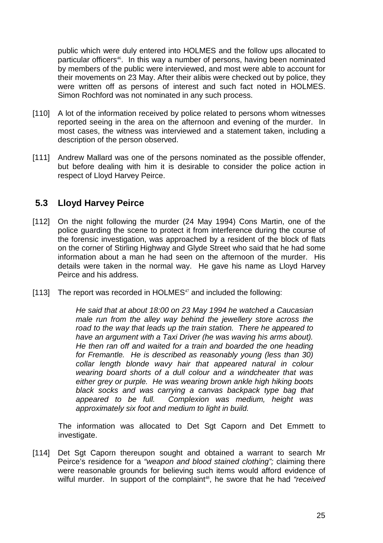public which were duly entered into HOLMES and the follow ups allocated to particular officers<sup>46</sup>. In this way a number of persons, having been nominated by members of the public were interviewed, and most were able to account for their movements on 23 May. After their alibis were checked out by police, they were written off as persons of interest and such fact noted in HOLMES. Simon Rochford was not nominated in any such process.

- [110] A lot of the information received by police related to persons whom witnesses reported seeing in the area on the afternoon and evening of the murder. In most cases, the witness was interviewed and a statement taken, including a description of the person observed.
- [111] Andrew Mallard was one of the persons nominated as the possible offender, but before dealing with him it is desirable to consider the police action in respect of Lloyd Harvey Peirce.

### **5.3 Lloyd Harvey Peirce**

- [112] On the night following the murder (24 May 1994) Cons Martin, one of the police guarding the scene to protect it from interference during the course of the forensic investigation, was approached by a resident of the block of flats on the corner of Stirling Highway and Glyde Street who said that he had some information about a man he had seen on the afternoon of the murder. His details were taken in the normal way. He gave his name as Lloyd Harvey Peirce and his address.
- [113] The report was recorded in HOLMES $47$  and included the following:

*He said that at about 18:00 on 23 May 1994 he watched a Caucasian male run from the alley way behind the jewellery store across the road to the way that leads up the train station. There he appeared to have an argument with a Taxi Driver (he was waving his arms about). He then ran off and waited for a train and boarded the one heading for Fremantle. He is described as reasonably young (less than 30) collar length blonde wavy hair that appeared natural in colour wearing board shorts of a dull colour and a windcheater that was either grey or purple. He was wearing brown ankle high hiking boots black socks and was carrying a canvas backpack type bag that appeared to be full. Complexion was medium, height was approximately six foot and medium to light in build.* 

The information was allocated to Det Sgt Caporn and Det Emmett to investigate.

[114] Det Sgt Caporn thereupon sought and obtained a warrant to search Mr Peirce's residence for a *"weapon and blood stained clothing";* claiming there were reasonable grounds for believing such items would afford evidence of wilful murder. In support of the complaint<sup>48</sup>, he swore that he had "received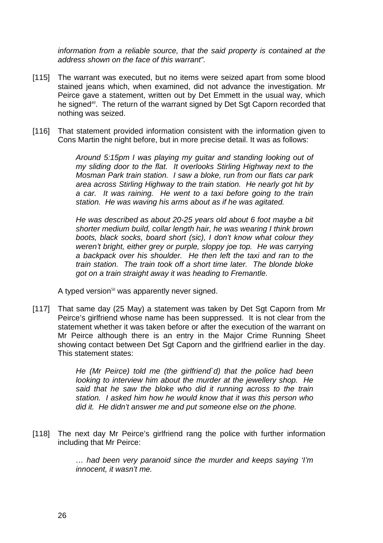*information from a reliable source, that the said property is contained at the address shown on the face of this warrant".*

- [115] The warrant was executed, but no items were seized apart from some blood stained jeans which, when examined, did not advance the investigation. Mr Peirce gave a statement, written out by Det Emmett in the usual way, which he signed<sup>49</sup>. The return of the warrant signed by Det Sgt Caporn recorded that nothing was seized.
- [116] That statement provided information consistent with the information given to Cons Martin the night before, but in more precise detail. It was as follows:

*Around 5:15pm I was playing my guitar and standing looking out of my sliding door to the flat. It overlooks Stirling Highway next to the Mosman Park train station. I saw a bloke, run from our flats car park area across Stirling Highway to the train station. He nearly got hit by a car. It was raining. He went to a taxi before going to the train station. He was waving his arms about as if he was agitated.* 

*He was described as about 20-25 years old about 6 foot maybe a bit shorter medium build, collar length hair, he was wearing I think brown boots, black socks, board short (sic), I don't know what colour they weren't bright, either grey or purple, sloppy joe top. He was carrying a backpack over his shoulder. He then left the taxi and ran to the train station. The train took off a short time later. The blonde bloke got on a train straight away it was heading to Fremantle.* 

A typed version<sup>50</sup> was apparently never signed.

[117] That same day (25 May) a statement was taken by Det Sgt Caporn from Mr Peirce's girlfriend whose name has been suppressed. It is not clear from the statement whether it was taken before or after the execution of the warrant on Mr Peirce although there is an entry in the Major Crime Running Sheet showing contact between Det Sgt Caporn and the girlfriend earlier in the day. This statement states:

> *He (Mr Peirce) told me (the girlfriend`d) that the police had been looking to interview him about the murder at the jewellery shop. He said that he saw the bloke who did it running across to the train station. I asked him how he would know that it was this person who did it. He didn't answer me and put someone else on the phone.*

[118] The next day Mr Peirce's girlfriend rang the police with further information including that Mr Peirce:

> *… had been very paranoid since the murder and keeps saying 'I'm innocent, it wasn't me.*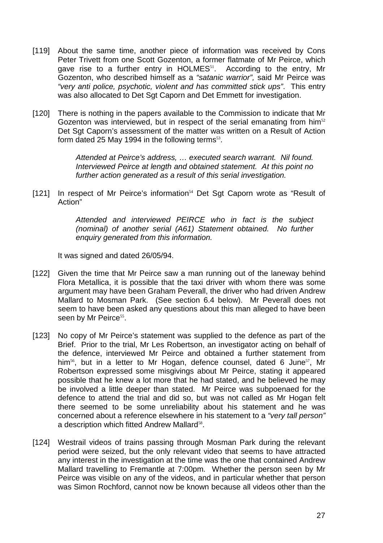- [119] About the same time, another piece of information was received by Cons Peter Trivett from one Scott Gozenton, a former flatmate of Mr Peirce, which gave rise to a further entry in HOLMES<sup>51</sup>. According to the entry, Mr Gozenton, who described himself as a *"satanic warrior",* said Mr Peirce was *"very anti police, psychotic, violent and has committed stick ups"*. This entry was also allocated to Det Sgt Caporn and Det Emmett for investigation.
- [120] There is nothing in the papers available to the Commission to indicate that Mr Gozenton was interviewed, but in respect of the serial emanating from him<sup>52</sup> Det Sgt Caporn's assessment of the matter was written on a Result of Action form dated 25 May 1994 in the following terms $53$ .

*Attended at Peirce's address, … executed search warrant. Nil found. Interviewed Peirce at length and obtained statement. At this point no further action generated as a result of this serial investigation.* 

[121] In respect of Mr Peirce's information<sup>54</sup> Det Sgt Caporn wrote as "Result of Action"

> *Attended and interviewed PEIRCE who in fact is the subject (nominal) of another serial (A61) Statement obtained. No further enquiry generated from this information.*

It was signed and dated 26/05/94.

- [122] Given the time that Mr Peirce saw a man running out of the laneway behind Flora Metallica, it is possible that the taxi driver with whom there was some argument may have been Graham Peverall, the driver who had driven Andrew Mallard to Mosman Park. (See section 6.4 below). Mr Peverall does not seem to have been asked any questions about this man alleged to have been seen by Mr Peirce<sup>55</sup>.
- [123] No copy of Mr Peirce's statement was supplied to the defence as part of the Brief. Prior to the trial, Mr Les Robertson, an investigator acting on behalf of the defence, interviewed Mr Peirce and obtained a further statement from him<sup>56</sup>, but in a letter to Mr Hogan, defence counsel, dated 6 June<sup>57</sup>, Mr Robertson expressed some misgivings about Mr Peirce, stating it appeared possible that he knew a lot more that he had stated, and he believed he may be involved a little deeper than stated. Mr Peirce was subpoenaed for the defence to attend the trial and did so, but was not called as Mr Hogan felt there seemed to be some unreliability about his statement and he was concerned about a reference elsewhere in his statement to a *"very tall person"* a description which fitted Andrew Mallard<sup>58</sup>.
- [124] Westrail videos of trains passing through Mosman Park during the relevant period were seized, but the only relevant video that seems to have attracted any interest in the investigation at the time was the one that contained Andrew Mallard travelling to Fremantle at 7:00pm. Whether the person seen by Mr Peirce was visible on any of the videos, and in particular whether that person was Simon Rochford, cannot now be known because all videos other than the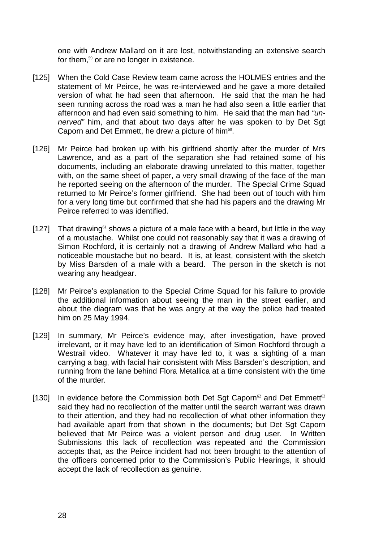one with Andrew Mallard on it are lost, notwithstanding an extensive search for them,<sup>59</sup> or are no longer in existence.

- [125] When the Cold Case Review team came across the HOLMES entries and the statement of Mr Peirce, he was re-interviewed and he gave a more detailed version of what he had seen that afternoon. He said that the man he had seen running across the road was a man he had also seen a little earlier that afternoon and had even said something to him. He said that the man had *"unnerved"* him, and that about two days after he was spoken to by Det Sgt Caporn and Det Emmett, he drew a picture of him<sup>60</sup>.
- [126] Mr Peirce had broken up with his girlfriend shortly after the murder of Mrs Lawrence, and as a part of the separation she had retained some of his documents, including an elaborate drawing unrelated to this matter, together with, on the same sheet of paper, a very small drawing of the face of the man he reported seeing on the afternoon of the murder. The Special Crime Squad returned to Mr Peirce's former girlfriend. She had been out of touch with him for a very long time but confirmed that she had his papers and the drawing Mr Peirce referred to was identified.
- [127] That drawing<sup>61</sup> shows a picture of a male face with a beard, but little in the way of a moustache. Whilst one could not reasonably say that it was a drawing of Simon Rochford, it is certainly not a drawing of Andrew Mallard who had a noticeable moustache but no beard. It is, at least, consistent with the sketch by Miss Barsden of a male with a beard. The person in the sketch is not wearing any headgear.
- [128] Mr Peirce's explanation to the Special Crime Squad for his failure to provide the additional information about seeing the man in the street earlier, and about the diagram was that he was angry at the way the police had treated him on 25 May 1994.
- [129] In summary, Mr Peirce's evidence may, after investigation, have proved irrelevant, or it may have led to an identification of Simon Rochford through a Westrail video. Whatever it may have led to, it was a sighting of a man carrying a bag, with facial hair consistent with Miss Barsden's description, and running from the lane behind Flora Metallica at a time consistent with the time of the murder.
- [130] In evidence before the Commission both Det Sgt Caporn<sup>62</sup> and Det Emmett<sup>63</sup> said they had no recollection of the matter until the search warrant was drawn to their attention, and they had no recollection of what other information they had available apart from that shown in the documents; but Det Sgt Caporn believed that Mr Peirce was a violent person and drug user. In Written Submissions this lack of recollection was repeated and the Commission accepts that, as the Peirce incident had not been brought to the attention of the officers concerned prior to the Commission's Public Hearings, it should accept the lack of recollection as genuine.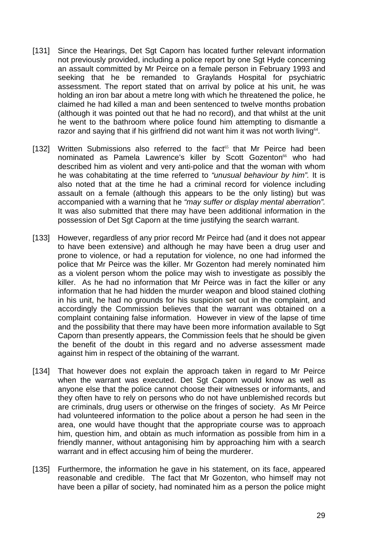- [131] Since the Hearings, Det Sgt Caporn has located further relevant information not previously provided, including a police report by one Sgt Hyde concerning an assault committed by Mr Peirce on a female person in February 1993 and seeking that he be remanded to Graylands Hospital for psychiatric assessment. The report stated that on arrival by police at his unit, he was holding an iron bar about a metre long with which he threatened the police, he claimed he had killed a man and been sentenced to twelve months probation (although it was pointed out that he had no record), and that whilst at the unit he went to the bathroom where police found him attempting to dismantle a razor and saying that if his girlfriend did not want him it was not worth living<sup>64</sup>.
- [132] Written Submissions also referred to the fact<sup>65</sup> that Mr Peirce had been nominated as Pamela Lawrence's killer by Scott Gozenton<sup>66</sup> who had described him as violent and very anti-police and that the woman with whom he was cohabitating at the time referred to *"unusual behaviour by him".* It is also noted that at the time he had a criminal record for violence including assault on a female (although this appears to be the only listing) but was accompanied with a warning that he *"may suffer or display mental aberration".* It was also submitted that there may have been additional information in the possession of Det Sgt Caporn at the time justifying the search warrant.
- [133] However, regardless of any prior record Mr Peirce had (and it does not appear to have been extensive) and although he may have been a drug user and prone to violence, or had a reputation for violence, no one had informed the police that Mr Peirce was the killer. Mr Gozenton had merely nominated him as a violent person whom the police may wish to investigate as possibly the killer. As he had no information that Mr Peirce was in fact the killer or any information that he had hidden the murder weapon and blood stained clothing in his unit, he had no grounds for his suspicion set out in the complaint, and accordingly the Commission believes that the warrant was obtained on a complaint containing false information. However in view of the lapse of time and the possibility that there may have been more information available to Sgt Caporn than presently appears, the Commission feels that he should be given the benefit of the doubt in this regard and no adverse assessment made against him in respect of the obtaining of the warrant.
- [134] That however does not explain the approach taken in regard to Mr Peirce when the warrant was executed. Det Sgt Caporn would know as well as anyone else that the police cannot choose their witnesses or informants, and they often have to rely on persons who do not have unblemished records but are criminals, drug users or otherwise on the fringes of society. As Mr Peirce had volunteered information to the police about a person he had seen in the area, one would have thought that the appropriate course was to approach him, question him, and obtain as much information as possible from him in a friendly manner, without antagonising him by approaching him with a search warrant and in effect accusing him of being the murderer.
- [135] Furthermore, the information he gave in his statement, on its face, appeared reasonable and credible. The fact that Mr Gozenton, who himself may not have been a pillar of society, had nominated him as a person the police might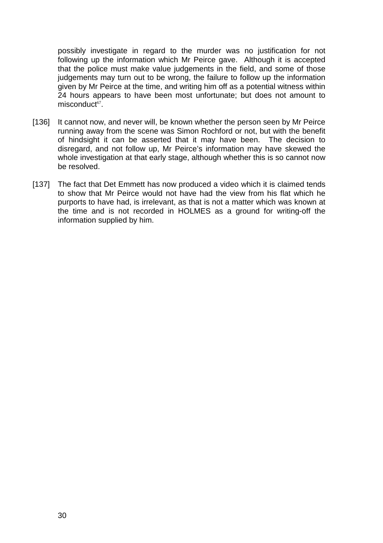possibly investigate in regard to the murder was no justification for not following up the information which Mr Peirce gave. Although it is accepted that the police must make value judgements in the field, and some of those judgements may turn out to be wrong, the failure to follow up the information given by Mr Peirce at the time, and writing him off as a potential witness within 24 hours appears to have been most unfortunate; but does not amount to  $misconduct<sup>67</sup>$ .

- [136] It cannot now, and never will, be known whether the person seen by Mr Peirce running away from the scene was Simon Rochford or not, but with the benefit of hindsight it can be asserted that it may have been. The decision to disregard, and not follow up, Mr Peirce's information may have skewed the whole investigation at that early stage, although whether this is so cannot now be resolved.
- [137] The fact that Det Emmett has now produced a video which it is claimed tends to show that Mr Peirce would not have had the view from his flat which he purports to have had, is irrelevant, as that is not a matter which was known at the time and is not recorded in HOLMES as a ground for writing-off the information supplied by him.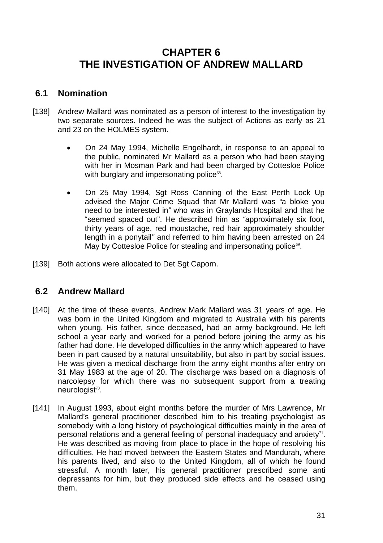# **CHAPTER 6 THE INVESTIGATION OF ANDREW MALLARD**

## **6.1 Nomination**

- [138] Andrew Mallard was nominated as a person of interest to the investigation by two separate sources. Indeed he was the subject of Actions as early as 21 and 23 on the HOLMES system.
	- On 24 May 1994, Michelle Engelhardt, in response to an appeal to the public, nominated Mr Mallard as a person who had been staying with her in Mosman Park and had been charged by Cottesloe Police with burglary and impersonating police<sup>68</sup>.
	- On 25 May 1994, Sgt Ross Canning of the East Perth Lock Up advised the Major Crime Squad that Mr Mallard was *"*a bloke you need to be interested in*"* who was in Graylands Hospital and that he "seemed spaced out". He described him as *"*approximately six foot, thirty years of age, red moustache, red hair approximately shoulder length in a ponytail*"* and referred to him having been arrested on 24 May by Cottesloe Police for stealing and impersonating police<sup>69</sup>.
- [139] Both actions were allocated to Det Sgt Caporn.

# **6.2 Andrew Mallard**

- [140] At the time of these events, Andrew Mark Mallard was 31 years of age. He was born in the United Kingdom and migrated to Australia with his parents when young. His father, since deceased, had an army background. He left school a year early and worked for a period before joining the army as his father had done. He developed difficulties in the army which appeared to have been in part caused by a natural unsuitability, but also in part by social issues. He was given a medical discharge from the army eight months after entry on 31 May 1983 at the age of 20. The discharge was based on a diagnosis of narcolepsy for which there was no subsequent support from a treating neurologist<sup>70</sup>.
- [141] In August 1993, about eight months before the murder of Mrs Lawrence, Mr Mallard's general practitioner described him to his treating psychologist as somebody with a long history of psychological difficulties mainly in the area of personal relations and a general feeling of personal inadequacy and anxiety $^{71}$ . He was described as moving from place to place in the hope of resolving his difficulties. He had moved between the Eastern States and Mandurah, where his parents lived, and also to the United Kingdom, all of which he found stressful. A month later, his general practitioner prescribed some anti depressants for him, but they produced side effects and he ceased using them.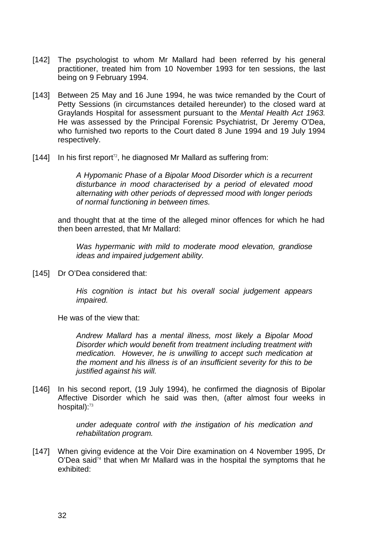- [142] The psychologist to whom Mr Mallard had been referred by his general practitioner, treated him from 10 November 1993 for ten sessions, the last being on 9 February 1994.
- [143] Between 25 May and 16 June 1994, he was twice remanded by the Court of Petty Sessions (in circumstances detailed hereunder) to the closed ward at Graylands Hospital for assessment pursuant to the *Mental Health Act 1963.* He was assessed by the Principal Forensic Psychiatrist, Dr Jeremy O'Dea, who furnished two reports to the Court dated 8 June 1994 and 19 July 1994 respectively.
- $[144]$  In his first report<sup>12</sup>, he diagnosed Mr Mallard as suffering from:

*A Hypomanic Phase of a Bipolar Mood Disorder which is a recurrent disturbance in mood characterised by a period of elevated mood alternating with other periods of depressed mood with longer periods of normal functioning in between times.* 

and thought that at the time of the alleged minor offences for which he had then been arrested, that Mr Mallard:

*Was hypermanic with mild to moderate mood elevation, grandiose ideas and impaired judgement ability.* 

[145] Dr O'Dea considered that:

*His cognition is intact but his overall social judgement appears impaired.* 

He was of the view that:

*Andrew Mallard has a mental illness, most likely a Bipolar Mood Disorder which would benefit from treatment including treatment with medication. However, he is unwilling to accept such medication at the moment and his illness is of an insufficient severity for this to be justified against his will.* 

[146] In his second report, (19 July 1994), he confirmed the diagnosis of Bipolar Affective Disorder which he said was then, (after almost four weeks in hospital):<sup>73</sup>

> *under adequate control with the instigation of his medication and rehabilitation program.*

[147] When giving evidence at the Voir Dire examination on 4 November 1995, Dr  $O'D$ ea said<sup>74</sup> that when Mr Mallard was in the hospital the symptoms that he exhibited: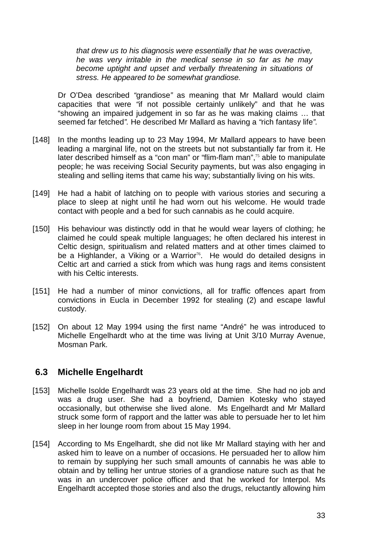*that drew us to his diagnosis were essentially that he was overactive, he was very irritable in the medical sense in so far as he may become uptight and upset and verbally threatening in situations of stress. He appeared to be somewhat grandiose.* 

Dr O'Dea described *"*grandiose*"* as meaning that Mr Mallard would claim capacities that were *"*if not possible certainly unlikely" and that he was "showing an impaired judgement in so far as he was making claims … that seemed far fetched*".* He described Mr Mallard as having a *"*rich fantasy life*".*

- [148] In the months leading up to 23 May 1994, Mr Mallard appears to have been leading a marginal life, not on the streets but not substantially far from it. He later described himself as a "con man" or "flim-flam man",<sup>75</sup> able to manipulate people; he was receiving Social Security payments, but was also engaging in stealing and selling items that came his way; substantially living on his wits.
- [149] He had a habit of latching on to people with various stories and securing a place to sleep at night until he had worn out his welcome. He would trade contact with people and a bed for such cannabis as he could acquire.
- [150] His behaviour was distinctly odd in that he would wear layers of clothing; he claimed he could speak multiple languages; he often declared his interest in Celtic design, spiritualism and related matters and at other times claimed to be a Highlander, a Viking or a Warrior<sup>76</sup>. He would do detailed designs in Celtic art and carried a stick from which was hung rags and items consistent with his Celtic interests.
- [151] He had a number of minor convictions, all for traffic offences apart from convictions in Eucla in December 1992 for stealing (2) and escape lawful custody.
- [152] On about 12 May 1994 using the first name "André" he was introduced to Michelle Engelhardt who at the time was living at Unit 3/10 Murray Avenue, Mosman Park.

### **6.3 Michelle Engelhardt**

- [153] Michelle Isolde Engelhardt was 23 years old at the time. She had no job and was a drug user. She had a boyfriend, Damien Kotesky who stayed occasionally, but otherwise she lived alone. Ms Engelhardt and Mr Mallard struck some form of rapport and the latter was able to persuade her to let him sleep in her lounge room from about 15 May 1994.
- [154] According to Ms Engelhardt, she did not like Mr Mallard staying with her and asked him to leave on a number of occasions. He persuaded her to allow him to remain by supplying her such small amounts of cannabis he was able to obtain and by telling her untrue stories of a grandiose nature such as that he was in an undercover police officer and that he worked for Interpol. Ms Engelhardt accepted those stories and also the drugs, reluctantly allowing him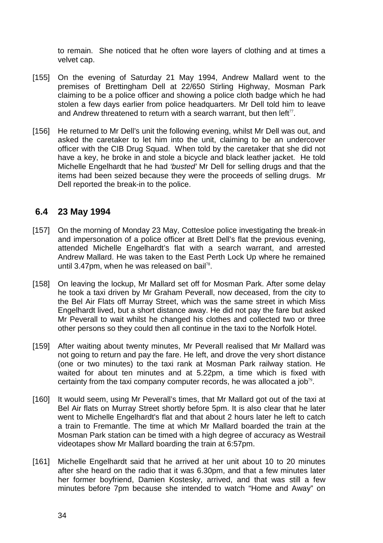to remain. She noticed that he often wore layers of clothing and at times a velvet cap.

- [155] On the evening of Saturday 21 May 1994, Andrew Mallard went to the premises of Brettingham Dell at 22/650 Stirling Highway, Mosman Park claiming to be a police officer and showing a police cloth badge which he had stolen a few days earlier from police headquarters. Mr Dell told him to leave and Andrew threatened to return with a search warrant, but then  $left<sub>77</sub>$ .
- [156] He returned to Mr Dell's unit the following evening, whilst Mr Dell was out, and asked the caretaker to let him into the unit, claiming to be an undercover officer with the CIB Drug Squad. When told by the caretaker that she did not have a key, he broke in and stole a bicycle and black leather jacket. He told Michelle Engelhardt that he had *'busted'* Mr Dell for selling drugs and that the items had been seized because they were the proceeds of selling drugs. Mr Dell reported the break-in to the police.

#### **6.4 23 May 1994**

- [157] On the morning of Monday 23 May, Cottesloe police investigating the break-in and impersonation of a police officer at Brett Dell's flat the previous evening, attended Michelle Engelhardt's flat with a search warrant, and arrested Andrew Mallard. He was taken to the East Perth Lock Up where he remained until 3.47pm, when he was released on bail<sup>78</sup>.
- [158] On leaving the lockup, Mr Mallard set off for Mosman Park. After some delay he took a taxi driven by Mr Graham Peverall, now deceased, from the city to the Bel Air Flats off Murray Street, which was the same street in which Miss Engelhardt lived, but a short distance away. He did not pay the fare but asked Mr Peverall to wait whilst he changed his clothes and collected two or three other persons so they could then all continue in the taxi to the Norfolk Hotel.
- [159] After waiting about twenty minutes, Mr Peverall realised that Mr Mallard was not going to return and pay the fare. He left, and drove the very short distance (one or two minutes) to the taxi rank at Mosman Park railway station. He waited for about ten minutes and at 5.22pm, a time which is fixed with certainty from the taxi company computer records, he was allocated a job<sup>79</sup>.
- [160] It would seem, using Mr Peverall's times, that Mr Mallard got out of the taxi at Bel Air flats on Murray Street shortly before 5pm. It is also clear that he later went to Michelle Engelhardt's flat and that about 2 hours later he left to catch a train to Fremantle. The time at which Mr Mallard boarded the train at the Mosman Park station can be timed with a high degree of accuracy as Westrail videotapes show Mr Mallard boarding the train at 6:57pm.
- [161] Michelle Engelhardt said that he arrived at her unit about 10 to 20 minutes after she heard on the radio that it was 6.30pm, and that a few minutes later her former boyfriend, Damien Kostesky, arrived, and that was still a few minutes before 7pm because she intended to watch "Home and Away" on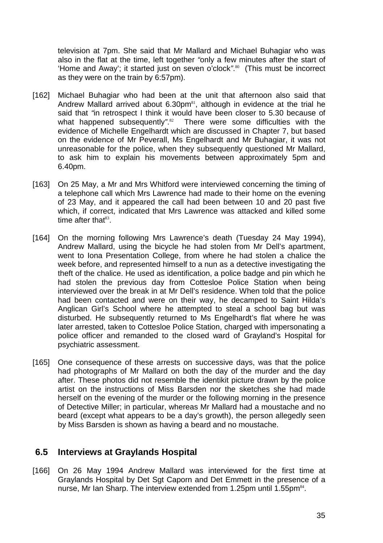television at 7pm. She said that Mr Mallard and Michael Buhagiar who was also in the flat at the time, left together *"*only a few minutes after the start of 'Home and Away'; it started just on seven o'clock*"*. <sup>80</sup>(This must be incorrect as they were on the train by 6:57pm).

- [162] Michael Buhagiar who had been at the unit that afternoon also said that Andrew Mallard arrived about 6.30pm<sup>81</sup>, although in evidence at the trial he said that *"*in retrospect I think it would have been closer to 5.30 because of what happened subsequently*"*. There were some difficulties with the evidence of Michelle Engelhardt which are discussed in Chapter 7, but based on the evidence of Mr Peverall, Ms Engelhardt and Mr Buhagiar, it was not unreasonable for the police, when they subsequently questioned Mr Mallard, to ask him to explain his movements between approximately 5pm and 6.40pm.
- [163] On 25 May, a Mr and Mrs Whitford were interviewed concerning the timing of a telephone call which Mrs Lawrence had made to their home on the evening of 23 May, and it appeared the call had been between 10 and 20 past five which, if correct, indicated that Mrs Lawrence was attacked and killed some time after that $83$ .
- [164] On the morning following Mrs Lawrence's death (Tuesday 24 May 1994), Andrew Mallard, using the bicycle he had stolen from Mr Dell's apartment, went to Iona Presentation College, from where he had stolen a chalice the week before, and represented himself to a nun as a detective investigating the theft of the chalice. He used as identification, a police badge and pin which he had stolen the previous day from Cottesloe Police Station when being interviewed over the break in at Mr Dell's residence. When told that the police had been contacted and were on their way, he decamped to Saint Hilda's Anglican Girl's School where he attempted to steal a school bag but was disturbed. He subsequently returned to Ms Engelhardt's flat where he was later arrested, taken to Cottesloe Police Station, charged with impersonating a police officer and remanded to the closed ward of Grayland's Hospital for psychiatric assessment.
- [165] One consequence of these arrests on successive days, was that the police had photographs of Mr Mallard on both the day of the murder and the day after. These photos did not resemble the identikit picture drawn by the police artist on the instructions of Miss Barsden nor the sketches she had made herself on the evening of the murder or the following morning in the presence of Detective Miller; in particular, whereas Mr Mallard had a moustache and no beard (except what appears to be a day's growth), the person allegedly seen by Miss Barsden is shown as having a beard and no moustache.

#### **6.5 Interviews at Graylands Hospital**

[166] On 26 May 1994 Andrew Mallard was interviewed for the first time at Graylands Hospital by Det Sgt Caporn and Det Emmett in the presence of a nurse, Mr Ian Sharp. The interview extended from 1.25pm until 1.55pm<sup>84</sup>.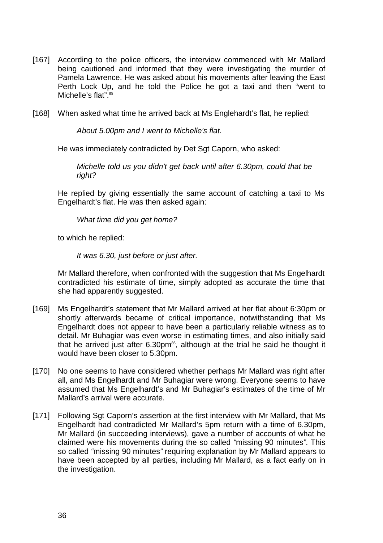- [167] According to the police officers, the interview commenced with Mr Mallard being cautioned and informed that they were investigating the murder of Pamela Lawrence. He was asked about his movements after leaving the East Perth Lock Up, and he told the Police he got a taxi and then "went to Michelle's flat".<sup>85</sup>
- [168] When asked what time he arrived back at Ms Englehardt's flat, he replied:

*About 5.00pm and I went to Michelle's flat.* 

He was immediately contradicted by Det Sgt Caporn, who asked:

*Michelle told us you didn't get back until after 6.30pm, could that be right?* 

He replied by giving essentially the same account of catching a taxi to Ms Engelhardt's flat. He was then asked again:

*What time did you get home?* 

to which he replied:

*It was 6.30, just before or just after.*

Mr Mallard therefore, when confronted with the suggestion that Ms Engelhardt contradicted his estimate of time, simply adopted as accurate the time that she had apparently suggested.

- [169] Ms Engelhardt's statement that Mr Mallard arrived at her flat about 6:30pm or shortly afterwards became of critical importance, notwithstanding that Ms Engelhardt does not appear to have been a particularly reliable witness as to detail. Mr Buhagiar was even worse in estimating times, and also initially said that he arrived just after  $6.30 \text{pm}^{86}$ , although at the trial he said he thought it would have been closer to 5.30pm.
- [170] No one seems to have considered whether perhaps Mr Mallard was right after all, and Ms Engelhardt and Mr Buhagiar were wrong. Everyone seems to have assumed that Ms Engelhardt's and Mr Buhagiar's estimates of the time of Mr Mallard's arrival were accurate.
- [171] Following Sgt Caporn's assertion at the first interview with Mr Mallard, that Ms Engelhardt had contradicted Mr Mallard's 5pm return with a time of 6.30pm, Mr Mallard (in succeeding interviews), gave a number of accounts of what he claimed were his movements during the so called *"*missing 90 minutes*"*. This so called *"*missing 90 minutes*"* requiring explanation by Mr Mallard appears to have been accepted by all parties, including Mr Mallard, as a fact early on in the investigation.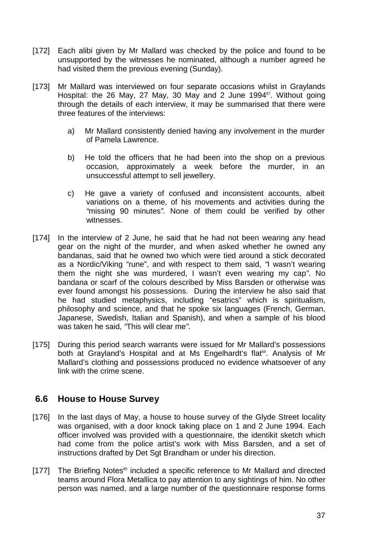- [172] Each alibi given by Mr Mallard was checked by the police and found to be unsupported by the witnesses he nominated, although a number agreed he had visited them the previous evening (Sunday).
- [173] Mr Mallard was interviewed on four separate occasions whilst in Graylands Hospital: the 26 May, 27 May, 30 May and 2 June 1994<sup>87</sup>. Without going through the details of each interview, it may be summarised that there were three features of the interviews:
	- a) Mr Mallard consistently denied having any involvement in the murder of Pamela Lawrence.
	- b) He told the officers that he had been into the shop on a previous occasion, approximately a week before the murder, in an unsuccessful attempt to sell jewellery.
	- c) He gave a variety of confused and inconsistent accounts, albeit variations on a theme, of his movements and activities during the *"*missing 90 minutes*".* None of them could be verified by other witnesses.
- [174] In the interview of 2 June, he said that he had not been wearing any head gear on the night of the murder, and when asked whether he owned any bandanas, said that he owned two which were tied around a stick decorated as a Nordic/Viking "rune", and with respect to them said, *"*I wasn't wearing them the night she was murdered, I wasn't even wearing my cap*"*. No bandana or scarf of the colours described by Miss Barsden or otherwise was ever found amongst his possessions. During the interview he also said that he had studied metaphysics, including "esatrics" which is spiritualism, philosophy and science, and that he spoke six languages (French, German, Japanese, Swedish, Italian and Spanish), and when a sample of his blood was taken he said, *"*This will clear me*"*.
- [175] During this period search warrants were issued for Mr Mallard's possessions both at Grayland's Hospital and at Ms Engelhardt's flat<sup>88</sup>. Analysis of Mr Mallard's clothing and possessions produced no evidence whatsoever of any link with the crime scene.

#### **6.6 House to House Survey**

- [176] In the last days of May, a house to house survey of the Glyde Street locality was organised, with a door knock taking place on 1 and 2 June 1994. Each officer involved was provided with a questionnaire, the identikit sketch which had come from the police artist's work with Miss Barsden, and a set of instructions drafted by Det Sgt Brandham or under his direction.
- [177] The Briefing Notes<sup>89</sup> included a specific reference to Mr Mallard and directed teams around Flora Metallica to pay attention to any sightings of him. No other person was named, and a large number of the questionnaire response forms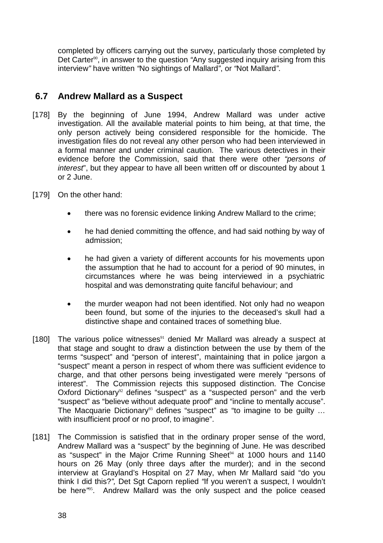completed by officers carrying out the survey, particularly those completed by Det Carter<sup>90</sup>, in answer to the question "Any suggested inquiry arising from this interview*"* have written *"*No sightings of Mallard*"*, or *"*Not Mallard*"*.

# **6.7 Andrew Mallard as a Suspect**

- [178] By the beginning of June 1994, Andrew Mallard was under active investigation. All the available material points to him being, at that time, the only person actively being considered responsible for the homicide. The investigation files do not reveal any other person who had been interviewed in a formal manner and under criminal caution. The various detectives in their evidence before the Commission, said that there were other *"persons of interest*", but they appear to have all been written off or discounted by about 1 or 2 June.
- [179] On the other hand:
	- there was no forensic evidence linking Andrew Mallard to the crime;
	- he had denied committing the offence, and had said nothing by way of admission;
	- he had given a variety of different accounts for his movements upon the assumption that he had to account for a period of 90 minutes, in circumstances where he was being interviewed in a psychiatric hospital and was demonstrating quite fanciful behaviour; and
	- the murder weapon had not been identified. Not only had no weapon been found, but some of the injuries to the deceased's skull had a distinctive shape and contained traces of something blue.
- [180] The various police witnesses $91$  denied Mr Mallard was already a suspect at that stage and sought to draw a distinction between the use by them of the terms "suspect" and "person of interest", maintaining that in police jargon a "suspect" meant a person in respect of whom there was sufficient evidence to charge, and that other persons being investigated were merely "persons of interest". The Commission rejects this supposed distinction. The Concise Oxford Dictionary<sup>92</sup> defines "suspect" as a "suspected person" and the verb "suspect" as "believe without adequate proof" and "incline to mentally accuse". The Macquarie Dictionary<sup>93</sup> defines "suspect" as "to imagine to be quilty ... with insufficient proof or no proof, to imagine".
- [181] The Commission is satisfied that in the ordinary proper sense of the word, Andrew Mallard was a "suspect" by the beginning of June. He was described as "suspect" in the Major Crime Running Sheet<sup>94</sup> at 1000 hours and 1140 hours on 26 May (only three days after the murder); and in the second interview at Grayland's Hospital on 27 May, when Mr Mallard said "do you think I did this?*",* Det Sgt Caporn replied *"*If you weren't a suspect, I wouldn't be here<sup>395</sup>. Andrew Mallard was the only suspect and the police ceased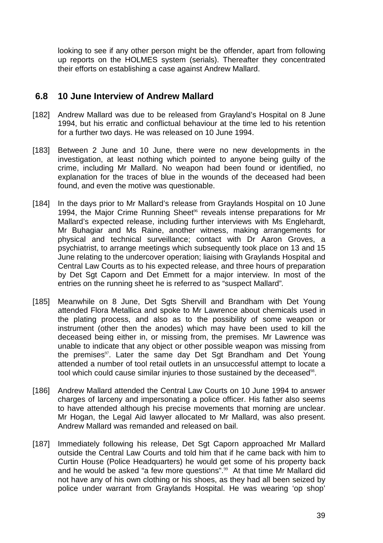looking to see if any other person might be the offender, apart from following up reports on the HOLMES system (serials). Thereafter they concentrated their efforts on establishing a case against Andrew Mallard.

#### **6.8 10 June Interview of Andrew Mallard**

- [182] Andrew Mallard was due to be released from Grayland's Hospital on 8 June 1994, but his erratic and conflictual behaviour at the time led to his retention for a further two days. He was released on 10 June 1994.
- [183] Between 2 June and 10 June, there were no new developments in the investigation, at least nothing which pointed to anyone being guilty of the crime, including Mr Mallard. No weapon had been found or identified, no explanation for the traces of blue in the wounds of the deceased had been found, and even the motive was questionable.
- [184] In the days prior to Mr Mallard's release from Graylands Hospital on 10 June 1994, the Major Crime Running Sheet<sup>%</sup> reveals intense preparations for Mr Mallard's expected release, including further interviews with Ms Englehardt, Mr Buhagiar and Ms Raine, another witness, making arrangements for physical and technical surveillance; contact with Dr Aaron Groves, a psychiatrist, to arrange meetings which subsequently took place on 13 and 15 June relating to the undercover operation; liaising with Graylands Hospital and Central Law Courts as to his expected release, and three hours of preparation by Det Sgt Caporn and Det Emmett for a major interview. In most of the entries on the running sheet he is referred to as "suspect Mallard"*.*
- [185] Meanwhile on 8 June, Det Sats Shervill and Brandham with Det Young attended Flora Metallica and spoke to Mr Lawrence about chemicals used in the plating process, and also as to the possibility of some weapon or instrument (other then the anodes) which may have been used to kill the deceased being either in, or missing from, the premises. Mr Lawrence was unable to indicate that any object or other possible weapon was missing from the premises<sup>97</sup>. Later the same day Det Sgt Brandham and Det Young attended a number of tool retail outlets in an unsuccessful attempt to locate a tool which could cause similar injuries to those sustained by the deceased<sup>98</sup>.
- [186] Andrew Mallard attended the Central Law Courts on 10 June 1994 to answer charges of larceny and impersonating a police officer. His father also seems to have attended although his precise movements that morning are unclear. Mr Hogan, the Legal Aid lawyer allocated to Mr Mallard, was also present. Andrew Mallard was remanded and released on bail.
- [187] Immediately following his release, Det Sgt Caporn approached Mr Mallard outside the Central Law Courts and told him that if he came back with him to Curtin House (Police Headquarters) he would get some of his property back and he would be asked "a few more questions".<sup>99</sup> At that time Mr Mallard did not have any of his own clothing or his shoes, as they had all been seized by police under warrant from Graylands Hospital. He was wearing 'op shop'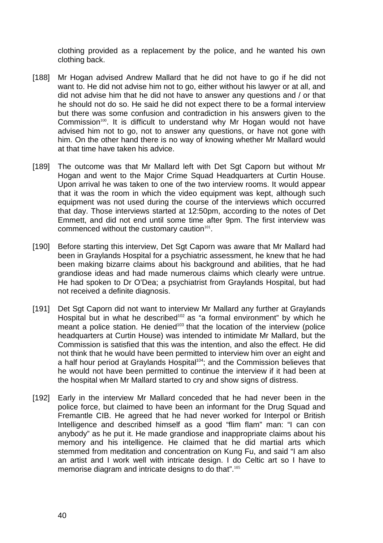clothing provided as a replacement by the police, and he wanted his own clothing back.

- [188] Mr Hogan advised Andrew Mallard that he did not have to go if he did not want to. He did not advise him not to go, either without his lawyer or at all, and did not advise him that he did not have to answer any questions and / or that he should not do so. He said he did not expect there to be a formal interview but there was some confusion and contradiction in his answers given to the Commission<sup>100</sup>. It is difficult to understand why Mr Hogan would not have advised him not to go, not to answer any questions, or have not gone with him. On the other hand there is no way of knowing whether Mr Mallard would at that time have taken his advice.
- [189] The outcome was that Mr Mallard left with Det Sqt Caporn but without Mr Hogan and went to the Major Crime Squad Headquarters at Curtin House. Upon arrival he was taken to one of the two interview rooms. It would appear that it was the room in which the video equipment was kept, although such equipment was not used during the course of the interviews which occurred that day. Those interviews started at 12:50pm, according to the notes of Det Emmett, and did not end until some time after 9pm. The first interview was commenced without the customary caution<sup>101</sup>.
- [190] Before starting this interview, Det Sgt Caporn was aware that Mr Mallard had been in Graylands Hospital for a psychiatric assessment, he knew that he had been making bizarre claims about his background and abilities, that he had grandiose ideas and had made numerous claims which clearly were untrue. He had spoken to Dr O'Dea; a psychiatrist from Graylands Hospital, but had not received a definite diagnosis.
- [191] Det Sgt Caporn did not want to interview Mr Mallard any further at Graylands Hospital but in what he described<sup>102</sup> as "a formal environment" by which he meant a police station. He denied<sup>103</sup> that the location of the interview (police headquarters at Curtin House) was intended to intimidate Mr Mallard, but the Commission is satisfied that this was the intention, and also the effect. He did not think that he would have been permitted to interview him over an eight and a half hour period at Graylands Hospital<sup>104</sup>; and the Commission believes that he would not have been permitted to continue the interview if it had been at the hospital when Mr Mallard started to cry and show signs of distress.
- [192] Early in the interview Mr Mallard conceded that he had never been in the police force, but claimed to have been an informant for the Drug Squad and Fremantle CIB. He agreed that he had never worked for Interpol or British Intelligence and described himself as a good "flim flam" man: "I can con anybody" as he put it. He made grandiose and inappropriate claims about his memory and his intelligence. He claimed that he did martial arts which stemmed from meditation and concentration on Kung Fu, and said "I am also an artist and I work well with intricate design. I do Celtic art so I have to memorise diagram and intricate designs to do that".105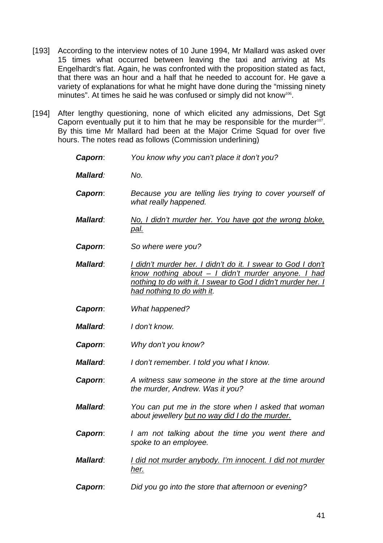- [193] According to the interview notes of 10 June 1994, Mr Mallard was asked over 15 times what occurred between leaving the taxi and arriving at Ms Engelhardt's flat. Again, he was confronted with the proposition stated as fact, that there was an hour and a half that he needed to account for. He gave a variety of explanations for what he might have done during the "missing ninety minutes". At times he said he was confused or simply did not know<sup>106</sup>.
- [194] After lengthy questioning, none of which elicited any admissions, Det Sqt Caporn eventually put it to him that he may be responsible for the murder $107$ . By this time Mr Mallard had been at the Major Crime Squad for over five hours. The notes read as follows (Commission underlining)
	- *Caporn*: *You know why you can't place it don't you? Mallard: No. Caporn*: *Because you are telling lies trying to cover yourself of what really happened. Mallard*: *No, I didn't murder her. You have got the wrong bloke, pal. Caporn*: *So where were you? Mallard*: *I didn't murder her. I didn't do it. I swear to God I don't know nothing about – I didn't murder anyone. I had nothing to do with it. I swear to God I didn't murder her. I had nothing to do with it. Caporn*: *What happened? Mallard*: *I don't know. Caporn*: *Why don't you know? Mallard*: *I don't remember. I told you what I know. Caporn*: *A witness saw someone in the store at the time around the murder, Andrew. Was it you? Mallard*: *You can put me in the store when I asked that woman about jewellery but no way did I do the murder. Caporn*: *I am not talking about the time you went there and spoke to an employee. Mallard*: *I did not murder anybody. I'm innocent. I did not murder her. Caporn*: *Did you go into the store that afternoon or evening?*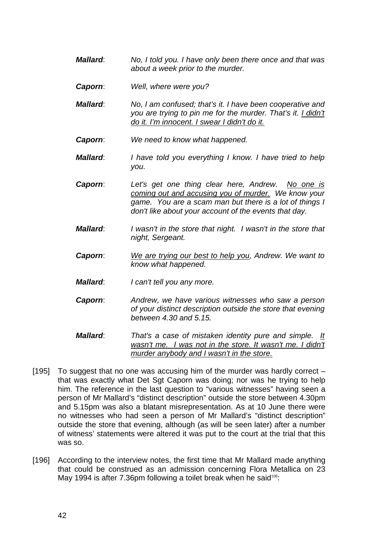- *Mallard*: *No, I told you. I have only been there once and that was about a week prior to the murder.*
- *Caporn*: *Well, where were you?*
- *Mallard*: *No, I am confused; that's it. I have been cooperative and you are trying to pin me for the murder. That's it. I didn't do it. I'm innocent. I swear I didn't do it.*
- *Caporn*: *We need to know what happened.*
- *Mallard*: *I have told you everything I know. I have tried to help you.*
- *Caporn*: *Let's get one thing clear here, Andrew. No one is coming out and accusing you of murder. We know your game. You are a scam man but there is a lot of things I don't like about your account of the events that day.*
- *Mallard*: *I wasn't in the store that night. I wasn't in the store that night, Sergeant.*
- *Caporn*: *We are trying our best to help you, Andrew. We want to know what happened.*
- *Mallard*: *I can't tell you any more.*
- *Caporn*: *Andrew, we have various witnesses who saw a person of your distinct description outside the store that evening between 4.30 and 5.15.*
- *Mallard*: *That's a case of mistaken identity pure and simple. It wasn't me. I was not in the store. It wasn't me. I didn't murder anybody and I wasn't in the store.*
- [195] To suggest that no one was accusing him of the murder was hardly correct  $$ that was exactly what Det Sgt Caporn was doing; nor was he trying to help him. The reference in the last question to "various witnesses" having seen a person of Mr Mallard's "distinct description" outside the store between 4.30pm and 5.15pm was also a blatant misrepresentation. As at 10 June there were no witnesses who had seen a person of Mr Mallard's "distinct description" outside the store that evening, although (as will be seen later) after a number of witness' statements were altered it was put to the court at the trial that this was so.
- [196] According to the interview notes, the first time that Mr Mallard made anything that could be construed as an admission concerning Flora Metallica on 23 May 1994 is after 7.36pm following a toilet break when he said<sup>108</sup>: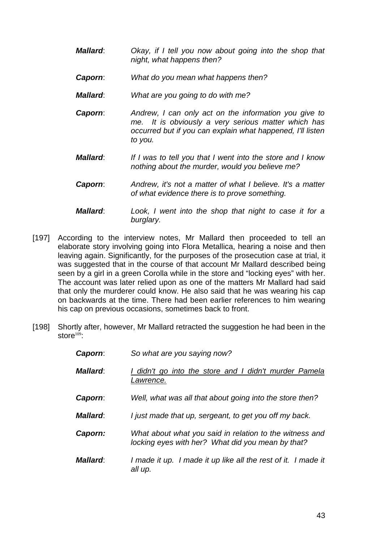- *Mallard*: *Okay, if I tell you now about going into the shop that night, what happens then?*
- *Caporn*: *What do you mean what happens then?*
- *Mallard*: *What are you going to do with me?*
- *Caporn*: *Andrew, I can only act on the information you give to me. It is obviously a very serious matter which has occurred but if you can explain what happened, I'll listen to you.*
- *Mallard*: *If I was to tell you that I went into the store and I know nothing about the murder, would you believe me?*
- *Caporn*: *Andrew, it's not a matter of what I believe. It's a matter of what evidence there is to prove something.*
- *Mallard*: *Look, I went into the shop that night to case it for a burglary.*
- [197] According to the interview notes, Mr Mallard then proceeded to tell an elaborate story involving going into Flora Metallica, hearing a noise and then leaving again. Significantly, for the purposes of the prosecution case at trial, it was suggested that in the course of that account Mr Mallard described being seen by a girl in a green Corolla while in the store and "locking eyes" with her. The account was later relied upon as one of the matters Mr Mallard had said that only the murderer could know. He also said that he was wearing his cap on backwards at the time. There had been earlier references to him wearing his cap on previous occasions, sometimes back to front.
- [198] Shortly after, however, Mr Mallard retracted the suggestion he had been in the store $109$ :

| Caporn:  | So what are you saying now?                                                                                  |
|----------|--------------------------------------------------------------------------------------------------------------|
| Mallard: | I didn't go into the store and I didn't murder Pamela<br>Lawrence.                                           |
| Caporn:  | Well, what was all that about going into the store then?                                                     |
| Mallard: | I just made that up, sergeant, to get you off my back.                                                       |
| Caporn:  | What about what you said in relation to the witness and<br>locking eyes with her? What did you mean by that? |
| Mallard: | I made it up. I made it up like all the rest of it. I made it<br>all up.                                     |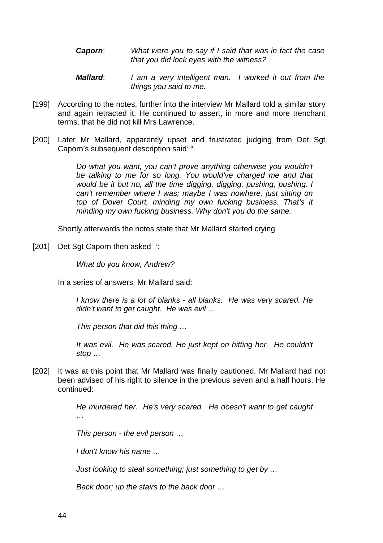- *Caporn*: *What were you to say if I said that was in fact the case that you did lock eyes with the witness?*
- *Mallard*: *I am a very intelligent man. I worked it out from the things you said to me.*
- [199] According to the notes, further into the interview Mr Mallard told a similar story and again retracted it. He continued to assert, in more and more trenchant terms, that he did not kill Mrs Lawrence.
- [200] Later Mr Mallard, apparently upset and frustrated judging from Det Sgt Caporn's subsequent description said<sup>110</sup>:

*Do what you want, you can't prove anything otherwise you wouldn't be talking to me for so long. You would've charged me and that would be it but no, all the time digging, digging, pushing, pushing. I can't remember where I was; maybe I was nowhere, just sitting on top of Dover Court, minding my own fucking business. That's it minding my own fucking business. Why don't you do the same.*

Shortly afterwards the notes state that Mr Mallard started crying.

[201] Det Sgt Caporn then asked $111$ :

*What do you know, Andrew?* 

In a series of answers, Mr Mallard said:

*I know there is a lot of blanks - all blanks. He was very scared. He didn't want to get caught. He was evil …* 

*This person that did this thing …* 

*It was evil. He was scared. He just kept on hitting her. He couldn't stop …* 

[202] It was at this point that Mr Mallard was finally cautioned. Mr Mallard had not been advised of his right to silence in the previous seven and a half hours. He continued:

> *He murdered her. He's very scared. He doesn't want to get caught …*

*This person - the evil person …* 

*I don't know his name …* 

*Just looking to steal something; just something to get by …* 

*Back door; up the stairs to the back door …*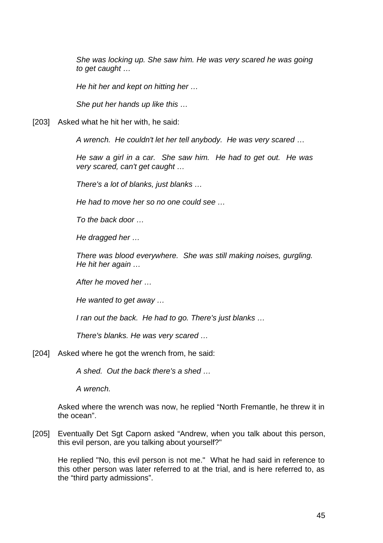*She was locking up. She saw him. He was very scared he was going to get caught …* 

*He hit her and kept on hitting her …* 

*She put her hands up like this …*

[203] Asked what he hit her with, he said:

*A wrench. He couldn't let her tell anybody. He was very scared* …

*He saw a girl in a car. She saw him. He had to get out. He was very scared, can't get caught …* 

*There's a lot of blanks, just blanks …* 

*He had to move her so no one could see …* 

*To the back door …* 

*He dragged her …* 

*There was blood everywhere. She was still making noises, gurgling. He hit her again …* 

*After he moved her …* 

*He wanted to get away …* 

*I ran out the back. He had to go. There's just blanks …* 

*There's blanks. He was very scared …* 

[204] Asked where he got the wrench from, he said:

*A shed. Out the back there's a shed …* 

*A wrench.* 

Asked where the wrench was now, he replied "North Fremantle, he threw it in the ocean".

[205] Eventually Det Sgt Caporn asked "Andrew, when you talk about this person, this evil person, are you talking about yourself?"

He replied "No, this evil person is not me."What he had said in reference to this other person was later referred to at the trial, and is here referred to, as the "third party admissions".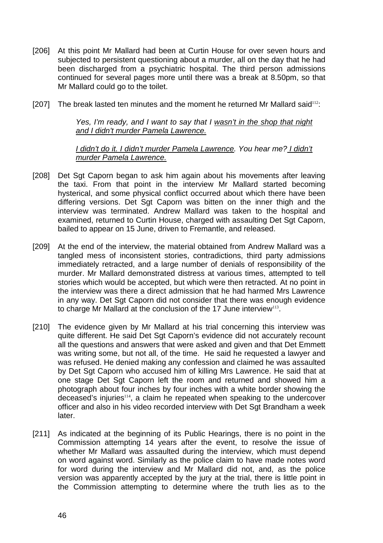- [206] At this point Mr Mallard had been at Curtin House for over seven hours and subjected to persistent questioning about a murder, all on the day that he had been discharged from a psychiatric hospital. The third person admissions continued for several pages more until there was a break at 8.50pm, so that Mr Mallard could go to the toilet.
- [207] The break lasted ten minutes and the moment he returned Mr Mallard said<sup>112</sup>:

*Yes, I'm ready, and I want to say that I wasn't in the shop that night and I didn't murder Pamela Lawrence.*

#### *I didn't do it. I didn't murder Pamela Lawrence. You hear me? I didn't murder Pamela Lawrence.*

- [208] Det Sgt Caporn began to ask him again about his movements after leaving the taxi. From that point in the interview Mr Mallard started becoming hysterical, and some physical conflict occurred about which there have been differing versions. Det Sgt Caporn was bitten on the inner thigh and the interview was terminated. Andrew Mallard was taken to the hospital and examined, returned to Curtin House, charged with assaulting Det Sgt Caporn, bailed to appear on 15 June, driven to Fremantle, and released.
- [209] At the end of the interview, the material obtained from Andrew Mallard was a tangled mess of inconsistent stories, contradictions, third party admissions immediately retracted, and a large number of denials of responsibility of the murder. Mr Mallard demonstrated distress at various times, attempted to tell stories which would be accepted, but which were then retracted. At no point in the interview was there a direct admission that he had harmed Mrs Lawrence in any way. Det Sgt Caporn did not consider that there was enough evidence to charge Mr Mallard at the conclusion of the 17 June interview<sup>113</sup>.
- [210] The evidence given by Mr Mallard at his trial concerning this interview was quite different. He said Det Sgt Caporn's evidence did not accurately recount all the questions and answers that were asked and given and that Det Emmett was writing some, but not all, of the time. He said he requested a lawyer and was refused. He denied making any confession and claimed he was assaulted by Det Sgt Caporn who accused him of killing Mrs Lawrence. He said that at one stage Det Sgt Caporn left the room and returned and showed him a photograph about four inches by four inches with a white border showing the deceased's injuries<sup>114</sup>, a claim he repeated when speaking to the undercover officer and also in his video recorded interview with Det Sgt Brandham a week later.
- [211] As indicated at the beginning of its Public Hearings, there is no point in the Commission attempting 14 years after the event, to resolve the issue of whether Mr Mallard was assaulted during the interview, which must depend on word against word. Similarly as the police claim to have made notes word for word during the interview and Mr Mallard did not, and, as the police version was apparently accepted by the jury at the trial, there is little point in the Commission attempting to determine where the truth lies as to the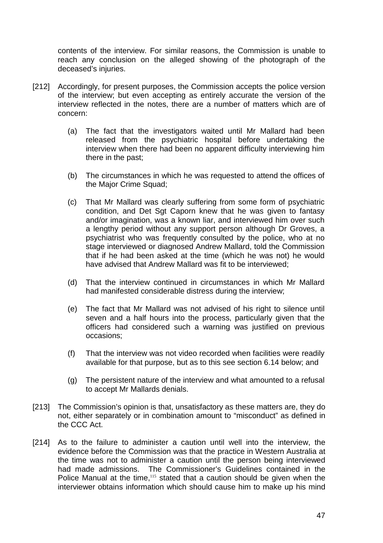contents of the interview. For similar reasons, the Commission is unable to reach any conclusion on the alleged showing of the photograph of the deceased's injuries.

- [212] Accordingly, for present purposes, the Commission accepts the police version of the interview; but even accepting as entirely accurate the version of the interview reflected in the notes, there are a number of matters which are of concern:
	- (a) The fact that the investigators waited until Mr Mallard had been released from the psychiatric hospital before undertaking the interview when there had been no apparent difficulty interviewing him there in the past;
	- (b) The circumstances in which he was requested to attend the offices of the Major Crime Squad;
	- (c) That Mr Mallard was clearly suffering from some form of psychiatric condition, and Det Sgt Caporn knew that he was given to fantasy and/or imagination, was a known liar, and interviewed him over such a lengthy period without any support person although Dr Groves, a psychiatrist who was frequently consulted by the police, who at no stage interviewed or diagnosed Andrew Mallard, told the Commission that if he had been asked at the time (which he was not) he would have advised that Andrew Mallard was fit to be interviewed;
	- (d) That the interview continued in circumstances in which Mr Mallard had manifested considerable distress during the interview;
	- (e) The fact that Mr Mallard was not advised of his right to silence until seven and a half hours into the process, particularly given that the officers had considered such a warning was justified on previous occasions;
	- (f) That the interview was not video recorded when facilities were readily available for that purpose, but as to this see section 6.14 below; and
	- (g) The persistent nature of the interview and what amounted to a refusal to accept Mr Mallards denials.
- [213] The Commission's opinion is that, unsatisfactory as these matters are, they do not, either separately or in combination amount to "misconduct" as defined in the CCC Act.
- [214] As to the failure to administer a caution until well into the interview, the evidence before the Commission was that the practice in Western Australia at the time was not to administer a caution until the person being interviewed had made admissions. The Commissioner's Guidelines contained in the Police Manual at the time,<sup>115</sup> stated that a caution should be given when the interviewer obtains information which should cause him to make up his mind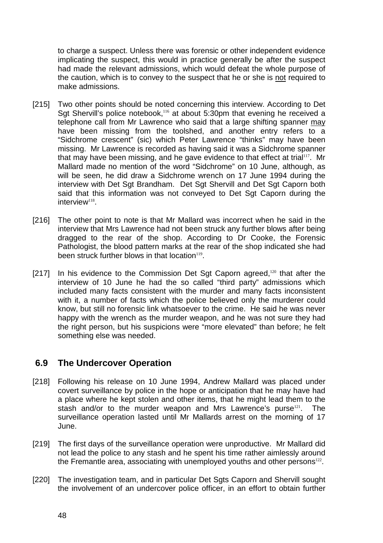to charge a suspect. Unless there was forensic or other independent evidence implicating the suspect, this would in practice generally be after the suspect had made the relevant admissions, which would defeat the whole purpose of the caution, which is to convey to the suspect that he or she is not required to make admissions.

- [215] Two other points should be noted concerning this interview. According to Det Sgt Shervill's police notebook,<sup>116</sup> at about 5:30pm that evening he received a telephone call from Mr Lawrence who said that a large shifting spanner may have been missing from the toolshed, and another entry refers to a "Sidchrome crescent" (sic) which Peter Lawrence "thinks" may have been missing. Mr Lawrence is recorded as having said it was a Sidchrome spanner that may have been missing, and he gave evidence to that effect at trial<sup>117</sup>. Mr Mallard made no mention of the word "Sidchrome" on 10 June, although, as will be seen, he did draw a Sidchrome wrench on 17 June 1994 during the interview with Det Sgt Brandham. Det Sgt Shervill and Det Sgt Caporn both said that this information was not conveyed to Det Sgt Caporn during the  $interview<sup>118</sup>$ .
- [216] The other point to note is that Mr Mallard was incorrect when he said in the interview that Mrs Lawrence had not been struck any further blows after being dragged to the rear of the shop. According to Dr Cooke, the Forensic Pathologist, the blood pattern marks at the rear of the shop indicated she had been struck further blows in that location $119$ .
- [217] In his evidence to the Commission Det Sgt Caporn agreed, $120$  that after the interview of 10 June he had the so called "third party" admissions which included many facts consistent with the murder and many facts inconsistent with it, a number of facts which the police believed only the murderer could know, but still no forensic link whatsoever to the crime. He said he was never happy with the wrench as the murder weapon, and he was not sure they had the right person, but his suspicions were "more elevated" than before; he felt something else was needed.

### **6.9 The Undercover Operation**

- [218] Following his release on 10 June 1994, Andrew Mallard was placed under covert surveillance by police in the hope or anticipation that he may have had a place where he kept stolen and other items, that he might lead them to the stash and/or to the murder weapon and Mrs Lawrence's purse<sup>121</sup>. The surveillance operation lasted until Mr Mallards arrest on the morning of 17 June.
- [219] The first days of the surveillance operation were unproductive. Mr Mallard did not lead the police to any stash and he spent his time rather aimlessly around the Fremantle area, associating with unemployed youths and other persons $122$ .
- [220] The investigation team, and in particular Det Sgts Caporn and Shervill sought the involvement of an undercover police officer, in an effort to obtain further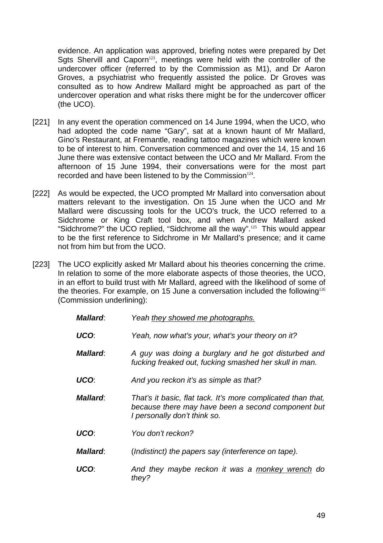evidence. An application was approved, briefing notes were prepared by Det Sgts Shervill and Caporn<sup>123</sup>, meetings were held with the controller of the undercover officer (referred to by the Commission as M1), and Dr Aaron Groves, a psychiatrist who frequently assisted the police. Dr Groves was consulted as to how Andrew Mallard might be approached as part of the undercover operation and what risks there might be for the undercover officer (the UCO).

- [221] In any event the operation commenced on 14 June 1994, when the UCO, who had adopted the code name "Gary", sat at a known haunt of Mr Mallard, Gino's Restaurant, at Fremantle, reading tattoo magazines which were known to be of interest to him. Conversation commenced and over the 14, 15 and 16 June there was extensive contact between the UCO and Mr Mallard. From the afternoon of 15 June 1994, their conversations were for the most part recorded and have been listened to by the Commission<sup>124</sup>.
- [222] As would be expected, the UCO prompted Mr Mallard into conversation about matters relevant to the investigation. On 15 June when the UCO and Mr Mallard were discussing tools for the UCO's truck, the UCO referred to a Sidchrome or King Craft tool box, and when Andrew Mallard asked "Sidchrome?" the UCO replied, "Sidchrome all the way".<sup>125</sup> This would appear to be the first reference to Sidchrome in Mr Mallard's presence; and it came not from him but from the UCO.
- [223] The UCO explicitly asked Mr Mallard about his theories concerning the crime. In relation to some of the more elaborate aspects of those theories, the UCO, in an effort to build trust with Mr Mallard, agreed with the likelihood of some of the theories. For example, on 15 June a conversation included the following<sup>126</sup> (Commission underlining):

| <b>Mallard:</b> | Yeah they showed me photographs.                                                                                                                   |
|-----------------|----------------------------------------------------------------------------------------------------------------------------------------------------|
| UCO:            | Yeah, now what's your, what's your theory on it?                                                                                                   |
| Mallard:        | A guy was doing a burglary and he got disturbed and<br>fucking freaked out, fucking smashed her skull in man.                                      |
| UCO:            | And you reckon it's as simple as that?                                                                                                             |
| Mallard:        | That's it basic, flat tack. It's more complicated than that,<br>because there may have been a second component but<br>I personally don't think so. |
| UCO:            | You don't reckon?                                                                                                                                  |
| <b>Mallard:</b> | (Indistinct) the papers say (interference on tape).                                                                                                |
| UCO:            | And they maybe reckon it was a monkey wrench do<br>they?                                                                                           |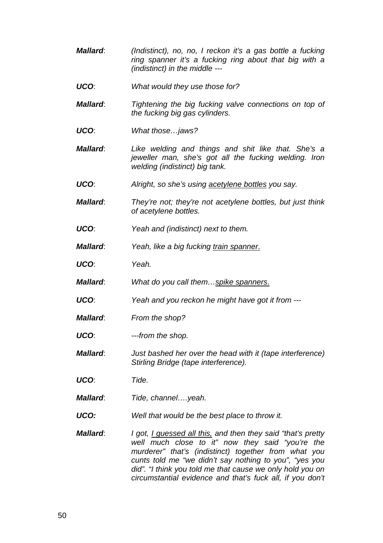- *Mallard*: *(Indistinct), no, no, I reckon it's a gas bottle a fucking ring spanner it's a fucking ring about that big with a (indistinct) in the middle ---*
- *UCO*: *What would they use those for?*
- *Mallard*: *Tightening the big fucking valve connections on top of the fucking big gas cylinders.*
- *UCO*: *What those…jaws?*
- *Mallard*: *Like welding and things and shit like that. She's a jeweller man, she's got all the fucking welding. Iron welding (indistinct) big tank.*
- *UCO*: *Alright, so she's using acetylene bottles you say.*
- *Mallard*: *They're not; they're not acetylene bottles, but just think of acetylene bottles.*
- *UCO*: *Yeah and (indistinct) next to them.*
- *Mallard*: *Yeah, like a big fucking train spanner*.
- *UCO*: *Yeah.*
- *Mallard*: *What do you call them…spike spanners*.
- *UCO*: *Yeah and you reckon he might have got it from ---*
- *Mallard*: *From the shop?*
- *UCO*: *---from the shop.*
- *Mallard*: *Just bashed her over the head with it (tape interference) Stirling Bridge (tape interference).*
- *UCO*: *Tide.*
- *Mallard*: *Tide, channel….yeah.*
- *UCO: Well that would be the best place to throw it.*
- *Mallard*: *I got, I guessed all this, and then they said "that's pretty well much close to it" now they said "you're the murderer" that's (indistinct) together from what you cunts told me "we didn't say nothing to you", "yes you did". "I think you told me that cause we only hold you on circumstantial evidence and that's fuck all, if you don't*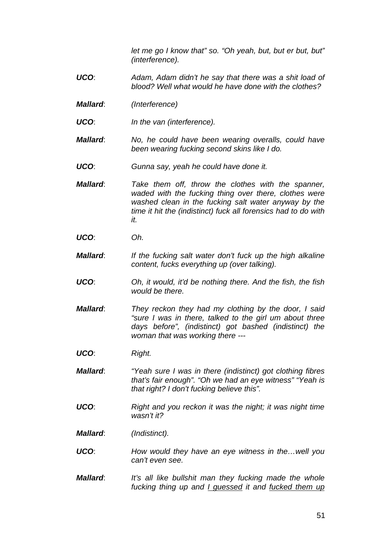*let me go I know that" so. "Oh yeah, but, but er but, but" (interference).*

- *UCO*: *Adam, Adam didn't he say that there was a shit load of blood? Well what would he have done with the clothes?*
- *Mallard*: *(Interference)*
- *UCO*: *In the van (interference).*
- *Mallard*: *No, he could have been wearing overalls, could have been wearing fucking second skins like I do.*
- *UCO*: *Gunna say, yeah he could have done it.*
- *Mallard*: *Take them off, throw the clothes with the spanner, waded with the fucking thing over there, clothes were washed clean in the fucking salt water anyway by the time it hit the (indistinct) fuck all forensics had to do with it.*
- *UCO*: *Oh.*
- *Mallard*: *If the fucking salt water don't fuck up the high alkaline content, fucks everything up (over talking).*
- *UCO*: *Oh, it would, it'd be nothing there. And the fish, the fish would be there.*
- *Mallard*: *They reckon they had my clothing by the door, I said "sure I was in there, talked to the girl um about three days before", (indistinct) got bashed (indistinct) the woman that was working there ---*
- *UCO*: *Right.*

*Mallard*: *"Yeah sure I was in there (indistinct) got clothing fibres that's fair enough". "Oh we had an eye witness" "Yeah is that right? I don't fucking believe this".* 

- *UCO*: *Right and you reckon it was the night; it was night time wasn't it?*
- *Mallard*: *(Indistinct).*
- *UCO*: *How would they have an eye witness in the…well you can't even see.*
- *Mallard*: *It's all like bullshit man they fucking made the whole fucking thing up and I guessed it and fucked them up*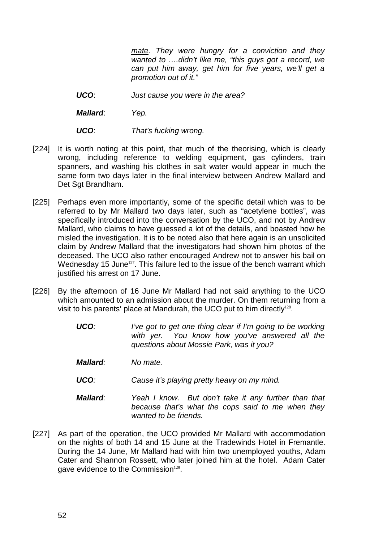*mate. They were hungry for a conviction and they wanted to ….didn't like me, "this guys got a record, we can put him away, get him for five years, we'll get a promotion out of it."* 

*UCO*: *Just cause you were in the area?* 

*Mallard*: *Yep.*

- *UCO*: *That's fucking wrong.*
- [224] It is worth noting at this point, that much of the theorising, which is clearly wrong, including reference to welding equipment, gas cylinders, train spanners, and washing his clothes in salt water would appear in much the same form two days later in the final interview between Andrew Mallard and Det Sgt Brandham.
- [225] Perhaps even more importantly, some of the specific detail which was to be referred to by Mr Mallard two days later, such as "acetylene bottles", was specifically introduced into the conversation by the UCO, and not by Andrew Mallard, who claims to have guessed a lot of the details, and boasted how he misled the investigation. It is to be noted also that here again is an unsolicited claim by Andrew Mallard that the investigators had shown him photos of the deceased. The UCO also rather encouraged Andrew not to answer his bail on Wednesday 15 June<sup>127</sup>. This failure led to the issue of the bench warrant which justified his arrest on 17 June.
- [226] By the afternoon of 16 June Mr Mallard had not said anything to the UCO which amounted to an admission about the murder. On them returning from a visit to his parents' place at Mandurah, the UCO put to him directly<sup>128</sup>.
	- *UCO: I've got to get one thing clear if I'm going to be working with yer. You know how you've answered all the questions about Mossie Park, was it you?*
	- *Mallard: No mate.*
	- *UCO: Cause it's playing pretty heavy on my mind.*
	- *Mallard: Yeah I know. But don't take it any further than that because that's what the cops said to me when they wanted to be friends.*
- [227] As part of the operation, the UCO provided Mr Mallard with accommodation on the nights of both 14 and 15 June at the Tradewinds Hotel in Fremantle. During the 14 June, Mr Mallard had with him two unemployed youths, Adam Cater and Shannon Rossett, who later joined him at the hotel. Adam Cater gave evidence to the Commission<sup>129</sup>.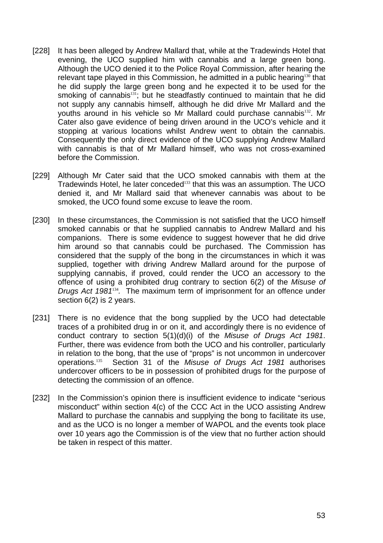- [228] It has been alleged by Andrew Mallard that, while at the Tradewinds Hotel that evening, the UCO supplied him with cannabis and a large green bong. Although the UCO denied it to the Police Royal Commission, after hearing the relevant tape played in this Commission, he admitted in a public hearing<sup>130</sup> that he did supply the large green bong and he expected it to be used for the smoking of cannabis<sup>131</sup>; but he steadfastly continued to maintain that he did not supply any cannabis himself, although he did drive Mr Mallard and the youths around in his vehicle so Mr Mallard could purchase cannabis<sup>132</sup>. Mr Cater also gave evidence of being driven around in the UCO's vehicle and it stopping at various locations whilst Andrew went to obtain the cannabis. Consequently the only direct evidence of the UCO supplying Andrew Mallard with cannabis is that of Mr Mallard himself, who was not cross-examined before the Commission.
- [229] Although Mr Cater said that the UCO smoked cannabis with them at the Tradewinds Hotel, he later conceded<sup>133</sup> that this was an assumption. The UCO denied it, and Mr Mallard said that whenever cannabis was about to be smoked, the UCO found some excuse to leave the room.
- [230] In these circumstances, the Commission is not satisfied that the UCO himself smoked cannabis or that he supplied cannabis to Andrew Mallard and his companions. There is some evidence to suggest however that he did drive him around so that cannabis could be purchased. The Commission has considered that the supply of the bong in the circumstances in which it was supplied, together with driving Andrew Mallard around for the purpose of supplying cannabis, if proved, could render the UCO an accessory to the offence of using a prohibited drug contrary to section 6(2) of the *Misuse of Drugs Act 1981*<sup>134</sup>*.* The maximum term of imprisonment for an offence under section 6(2) is 2 years.
- [231] There is no evidence that the bong supplied by the UCO had detectable traces of a prohibited drug in or on it, and accordingly there is no evidence of conduct contrary to section 5(1)(d)(i) of the *Misuse of Drugs Act 1981*. Further, there was evidence from both the UCO and his controller, particularly in relation to the bong, that the use of "props" is not uncommon in undercover operations.<sup>135</sup> Section 31 of the *Misuse of Drugs Act 1981* authorises undercover officers to be in possession of prohibited drugs for the purpose of detecting the commission of an offence.
- [232] In the Commission's opinion there is insufficient evidence to indicate "serious misconduct" within section 4(c) of the CCC Act in the UCO assisting Andrew Mallard to purchase the cannabis and supplying the bong to facilitate its use, and as the UCO is no longer a member of WAPOL and the events took place over 10 years ago the Commission is of the view that no further action should be taken in respect of this matter.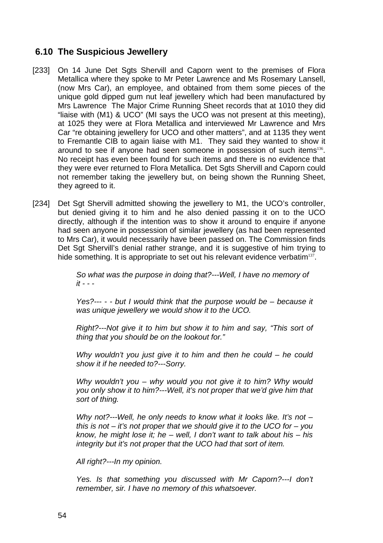# **6.10 The Suspicious Jewellery**

- [233] On 14 June Det Sgts Shervill and Caporn went to the premises of Flora Metallica where they spoke to Mr Peter Lawrence and Ms Rosemary Lansell, (now Mrs Car), an employee, and obtained from them some pieces of the unique gold dipped gum nut leaf jewellery which had been manufactured by Mrs Lawrence The Major Crime Running Sheet records that at 1010 they did "liaise with (M1) & UCO" (MI says the UCO was not present at this meeting), at 1025 they were at Flora Metallica and interviewed Mr Lawrence and Mrs Car "re obtaining jewellery for UCO and other matters", and at 1135 they went to Fremantle CIB to again liaise with M1. They said they wanted to show it around to see if anyone had seen someone in possession of such items<sup>136</sup>. No receipt has even been found for such items and there is no evidence that they were ever returned to Flora Metallica. Det Sgts Shervill and Caporn could not remember taking the jewellery but, on being shown the Running Sheet, they agreed to it.
- [234] Det Sqt Shervill admitted showing the jewellery to M1, the UCO's controller, but denied giving it to him and he also denied passing it on to the UCO directly, although if the intention was to show it around to enquire if anyone had seen anyone in possession of similar jewellery (as had been represented to Mrs Car), it would necessarily have been passed on. The Commission finds Det Sgt Shervill's denial rather strange, and it is suggestive of him trying to hide something. It is appropriate to set out his relevant evidence verbatim<sup>137</sup>.

*So what was the purpose in doing that?---Well, I have no memory of it - - -* 

*Yes?--- - - but I would think that the purpose would be – because it was unique jewellery we would show it to the UCO.* 

*Right?---Not give it to him but show it to him and say, "This sort of thing that you should be on the lookout for."* 

*Why wouldn't you just give it to him and then he could – he could show it if he needed to?---Sorry.* 

*Why wouldn't you – why would you not give it to him? Why would you only show it to him?---Well, it's not proper that we'd give him that sort of thing.* 

*Why not?---Well, he only needs to know what it looks like. It's not – this is not – it's not proper that we should give it to the UCO for – you know, he might lose it; he – well, I don't want to talk about his – his integrity but it's not proper that the UCO had that sort of item.* 

*All right?---In my opinion.* 

*Yes. Is that something you discussed with Mr Caporn?---I don't remember, sir. I have no memory of this whatsoever.*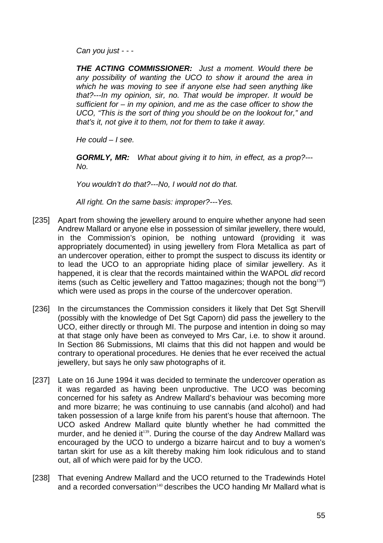*Can you just - - -* 

*THE ACTING COMMISSIONER: Just a moment. Would there be any possibility of wanting the UCO to show it around the area in which he was moving to see if anyone else had seen anything like that?---In my opinion, sir, no. That would be improper. It would be sufficient for – in my opinion, and me as the case officer to show the UCO, "This is the sort of thing you should be on the lookout for," and that's it, not give it to them, not for them to take it away.* 

*He could – I see.* 

*GORMLY, MR: What about giving it to him, in effect, as a prop?--- No.* 

*You wouldn't do that?---No, I would not do that.* 

*All right. On the same basis: improper?---Yes.* 

- [235] Apart from showing the jewellery around to enquire whether anyone had seen Andrew Mallard or anyone else in possession of similar jewellery, there would, in the Commission's opinion, be nothing untoward (providing it was appropriately documented) in using jewellery from Flora Metallica as part of an undercover operation, either to prompt the suspect to discuss its identity or to lead the UCO to an appropriate hiding place of similar jewellery. As it happened, it is clear that the records maintained within the WAPOL *did* record items (such as Celtic jewellery and Tattoo magazines; though not the bong<sup>138</sup>) which were used as props in the course of the undercover operation.
- [236] In the circumstances the Commission considers it likely that Det Sgt Shervill (possibly with the knowledge of Det Sgt Caporn) did pass the jewellery to the UCO, either directly or through MI. The purpose and intention in doing so may at that stage only have been as conveyed to Mrs Car, i.e. to show it around. In Section 86 Submissions, MI claims that this did not happen and would be contrary to operational procedures. He denies that he ever received the actual jewellery, but says he only saw photographs of it.
- [237] Late on 16 June 1994 it was decided to terminate the undercover operation as it was regarded as having been unproductive. The UCO was becoming concerned for his safety as Andrew Mallard's behaviour was becoming more and more bizarre; he was continuing to use cannabis (and alcohol) and had taken possession of a large knife from his parent's house that afternoon. The UCO asked Andrew Mallard quite bluntly whether he had committed the murder, and he denied it<sup>139</sup>. During the course of the day Andrew Mallard was encouraged by the UCO to undergo a bizarre haircut and to buy a women's tartan skirt for use as a kilt thereby making him look ridiculous and to stand out, all of which were paid for by the UCO.
- [238] That evening Andrew Mallard and the UCO returned to the Tradewinds Hotel and a recorded conversation<sup>140</sup> describes the UCO handing Mr Mallard what is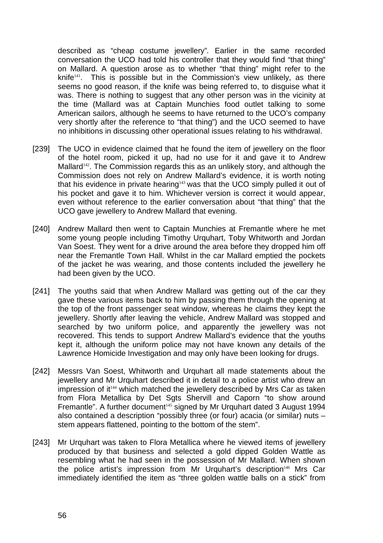described as "cheap costume jewellery"*.* Earlier in the same recorded conversation the UCO had told his controller that they would find "that thing" on Mallard. A question arose as to whether "that thing" might refer to the knife $141$ . This is possible but in the Commission's view unlikely, as there seems no good reason, if the knife was being referred to, to disguise what it was. There is nothing to suggest that any other person was in the vicinity at the time (Mallard was at Captain Munchies food outlet talking to some American sailors, although he seems to have returned to the UCO's company very shortly after the reference to "that thing") and the UCO seemed to have no inhibitions in discussing other operational issues relating to his withdrawal.

- [239] The UCO in evidence claimed that he found the item of jewellery on the floor of the hotel room, picked it up, had no use for it and gave it to Andrew Mallard<sup>142</sup>. The Commission regards this as an unlikely story, and although the Commission does not rely on Andrew Mallard's evidence, it is worth noting that his evidence in private hearing<sup>143</sup> was that the UCO simply pulled it out of his pocket and gave it to him. Whichever version is correct it would appear, even without reference to the earlier conversation about "that thing" that the UCO gave jewellery to Andrew Mallard that evening.
- [240] Andrew Mallard then went to Captain Munchies at Fremantle where he met some young people including Timothy Urquhart, Toby Whitworth and Jordan Van Soest. They went for a drive around the area before they dropped him off near the Fremantle Town Hall. Whilst in the car Mallard emptied the pockets of the jacket he was wearing, and those contents included the jewellery he had been given by the UCO.
- [241] The youths said that when Andrew Mallard was getting out of the car they gave these various items back to him by passing them through the opening at the top of the front passenger seat window, whereas he claims they kept the jewellery. Shortly after leaving the vehicle, Andrew Mallard was stopped and searched by two uniform police, and apparently the jewellery was not recovered. This tends to support Andrew Mallard's evidence that the youths kept it, although the uniform police may not have known any details of the Lawrence Homicide Investigation and may only have been looking for drugs.
- [242] Messrs Van Soest, Whitworth and Urquhart all made statements about the jewellery and Mr Urquhart described it in detail to a police artist who drew an impression of it<sup>144</sup> which matched the jewellery described by Mrs Car as taken from Flora Metallica by Det Sgts Shervill and Caporn "to show around Fremantle". A further document<sup>145</sup> signed by Mr Urquhart dated 3 August 1994 also contained a description "possibly three (or four) acacia (or similar) nuts – stem appears flattened, pointing to the bottom of the stem".
- [243] Mr Urquhart was taken to Flora Metallica where he viewed items of jewellery produced by that business and selected a gold dipped Golden Wattle as resembling what he had seen in the possession of Mr Mallard. When shown the police artist's impression from Mr Urquhart's description<sup>146</sup> Mrs Car immediately identified the item as "three golden wattle balls on a stick" from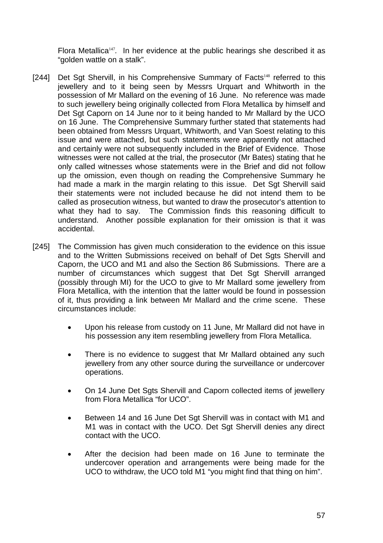Flora Metallica<sup>147</sup>. In her evidence at the public hearings she described it as "golden wattle on a stalk".

- [244] Det Sqt Shervill, in his Comprehensive Summary of Facts<sup>148</sup> referred to this jewellery and to it being seen by Messrs Urquart and Whitworth in the possession of Mr Mallard on the evening of 16 June. No reference was made to such jewellery being originally collected from Flora Metallica by himself and Det Sgt Caporn on 14 June nor to it being handed to Mr Mallard by the UCO on 16 June. The Comprehensive Summary further stated that statements had been obtained from Messrs Urquart, Whitworth, and Van Soest relating to this issue and were attached, but such statements were apparently not attached and certainly were not subsequently included in the Brief of Evidence. Those witnesses were not called at the trial, the prosecutor (Mr Bates) stating that he only called witnesses whose statements were in the Brief and did not follow up the omission, even though on reading the Comprehensive Summary he had made a mark in the margin relating to this issue. Det Sgt Shervill said their statements were not included because he did not intend them to be called as prosecution witness, but wanted to draw the prosecutor's attention to what they had to say. The Commission finds this reasoning difficult to understand. Another possible explanation for their omission is that it was accidental.
- [245] The Commission has given much consideration to the evidence on this issue and to the Written Submissions received on behalf of Det Sgts Shervill and Caporn, the UCO and M1 and also the Section 86 Submissions. There are a number of circumstances which suggest that Det Sgt Shervill arranged (possibly through MI) for the UCO to give to Mr Mallard some jewellery from Flora Metallica, with the intention that the latter would be found in possession of it, thus providing a link between Mr Mallard and the crime scene. These circumstances include:
	- Upon his release from custody on 11 June, Mr Mallard did not have in his possession any item resembling jewellery from Flora Metallica.
	- There is no evidence to suggest that Mr Mallard obtained any such jewellery from any other source during the surveillance or undercover operations.
	- On 14 June Det Sgts Shervill and Caporn collected items of jewellery from Flora Metallica "for UCO".
	- Between 14 and 16 June Det Sgt Shervill was in contact with M1 and M1 was in contact with the UCO. Det Sqt Shervill denies any direct contact with the UCO.
	- After the decision had been made on 16 June to terminate the undercover operation and arrangements were being made for the UCO to withdraw, the UCO told M1 "you might find that thing on him".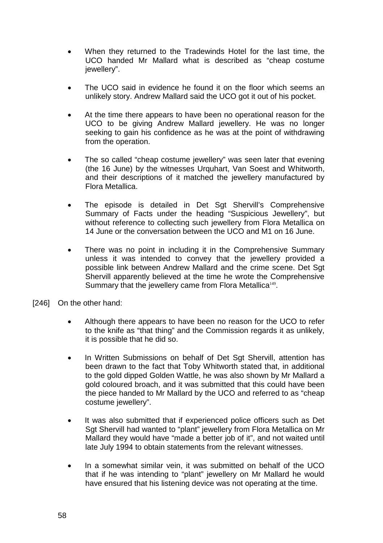- When they returned to the Tradewinds Hotel for the last time, the UCO handed Mr Mallard what is described as "cheap costume iewellery".
- The UCO said in evidence he found it on the floor which seems an unlikely story. Andrew Mallard said the UCO got it out of his pocket.
- At the time there appears to have been no operational reason for the UCO to be giving Andrew Mallard jewellery. He was no longer seeking to gain his confidence as he was at the point of withdrawing from the operation.
- The so called "cheap costume jewellery" was seen later that evening (the 16 June) by the witnesses Urquhart, Van Soest and Whitworth, and their descriptions of it matched the jewellery manufactured by Flora Metallica.
- The episode is detailed in Det Sgt Shervill's Comprehensive Summary of Facts under the heading "Suspicious Jewellery", but without reference to collecting such jewellery from Flora Metallica on 14 June or the conversation between the UCO and M1 on 16 June.
- There was no point in including it in the Comprehensive Summary unless it was intended to convey that the jewellery provided a possible link between Andrew Mallard and the crime scene. Det Sgt Shervill apparently believed at the time he wrote the Comprehensive Summary that the jewellery came from Flora Metallica<sup>149</sup>.
- [246] On the other hand:
	- Although there appears to have been no reason for the UCO to refer to the knife as "that thing" and the Commission regards it as unlikely, it is possible that he did so.
	- In Written Submissions on behalf of Det Sqt Shervill, attention has been drawn to the fact that Toby Whitworth stated that, in additional to the gold dipped Golden Wattle, he was also shown by Mr Mallard a gold coloured broach, and it was submitted that this could have been the piece handed to Mr Mallard by the UCO and referred to as "cheap costume jewellery".
	- It was also submitted that if experienced police officers such as Det Sgt Shervill had wanted to "plant" jewellery from Flora Metallica on Mr Mallard they would have "made a better job of it", and not waited until late July 1994 to obtain statements from the relevant witnesses.
	- In a somewhat similar vein, it was submitted on behalf of the UCO that if he was intending to "plant" jewellery on Mr Mallard he would have ensured that his listening device was not operating at the time.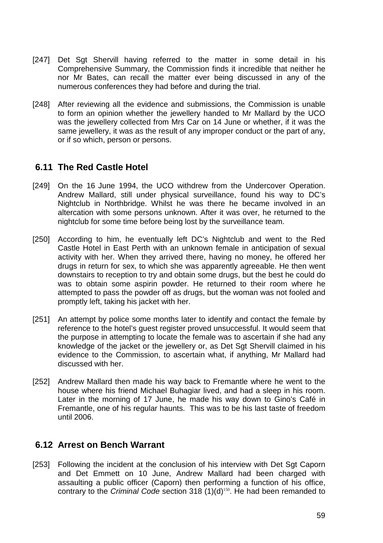- [247] Det Sgt Shervill having referred to the matter in some detail in his Comprehensive Summary, the Commission finds it incredible that neither he nor Mr Bates, can recall the matter ever being discussed in any of the numerous conferences they had before and during the trial.
- [248] After reviewing all the evidence and submissions, the Commission is unable to form an opinion whether the jewellery handed to Mr Mallard by the UCO was the jewellery collected from Mrs Car on 14 June or whether, if it was the same jewellery, it was as the result of any improper conduct or the part of any, or if so which, person or persons.

### **6.11 The Red Castle Hotel**

- [249] On the 16 June 1994, the UCO withdrew from the Undercover Operation. Andrew Mallard, still under physical surveillance, found his way to DC's Nightclub in Northbridge. Whilst he was there he became involved in an altercation with some persons unknown. After it was over, he returned to the nightclub for some time before being lost by the surveillance team.
- [250] According to him, he eventually left DC's Nightclub and went to the Red Castle Hotel in East Perth with an unknown female in anticipation of sexual activity with her. When they arrived there, having no money, he offered her drugs in return for sex, to which she was apparently agreeable. He then went downstairs to reception to try and obtain some drugs, but the best he could do was to obtain some aspirin powder. He returned to their room where he attempted to pass the powder off as drugs, but the woman was not fooled and promptly left, taking his jacket with her.
- [251] An attempt by police some months later to identify and contact the female by reference to the hotel's guest register proved unsuccessful. It would seem that the purpose in attempting to locate the female was to ascertain if she had any knowledge of the jacket or the jewellery or, as Det Sgt Shervill claimed in his evidence to the Commission, to ascertain what, if anything, Mr Mallard had discussed with her.
- [252] Andrew Mallard then made his way back to Fremantle where he went to the house where his friend Michael Buhagiar lived, and had a sleep in his room. Later in the morning of 17 June, he made his way down to Gino's Café in Fremantle, one of his regular haunts. This was to be his last taste of freedom until 2006.

### **6.12 Arrest on Bench Warrant**

[253] Following the incident at the conclusion of his interview with Det Sgt Caporn and Det Emmett on 10 June, Andrew Mallard had been charged with assaulting a public officer (Caporn) then performing a function of his office, contrary to the *Criminal Code* section 318 (1)(d)<sup>150</sup>. He had been remanded to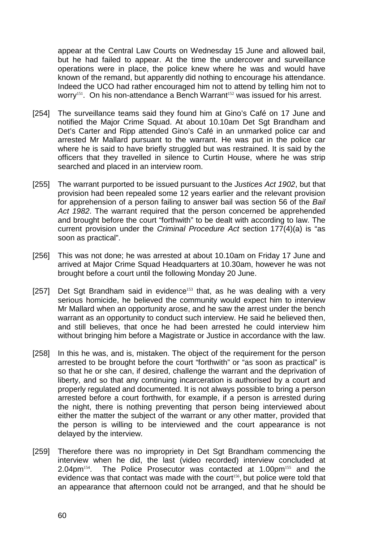appear at the Central Law Courts on Wednesday 15 June and allowed bail, but he had failed to appear. At the time the undercover and surveillance operations were in place, the police knew where he was and would have known of the remand, but apparently did nothing to encourage his attendance. Indeed the UCO had rather encouraged him not to attend by telling him not to worry<sup>151</sup>. On his non-attendance a Bench Warrant<sup>152</sup> was issued for his arrest.

- [254] The surveillance teams said they found him at Gino's Café on 17 June and notified the Major Crime Squad. At about 10.10am Det Sgt Brandham and Det's Carter and Ripp attended Gino's Café in an unmarked police car and arrested Mr Mallard pursuant to the warrant. He was put in the police car where he is said to have briefly struggled but was restrained. It is said by the officers that they travelled in silence to Curtin House, where he was strip searched and placed in an interview room.
- [255] The warrant purported to be issued pursuant to the *Justices Act 1902*, but that provision had been repealed some 12 years earlier and the relevant provision for apprehension of a person failing to answer bail was section 56 of the *Bail Act 1982*. The warrant required that the person concerned be apprehended and brought before the court "forthwith" to be dealt with according to law. The current provision under the *Criminal Procedure Act* section 177(4)(a) is "as soon as practical".
- [256] This was not done; he was arrested at about 10.10am on Friday 17 June and arrived at Major Crime Squad Headquarters at 10.30am, however he was not brought before a court until the following Monday 20 June.
- [257] Det Sgt Brandham said in evidence<sup>153</sup> that, as he was dealing with a very serious homicide, he believed the community would expect him to interview Mr Mallard when an opportunity arose, and he saw the arrest under the bench warrant as an opportunity to conduct such interview. He said he believed then, and still believes, that once he had been arrested he could interview him without bringing him before a Magistrate or Justice in accordance with the law.
- [258] In this he was, and is, mistaken. The object of the requirement for the person arrested to be brought before the court "forthwith" or "as soon as practical" is so that he or she can, if desired, challenge the warrant and the deprivation of liberty, and so that any continuing incarceration is authorised by a court and properly regulated and documented. It is not always possible to bring a person arrested before a court forthwith, for example, if a person is arrested during the night, there is nothing preventing that person being interviewed about either the matter the subject of the warrant or any other matter, provided that the person is willing to be interviewed and the court appearance is not delayed by the interview.
- [259] Therefore there was no impropriety in Det Sgt Brandham commencing the interview when he did, the last (video recorded) interview concluded at 2.04pm<sup>154</sup>. The Police Prosecutor was contacted at 1.00pm<sup>155</sup> and the evidence was that contact was made with the court<sup>156</sup>, but police were told that an appearance that afternoon could not be arranged, and that he should be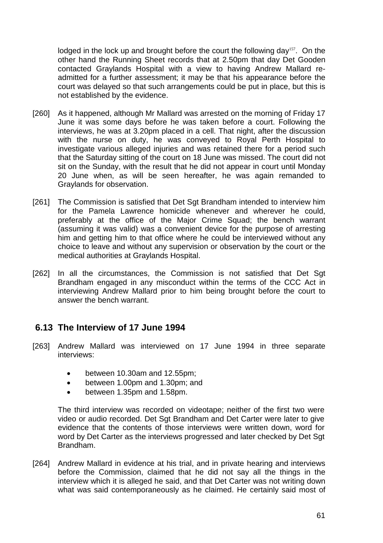lodged in the lock up and brought before the court the following day<sup>157</sup>. On the other hand the Running Sheet records that at 2.50pm that day Det Gooden contacted Graylands Hospital with a view to having Andrew Mallard readmitted for a further assessment; it may be that his appearance before the court was delayed so that such arrangements could be put in place, but this is not established by the evidence.

- [260] As it happened, although Mr Mallard was arrested on the morning of Friday 17 June it was some days before he was taken before a court. Following the interviews, he was at 3.20pm placed in a cell. That night, after the discussion with the nurse on duty, he was conveyed to Royal Perth Hospital to investigate various alleged injuries and was retained there for a period such that the Saturday sitting of the court on 18 June was missed. The court did not sit on the Sunday, with the result that he did not appear in court until Monday 20 June when, as will be seen hereafter, he was again remanded to Graylands for observation.
- [261] The Commission is satisfied that Det Sgt Brandham intended to interview him for the Pamela Lawrence homicide whenever and wherever he could, preferably at the office of the Major Crime Squad; the bench warrant (assuming it was valid) was a convenient device for the purpose of arresting him and getting him to that office where he could be interviewed without any choice to leave and without any supervision or observation by the court or the medical authorities at Graylands Hospital.
- [262] In all the circumstances, the Commission is not satisfied that Det Sqt Brandham engaged in any misconduct within the terms of the CCC Act in interviewing Andrew Mallard prior to him being brought before the court to answer the bench warrant.

## **6.13 The Interview of 17 June 1994**

- [263] Andrew Mallard was interviewed on 17 June 1994 in three separate interviews:
	- between 10.30am and 12.55pm;
	- between 1.00pm and 1.30pm; and
	- between 1.35pm and 1.58pm.

The third interview was recorded on videotape; neither of the first two were video or audio recorded. Det Sgt Brandham and Det Carter were later to give evidence that the contents of those interviews were written down, word for word by Det Carter as the interviews progressed and later checked by Det Sgt Brandham.

[264] Andrew Mallard in evidence at his trial, and in private hearing and interviews before the Commission, claimed that he did not say all the things in the interview which it is alleged he said, and that Det Carter was not writing down what was said contemporaneously as he claimed. He certainly said most of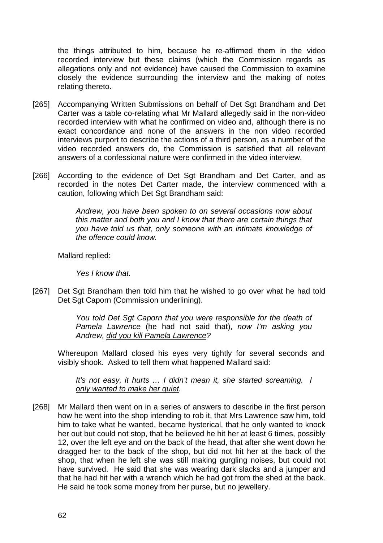the things attributed to him, because he re-affirmed them in the video recorded interview but these claims (which the Commission regards as allegations only and not evidence) have caused the Commission to examine closely the evidence surrounding the interview and the making of notes relating thereto.

- [265] Accompanying Written Submissions on behalf of Det Sgt Brandham and Det Carter was a table co-relating what Mr Mallard allegedly said in the non-video recorded interview with what he confirmed on video and, although there is no exact concordance and none of the answers in the non video recorded interviews purport to describe the actions of a third person, as a number of the video recorded answers do, the Commission is satisfied that all relevant answers of a confessional nature were confirmed in the video interview.
- [266] According to the evidence of Det Sgt Brandham and Det Carter, and as recorded in the notes Det Carter made, the interview commenced with a caution, following which Det Sgt Brandham said:

*Andrew, you have been spoken to on several occasions now about this matter and both you and I know that there are certain things that you have told us that, only someone with an intimate knowledge of the offence could know.* 

Mallard replied:

*Yes I know that.*

[267] Det Sgt Brandham then told him that he wished to go over what he had told Det Sgt Caporn (Commission underlining).

> *You told Det Sgt Caporn that you were responsible for the death of Pamela Lawrence* (he had not said that), *now I'm asking you Andrew, did you kill Pamela Lawrence?*

Whereupon Mallard closed his eyes very tightly for several seconds and visibly shook. Asked to tell them what happened Mallard said:

*It's not easy, it hurts … I didn't mean it, she started screaming. I only wanted to make her quiet.* 

[268] Mr Mallard then went on in a series of answers to describe in the first person how he went into the shop intending to rob it, that Mrs Lawrence saw him, told him to take what he wanted, became hysterical, that he only wanted to knock her out but could not stop, that he believed he hit her at least 6 times, possibly 12, over the left eye and on the back of the head, that after she went down he dragged her to the back of the shop, but did not hit her at the back of the shop, that when he left she was still making gurgling noises, but could not have survived. He said that she was wearing dark slacks and a jumper and that he had hit her with a wrench which he had got from the shed at the back. He said he took some money from her purse, but no jewellery.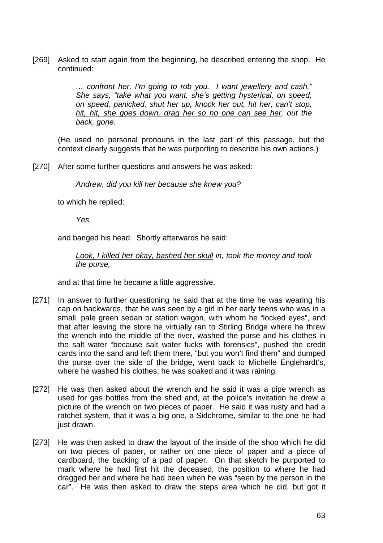[269] Asked to start again from the beginning, he described entering the shop. He continued:

> *… confront her, I'm going to rob you. I want jewellery and cash." She says, "take what you want. she's getting hysterical, on speed, on speed, panicked, shut her up, knock her out, hit her, can't stop, hit, hit, she goes down, drag her so no one can see her, out the back, gone.*

(He used no personal pronouns in the last part of this passage, but the context clearly suggests that he was purporting to describe his own actions.)

[270] After some further questions and answers he was asked:

*Andrew, did you kill her because she knew you?* 

to which he replied:

*Yes,*

and banged his head. Shortly afterwards he said:

*Look, I killed her okay, bashed her skull in, took the money and took the purse,* 

and at that time he became a little aggressive.

- [271] In answer to further questioning he said that at the time he was wearing his cap on backwards, that he was seen by a girl in her early teens who was in a small, pale green sedan or station wagon, with whom he "locked eyes", and that after leaving the store he virtually ran to Stirling Bridge where he threw the wrench into the middle of the river, washed the purse and his clothes in the salt water "because salt water fucks with forensics", pushed the credit cards into the sand and left them there, "but you won't find them" and dumped the purse over the side of the bridge, went back to Michelle Englehardt's, where he washed his clothes; he was soaked and it was raining.
- [272] He was then asked about the wrench and he said it was a pipe wrench as used for gas bottles from the shed and, at the police's invitation he drew a picture of the wrench on two pieces of paper. He said it was rusty and had a ratchet system, that it was a big one, a Sidchrome, similar to the one he had just drawn.
- [273] He was then asked to draw the layout of the inside of the shop which he did on two pieces of paper, or rather on one piece of paper and a piece of cardboard, the backing of a pad of paper. On that sketch he purported to mark where he had first hit the deceased, the position to where he had dragged her and where he had been when he was "seen by the person in the car". He was then asked to draw the steps area which he did, but got it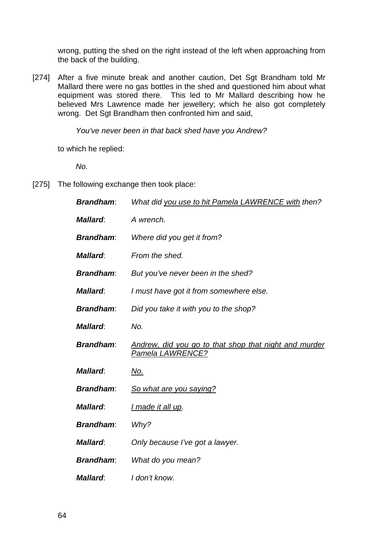wrong, putting the shed on the right instead of the left when approaching from the back of the building.

[274] After a five minute break and another caution, Det Sgt Brandham told Mr Mallard there were no gas bottles in the shed and questioned him about what equipment was stored there. This led to Mr Mallard describing how he believed Mrs Lawrence made her jewellery; which he also got completely wrong. Det Sgt Brandham then confronted him and said,

*You've never been in that back shed have you Andrew?*

to which he replied:

*No.*

[275] The following exchange then took place:

| <b>Brandham:</b> | What did you use to hit Pamela LAWRENCE with then?                               |
|------------------|----------------------------------------------------------------------------------|
| <b>Mallard:</b>  | A wrench.                                                                        |
| <b>Brandham:</b> | Where did you get it from?                                                       |
| <b>Mallard:</b>  | From the shed.                                                                   |
| <b>Brandham:</b> | But you've never been in the shed?                                               |
| <b>Mallard:</b>  | I must have got it from somewhere else.                                          |
| <b>Brandham:</b> | Did you take it with you to the shop?                                            |
| <b>Mallard:</b>  | No.                                                                              |
| <b>Brandham:</b> | Andrew, did you go to that shop that night and murder<br><u>Pamela LAWRENCE?</u> |
| <b>Mallard:</b>  | No.                                                                              |
| <b>Brandham:</b> | So what are you saying?                                                          |
| <b>Mallard:</b>  | I made it all up.                                                                |
| <b>Brandham:</b> | Why?                                                                             |
| <b>Mallard:</b>  | Only because I've got a lawyer.                                                  |
| <b>Brandham:</b> | What do you mean?                                                                |
| <b>Mallard:</b>  | I don't know.                                                                    |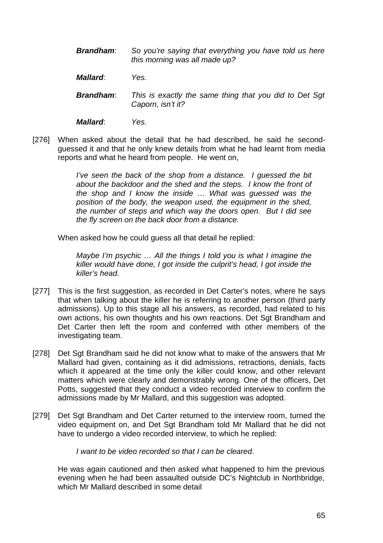*Brandham*: *So you're saying that everything you have told us here this morning was all made up?* 

*Mallard*: *Yes.* 

*Brandham*: *This is exactly the same thing that you did to Det Sgt Caporn, isn't it?* 

*Mallard*: *Yes.* 

[276] When asked about the detail that he had described, he said he secondguessed it and that he only knew details from what he had learnt from media reports and what he heard from people. He went on,

> *I've seen the back of the shop from a distance. I quessed the bit about the backdoor and the shed and the steps. I know the front of the shop and I know the inside … What was guessed was the position of the body, the weapon used, the equipment in the shed, the number of steps and which way the doors open. But I did see the fly screen on the back door from a distance.*

When asked how he could quess all that detail he replied:

*Maybe I'm psychic … All the things I told you is what I imagine the killer would have done, I got inside the culprit's head, I got inside the killer's head.* 

- [277] This is the first suggestion, as recorded in Det Carter's notes, where he says that when talking about the killer he is referring to another person (third party admissions). Up to this stage all his answers, as recorded, had related to his own actions, his own thoughts and his own reactions. Det Sgt Brandham and Det Carter then left the room and conferred with other members of the investigating team.
- [278] Det Sgt Brandham said he did not know what to make of the answers that Mr Mallard had given, containing as it did admissions, retractions, denials, facts which it appeared at the time only the killer could know, and other relevant matters which were clearly and demonstrably wrong. One of the officers, Det Potts, suggested that they conduct a video recorded interview to confirm the admissions made by Mr Mallard, and this suggestion was adopted.
- [279] Det Sat Brandham and Det Carter returned to the interview room, turned the video equipment on, and Det Sgt Brandham told Mr Mallard that he did not have to undergo a video recorded interview, to which he replied:

*I want to be video recorded so that I can be cleared*.

He was again cautioned and then asked what happened to him the previous evening when he had been assaulted outside DC's Nightclub in Northbridge, which Mr Mallard described in some detail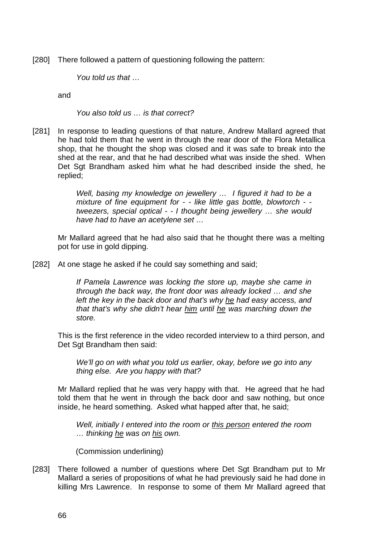[280] There followed a pattern of questioning following the pattern:

*You told us that …* 

and

*You also told us … is that correct?*

[281] In response to leading questions of that nature, Andrew Mallard agreed that he had told them that he went in through the rear door of the Flora Metallica shop, that he thought the shop was closed and it was safe to break into the shed at the rear, and that he had described what was inside the shed. When Det Sgt Brandham asked him what he had described inside the shed, he replied;

> *Well, basing my knowledge on jewellery … I figured it had to be a mixture of fine equipment for - - like little gas bottle, blowtorch - tweezers, special optical - - I thought being jewellery … she would have had to have an acetylene set …*

Mr Mallard agreed that he had also said that he thought there was a melting pot for use in gold dipping.

[282] At one stage he asked if he could say something and said;

*If Pamela Lawrence was locking the store up, maybe she came in through the back way, the front door was already locked … and she left the key in the back door and that's why he had easy access, and that that's why she didn't hear him until he was marching down the store.*

This is the first reference in the video recorded interview to a third person, and Det Sgt Brandham then said:

*We'll go on with what you told us earlier, okay, before we go into any thing else. Are you happy with that?* 

Mr Mallard replied that he was very happy with that. He agreed that he had told them that he went in through the back door and saw nothing, but once inside, he heard something. Asked what happed after that, he said;

*Well, initially I entered into the room or this person entered the room … thinking he was on his own.* 

(Commission underlining)

[283] There followed a number of questions where Det Sqt Brandham put to Mr Mallard a series of propositions of what he had previously said he had done in killing Mrs Lawrence. In response to some of them Mr Mallard agreed that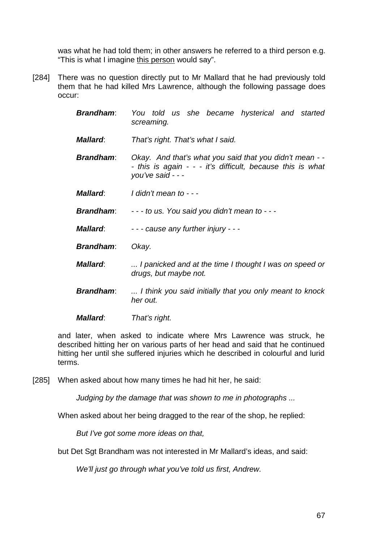was what he had told them; in other answers he referred to a third person e.g. "This is what I imagine this person would say".

[284] There was no question directly put to Mr Mallard that he had previously told them that he had killed Mrs Lawrence, although the following passage does occur:

| <b>Brandham:</b> | You told us she became hysterical and started<br>screaming.                                                                                |
|------------------|--------------------------------------------------------------------------------------------------------------------------------------------|
| <b>Mallard:</b>  | That's right. That's what I said.                                                                                                          |
| <b>Brandham:</b> | Okay. And that's what you said that you didn't mean - -<br>- this is again - - - it's difficult, because this is what<br>you've said - - - |
| <b>Mallard:</b>  | I didn't mean to - - -                                                                                                                     |
| <b>Brandham:</b> | $-$ - to us. You said you didn't mean to $-$ -                                                                                             |
| <b>Mallard:</b>  | - - - cause any further injury - - -                                                                                                       |
| <b>Brandham:</b> | Okay.                                                                                                                                      |
| <b>Mallard:</b>  | I panicked and at the time I thought I was on speed or<br>drugs, but maybe not.                                                            |
| <b>Brandham:</b> | I think you said initially that you only meant to knock<br>her out.                                                                        |
| <b>Mallard:</b>  | That's right.                                                                                                                              |

and later, when asked to indicate where Mrs Lawrence was struck, he described hitting her on various parts of her head and said that he continued hitting her until she suffered injuries which he described in colourful and lurid terms.

[285] When asked about how many times he had hit her, he said:

*Judging by the damage that was shown to me in photographs ...*

When asked about her being dragged to the rear of the shop, he replied:

*But I've got some more ideas on that,* 

but Det Sgt Brandham was not interested in Mr Mallard's ideas, and said:

*We'll just go through what you've told us first, Andrew.*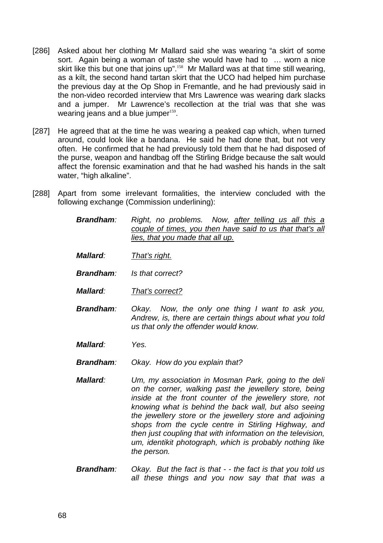- [286] Asked about her clothing Mr Mallard said she was wearing "a skirt of some sort. Again being a woman of taste she would have had to … worn a nice skirt like this but one that joins up".<sup>158</sup> Mr Mallard was at that time still wearing, as a kilt, the second hand tartan skirt that the UCO had helped him purchase the previous day at the Op Shop in Fremantle, and he had previously said in the non-video recorded interview that Mrs Lawrence was wearing dark slacks and a jumper. Mr Lawrence's recollection at the trial was that she was wearing jeans and a blue jumper $159$ .
- [287] He agreed that at the time he was wearing a peaked cap which, when turned around, could look like a bandana. He said he had done that, but not very often. He confirmed that he had previously told them that he had disposed of the purse, weapon and handbag off the Stirling Bridge because the salt would affect the forensic examination and that he had washed his hands in the salt water, "high alkaline".
- [288] Apart from some irrelevant formalities, the interview concluded with the following exchange (Commission underlining):
	- *Brandham: Right, no problems. Now, after telling us all this a couple of times, you then have said to us that that's all lies, that you made that all up.*
	- *Mallard: That's right.*
	- *Brandham: Is that correct?*
	- *Mallard: That's correct?*
	- *Brandham: Okay. Now, the only one thing I want to ask you, Andrew, is, there are certain things about what you told us that only the offender would know.*
	- *Mallard: Yes.*
	- *Brandham: Okay. How do you explain that?*
	- *Mallard: Um, my association in Mosman Park, going to the deli on the corner, walking past the jewellery store, being inside at the front counter of the jewellery store, not knowing what is behind the back wall, but also seeing the jewellery store or the jewellery store and adjoining shops from the cycle centre in Stirling Highway, and then just coupling that with information on the television, um, identikit photograph, which is probably nothing like the person.*
	- *Brandham: Okay. But the fact is that - the fact is that you told us all these things and you now say that that was a*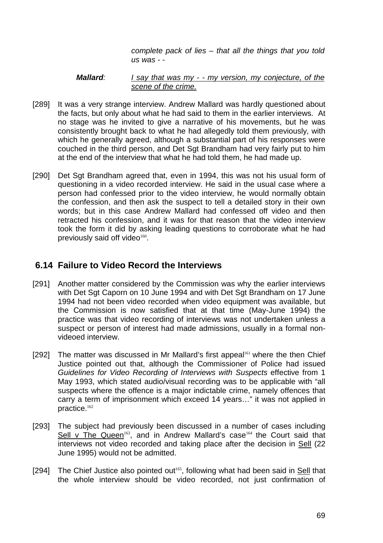*complete pack of lies – that all the things that you told us was - -* 

#### *Mallard: I say that was my - - my version, my conjecture, of the scene of the crime.*

- [289] It was a very strange interview. Andrew Mallard was hardly questioned about the facts, but only about what he had said to them in the earlier interviews. At no stage was he invited to give a narrative of his movements, but he was consistently brought back to what he had allegedly told them previously, with which he generally agreed, although a substantial part of his responses were couched in the third person, and Det Sgt Brandham had very fairly put to him at the end of the interview that what he had told them, he had made up.
- [290] Det Sgt Brandham agreed that, even in 1994, this was not his usual form of questioning in a video recorded interview. He said in the usual case where a person had confessed prior to the video interview, he would normally obtain the confession, and then ask the suspect to tell a detailed story in their own words; but in this case Andrew Mallard had confessed off video and then retracted his confession, and it was for that reason that the video interview took the form it did by asking leading questions to corroborate what he had previously said off video $160$ .

### **6.14 Failure to Video Record the Interviews**

- [291] Another matter considered by the Commission was why the earlier interviews with Det Sgt Caporn on 10 June 1994 and with Det Sgt Brandham on 17 June 1994 had not been video recorded when video equipment was available, but the Commission is now satisfied that at that time (May-June 1994) the practice was that video recording of interviews was not undertaken unless a suspect or person of interest had made admissions, usually in a formal nonvideoed interview.
- [292] The matter was discussed in Mr Mallard's first appeal<sup>161</sup> where the then Chief Justice pointed out that, although the Commissioner of Police had issued *Guidelines for Video Recording of Interviews with Suspects* effective from 1 May 1993, which stated audio/visual recording was to be applicable with "all suspects where the offence is a major indictable crime, namely offences that carry a term of imprisonment which exceed 14 years…" it was not applied in practice.<sup>162</sup>
- [293] The subject had previously been discussed in a number of cases including Sell v The Queen<sup>163</sup>, and in Andrew Mallard's case<sup>164</sup> the Court said that interviews not video recorded and taking place after the decision in Sell (22 June 1995) would not be admitted.
- [294] The Chief Justice also pointed out<sup>165</sup>, following what had been said in Sell that the whole interview should be video recorded, not just confirmation of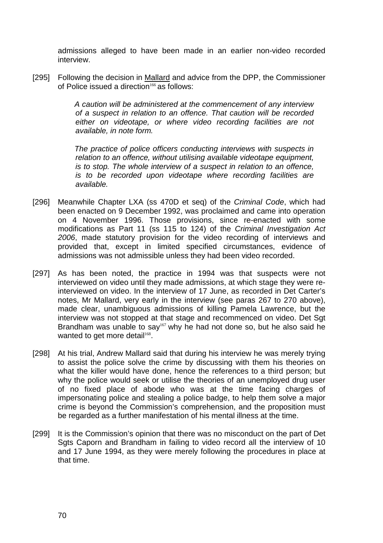admissions alleged to have been made in an earlier non-video recorded interview.

[295] Following the decision in Mallard and advice from the DPP, the Commissioner of Police issued a direction<sup>166</sup> as follows:

> *A caution will be administered at the commencement of any interview of a suspect in relation to an offence. That caution will be recorded either on videotape, or where video recording facilities are not available, in note form.*

> *The practice of police officers conducting interviews with suspects in relation to an offence, without utilising available videotape equipment, is to stop. The whole interview of a suspect in relation to an offence, is to be recorded upon videotape where recording facilities are available.*

- [296] Meanwhile Chapter LXA (ss 470D et seq) of the *Criminal Code*, which had been enacted on 9 December 1992, was proclaimed and came into operation on 4 November 1996. Those provisions, since re-enacted with some modifications as Part 11 (ss 115 to 124) of the *Criminal Investigation Act 2006*, made statutory provision for the video recording of interviews and provided that, except in limited specified circumstances, evidence of admissions was not admissible unless they had been video recorded.
- [297] As has been noted, the practice in 1994 was that suspects were not interviewed on video until they made admissions, at which stage they were reinterviewed on video. In the interview of 17 June, as recorded in Det Carter's notes, Mr Mallard, very early in the interview (see paras 267 to 270 above), made clear, unambiguous admissions of killing Pamela Lawrence, but the interview was not stopped at that stage and recommenced on video. Det Sgt Brandham was unable to say<sup>167</sup> why he had not done so, but he also said he wanted to get more detail<sup>168</sup>.
- [298] At his trial, Andrew Mallard said that during his interview he was merely trying to assist the police solve the crime by discussing with them his theories on what the killer would have done, hence the references to a third person; but why the police would seek or utilise the theories of an unemployed drug user of no fixed place of abode who was at the time facing charges of impersonating police and stealing a police badge, to help them solve a major crime is beyond the Commission's comprehension, and the proposition must be regarded as a further manifestation of his mental illness at the time.
- [299] It is the Commission's opinion that there was no misconduct on the part of Det Sgts Caporn and Brandham in failing to video record all the interview of 10 and 17 June 1994, as they were merely following the procedures in place at that time.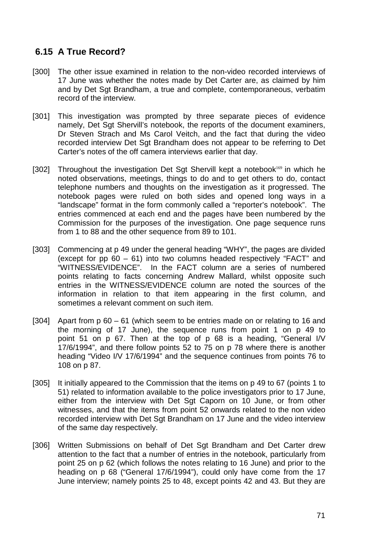# **6.15 A True Record?**

- [300] The other issue examined in relation to the non-video recorded interviews of 17 June was whether the notes made by Det Carter are, as claimed by him and by Det Sgt Brandham, a true and complete, contemporaneous, verbatim record of the interview.
- [301] This investigation was prompted by three separate pieces of evidence namely, Det Sgt Shervill's notebook, the reports of the document examiners, Dr Steven Strach and Ms Carol Veitch, and the fact that during the video recorded interview Det Sgt Brandham does not appear to be referring to Det Carter's notes of the off camera interviews earlier that day.
- [302] Throughout the investigation Det Sgt Shervill kept a notebook<sup>169</sup> in which he noted observations, meetings, things to do and to get others to do, contact telephone numbers and thoughts on the investigation as it progressed. The notebook pages were ruled on both sides and opened long ways in a "landscape" format in the form commonly called a "reporter's notebook". The entries commenced at each end and the pages have been numbered by the Commission for the purposes of the investigation. One page sequence runs from 1 to 88 and the other sequence from 89 to 101.
- [303] Commencing at p 49 under the general heading "WHY", the pages are divided (except for pp 60 – 61) into two columns headed respectively "FACT" and "WITNESS/EVIDENCE". In the FACT column are a series of numbered points relating to facts concerning Andrew Mallard, whilst opposite such entries in the WITNESS/EVIDENCE column are noted the sources of the information in relation to that item appearing in the first column, and sometimes a relevant comment on such item.
- [304] Apart from p 60 61 (which seem to be entries made on or relating to 16 and the morning of 17 June), the sequence runs from point 1 on p 49 to point 51 on p 67. Then at the top of p 68 is a heading, "General I/V 17/6/1994", and there follow points 52 to 75 on p 78 where there is another heading "Video I/V 17/6/1994" and the sequence continues from points 76 to 108 on p 87.
- [305] It initially appeared to the Commission that the items on p 49 to 67 (points 1 to 51) related to information available to the police investigators prior to 17 June, either from the interview with Det Sgt Caporn on 10 June, or from other witnesses, and that the items from point 52 onwards related to the non video recorded interview with Det Sgt Brandham on 17 June and the video interview of the same day respectively.
- [306] Written Submissions on behalf of Det Sgt Brandham and Det Carter drew attention to the fact that a number of entries in the notebook, particularly from point 25 on p 62 (which follows the notes relating to 16 June) and prior to the heading on p 68 ("General 17/6/1994"), could only have come from the 17 June interview; namely points 25 to 48, except points 42 and 43. But they are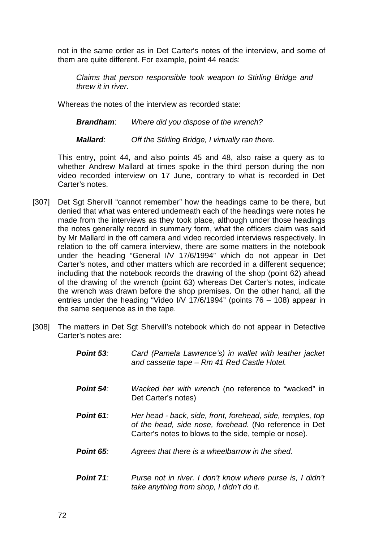not in the same order as in Det Carter's notes of the interview, and some of them are quite different. For example, point 44 reads:

*Claims that person responsible took weapon to Stirling Bridge and threw it in river.* 

Whereas the notes of the interview as recorded state:

*Brandham*: *Where did you dispose of the wrench?* 

*Mallard*: *Off the Stirling Bridge, I virtually ran there.* 

This entry, point 44, and also points 45 and 48, also raise a query as to whether Andrew Mallard at times spoke in the third person during the non video recorded interview on 17 June, contrary to what is recorded in Det Carter's notes.

- [307] Det Sqt Shervill "cannot remember" how the headings came to be there, but denied that what was entered underneath each of the headings were notes he made from the interviews as they took place, although under those headings the notes generally record in summary form, what the officers claim was said by Mr Mallard in the off camera and video recorded interviews respectively. In relation to the off camera interview, there are some matters in the notebook under the heading "General I/V 17/6/1994" which do not appear in Det Carter's notes, and other matters which are recorded in a different sequence; including that the notebook records the drawing of the shop (point 62) ahead of the drawing of the wrench (point 63) whereas Det Carter's notes, indicate the wrench was drawn before the shop premises. On the other hand, all the entries under the heading "Video I/V 17/6/1994" (points 76 – 108) appear in the same sequence as in the tape.
- [308] The matters in Det Sqt Shervill's notebook which do not appear in Detective Carter's notes are:

| Point 53: | Card (Pamela Lawrence's) in wallet with leather jacket<br>and cassette tape - Rm 41 Red Castle Hotel.                                                                         |
|-----------|-------------------------------------------------------------------------------------------------------------------------------------------------------------------------------|
| Point 54: | Wacked her with wrench (no reference to "wacked" in<br>Det Carter's notes)                                                                                                    |
| Point 61: | Her head - back, side, front, forehead, side, temples, top<br>of the head, side nose, forehead. (No reference in Det<br>Carter's notes to blows to the side, temple or nose). |
| Point 65: | Agrees that there is a wheelbarrow in the shed.                                                                                                                               |
| Point 71: | Purse not in river. I don't know where purse is, I didn't<br>take anything from shop, I didn't do it.                                                                         |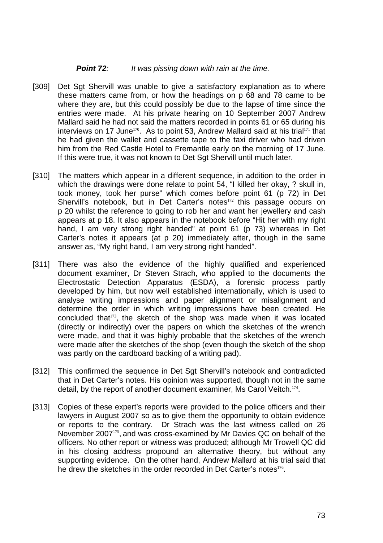#### *Point 72: It was pissing down with rain at the time.*

- [309] Det Sgt Shervill was unable to give a satisfactory explanation as to where these matters came from, or how the headings on p 68 and 78 came to be where they are, but this could possibly be due to the lapse of time since the entries were made. At his private hearing on 10 September 2007 Andrew Mallard said he had not said the matters recorded in points 61 or 65 during his interviews on 17 June<sup>170</sup>. As to point 53, Andrew Mallard said at his trial<sup>171</sup> that he had given the wallet and cassette tape to the taxi driver who had driven him from the Red Castle Hotel to Fremantle early on the morning of 17 June. If this were true, it was not known to Det Sgt Shervill until much later.
- [310] The matters which appear in a different sequence, in addition to the order in which the drawings were done relate to point 54, "I killed her okay, ? skull in, took money, took her purse" which comes before point 61 (p 72) in Det Shervill's notebook, but in Det Carter's notes<sup>172</sup> this passage occurs on p 20 whilst the reference to going to rob her and want her jewellery and cash appears at p 18. It also appears in the notebook before "Hit her with my right hand, I am very strong right handed" at point 61 (p 73) whereas in Det Carter's notes it appears (at p 20) immediately after, though in the same answer as, "My right hand, I am very strong right handed".
- [311] There was also the evidence of the highly qualified and experienced document examiner, Dr Steven Strach, who applied to the documents the Electrostatic Detection Apparatus (ESDA), a forensic process partly developed by him, but now well established internationally, which is used to analyse writing impressions and paper alignment or misalignment and determine the order in which writing impressions have been created. He concluded that<sup>173</sup>, the sketch of the shop was made when it was located (directly or indirectly) over the papers on which the sketches of the wrench were made, and that it was highly probable that the sketches of the wrench were made after the sketches of the shop (even though the sketch of the shop was partly on the cardboard backing of a writing pad).
- [312] This confirmed the sequence in Det Sat Shervill's notebook and contradicted that in Det Carter's notes. His opinion was supported, though not in the same detail, by the report of another document examiner, Ms Carol Veitch.<sup>174</sup>.
- [313] Copies of these expert's reports were provided to the police officers and their lawyers in August 2007 so as to give them the opportunity to obtain evidence or reports to the contrary. Dr Strach was the last witness called on 26 November 2007<sup>175</sup>, and was cross-examined by Mr Davies QC on behalf of the officers. No other report or witness was produced; although Mr Trowell QC did in his closing address propound an alternative theory, but without any supporting evidence. On the other hand, Andrew Mallard at his trial said that he drew the sketches in the order recorded in Det Carter's notes<sup>176</sup>.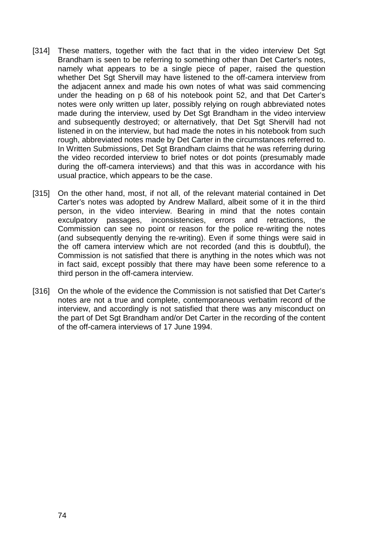- [314] These matters, together with the fact that in the video interview Det Sgt Brandham is seen to be referring to something other than Det Carter's notes, namely what appears to be a single piece of paper, raised the question whether Det Sgt Shervill may have listened to the off-camera interview from the adjacent annex and made his own notes of what was said commencing under the heading on p 68 of his notebook point 52, and that Det Carter's notes were only written up later, possibly relying on rough abbreviated notes made during the interview, used by Det Sgt Brandham in the video interview and subsequently destroyed; or alternatively, that Det Sgt Shervill had not listened in on the interview, but had made the notes in his notebook from such rough, abbreviated notes made by Det Carter in the circumstances referred to. In Written Submissions, Det Sgt Brandham claims that he was referring during the video recorded interview to brief notes or dot points (presumably made during the off-camera interviews) and that this was in accordance with his usual practice, which appears to be the case.
- [315] On the other hand, most, if not all, of the relevant material contained in Det Carter's notes was adopted by Andrew Mallard, albeit some of it in the third person, in the video interview. Bearing in mind that the notes contain exculpatory passages, inconsistencies, errors and retractions, the Commission can see no point or reason for the police re-writing the notes (and subsequently denying the re-writing). Even if some things were said in the off camera interview which are not recorded (and this is doubtful), the Commission is not satisfied that there is anything in the notes which was not in fact said, except possibly that there may have been some reference to a third person in the off-camera interview.
- [316] On the whole of the evidence the Commission is not satisfied that Det Carter's notes are not a true and complete, contemporaneous verbatim record of the interview, and accordingly is not satisfied that there was any misconduct on the part of Det Sgt Brandham and/or Det Carter in the recording of the content of the off-camera interviews of 17 June 1994.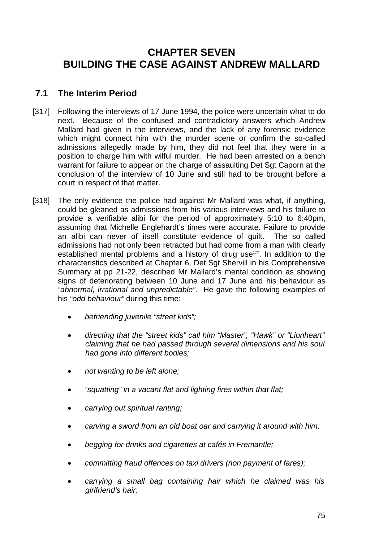# **CHAPTER SEVEN BUILDING THE CASE AGAINST ANDREW MALLARD**

# **7.1 The Interim Period**

- [317] Following the interviews of 17 June 1994, the police were uncertain what to do next. Because of the confused and contradictory answers which Andrew Mallard had given in the interviews, and the lack of any forensic evidence which might connect him with the murder scene or confirm the so-called admissions allegedly made by him, they did not feel that they were in a position to charge him with wilful murder. He had been arrested on a bench warrant for failure to appear on the charge of assaulting Det Sgt Caporn at the conclusion of the interview of 10 June and still had to be brought before a court in respect of that matter.
- [318] The only evidence the police had against Mr Mallard was what, if anything, could be gleaned as admissions from his various interviews and his failure to provide a verifiable alibi for the period of approximately 5:10 to 6:40pm, assuming that Michelle Englehardt's times were accurate. Failure to provide an alibi can never of itself constitute evidence of guilt. The so called admissions had not only been retracted but had come from a man with clearly established mental problems and a history of drug use<sup>177</sup>. In addition to the characteristics described at Chapter 6, Det Sgt Shervill in his Comprehensive Summary at pp 21-22, described Mr Mallard's mental condition as showing signs of deteriorating between 10 June and 17 June and his behaviour as *"abnormal, irrational and unpredictable"*. He gave the following examples of his *"odd behaviour"* during this time:
	- *befriending juvenile "street kids";*
	- *directing that the "street kids" call him "Master", "Hawk" or "Lionheart" claiming that he had passed through several dimensions and his soul had gone into different bodies;*
	- *not wanting to be left alone;*
	- *"squatting" in a vacant flat and lighting fires within that flat;*
	- *carrying out spiritual ranting;*
	- *carving a sword from an old boat oar and carrying it around with him;*
	- *begging for drinks and cigarettes at cafés in Fremantle;*
	- *committing fraud offences on taxi drivers (non payment of fares);*
	- *carrying a small bag containing hair which he claimed was his girlfriend's hair;*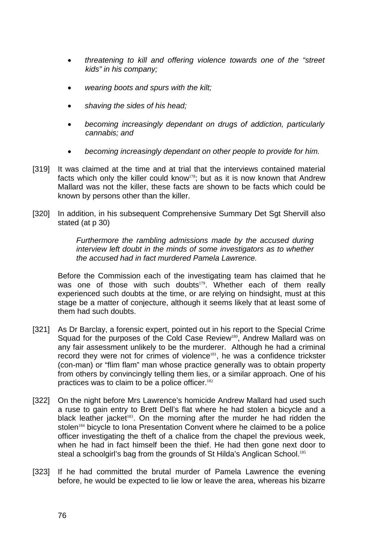- *threatening to kill and offering violence towards one of the "street kids" in his company;*
- *wearing boots and spurs with the kilt;*
- *shaving the sides of his head;*
- *becoming increasingly dependant on drugs of addiction, particularly cannabis; and*
- *becoming increasingly dependant on other people to provide for him.*
- [319] It was claimed at the time and at trial that the interviews contained material facts which only the killer could know<sup>178</sup>; but as it is now known that Andrew Mallard was not the killer, these facts are shown to be facts which could be known by persons other than the killer.
- [320] In addition, in his subsequent Comprehensive Summary Det Sqt Shervill also stated (at p 30)

*Furthermore the rambling admissions made by the accused during interview left doubt in the minds of some investigators as to whether the accused had in fact murdered Pamela Lawrence.* 

Before the Commission each of the investigating team has claimed that he was one of those with such doubts<sup>179</sup>. Whether each of them really experienced such doubts at the time, or are relying on hindsight, must at this stage be a matter of conjecture, although it seems likely that at least some of them had such doubts.

- [321] As Dr Barclay, a forensic expert, pointed out in his report to the Special Crime Squad for the purposes of the Cold Case Review<sup>180</sup>, Andrew Mallard was on any fair assessment unlikely to be the murderer. Although he had a criminal record they were not for crimes of violence<sup>181</sup>, he was a confidence trickster (con-man) or "flim flam" man whose practice generally was to obtain property from others by convincingly telling them lies, or a similar approach. One of his practices was to claim to be a police officer.<sup>182</sup>
- [322] On the night before Mrs Lawrence's homicide Andrew Mallard had used such a ruse to gain entry to Brett Dell's flat where he had stolen a bicycle and a black leather jacket<sup>183</sup>. On the morning after the murder he had ridden the stolen<sup>184</sup> bicycle to Iona Presentation Convent where he claimed to be a police officer investigating the theft of a chalice from the chapel the previous week, when he had in fact himself been the thief. He had then gone next door to steal a schoolgirl's bag from the grounds of St Hilda's Anglican School.<sup>185</sup>
- [323] If he had committed the brutal murder of Pamela Lawrence the evening before, he would be expected to lie low or leave the area, whereas his bizarre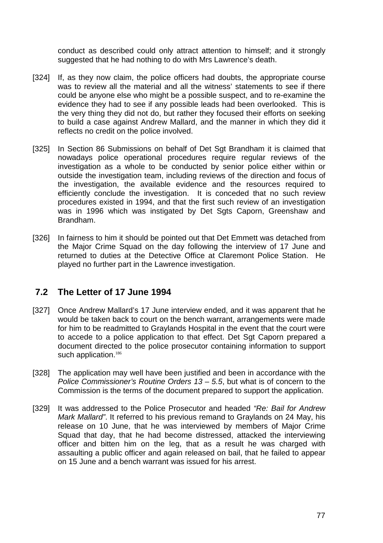conduct as described could only attract attention to himself; and it strongly suggested that he had nothing to do with Mrs Lawrence's death.

- [324] If, as they now claim, the police officers had doubts, the appropriate course was to review all the material and all the witness' statements to see if there could be anyone else who might be a possible suspect, and to re-examine the evidence they had to see if any possible leads had been overlooked. This is the very thing they did not do, but rather they focused their efforts on seeking to build a case against Andrew Mallard, and the manner in which they did it reflects no credit on the police involved.
- [325] In Section 86 Submissions on behalf of Det Sgt Brandham it is claimed that nowadays police operational procedures require regular reviews of the investigation as a whole to be conducted by senior police either within or outside the investigation team, including reviews of the direction and focus of the investigation, the available evidence and the resources required to efficiently conclude the investigation. It is conceded that no such review procedures existed in 1994, and that the first such review of an investigation was in 1996 which was instigated by Det Sgts Caporn, Greenshaw and Brandham.
- [326] In fairness to him it should be pointed out that Det Emmett was detached from the Major Crime Squad on the day following the interview of 17 June and returned to duties at the Detective Office at Claremont Police Station. He played no further part in the Lawrence investigation.

### **7.2 The Letter of 17 June 1994**

- [327] Once Andrew Mallard's 17 June interview ended, and it was apparent that he would be taken back to court on the bench warrant, arrangements were made for him to be readmitted to Graylands Hospital in the event that the court were to accede to a police application to that effect. Det Sgt Caporn prepared a document directed to the police prosecutor containing information to support such application.<sup>186</sup>
- [328] The application may well have been justified and been in accordance with the *Police Commissioner's Routine Orders 13 – 5.5*, but what is of concern to the Commission is the terms of the document prepared to support the application.
- [329] It was addressed to the Police Prosecutor and headed *"Re: Bail for Andrew Mark Mallard"*. It referred to his previous remand to Graylands on 24 May, his release on 10 June, that he was interviewed by members of Major Crime Squad that day, that he had become distressed, attacked the interviewing officer and bitten him on the leg, that as a result he was charged with assaulting a public officer and again released on bail, that he failed to appear on 15 June and a bench warrant was issued for his arrest.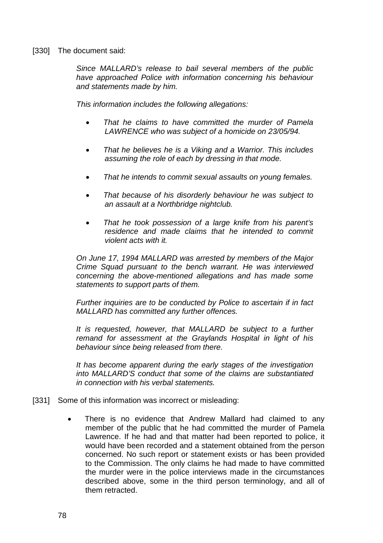[330] The document said:

*Since MALLARD's release to bail several members of the public have approached Police with information concerning his behaviour and statements made by him.* 

*This information includes the following allegations:* 

- *That he claims to have committed the murder of Pamela LAWRENCE who was subject of a homicide on 23/05/94.*
- *That he believes he is a Viking and a Warrior. This includes assuming the role of each by dressing in that mode.*
- *That he intends to commit sexual assaults on young females.*
- *That because of his disorderly behaviour he was subject to an assault at a Northbridge nightclub.*
- *That he took possession of a large knife from his parent's residence and made claims that he intended to commit violent acts with it.*

*On June 17, 1994 MALLARD was arrested by members of the Major Crime Squad pursuant to the bench warrant. He was interviewed concerning the above-mentioned allegations and has made some statements to support parts of them.* 

*Further inquiries are to be conducted by Police to ascertain if in fact MALLARD has committed any further offences.* 

*It is requested, however, that MALLARD be subject to a further remand for assessment at the Graylands Hospital in light of his behaviour since being released from there.* 

*It has become apparent during the early stages of the investigation into MALLARD'S conduct that some of the claims are substantiated in connection with his verbal statements.*

- [331] Some of this information was incorrect or misleading:
	- There is no evidence that Andrew Mallard had claimed to any member of the public that he had committed the murder of Pamela Lawrence. If he had and that matter had been reported to police, it would have been recorded and a statement obtained from the person concerned. No such report or statement exists or has been provided to the Commission. The only claims he had made to have committed the murder were in the police interviews made in the circumstances described above, some in the third person terminology, and all of them retracted.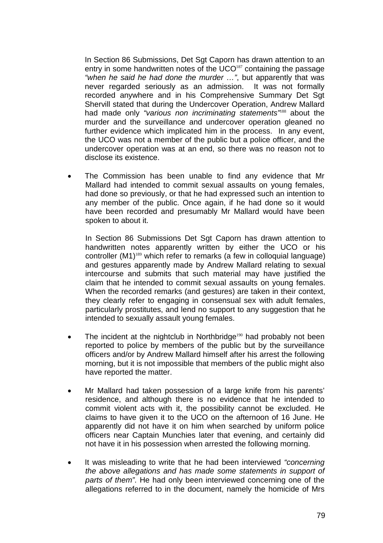In Section 86 Submissions, Det Sgt Caporn has drawn attention to an entry in some handwritten notes of the UCO<sup>187</sup> containing the passage *"when he said he had done the murder …"*, but apparently that was never regarded seriously as an admission. It was not formally recorded anywhere and in his Comprehensive Summary Det Sgt Shervill stated that during the Undercover Operation, Andrew Mallard had made only *"various non incriminating statements"*<sup>188</sup> about the murder and the surveillance and undercover operation gleaned no further evidence which implicated him in the process. In any event, the UCO was not a member of the public but a police officer, and the undercover operation was at an end, so there was no reason not to disclose its existence.

The Commission has been unable to find any evidence that Mr Mallard had intended to commit sexual assaults on young females, had done so previously, or that he had expressed such an intention to any member of the public. Once again, if he had done so it would have been recorded and presumably Mr Mallard would have been spoken to about it.

In Section 86 Submissions Det Sat Caporn has drawn attention to handwritten notes apparently written by either the UCO or his controller (M1)<sup>189</sup> which refer to remarks (a few in colloquial language) and gestures apparently made by Andrew Mallard relating to sexual intercourse and submits that such material may have justified the claim that he intended to commit sexual assaults on young females. When the recorded remarks (and gestures) are taken in their context, they clearly refer to engaging in consensual sex with adult females, particularly prostitutes, and lend no support to any suggestion that he intended to sexually assault young females.

- The incident at the nightclub in Northbridge<sup>190</sup> had probably not been reported to police by members of the public but by the surveillance officers and/or by Andrew Mallard himself after his arrest the following morning, but it is not impossible that members of the public might also have reported the matter.
- Mr Mallard had taken possession of a large knife from his parents' residence, and although there is no evidence that he intended to commit violent acts with it, the possibility cannot be excluded. He claims to have given it to the UCO on the afternoon of 16 June. He apparently did not have it on him when searched by uniform police officers near Captain Munchies later that evening, and certainly did not have it in his possession when arrested the following morning.
- It was misleading to write that he had been interviewed *"concerning the above allegations and has made some statements in support of parts of them"*. He had only been interviewed concerning one of the allegations referred to in the document, namely the homicide of Mrs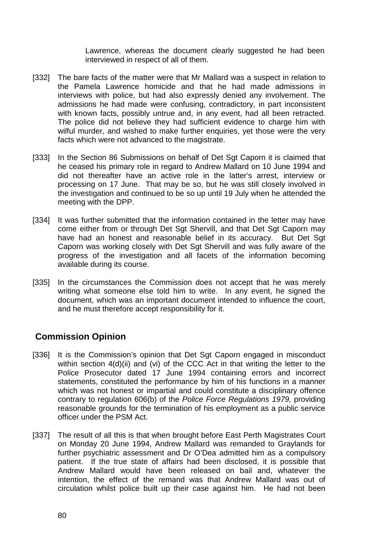Lawrence, whereas the document clearly suggested he had been interviewed in respect of all of them.

- [332] The bare facts of the matter were that Mr Mallard was a suspect in relation to the Pamela Lawrence homicide and that he had made admissions in interviews with police, but had also expressly denied any involvement. The admissions he had made were confusing, contradictory, in part inconsistent with known facts, possibly untrue and, in any event, had all been retracted. The police did not believe they had sufficient evidence to charge him with wilful murder, and wished to make further enquiries, yet those were the very facts which were not advanced to the magistrate.
- [333] In the Section 86 Submissions on behalf of Det Sgt Caporn it is claimed that he ceased his primary role in regard to Andrew Mallard on 10 June 1994 and did not thereafter have an active role in the latter's arrest, interview or processing on 17 June. That may be so, but he was still closely involved in the investigation and continued to be so up until 19 July when he attended the meeting with the DPP.
- [334] It was further submitted that the information contained in the letter may have come either from or through Det Sgt Shervill, and that Det Sgt Caporn may have had an honest and reasonable belief in its accuracy. But Det Sgt Caporn was working closely with Det Sgt Shervill and was fully aware of the progress of the investigation and all facets of the information becoming available during its course.
- [335] In the circumstances the Commission does not accept that he was merely writing what someone else told him to write. In any event, he signed the document, which was an important document intended to influence the court, and he must therefore accept responsibility for it.

# **Commission Opinion**

- [336] It is the Commission's opinion that Det Sgt Caporn engaged in misconduct within section 4(d)(ii) and (vi) of the CCC Act in that writing the letter to the Police Prosecutor dated 17 June 1994 containing errors and incorrect statements, constituted the performance by him of his functions in a manner which was not honest or impartial and could constitute a disciplinary offence contrary to regulation 606(b) of the *Police Force Regulations 1979,* providing reasonable grounds for the termination of his employment as a public service officer under the PSM Act.
- [337] The result of all this is that when brought before East Perth Magistrates Court on Monday 20 June 1994, Andrew Mallard was remanded to Graylands for further psychiatric assessment and Dr O'Dea admitted him as a compulsory patient. If the true state of affairs had been disclosed, it is possible that Andrew Mallard would have been released on bail and, whatever the intention, the effect of the remand was that Andrew Mallard was out of circulation whilst police built up their case against him. He had not been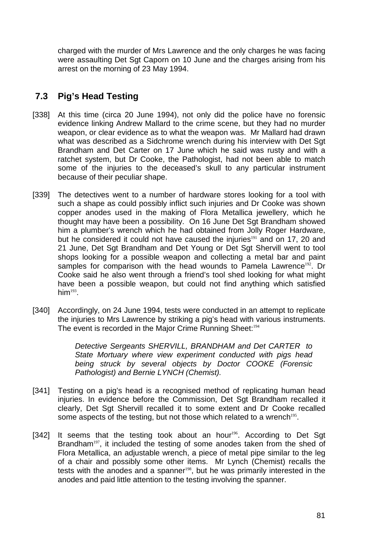charged with the murder of Mrs Lawrence and the only charges he was facing were assaulting Det Sgt Caporn on 10 June and the charges arising from his arrest on the morning of 23 May 1994.

# **7.3 Pig's Head Testing**

- [338] At this time (circa 20 June 1994), not only did the police have no forensic evidence linking Andrew Mallard to the crime scene, but they had no murder weapon, or clear evidence as to what the weapon was. Mr Mallard had drawn what was described as a Sidchrome wrench during his interview with Det Sgt Brandham and Det Carter on 17 June which he said was rusty and with a ratchet system, but Dr Cooke, the Pathologist, had not been able to match some of the injuries to the deceased's skull to any particular instrument because of their peculiar shape.
- [339] The detectives went to a number of hardware stores looking for a tool with such a shape as could possibly inflict such injuries and Dr Cooke was shown copper anodes used in the making of Flora Metallica jewellery, which he thought may have been a possibility. On 16 June Det Sgt Brandham showed him a plumber's wrench which he had obtained from Jolly Roger Hardware, but he considered it could not have caused the injuries<sup>191</sup> and on 17, 20 and 21 June, Det Sgt Brandham and Det Young or Det Sgt Shervill went to tool shops looking for a possible weapon and collecting a metal bar and paint samples for comparison with the head wounds to Pamela Lawrence<sup>192</sup>. Dr Cooke said he also went through a friend's tool shed looking for what might have been a possible weapon, but could not find anything which satisfied  $him<sup>193</sup>$ .
- [340] Accordingly, on 24 June 1994, tests were conducted in an attempt to replicate the injuries to Mrs Lawrence by striking a pig's head with various instruments. The event is recorded in the Major Crime Running Sheet:<sup>194</sup>

*Detective Sergeants SHERVILL, BRANDHAM and Det CARTER to State Mortuary where view experiment conducted with pigs head*  **being struck by several objects by Doctor COOKE (Forensic** *Pathologist) and Bernie LYNCH (Chemist).* 

- [341] Testing on a pig's head is a recognised method of replicating human head injuries. In evidence before the Commission, Det Sat Brandham recalled it clearly, Det Sgt Shervill recalled it to some extent and Dr Cooke recalled some aspects of the testing, but not those which related to a wrench<sup>195</sup>.
- [342] It seems that the testing took about an hour<sup>196</sup>. According to Det Sgt Brandham<sup>197</sup>, it included the testing of some anodes taken from the shed of Flora Metallica, an adjustable wrench, a piece of metal pipe similar to the leg of a chair and possibly some other items. Mr Lynch (Chemist) recalls the tests with the anodes and a spanner<sup>198</sup>, but he was primarily interested in the anodes and paid little attention to the testing involving the spanner.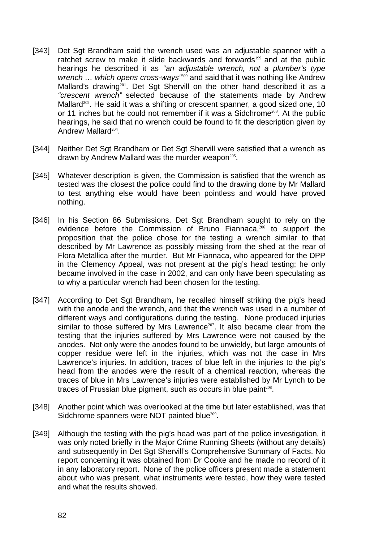- [343] Det Sgt Brandham said the wrench used was an adjustable spanner with a ratchet screw to make it slide backwards and forwards<sup>199</sup> and at the public hearings he described it as *"an adjustable wrench, not a plumber's type wrench ... which opens cross-ways<sup>"200</sup>* and said that it was nothing like Andrew Mallard's drawing<sup>201</sup>. Det Sgt Shervill on the other hand described it as a *"crescent wrench"* selected because of the statements made by Andrew Mallard<sup>202</sup>. He said it was a shifting or crescent spanner, a good sized one, 10 or 11 inches but he could not remember if it was a Sidchrome<sup>203</sup>. At the public hearings, he said that no wrench could be found to fit the description given by Andrew Mallard<sup>204</sup>.
- [344] Neither Det Sgt Brandham or Det Sgt Shervill were satisfied that a wrench as drawn by Andrew Mallard was the murder weapon<sup>205</sup>.
- [345] Whatever description is given, the Commission is satisfied that the wrench as tested was the closest the police could find to the drawing done by Mr Mallard to test anything else would have been pointless and would have proved nothing.
- [346] In his Section 86 Submissions, Det Sqt Brandham sought to rely on the evidence before the Commission of Bruno Fiannaca,<sup>206</sup> to support the proposition that the police chose for the testing a wrench similar to that described by Mr Lawrence as possibly missing from the shed at the rear of Flora Metallica after the murder. But Mr Fiannaca, who appeared for the DPP in the Clemency Appeal, was not present at the pig's head testing; he only became involved in the case in 2002, and can only have been speculating as to why a particular wrench had been chosen for the testing.
- [347] According to Det Sqt Brandham, he recalled himself striking the pig's head with the anode and the wrench, and that the wrench was used in a number of different ways and configurations during the testing. None produced injuries similar to those suffered by Mrs Lawrence<sup>207</sup>. It also became clear from the testing that the injuries suffered by Mrs Lawrence were not caused by the anodes. Not only were the anodes found to be unwieldy, but large amounts of copper residue were left in the injuries, which was not the case in Mrs Lawrence's injuries. In addition, traces of blue left in the injuries to the pig's head from the anodes were the result of a chemical reaction, whereas the traces of blue in Mrs Lawrence's injuries were established by Mr Lynch to be traces of Prussian blue pigment, such as occurs in blue paint<sup>208</sup>.
- [348] Another point which was overlooked at the time but later established, was that Sidchrome spanners were NOT painted blue<sup>209</sup>.
- [349] Although the testing with the pig's head was part of the police investigation, it was only noted briefly in the Major Crime Running Sheets (without any details) and subsequently in Det Sgt Shervill's Comprehensive Summary of Facts. No report concerning it was obtained from Dr Cooke and he made no record of it in any laboratory report. None of the police officers present made a statement about who was present, what instruments were tested, how they were tested and what the results showed.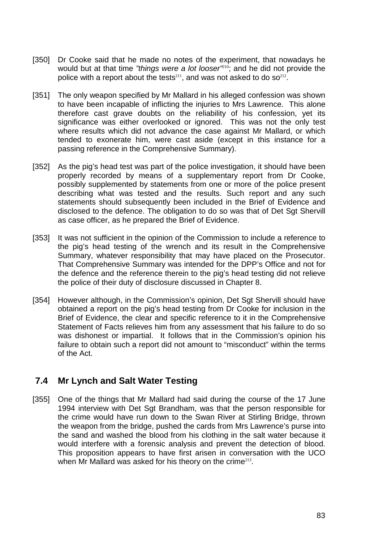- [350] Dr Cooke said that he made no notes of the experiment, that nowadays he would but at that time *"things were a lot looser"*<sup>210</sup>; and he did not provide the police with a report about the tests<sup>211</sup>, and was not asked to do so<sup>212</sup>.
- [351] The only weapon specified by Mr Mallard in his alleged confession was shown to have been incapable of inflicting the injuries to Mrs Lawrence. This alone therefore cast grave doubts on the reliability of his confession, yet its significance was either overlooked or ignored. This was not the only test where results which did not advance the case against Mr Mallard, or which tended to exonerate him, were cast aside (except in this instance for a passing reference in the Comprehensive Summary).
- [352] As the pig's head test was part of the police investigation, it should have been properly recorded by means of a supplementary report from Dr Cooke, possibly supplemented by statements from one or more of the police present describing what was tested and the results. Such report and any such statements should subsequently been included in the Brief of Evidence and disclosed to the defence. The obligation to do so was that of Det Sgt Shervill as case officer, as he prepared the Brief of Evidence.
- [353] It was not sufficient in the opinion of the Commission to include a reference to the pig's head testing of the wrench and its result in the Comprehensive Summary, whatever responsibility that may have placed on the Prosecutor. That Comprehensive Summary was intended for the DPP's Office and not for the defence and the reference therein to the pig's head testing did not relieve the police of their duty of disclosure discussed in Chapter 8.
- [354] However although, in the Commission's opinion, Det Sgt Shervill should have obtained a report on the pig's head testing from Dr Cooke for inclusion in the Brief of Evidence, the clear and specific reference to it in the Comprehensive Statement of Facts relieves him from any assessment that his failure to do so was dishonest or impartial. It follows that in the Commission's opinion his failure to obtain such a report did not amount to "misconduct" within the terms of the Act.

### **7.4 Mr Lynch and Salt Water Testing**

[355] One of the things that Mr Mallard had said during the course of the 17 June 1994 interview with Det Sgt Brandham, was that the person responsible for the crime would have run down to the Swan River at Stirling Bridge, thrown the weapon from the bridge, pushed the cards from Mrs Lawrence's purse into the sand and washed the blood from his clothing in the salt water because it would interfere with a forensic analysis and prevent the detection of blood. This proposition appears to have first arisen in conversation with the UCO when Mr Mallard was asked for his theory on the crime<sup>213</sup>.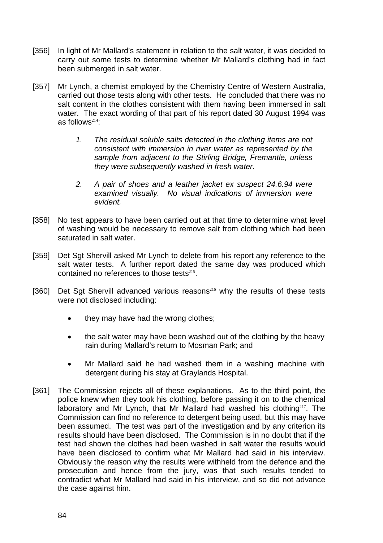- [356] In light of Mr Mallard's statement in relation to the salt water, it was decided to carry out some tests to determine whether Mr Mallard's clothing had in fact been submerged in salt water.
- [357] Mr Lynch, a chemist employed by the Chemistry Centre of Western Australia, carried out those tests along with other tests. He concluded that there was no salt content in the clothes consistent with them having been immersed in salt water. The exact wording of that part of his report dated 30 August 1994 was as follows $214$ :
	- *1. The residual soluble salts detected in the clothing items are not consistent with immersion in river water as represented by the sample from adjacent to the Stirling Bridge, Fremantle, unless they were subsequently washed in fresh water.*
	- *2. A pair of shoes and a leather jacket ex suspect 24.6.94 were examined visually. No visual indications of immersion were evident.*
- [358] No test appears to have been carried out at that time to determine what level of washing would be necessary to remove salt from clothing which had been saturated in salt water.
- [359] Det Sgt Shervill asked Mr Lynch to delete from his report any reference to the salt water tests. A further report dated the same day was produced which contained no references to those tests $215$ .
- [360] Det Sgt Shervill advanced various reasons<sup>216</sup> why the results of these tests were not disclosed including:
	- they may have had the wrong clothes;
	- the salt water may have been washed out of the clothing by the heavy rain during Mallard's return to Mosman Park; and
	- Mr Mallard said he had washed them in a washing machine with detergent during his stay at Graylands Hospital.
- [361] The Commission rejects all of these explanations. As to the third point, the police knew when they took his clothing, before passing it on to the chemical laboratory and Mr Lynch, that Mr Mallard had washed his clothing<sup>217</sup>. The Commission can find no reference to detergent being used, but this may have been assumed. The test was part of the investigation and by any criterion its results should have been disclosed. The Commission is in no doubt that if the test had shown the clothes had been washed in salt water the results would have been disclosed to confirm what Mr Mallard had said in his interview. Obviously the reason why the results were withheld from the defence and the prosecution and hence from the jury, was that such results tended to contradict what Mr Mallard had said in his interview, and so did not advance the case against him.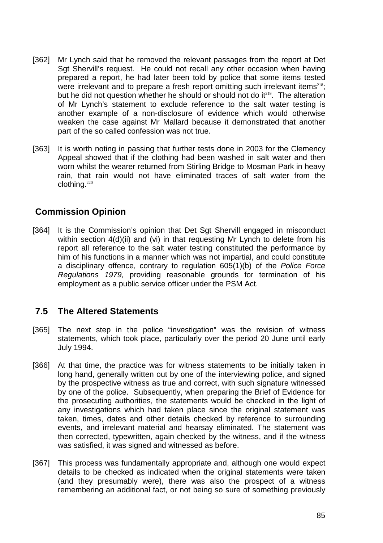- [362] Mr Lynch said that he removed the relevant passages from the report at Det Sgt Shervill's request. He could not recall any other occasion when having prepared a report, he had later been told by police that some items tested were irrelevant and to prepare a fresh report omitting such irrelevant items $218$ ; but he did not question whether he should or should not do  $it^{219}$ . The alteration of Mr Lynch's statement to exclude reference to the salt water testing is another example of a non-disclosure of evidence which would otherwise weaken the case against Mr Mallard because it demonstrated that another part of the so called confession was not true.
- [363] It is worth noting in passing that further tests done in 2003 for the Clemency Appeal showed that if the clothing had been washed in salt water and then worn whilst the wearer returned from Stirling Bridge to Mosman Park in heavy rain, that rain would not have eliminated traces of salt water from the clothing.<sup>220</sup>

### **Commission Opinion**

[364] It is the Commission's opinion that Det Sqt Shervill engaged in misconduct within section 4(d)(ii) and (vi) in that requesting Mr Lynch to delete from his report all reference to the salt water testing constituted the performance by him of his functions in a manner which was not impartial, and could constitute a disciplinary offence, contrary to regulation 605(1)(b) of the *Police Force Regulations 1979,* providing reasonable grounds for termination of his employment as a public service officer under the PSM Act.

# **7.5 The Altered Statements**

- [365] The next step in the police "investigation" was the revision of witness statements, which took place, particularly over the period 20 June until early July 1994.
- [366] At that time, the practice was for witness statements to be initially taken in long hand, generally written out by one of the interviewing police, and signed by the prospective witness as true and correct, with such signature witnessed by one of the police. Subsequently, when preparing the Brief of Evidence for the prosecuting authorities, the statements would be checked in the light of any investigations which had taken place since the original statement was taken, times, dates and other details checked by reference to surrounding events, and irrelevant material and hearsay eliminated. The statement was then corrected, typewritten, again checked by the witness, and if the witness was satisfied, it was signed and witnessed as before.
- [367] This process was fundamentally appropriate and, although one would expect details to be checked as indicated when the original statements were taken (and they presumably were), there was also the prospect of a witness remembering an additional fact, or not being so sure of something previously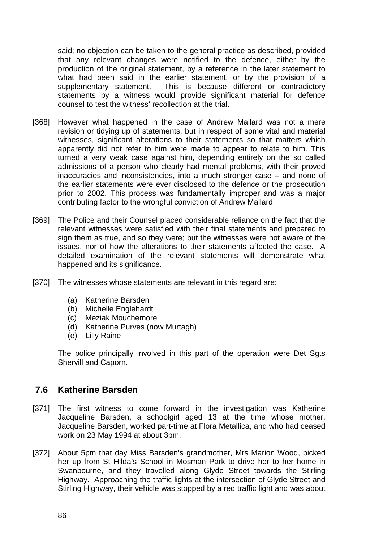said; no objection can be taken to the general practice as described, provided that any relevant changes were notified to the defence, either by the production of the original statement, by a reference in the later statement to what had been said in the earlier statement, or by the provision of a supplementary statement. This is because different or contradictory statements by a witness would provide significant material for defence counsel to test the witness' recollection at the trial.

- [368] However what happened in the case of Andrew Mallard was not a mere revision or tidying up of statements, but in respect of some vital and material witnesses, significant alterations to their statements so that matters which apparently did not refer to him were made to appear to relate to him. This turned a very weak case against him, depending entirely on the so called admissions of a person who clearly had mental problems, with their proved inaccuracies and inconsistencies, into a much stronger case – and none of the earlier statements were ever disclosed to the defence or the prosecution prior to 2002. This process was fundamentally improper and was a major contributing factor to the wrongful conviction of Andrew Mallard.
- [369] The Police and their Counsel placed considerable reliance on the fact that the relevant witnesses were satisfied with their final statements and prepared to sign them as true, and so they were; but the witnesses were not aware of the issues, nor of how the alterations to their statements affected the case. A detailed examination of the relevant statements will demonstrate what happened and its significance.
- [370] The witnesses whose statements are relevant in this regard are:
	- (a) Katherine Barsden
	- (b) Michelle Englehardt
	- (c) Meziak Mouchemore
	- (d) Katherine Purves (now Murtagh)
	- (e) Lilly Raine

The police principally involved in this part of the operation were Det Sgts Shervill and Caporn.

### **7.6 Katherine Barsden**

- [371] The first witness to come forward in the investigation was Katherine Jacqueline Barsden, a schoolgirl aged 13 at the time whose mother, Jacqueline Barsden, worked part-time at Flora Metallica, and who had ceased work on 23 May 1994 at about 3pm.
- [372] About 5pm that day Miss Barsden's grandmother, Mrs Marion Wood, picked her up from St Hilda's School in Mosman Park to drive her to her home in Swanbourne, and they travelled along Glyde Street towards the Stirling Highway. Approaching the traffic lights at the intersection of Glyde Street and Stirling Highway, their vehicle was stopped by a red traffic light and was about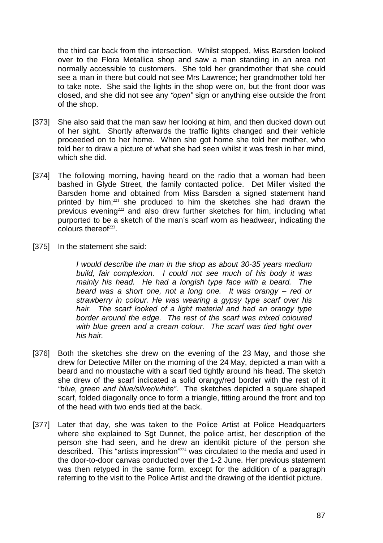the third car back from the intersection. Whilst stopped, Miss Barsden looked over to the Flora Metallica shop and saw a man standing in an area not normally accessible to customers. She told her grandmother that she could see a man in there but could not see Mrs Lawrence; her grandmother told her to take note. She said the lights in the shop were on, but the front door was closed, and she did not see any *"open"* sign or anything else outside the front of the shop.

- [373] She also said that the man saw her looking at him, and then ducked down out of her sight. Shortly afterwards the traffic lights changed and their vehicle proceeded on to her home. When she got home she told her mother, who told her to draw a picture of what she had seen whilst it was fresh in her mind, which she did.
- [374] The following morning, having heard on the radio that a woman had been bashed in Glyde Street, the family contacted police. Det Miller visited the Barsden home and obtained from Miss Barsden a signed statement hand printed by him;<sup>221</sup> she produced to him the sketches she had drawn the previous evening<sup>222</sup> and also drew further sketches for him, including what purported to be a sketch of the man's scarf worn as headwear, indicating the colours thereof $223$ .
- [375] In the statement she said:

*I would describe the man in the shop as about 30-35 years medium build, fair complexion. I could not see much of his body it was mainly his head. He had a longish type face with a beard. The beard was a short one, not a long one. It was orangy – red or strawberry in colour. He was wearing a gypsy type scarf over his hair. The scarf looked of a light material and had an orangy type border around the edge. The rest of the scarf was mixed coloured with blue green and a cream colour. The scarf was tied tight over his hair.* 

- [376] Both the sketches she drew on the evening of the 23 May, and those she drew for Detective Miller on the morning of the 24 May, depicted a man with a beard and no moustache with a scarf tied tightly around his head. The sketch she drew of the scarf indicated a solid orangy/red border with the rest of it *"blue, green and blue/silver/white"*. The sketches depicted a square shaped scarf, folded diagonally once to form a triangle, fitting around the front and top of the head with two ends tied at the back.
- [377] Later that day, she was taken to the Police Artist at Police Headquarters where she explained to Sgt Dunnet, the police artist, her description of the person she had seen, and he drew an identikit picture of the person she described. This "artists impression"<sup>224</sup> was circulated to the media and used in the door-to-door canvas conducted over the 1-2 June. Her previous statement was then retyped in the same form, except for the addition of a paragraph referring to the visit to the Police Artist and the drawing of the identikit picture.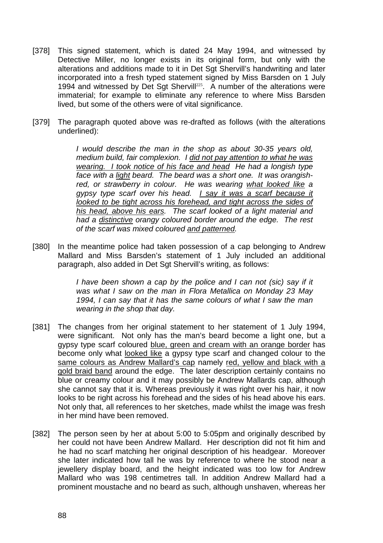- [378] This signed statement, which is dated 24 May 1994, and witnessed by Detective Miller, no longer exists in its original form, but only with the alterations and additions made to it in Det Sgt Shervill's handwriting and later incorporated into a fresh typed statement signed by Miss Barsden on 1 July 1994 and witnessed by Det Sgt Shervill<sup>225</sup>. A number of the alterations were immaterial; for example to eliminate any reference to where Miss Barsden lived, but some of the others were of vital significance.
- [379] The paragraph quoted above was re-drafted as follows (with the alterations underlined):

*I would describe the man in the shop as about 30-35 years old, medium build, fair complexion. I did not pay attention to what he was wearing. I took notice of his face and head He had a longish type face with a light beard. The beard was a short one. It was orangishred, or strawberry in colour. He was wearing what looked like a gypsy type scarf over his head. I say it was a scarf because it looked to be tight across his forehead, and tight across the sides of his head, above his ears. The scarf looked of a light material and had a distinctive orangy coloured border around the edge. The rest of the scarf was mixed coloured and patterned.* 

[380] In the meantime police had taken possession of a cap belonging to Andrew Mallard and Miss Barsden's statement of 1 July included an additional paragraph, also added in Det Sgt Shervill's writing, as follows:

> *I have been shown a cap by the police and I can not (sic) say if it was what I saw on the man in Flora Metallica on Monday 23 May 1994, I can say that it has the same colours of what I saw the man wearing in the shop that day.*

- [381] The changes from her original statement to her statement of 1 July 1994, were significant. Not only has the man's beard become a light one, but a gypsy type scarf coloured blue, green and cream with an orange border has become only what looked like a gypsy type scarf and changed colour to the same colours as Andrew Mallard's cap namely red, yellow and black with a gold braid band around the edge. The later description certainly contains no blue or creamy colour and it may possibly be Andrew Mallards cap, although she cannot say that it is. Whereas previously it was right over his hair, it now looks to be right across his forehead and the sides of his head above his ears. Not only that, all references to her sketches, made whilst the image was fresh in her mind have been removed.
- [382] The person seen by her at about 5:00 to 5:05pm and originally described by her could not have been Andrew Mallard. Her description did not fit him and he had no scarf matching her original description of his headgear. Moreover she later indicated how tall he was by reference to where he stood near a jewellery display board, and the height indicated was too low for Andrew Mallard who was 198 centimetres tall. In addition Andrew Mallard had a prominent moustache and no beard as such, although unshaven, whereas her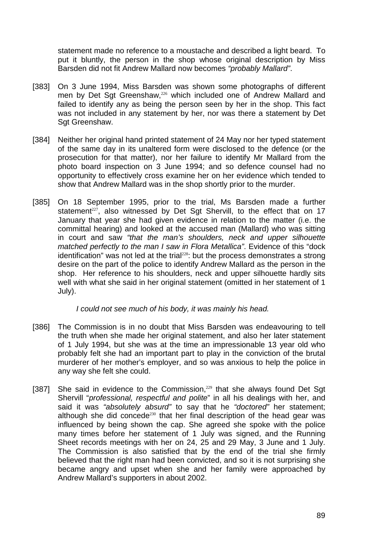statement made no reference to a moustache and described a light beard. To put it bluntly, the person in the shop whose original description by Miss Barsden did not fit Andrew Mallard now becomes *"probably Mallard"*.

- [383] On 3 June 1994, Miss Barsden was shown some photographs of different men by Det Sgt Greenshaw,<sup>226</sup> which included one of Andrew Mallard and failed to identify any as being the person seen by her in the shop. This fact was not included in any statement by her, nor was there a statement by Det Sgt Greenshaw.
- [384] Neither her original hand printed statement of 24 May nor her typed statement of the same day in its unaltered form were disclosed to the defence (or the prosecution for that matter), nor her failure to identify Mr Mallard from the photo board inspection on 3 June 1994; and so defence counsel had no opportunity to effectively cross examine her on her evidence which tended to show that Andrew Mallard was in the shop shortly prior to the murder.
- [385] On 18 September 1995, prior to the trial, Ms Barsden made a further statement<sup>227</sup>, also witnessed by Det Sqt Shervill, to the effect that on 17 January that year she had given evidence in relation to the matter (i.e. the committal hearing) and looked at the accused man (Mallard) who was sitting in court and saw *"that the man's shoulders, neck and upper silhouette matched perfectly to the man I saw in Flora Metallica"*. Evidence of this "dock identification" was not led at the trial<sup>228</sup>: but the process demonstrates a strong desire on the part of the police to identify Andrew Mallard as the person in the shop. Her reference to his shoulders, neck and upper silhouette hardly sits well with what she said in her original statement (omitted in her statement of 1 July).

*I could not see much of his body, it was mainly his head.* 

- [386] The Commission is in no doubt that Miss Barsden was endeavouring to tell the truth when she made her original statement, and also her later statement of 1 July 1994, but she was at the time an impressionable 13 year old who probably felt she had an important part to play in the conviction of the brutal murderer of her mother's employer, and so was anxious to help the police in any way she felt she could.
- [387] She said in evidence to the Commission,<sup>229</sup> that she always found Det Sgt Shervill "*professional, respectful and polite*" in all his dealings with her, and said it was *"absolutely absurd"* to say that he *"doctored"* her statement; although she did concede<sup>230</sup> that her final description of the head gear was influenced by being shown the cap. She agreed she spoke with the police many times before her statement of 1 July was signed, and the Running Sheet records meetings with her on 24, 25 and 29 May, 3 June and 1 July. The Commission is also satisfied that by the end of the trial she firmly believed that the right man had been convicted, and so it is not surprising she became angry and upset when she and her family were approached by Andrew Mallard's supporters in about 2002.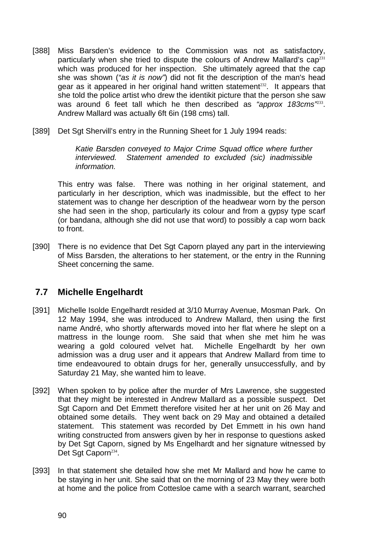- [388] Miss Barsden's evidence to the Commission was not as satisfactory, particularly when she tried to dispute the colours of Andrew Mallard's cap<sup>231</sup> which was produced for her inspection. She ultimately agreed that the cap she was shown (*"as it is now"*) did not fit the description of the man's head gear as it appeared in her original hand written statement<sup>232</sup>. It appears that she told the police artist who drew the identikit picture that the person she saw was around 6 feet tall which he then described as *"approx 183cms"*<sup>233</sup>. Andrew Mallard was actually 6ft 6in (198 cms) tall.
- [389] Det Sat Shervill's entry in the Running Sheet for 1 July 1994 reads:

*Katie Barsden conveyed to Major Crime Squad office where further interviewed. Statement amended to excluded (sic) inadmissible information.*

This entry was false. There was nothing in her original statement, and particularly in her description, which was inadmissible, but the effect to her statement was to change her description of the headwear worn by the person she had seen in the shop, particularly its colour and from a gypsy type scarf (or bandana, although she did not use that word) to possibly a cap worn back to front.

[390] There is no evidence that Det Sgt Caporn played any part in the interviewing of Miss Barsden, the alterations to her statement, or the entry in the Running Sheet concerning the same.

### **7.7 Michelle Engelhardt**

- [391] Michelle Isolde Engelhardt resided at 3/10 Murray Avenue, Mosman Park. On 12 May 1994, she was introduced to Andrew Mallard, then using the first name André, who shortly afterwards moved into her flat where he slept on a mattress in the lounge room. She said that when she met him he was wearing a gold coloured velvet hat. Michelle Engelhardt by her own admission was a drug user and it appears that Andrew Mallard from time to time endeavoured to obtain drugs for her, generally unsuccessfully, and by Saturday 21 May, she wanted him to leave.
- [392] When spoken to by police after the murder of Mrs Lawrence, she suggested that they might be interested in Andrew Mallard as a possible suspect. Det Sgt Caporn and Det Emmett therefore visited her at her unit on 26 May and obtained some details. They went back on 29 May and obtained a detailed statement. This statement was recorded by Det Emmett in his own hand writing constructed from answers given by her in response to questions asked by Det Sgt Caporn, signed by Ms Engelhardt and her signature witnessed by Det Sgt Caporn<sup>234</sup>.
- [393] In that statement she detailed how she met Mr Mallard and how he came to be staying in her unit. She said that on the morning of 23 May they were both at home and the police from Cottesloe came with a search warrant, searched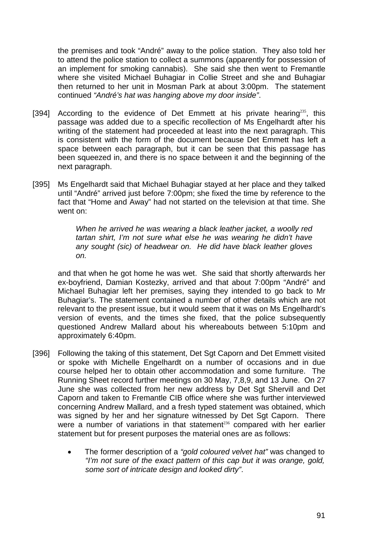the premises and took "André" away to the police station. They also told her to attend the police station to collect a summons (apparently for possession of an implement for smoking cannabis). She said she then went to Fremantle where she visited Michael Buhagiar in Collie Street and she and Buhagiar then returned to her unit in Mosman Park at about 3:00pm. The statement continued *"André's hat was hanging above my door inside"*.

- [394] According to the evidence of Det Emmett at his private hearing<sup>235</sup>, this passage was added due to a specific recollection of Ms Engelhardt after his writing of the statement had proceeded at least into the next paragraph. This is consistent with the form of the document because Det Emmett has left a space between each paragraph, but it can be seen that this passage has been squeezed in, and there is no space between it and the beginning of the next paragraph.
- [395] Ms Engelhardt said that Michael Buhagiar stayed at her place and they talked until "André" arrived just before 7:00pm; she fixed the time by reference to the fact that "Home and Away" had not started on the television at that time. She went on:

*When he arrived he was wearing a black leather jacket, a woolly red tartan shirt, I'm not sure what else he was wearing he didn't have any sought (sic) of headwear on. He did have black leather gloves on.* 

and that when he got home he was wet. She said that shortly afterwards her ex-boyfriend, Damian Kostezky, arrived and that about 7:00pm "André" and Michael Buhagiar left her premises, saying they intended to go back to Mr Buhagiar's. The statement contained a number of other details which are not relevant to the present issue, but it would seem that it was on Ms Engelhardt's version of events, and the times she fixed, that the police subsequently questioned Andrew Mallard about his whereabouts between 5:10pm and approximately 6:40pm.

- [396] Following the taking of this statement, Det Sgt Caporn and Det Emmett visited or spoke with Michelle Engelhardt on a number of occasions and in due course helped her to obtain other accommodation and some furniture. The Running Sheet record further meetings on 30 May, 7,8,9, and 13 June. On 27 June she was collected from her new address by Det Sgt Shervill and Det Caporn and taken to Fremantle CIB office where she was further interviewed concerning Andrew Mallard, and a fresh typed statement was obtained, which was signed by her and her signature witnessed by Det Sgt Caporn. There were a number of variations in that statement<sup>236</sup> compared with her earlier statement but for present purposes the material ones are as follows:
	- The former description of a *"gold coloured velvet hat"* was changed to *"I'm not sure of the exact pattern of this cap but it was orange, gold, some sort of intricate design and looked dirty"*.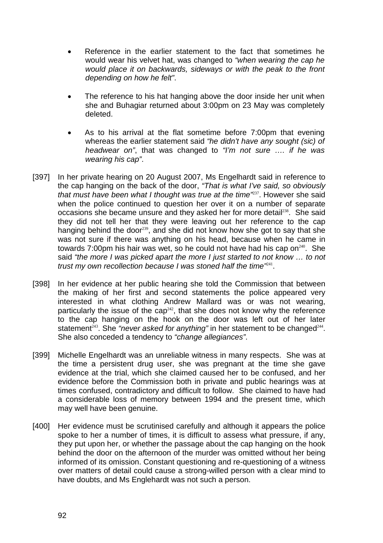- Reference in the earlier statement to the fact that sometimes he would wear his velvet hat, was changed to *"when wearing the cap he would place it on backwards, sideways or with the peak to the front depending on how he felt"*.
- The reference to his hat hanging above the door inside her unit when she and Buhagiar returned about 3:00pm on 23 May was completely deleted.
- As to his arrival at the flat sometime before 7:00pm that evening whereas the earlier statement said *"he didn't have any sought (sic) of headwear on"*, that was changed to *"I'm not sure …. if he was wearing his cap"*.
- [397] In her private hearing on 20 August 2007, Ms Engelhardt said in reference to the cap hanging on the back of the door, *"That is what I've said, so obviously that must have been what I thought was true at the time"*<sup>237</sup>. However she said when the police continued to question her over it on a number of separate occasions she became unsure and they asked her for more detail<sup>238</sup>. She said they did not tell her that they were leaving out her reference to the cap hanging behind the door<sup>239</sup>, and she did not know how she got to say that she was not sure if there was anything on his head, because when he came in towards 7:00pm his hair was wet, so he could not have had his cap on<sup> $240$ </sup>. She said *"the more I was picked apart the more I just started to not know … to not trust my own recollection because I was stoned half the time*<sup>241</sup>.
- [398] In her evidence at her public hearing she told the Commission that between the making of her first and second statements the police appeared very interested in what clothing Andrew Mallard was or was not wearing, particularly the issue of the  $cap^{242}$ , that she does not know why the reference to the cap hanging on the hook on the door was left out of her later statement<sup>243</sup>. She *"never asked for anything"* in her statement to be changed<sup>244</sup>. She also conceded a tendency to *"change allegiances"*.
- [399] Michelle Engelhardt was an unreliable witness in many respects. She was at the time a persistent drug user, she was pregnant at the time she gave evidence at the trial, which she claimed caused her to be confused, and her evidence before the Commission both in private and public hearings was at times confused, contradictory and difficult to follow. She claimed to have had a considerable loss of memory between 1994 and the present time, which may well have been genuine.
- [400] Her evidence must be scrutinised carefully and although it appears the police spoke to her a number of times, it is difficult to assess what pressure, if any, they put upon her, or whether the passage about the cap hanging on the hook behind the door on the afternoon of the murder was omitted without her being informed of its omission. Constant questioning and re-questioning of a witness over matters of detail could cause a strong-willed person with a clear mind to have doubts, and Ms Englehardt was not such a person.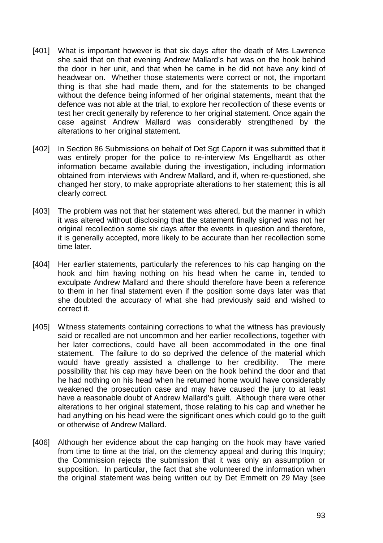- [401] What is important however is that six days after the death of Mrs Lawrence she said that on that evening Andrew Mallard's hat was on the hook behind the door in her unit, and that when he came in he did not have any kind of headwear on. Whether those statements were correct or not, the important thing is that she had made them, and for the statements to be changed without the defence being informed of her original statements, meant that the defence was not able at the trial, to explore her recollection of these events or test her credit generally by reference to her original statement. Once again the case against Andrew Mallard was considerably strengthened by the alterations to her original statement.
- [402] In Section 86 Submissions on behalf of Det Sgt Caporn it was submitted that it was entirely proper for the police to re-interview Ms Engelhardt as other information became available during the investigation, including information obtained from interviews with Andrew Mallard, and if, when re-questioned, she changed her story, to make appropriate alterations to her statement; this is all clearly correct.
- [403] The problem was not that her statement was altered, but the manner in which it was altered without disclosing that the statement finally signed was not her original recollection some six days after the events in question and therefore, it is generally accepted, more likely to be accurate than her recollection some time later.
- [404] Her earlier statements, particularly the references to his cap hanging on the hook and him having nothing on his head when he came in, tended to exculpate Andrew Mallard and there should therefore have been a reference to them in her final statement even if the position some days later was that she doubted the accuracy of what she had previously said and wished to correct it.
- [405] Witness statements containing corrections to what the witness has previously said or recalled are not uncommon and her earlier recollections, together with her later corrections, could have all been accommodated in the one final statement. The failure to do so deprived the defence of the material which would have greatly assisted a challenge to her credibility. The mere possibility that his cap may have been on the hook behind the door and that he had nothing on his head when he returned home would have considerably weakened the prosecution case and may have caused the jury to at least have a reasonable doubt of Andrew Mallard's guilt. Although there were other alterations to her original statement, those relating to his cap and whether he had anything on his head were the significant ones which could go to the guilt or otherwise of Andrew Mallard.
- [406] Although her evidence about the cap hanging on the hook may have varied from time to time at the trial, on the clemency appeal and during this Inquiry; the Commission rejects the submission that it was only an assumption or supposition. In particular, the fact that she volunteered the information when the original statement was being written out by Det Emmett on 29 May (see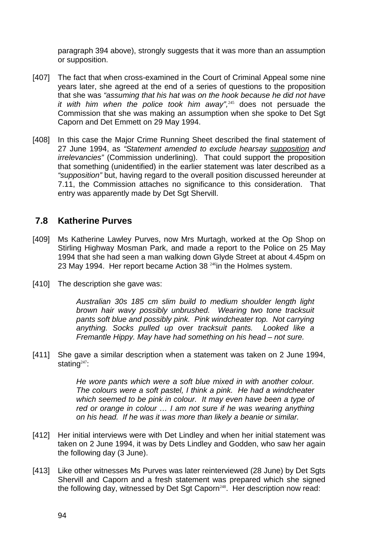paragraph 394 above), strongly suggests that it was more than an assumption or supposition.

- [407] The fact that when cross-examined in the Court of Criminal Appeal some nine years later, she agreed at the end of a series of questions to the proposition that she was *"assuming that his hat was on the hook because he did not have it with him when the police took him away",*<sup>245</sup> does not persuade the Commission that she was making an assumption when she spoke to Det Sgt Caporn and Det Emmett on 29 May 1994.
- [408] In this case the Major Crime Running Sheet described the final statement of 27 June 1994, as *"Statement amended to exclude hearsay supposition and irrelevancies"* (Commission underlining). That could support the proposition that something (unidentified) in the earlier statement was later described as a *"supposition"* but, having regard to the overall position discussed hereunder at 7.11, the Commission attaches no significance to this consideration. That entry was apparently made by Det Sgt Shervill.

### **7.8 Katherine Purves**

- [409] Ms Katherine Lawley Purves, now Mrs Murtagh, worked at the Op Shop on Stirling Highway Mosman Park, and made a report to the Police on 25 May 1994 that she had seen a man walking down Glyde Street at about 4.45pm on 23 May 1994. Her report became Action 38 <sup>246</sup>in the Holmes system.
- [410] The description she gave was:

*Australian 30s 185 cm slim build to medium shoulder length light brown hair wavy possibly unbrushed. Wearing two tone tracksuit pants soft blue and possibly pink. Pink windcheater top. Not carrying anything. Socks pulled up over tracksuit pants. Looked like a Fremantle Hippy. May have had something on his head – not sure.*

[411] She gave a similar description when a statement was taken on 2 June 1994, stating $247$ :

> *He wore pants which were a soft blue mixed in with another colour. The colours were a soft pastel, I think a pink. He had a windcheater which seemed to be pink in colour. It may even have been a type of*  red or orange in colour ... I am not sure if he was wearing anything *on his head. If he was it was more than likely a beanie or similar.*

- [412] Her initial interviews were with Det Lindley and when her initial statement was taken on 2 June 1994, it was by Dets Lindley and Godden, who saw her again the following day (3 June).
- [413] Like other witnesses Ms Purves was later reinterviewed (28 June) by Det Sgts Shervill and Caporn and a fresh statement was prepared which she signed the following day, witnessed by Det Sgt Caporn<sup>248</sup>. Her description now read: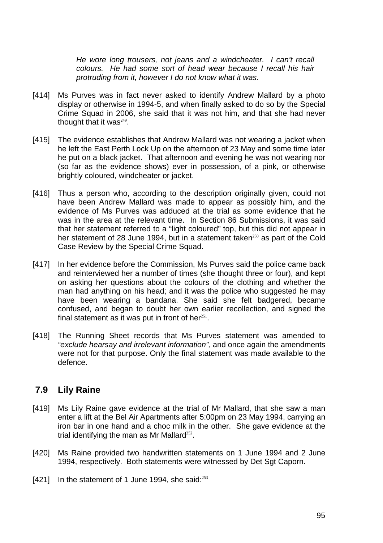*He wore long trousers, not jeans and a windcheater. I can't recall colours. He had some sort of head wear because I recall his hair protruding from it, however I do not know what it was.*

- [414] Ms Purves was in fact never asked to identify Andrew Mallard by a photo display or otherwise in 1994-5, and when finally asked to do so by the Special Crime Squad in 2006, she said that it was not him, and that she had never thought that it was $249$ .
- [415] The evidence establishes that Andrew Mallard was not wearing a jacket when he left the East Perth Lock Up on the afternoon of 23 May and some time later he put on a black jacket. That afternoon and evening he was not wearing nor (so far as the evidence shows) ever in possession, of a pink, or otherwise brightly coloured, windcheater or jacket.
- [416] Thus a person who, according to the description originally given, could not have been Andrew Mallard was made to appear as possibly him, and the evidence of Ms Purves was adduced at the trial as some evidence that he was in the area at the relevant time. In Section 86 Submissions, it was said that her statement referred to a "light coloured" top, but this did not appear in her statement of 28 June 1994, but in a statement taken<sup>250</sup> as part of the Cold Case Review by the Special Crime Squad.
- [417] In her evidence before the Commission, Ms Purves said the police came back and reinterviewed her a number of times (she thought three or four), and kept on asking her questions about the colours of the clothing and whether the man had anything on his head; and it was the police who suggested he may have been wearing a bandana. She said she felt badgered, became confused, and began to doubt her own earlier recollection, and signed the final statement as it was put in front of her $251$ .
- [418] The Running Sheet records that Ms Purves statement was amended to *"exclude hearsay and irrelevant information",* and once again the amendments were not for that purpose. Only the final statement was made available to the defence.

### **7.9 Lily Raine**

- [419] Ms Lily Raine gave evidence at the trial of Mr Mallard, that she saw a man enter a lift at the Bel Air Apartments after 5:00pm on 23 May 1994, carrying an iron bar in one hand and a choc milk in the other. She gave evidence at the trial identifying the man as Mr Mallard $252$ .
- [420] Ms Raine provided two handwritten statements on 1 June 1994 and 2 June 1994, respectively. Both statements were witnessed by Det Sgt Caporn.
- [421] In the statement of 1 June 1994, she said: $253$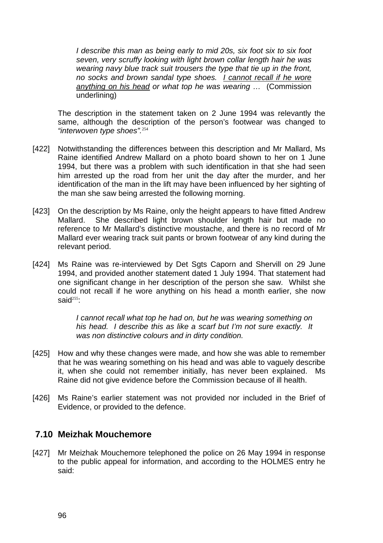*I describe this man as being early to mid 20s, six foot six to six foot seven, very scruffy looking with light brown collar length hair he was wearing navy blue track suit trousers the type that tie up in the front, no socks and brown sandal type shoes. I cannot recall if he wore anything on his head or what top he was wearing …* (Commission underlining)

The description in the statement taken on 2 June 1994 was relevantly the same, although the description of the person's footwear was changed to *"interwoven type shoes".*<sup>254</sup>

- [422] Notwithstanding the differences between this description and Mr Mallard, Ms Raine identified Andrew Mallard on a photo board shown to her on 1 June 1994, but there was a problem with such identification in that she had seen him arrested up the road from her unit the day after the murder, and her identification of the man in the lift may have been influenced by her sighting of the man she saw being arrested the following morning.
- [423] On the description by Ms Raine, only the height appears to have fitted Andrew Mallard. She described light brown shoulder length hair but made no reference to Mr Mallard's distinctive moustache, and there is no record of Mr Mallard ever wearing track suit pants or brown footwear of any kind during the relevant period.
- [424] Ms Raine was re-interviewed by Det Sgts Caporn and Shervill on 29 June 1994, and provided another statement dated 1 July 1994. That statement had one significant change in her description of the person she saw. Whilst she could not recall if he wore anything on his head a month earlier, she now said $^{255}$ :

*I cannot recall what top he had on, but he was wearing something on his head. I describe this as like a scarf but I'm not sure exactly. It was non distinctive colours and in dirty condition.*

- [425] How and why these changes were made, and how she was able to remember that he was wearing something on his head and was able to vaguely describe it, when she could not remember initially, has never been explained. Ms Raine did not give evidence before the Commission because of ill health.
- [426] Ms Raine's earlier statement was not provided nor included in the Brief of Evidence, or provided to the defence.

### **7.10 Meizhak Mouchemore**

[427] Mr Meizhak Mouchemore telephoned the police on 26 May 1994 in response to the public appeal for information, and according to the HOLMES entry he said: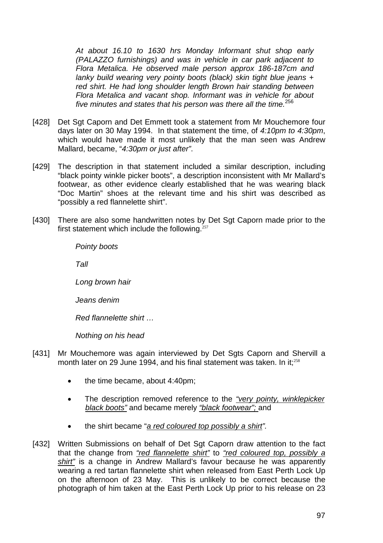*At about 16.10 to 1630 hrs Monday Informant shut shop early (PALAZZO furnishings) and was in vehicle in car park adjacent to Flora Metalica. He observed male person approx 186-187cm and lanky build wearing very pointy boots (black) skin tight blue jeans + red shirt. He had long shoulder length Brown hair standing between Flora Metalica and vacant shop. Informant was in vehicle for about five minutes and states that his person was there all the time.*<sup>256</sup>

- [428] Det Sgt Caporn and Det Emmett took a statement from Mr Mouchemore four days later on 30 May 1994. In that statement the time, of *4:10pm to 4:30pm*, which would have made it most unlikely that the man seen was Andrew Mallard, became, "*4:30pm or just after"*.
- [429] The description in that statement included a similar description, including "black pointy winkle picker boots", a description inconsistent with Mr Mallard's footwear, as other evidence clearly established that he was wearing black "Doc Martin" shoes at the relevant time and his shirt was described as "possibly a red flannelette shirt".
- [430] There are also some handwritten notes by Det Sqt Caporn made prior to the first statement which include the following. $257$

*Pointy boots Tall Long brown hair* 

*Jeans denim* 

*Red flannelette shirt …* 

*Nothing on his head* 

- [431] Mr Mouchemore was again interviewed by Det Sgts Caporn and Shervill a month later on 29 June 1994, and his final statement was taken. In it;<sup>258</sup>
	- the time became, about 4:40pm;
	- The description removed reference to the *"very pointy, winklepicker black boots"* and became merely *"black footwear";* and
	- the shirt became "*a red coloured top possibly a shirt".*
- [432] Written Submissions on behalf of Det Sgt Caporn draw attention to the fact that the change from *"red flannelette shirt"* to *"red coloured top, possibly a shirt"* is a change in Andrew Mallard's favour because he was apparently wearing a red tartan flannelette shirt when released from East Perth Lock Up on the afternoon of 23 May. This is unlikely to be correct because the photograph of him taken at the East Perth Lock Up prior to his release on 23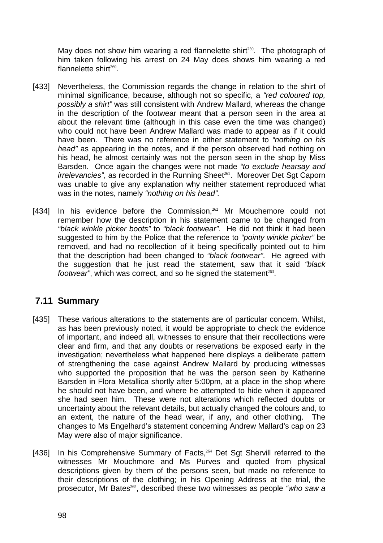May does not show him wearing a red flannelette shirt<sup>259</sup>. The photograph of him taken following his arrest on 24 May does shows him wearing a red flannelette shirt $260$ .

- [433] Nevertheless, the Commission regards the change in relation to the shirt of minimal significance, because, although not so specific, a *"red coloured top, possibly a shirt"* was still consistent with Andrew Mallard, whereas the change in the description of the footwear meant that a person seen in the area at about the relevant time (although in this case even the time was changed) who could not have been Andrew Mallard was made to appear as if it could have been. There was no reference in either statement to *"nothing on his head"* as appearing in the notes, and if the person observed had nothing on his head, he almost certainly was not the person seen in the shop by Miss Barsden. Once again the changes were not made *"to exclude hearsay and irrelevancies*", as recorded in the Running Sheet<sup>261</sup>. Moreover Det Sgt Caporn was unable to give any explanation why neither statement reproduced what was in the notes, namely *"nothing on his head".*
- [434] In his evidence before the Commission,<sup>262</sup> Mr Mouchemore could not remember how the description in his statement came to be changed from *"black winkle picker boots"* to *"black footwear"*. He did not think it had been suggested to him by the Police that the reference to *"pointy winkle picker"* be removed, and had no recollection of it being specifically pointed out to him that the description had been changed to *"black footwear"*. He agreed with the suggestion that he just read the statement, saw that it said *"black footwear*", which was correct, and so he signed the statement<sup>263</sup>.

# **7.11 Summary**

- [435] These various alterations to the statements are of particular concern. Whilst, as has been previously noted, it would be appropriate to check the evidence of important, and indeed all, witnesses to ensure that their recollections were clear and firm, and that any doubts or reservations be exposed early in the investigation; nevertheless what happened here displays a deliberate pattern of strengthening the case against Andrew Mallard by producing witnesses who supported the proposition that he was the person seen by Katherine Barsden in Flora Metallica shortly after 5:00pm, at a place in the shop where he should not have been, and where he attempted to hide when it appeared she had seen him. These were not alterations which reflected doubts or uncertainty about the relevant details, but actually changed the colours and, to an extent, the nature of the head wear, if any, and other clothing. The changes to Ms Engelhard's statement concerning Andrew Mallard's cap on 23 May were also of major significance.
- [436] In his Comprehensive Summary of Facts,<sup>264</sup> Det Sgt Shervill referred to the witnesses Mr Mouchmore and Ms Purves and quoted from physical descriptions given by them of the persons seen, but made no reference to their descriptions of the clothing; in his Opening Address at the trial, the prosecutor, Mr Bates265, described these two witnesses as people *"who saw a*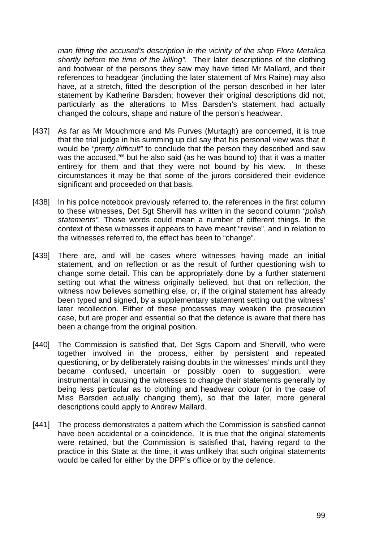*man fitting the accused's description in the vicinity of the shop Flora Metalica shortly before the time of the killing"*. Their later descriptions of the clothing and footwear of the persons they saw may have fitted Mr Mallard, and their references to headgear (including the later statement of Mrs Raine) may also have, at a stretch, fitted the description of the person described in her later statement by Katherine Barsden; however their original descriptions did not, particularly as the alterations to Miss Barsden's statement had actually changed the colours, shape and nature of the person's headwear.

- [437] As far as Mr Mouchmore and Ms Purves (Murtagh) are concerned, it is true that the trial judge in his summing up did say that his personal view was that it would be *"pretty difficult"* to conclude that the person they described and saw was the accused,<sup>266</sup> but he also said (as he was bound to) that it was a matter entirely for them and that they were not bound by his view. In these circumstances it may be that some of the jurors considered their evidence significant and proceeded on that basis.
- [438] In his police notebook previously referred to, the references in the first column to these witnesses, Det Sgt Shervill has written in the second column *"polish statements".* Those words could mean a number of different things. In the context of these witnesses it appears to have meant "revise", and in relation to the witnesses referred to, the effect has been to "change".
- [439] There are, and will be cases where witnesses having made an initial statement, and on reflection or as the result of further questioning wish to change some detail. This can be appropriately done by a further statement setting out what the witness originally believed, but that on reflection, the witness now believes something else, or, if the original statement has already been typed and signed, by a supplementary statement setting out the witness' later recollection. Either of these processes may weaken the prosecution case, but are proper and essential so that the defence is aware that there has been a change from the original position.
- [440] The Commission is satisfied that, Det Sgts Caporn and Shervill, who were together involved in the process, either by persistent and repeated questioning, or by deliberately raising doubts in the witnesses' minds until they became confused, uncertain or possibly open to suggestion, were instrumental in causing the witnesses to change their statements generally by being less particular as to clothing and headwear colour (or in the case of Miss Barsden actually changing them), so that the later, more general descriptions could apply to Andrew Mallard.
- [441] The process demonstrates a pattern which the Commission is satisfied cannot have been accidental or a coincidence. It is true that the original statements were retained, but the Commission is satisfied that, having regard to the practice in this State at the time, it was unlikely that such original statements would be called for either by the DPP's office or by the defence.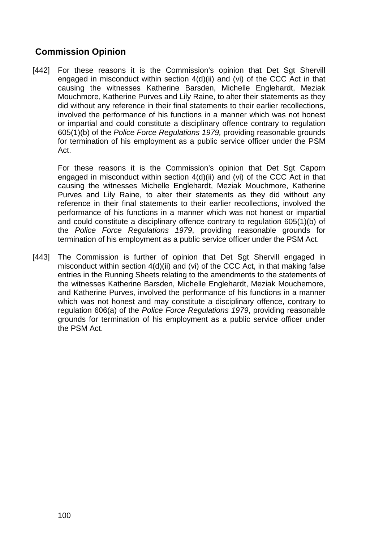# **Commission Opinion**

[442] For these reasons it is the Commission's opinion that Det Sqt Shervill engaged in misconduct within section 4(d)(ii) and (vi) of the CCC Act in that causing the witnesses Katherine Barsden, Michelle Englehardt, Meziak Mouchmore, Katherine Purves and Lily Raine, to alter their statements as they did without any reference in their final statements to their earlier recollections, involved the performance of his functions in a manner which was not honest or impartial and could constitute a disciplinary offence contrary to regulation 605(1)(b) of the *Police Force Regulations 1979,* providing reasonable grounds for termination of his employment as a public service officer under the PSM Act.

For these reasons it is the Commission's opinion that Det Sgt Caporn engaged in misconduct within section 4(d)(ii) and (vi) of the CCC Act in that causing the witnesses Michelle Englehardt, Meziak Mouchmore, Katherine Purves and Lily Raine, to alter their statements as they did without any reference in their final statements to their earlier recollections, involved the performance of his functions in a manner which was not honest or impartial and could constitute a disciplinary offence contrary to regulation 605(1)(b) of the *Police Force Regulations 1979*, providing reasonable grounds for termination of his employment as a public service officer under the PSM Act.

[443] The Commission is further of opinion that Det Sgt Shervill engaged in misconduct within section 4(d)(ii) and (vi) of the CCC Act, in that making false entries in the Running Sheets relating to the amendments to the statements of the witnesses Katherine Barsden, Michelle Englehardt, Meziak Mouchemore, and Katherine Purves, involved the performance of his functions in a manner which was not honest and may constitute a disciplinary offence, contrary to regulation 606(a) of the *Police Force Regulations 1979*, providing reasonable grounds for termination of his employment as a public service officer under the PSM Act.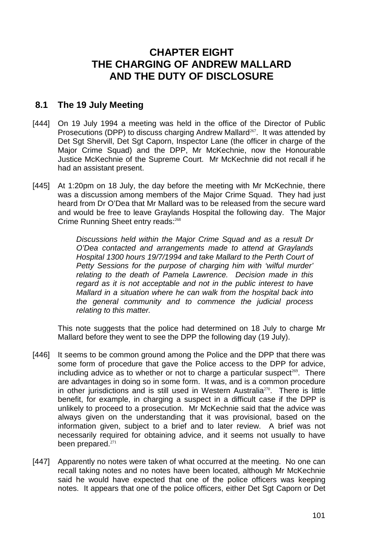# **CHAPTER EIGHT THE CHARGING OF ANDREW MALLARD AND THE DUTY OF DISCLOSURE**

### **8.1 The 19 July Meeting**

- [444] On 19 July 1994 a meeting was held in the office of the Director of Public Prosecutions (DPP) to discuss charging Andrew Mallard<sup>267</sup>. It was attended by Det Sgt Shervill, Det Sgt Caporn, Inspector Lane (the officer in charge of the Major Crime Squad) and the DPP, Mr McKechnie, now the Honourable Justice McKechnie of the Supreme Court. Mr McKechnie did not recall if he had an assistant present.
- [445] At 1:20pm on 18 July, the day before the meeting with Mr McKechnie, there was a discussion among members of the Major Crime Squad. They had just heard from Dr O'Dea that Mr Mallard was to be released from the secure ward and would be free to leave Graylands Hospital the following day. The Major Crime Running Sheet entry reads:<sup>268</sup>

*Discussions held within the Major Crime Squad and as a result Dr O'Dea contacted and arrangements made to attend at Graylands Hospital 1300 hours 19/7/1994 and take Mallard to the Perth Court of Petty Sessions for the purpose of charging him with 'wilful murder' relating to the death of Pamela Lawrence. Decision made in this regard as it is not acceptable and not in the public interest to have Mallard in a situation where he can walk from the hospital back into the general community and to commence the judicial process relating to this matter.* 

This note suggests that the police had determined on 18 July to charge Mr Mallard before they went to see the DPP the following day (19 July).

- [446] It seems to be common ground among the Police and the DPP that there was some form of procedure that gave the Police access to the DPP for advice, including advice as to whether or not to charge a particular suspect<sup>269</sup>. There are advantages in doing so in some form. It was, and is a common procedure in other jurisdictions and is still used in Western Australia $270$ . There is little benefit, for example, in charging a suspect in a difficult case if the DPP is unlikely to proceed to a prosecution. Mr McKechnie said that the advice was always given on the understanding that it was provisional, based on the information given, subject to a brief and to later review. A brief was not necessarily required for obtaining advice, and it seems not usually to have been prepared.<sup>271</sup>
- [447] Apparently no notes were taken of what occurred at the meeting. No one can recall taking notes and no notes have been located, although Mr McKechnie said he would have expected that one of the police officers was keeping notes. It appears that one of the police officers, either Det Sgt Caporn or Det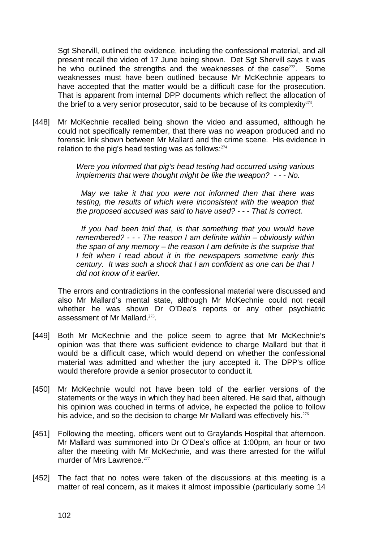Sgt Shervill, outlined the evidence, including the confessional material, and all present recall the video of 17 June being shown. Det Sgt Shervill says it was he who outlined the strengths and the weaknesses of the case $272$ . Some weaknesses must have been outlined because Mr McKechnie appears to have accepted that the matter would be a difficult case for the prosecution. That is apparent from internal DPP documents which reflect the allocation of the brief to a very senior prosecutor, said to be because of its complexity $273$ .

[448] Mr McKechnie recalled being shown the video and assumed, although he could not specifically remember, that there was no weapon produced and no forensic link shown between Mr Mallard and the crime scene. His evidence in relation to the pig's head testing was as follows: $274$ 

> *Were you informed that pig's head testing had occurred using various implements that were thought might be like the weapon? - - - No.*

> *May we take it that you were not informed then that there was testing, the results of which were inconsistent with the weapon that the proposed accused was said to have used? - - - That is correct.*

> *If you had been told that, is that something that you would have remembered? - - - The reason I am definite within – obviously within the span of any memory – the reason I am definite is the surprise that I felt when I read about it in the newspapers sometime early this century. It was such a shock that I am confident as one can be that I did not know of it earlier.*

The errors and contradictions in the confessional material were discussed and also Mr Mallard's mental state, although Mr McKechnie could not recall whether he was shown Dr O'Dea's reports or any other psychiatric assessment of Mr Mallard.<sup>275</sup>.

- [449] Both Mr McKechnie and the police seem to agree that Mr McKechnie's opinion was that there was sufficient evidence to charge Mallard but that it would be a difficult case, which would depend on whether the confessional material was admitted and whether the jury accepted it. The DPP's office would therefore provide a senior prosecutor to conduct it.
- [450] Mr McKechnie would not have been told of the earlier versions of the statements or the ways in which they had been altered. He said that, although his opinion was couched in terms of advice, he expected the police to follow his advice, and so the decision to charge Mr Mallard was effectively his.<sup>276</sup>
- [451] Following the meeting, officers went out to Graylands Hospital that afternoon. Mr Mallard was summoned into Dr O'Dea's office at 1:00pm, an hour or two after the meeting with Mr McKechnie, and was there arrested for the wilful murder of Mrs Lawrence. $277$
- [452] The fact that no notes were taken of the discussions at this meeting is a matter of real concern, as it makes it almost impossible (particularly some 14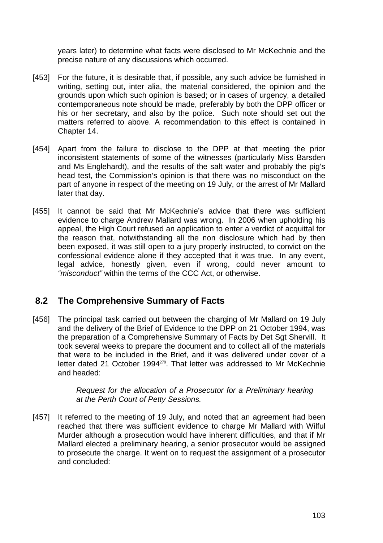years later) to determine what facts were disclosed to Mr McKechnie and the precise nature of any discussions which occurred.

- [453] For the future, it is desirable that, if possible, any such advice be furnished in writing, setting out, inter alia, the material considered, the opinion and the grounds upon which such opinion is based; or in cases of urgency, a detailed contemporaneous note should be made, preferably by both the DPP officer or his or her secretary, and also by the police. Such note should set out the matters referred to above. A recommendation to this effect is contained in Chapter 14.
- [454] Apart from the failure to disclose to the DPP at that meeting the prior inconsistent statements of some of the witnesses (particularly Miss Barsden and Ms Englehardt), and the results of the salt water and probably the pig's head test, the Commission's opinion is that there was no misconduct on the part of anyone in respect of the meeting on 19 July, or the arrest of Mr Mallard later that day.
- [455] It cannot be said that Mr McKechnie's advice that there was sufficient evidence to charge Andrew Mallard was wrong. In 2006 when upholding his appeal, the High Court refused an application to enter a verdict of acquittal for the reason that, notwithstanding all the non disclosure which had by then been exposed, it was still open to a jury properly instructed, to convict on the confessional evidence alone if they accepted that it was true. In any event, legal advice, honestly given, even if wrong, could never amount to *"misconduct"* within the terms of the CCC Act, or otherwise.

### **8.2 The Comprehensive Summary of Facts**

[456] The principal task carried out between the charging of Mr Mallard on 19 July and the delivery of the Brief of Evidence to the DPP on 21 October 1994, was the preparation of a Comprehensive Summary of Facts by Det Sgt Shervill. It took several weeks to prepare the document and to collect all of the materials that were to be included in the Brief, and it was delivered under cover of a letter dated 21 October 1994<sup>278</sup>. That letter was addressed to Mr McKechnie and headed:

> *Request for the allocation of a Prosecutor for a Preliminary hearing at the Perth Court of Petty Sessions.*

[457] It referred to the meeting of 19 July, and noted that an agreement had been reached that there was sufficient evidence to charge Mr Mallard with Wilful Murder although a prosecution would have inherent difficulties, and that if Mr Mallard elected a preliminary hearing, a senior prosecutor would be assigned to prosecute the charge. It went on to request the assignment of a prosecutor and concluded: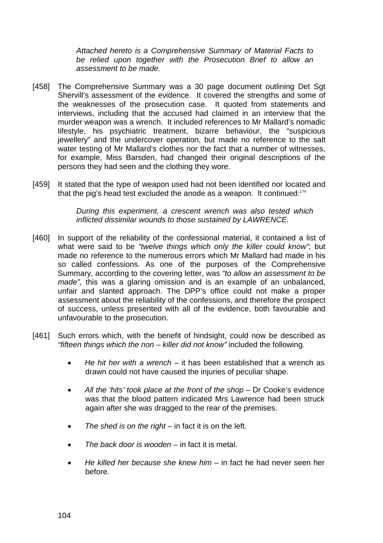*Attached hereto is a Comprehensive Summary of Material Facts to be relied upon together with the Prosecution Brief to allow an assessment to be made.* 

- [458] The Comprehensive Summary was a 30 page document outlining Det Sgt Shervill's assessment of the evidence. It covered the strengths and some of the weaknesses of the prosecution case. It quoted from statements and interviews, including that the accused had claimed in an interview that the murder weapon was a wrench. It included references to Mr Mallard's nomadic lifestyle, his psychiatric treatment, bizarre behaviour, the "suspicious jewellery" and the undercover operation, but made no reference to the salt water testing of Mr Mallard's clothes nor the fact that a number of witnesses, for example, Miss Barsden, had changed their original descriptions of the persons they had seen and the clothing they wore.
- [459] It stated that the type of weapon used had not been identified nor located and that the pig's head test excluded the anode as a weapon. It continued: $279$

*During this experiment, a crescent wrench was also tested which inflicted dissimilar wounds to those sustained by LAWRENCE.*

- [460] In support of the reliability of the confessional material, it contained a list of what were said to be *"twelve things which only the killer could know"*; but made no reference to the numerous errors which Mr Mallard had made in his so called confessions. As one of the purposes of the Comprehensive Summary, according to the covering letter, was *"to allow an assessment to be made"*, this was a glaring omission and is an example of an unbalanced, unfair and slanted approach. The DPP's office could not make a proper assessment about the reliability of the confessions, and therefore the prospect of success, unless presented with all of the evidence, both favourable and unfavourable to the prosecution.
- [461] Such errors which, with the benefit of hindsight, could now be described as *"fifteen things which the non – killer did not know"* included the following.
	- *He hit her with a wrench* it has been established that a wrench as drawn could not have caused the injuries of peculiar shape.
	- All the 'hits' took place at the front of the shop Dr Cooke's evidence was that the blood pattern indicated Mrs Lawrence had been struck again after she was dragged to the rear of the premises.
	- *The shed is on the right* in fact it is on the left.
	- *The back door is wooden* in fact it is metal.
	- *He killed her because she knew him* in fact he had never seen her before.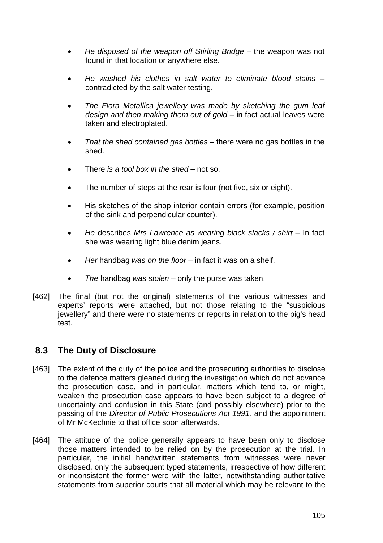- *He disposed of the weapon off Stirling Bridge* the weapon was not found in that location or anywhere else.
- *He washed his clothes in salt water to eliminate blood stains* contradicted by the salt water testing.
- *The Flora Metallica jewellery was made by sketching the gum leaf design and then making them out of gold* – in fact actual leaves were taken and electroplated.
- *That the shed contained gas bottles* there were no gas bottles in the shed.
- There *is a tool box in the shed* not so.
- The number of steps at the rear is four (not five, six or eight).
- His sketches of the shop interior contain errors (for example, position of the sink and perpendicular counter).
- *He* describes *Mrs Lawrence as wearing black slacks / shirt* In fact she was wearing light blue denim jeans.
- *Her* handbag *was on the floor* in fact it was on a shelf.
- *The* handbag *was stolen* only the purse was taken.
- [462] The final (but not the original) statements of the various witnesses and experts' reports were attached, but not those relating to the "suspicious jewellery" and there were no statements or reports in relation to the pig's head test.

### **8.3 The Duty of Disclosure**

- [463] The extent of the duty of the police and the prosecuting authorities to disclose to the defence matters gleaned during the investigation which do not advance the prosecution case, and in particular, matters which tend to, or might, weaken the prosecution case appears to have been subject to a degree of uncertainty and confusion in this State (and possibly elsewhere) prior to the passing of the *Director of Public Prosecutions Act 1991,* and the appointment of Mr McKechnie to that office soon afterwards.
- [464] The attitude of the police generally appears to have been only to disclose those matters intended to be relied on by the prosecution at the trial. In particular, the initial handwritten statements from witnesses were never disclosed, only the subsequent typed statements, irrespective of how different or inconsistent the former were with the latter, notwithstanding authoritative statements from superior courts that all material which may be relevant to the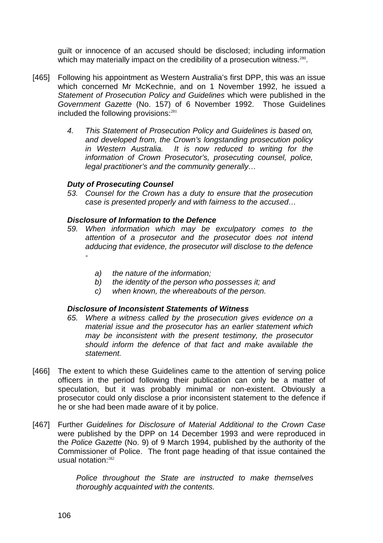guilt or innocence of an accused should be disclosed; including information which may materially impact on the credibility of a prosecution witness.<sup>280</sup>.

- [465] Following his appointment as Western Australia's first DPP, this was an issue which concerned Mr McKechnie, and on 1 November 1992, he issued a *Statement of Prosecution Policy and Guidelines* which were published in the *Government Gazette* (No. 157) of 6 November 1992. Those Guidelines included the following provisions:<sup>281</sup>
	- *4. This Statement of Prosecution Policy and Guidelines is based on, and developed from, the Crown's longstanding prosecution policy in Western Australia. It is now reduced to writing for the information of Crown Prosecutor's, prosecuting counsel, police, legal practitioner's and the community generally…*

#### *Duty of Prosecuting Counsel*

*53. Counsel for the Crown has a duty to ensure that the prosecution case is presented properly and with fairness to the accused…* 

#### *Disclosure of Information to the Defence*

- *59. When information which may be exculpatory comes to the attention of a prosecutor and the prosecutor does not intend adducing that evidence, the prosecutor will disclose to the defence* 
	- *a) the nature of the information;*
	- *b) the identity of the person who possesses it; and*
	- *c) when known, the whereabouts of the person.*

#### *Disclosure of Inconsistent Statements of Witness*

- *65. Where a witness called by the prosecution gives evidence on a material issue and the prosecutor has an earlier statement which may be inconsistent with the present testimony, the prosecutor should inform the defence of that fact and make available the statement.*
- [466] The extent to which these Guidelines came to the attention of serving police officers in the period following their publication can only be a matter of speculation, but it was probably minimal or non-existent. Obviously a prosecutor could only disclose a prior inconsistent statement to the defence if he or she had been made aware of it by police.
- [467] Further *Guidelines for Disclosure of Material Additional to the Crown Case* were published by the DPP on 14 December 1993 and were reproduced in the *Police Gazette* (No. 9) of 9 March 1994, published by the authority of the Commissioner of Police. The front page heading of that issue contained the usual notation:<sup>282</sup>

*Police throughout the State are instructed to make themselves thoroughly acquainted with the contents.*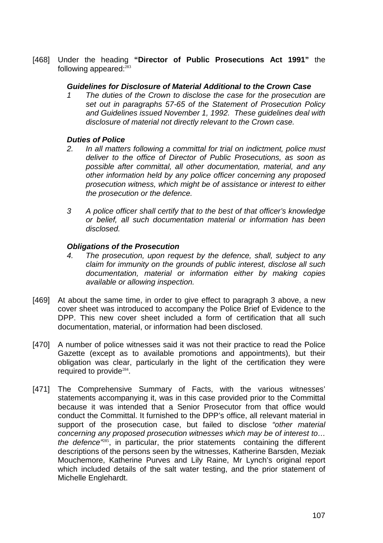[468] Under the heading **"Director of Public Prosecutions Act 1991"** the following appeared:<sup>283</sup>

#### *Guidelines for Disclosure of Material Additional to the Crown Case*

*1 The duties of the Crown to disclose the case for the prosecution are set out in paragraphs 57-65 of the Statement of Prosecution Policy and Guidelines issued November 1, 1992. These guidelines deal with disclosure of material not directly relevant to the Crown case.* 

#### *Duties of Police*

- *2. In all matters following a committal for trial on indictment, police must deliver to the office of Director of Public Prosecutions, as soon as possible after committal, all other documentation, material, and any other information held by any police officer concerning any proposed prosecution witness, which might be of assistance or interest to either the prosecution or the defence.*
- *3 A police officer shall certify that to the best of that officer's knowledge or belief, all such documentation material or information has been disclosed.*

#### *Obligations of the Prosecution*

- *4. The prosecution, upon request by the defence, shall, subject to any claim for immunity on the grounds of public interest, disclose all such documentation, material or information either by making copies available or allowing inspection.*
- [469] At about the same time, in order to give effect to paragraph 3 above, a new cover sheet was introduced to accompany the Police Brief of Evidence to the DPP. This new cover sheet included a form of certification that all such documentation, material, or information had been disclosed.
- [470] A number of police witnesses said it was not their practice to read the Police Gazette (except as to available promotions and appointments), but their obligation was clear, particularly in the light of the certification they were required to provide<sup>284</sup>.
- [471] The Comprehensive Summary of Facts, with the various witnesses' statements accompanying it, was in this case provided prior to the Committal because it was intended that a Senior Prosecutor from that office would conduct the Committal. It furnished to the DPP's office, all relevant material in support of the prosecution case, but failed to disclose *"other material concerning any proposed prosecution witnesses which may be of interest to… the defence"*<sup>285</sup>, in particular, the prior statements containing the different descriptions of the persons seen by the witnesses, Katherine Barsden, Meziak Mouchemore, Katherine Purves and Lily Raine, Mr Lynch's original report which included details of the salt water testing, and the prior statement of Michelle Englehardt.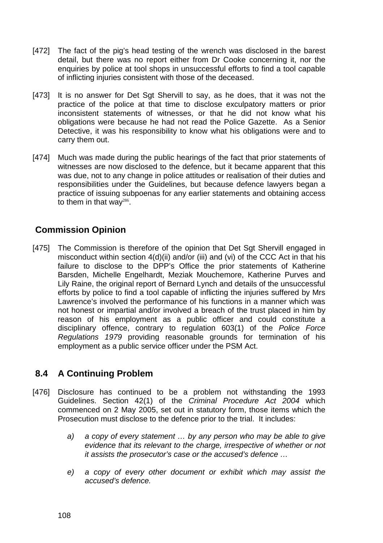- [472] The fact of the pig's head testing of the wrench was disclosed in the barest detail, but there was no report either from Dr Cooke concerning it, nor the enquiries by police at tool shops in unsuccessful efforts to find a tool capable of inflicting injuries consistent with those of the deceased.
- [473] It is no answer for Det Sqt Shervill to say, as he does, that it was not the practice of the police at that time to disclose exculpatory matters or prior inconsistent statements of witnesses, or that he did not know what his obligations were because he had not read the Police Gazette. As a Senior Detective, it was his responsibility to know what his obligations were and to carry them out.
- [474] Much was made during the public hearings of the fact that prior statements of witnesses are now disclosed to the defence, but it became apparent that this was due, not to any change in police attitudes or realisation of their duties and responsibilities under the Guidelines, but because defence lawyers began a practice of issuing subpoenas for any earlier statements and obtaining access to them in that way $286$ .

# **Commission Opinion**

[475] The Commission is therefore of the opinion that Det Sgt Shervill engaged in misconduct within section 4(d)(ii) and/or (iii) and (vi) of the CCC Act in that his failure to disclose to the DPP's Office the prior statements of Katherine Barsden, Michelle Engelhardt, Meziak Mouchemore, Katherine Purves and Lily Raine, the original report of Bernard Lynch and details of the unsuccessful efforts by police to find a tool capable of inflicting the injuries suffered by Mrs Lawrence's involved the performance of his functions in a manner which was not honest or impartial and/or involved a breach of the trust placed in him by reason of his employment as a public officer and could constitute a disciplinary offence, contrary to regulation 603(1) of the *Police Force Regulations 1979* providing reasonable grounds for termination of his employment as a public service officer under the PSM Act.

# **8.4 A Continuing Problem**

- [476] Disclosure has continued to be a problem not withstanding the 1993 Guidelines. Section 42(1) of the *Criminal Procedure Act 2004* which commenced on 2 May 2005, set out in statutory form, those items which the Prosecution must disclose to the defence prior to the trial. It includes:
	- *a) a copy of every statement … by any person who may be able to give evidence that its relevant to the charge, irrespective of whether or not it assists the prosecutor's case or the accused's defence …*
	- *e) a copy of every other document or exhibit which may assist the accused's defence.*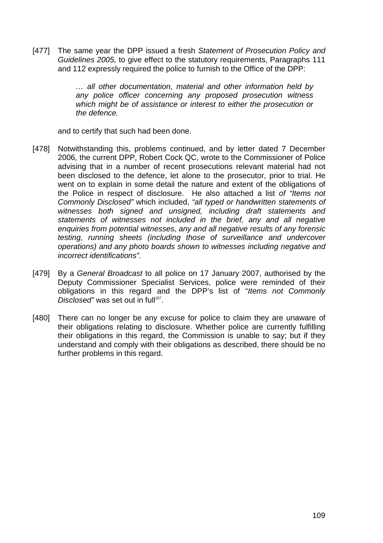[477] The same year the DPP issued a fresh *Statement of Prosecution Policy and Guidelines 2005,* to give effect to the statutory requirements, Paragraphs 111 and 112 expressly required the police to furnish to the Office of the DPP:

> *… all other documentation, material and other information held by any police officer concerning any proposed prosecution witness which might be of assistance or interest to either the prosecution or the defence.*

and to certify that such had been done.

- [478] Notwithstanding this, problems continued, and by letter dated 7 December 2006, the current DPP, Robert Cock QC, wrote to the Commissioner of Police advising that in a number of recent prosecutions relevant material had not been disclosed to the defence, let alone to the prosecutor, prior to trial. He went on to explain in some detail the nature and extent of the obligations of the Police in respect of disclosure. He also attached a list *of "Items not Commonly Disclosed"* which included, *"all typed or handwritten statements of witnesses both signed and unsigned, including draft statements and statements of witnesses not included in the brief, any and all negative enquiries from potential witnesses, any and all negative results of any forensic testing, running sheets (including those of surveillance and undercover operations) and any photo boards shown to witnesses including negative and incorrect identifications".*
- [479] By a *General Broadcast* to all police on 17 January 2007, authorised by the Deputy Commissioner Specialist Services, police were reminded of their obligations in this regard and the DPP's list of "*Items not Commonly Disclosed"* was set out in full<sup>287</sup>.
- [480] There can no longer be any excuse for police to claim they are unaware of their obligations relating to disclosure. Whether police are currently fulfilling their obligations in this regard, the Commission is unable to say; but if they understand and comply with their obligations as described, there should be no further problems in this regard.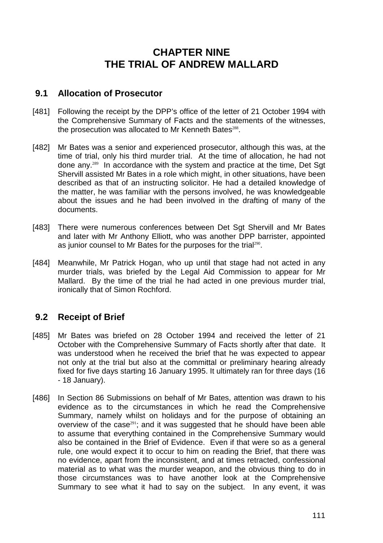# **CHAPTER NINE THE TRIAL OF ANDREW MALLARD**

### **9.1 Allocation of Prosecutor**

- [481] Following the receipt by the DPP's office of the letter of 21 October 1994 with the Comprehensive Summary of Facts and the statements of the witnesses, the prosecution was allocated to Mr Kenneth Bates<sup>288</sup>.
- [482] Mr Bates was a senior and experienced prosecutor, although this was, at the time of trial, only his third murder trial. At the time of allocation, he had not done any.<sup>289</sup> In accordance with the system and practice at the time, Det Sgt Shervill assisted Mr Bates in a role which might, in other situations, have been described as that of an instructing solicitor. He had a detailed knowledge of the matter, he was familiar with the persons involved, he was knowledgeable about the issues and he had been involved in the drafting of many of the documents.
- [483] There were numerous conferences between Det Sqt Shervill and Mr Bates and later with Mr Anthony Elliott, who was another DPP barrister, appointed as junior counsel to Mr Bates for the purposes for the trial<sup>290</sup>.
- [484] Meanwhile, Mr Patrick Hogan, who up until that stage had not acted in any murder trials, was briefed by the Legal Aid Commission to appear for Mr Mallard. By the time of the trial he had acted in one previous murder trial, ironically that of Simon Rochford.

# **9.2 Receipt of Brief**

- [485] Mr Bates was briefed on 28 October 1994 and received the letter of 21 October with the Comprehensive Summary of Facts shortly after that date. It was understood when he received the brief that he was expected to appear not only at the trial but also at the committal or preliminary hearing already fixed for five days starting 16 January 1995. It ultimately ran for three days (16 - 18 January).
- [486] In Section 86 Submissions on behalf of Mr Bates, attention was drawn to his evidence as to the circumstances in which he read the Comprehensive Summary, namely whilst on holidays and for the purpose of obtaining an overview of the case<sup>291</sup>; and it was suggested that he should have been able to assume that everything contained in the Comprehensive Summary would also be contained in the Brief of Evidence. Even if that were so as a general rule, one would expect it to occur to him on reading the Brief, that there was no evidence, apart from the inconsistent, and at times retracted, confessional material as to what was the murder weapon, and the obvious thing to do in those circumstances was to have another look at the Comprehensive Summary to see what it had to say on the subject. In any event, it was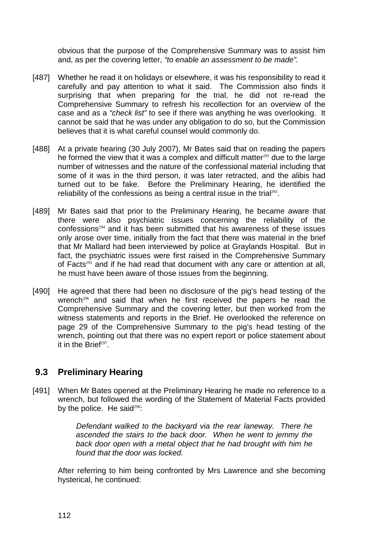obvious that the purpose of the Comprehensive Summary was to assist him and, as per the covering letter, *"to enable an assessment to be made".*

- [487] Whether he read it on holidays or elsewhere, it was his responsibility to read it carefully and pay attention to what it said. The Commission also finds it surprising that when preparing for the trial, he did not re-read the Comprehensive Summary to refresh his recollection for an overview of the case and as a *"check list"* to see if there was anything he was overlooking. It cannot be said that he was under any obligation to do so, but the Commission believes that it is what careful counsel would commonly do.
- [488] At a private hearing (30 July 2007), Mr Bates said that on reading the papers he formed the view that it was a complex and difficult matter $292$  due to the large number of witnesses and the nature of the confessional material including that some of it was in the third person, it was later retracted, and the alibis had turned out to be fake. Before the Preliminary Hearing, he identified the reliability of the confessions as being a central issue in the trial $293$ .
- [489] Mr Bates said that prior to the Preliminary Hearing, he became aware that there were also psychiatric issues concerning the reliability of the confessions<sup>294</sup> and it has been submitted that his awareness of these issues only arose over time, initially from the fact that there was material in the brief that Mr Mallard had been interviewed by police at Graylands Hospital. But in fact, the psychiatric issues were first raised in the Comprehensive Summary of Facts<sup>295</sup> and if he had read that document with any care or attention at all, he must have been aware of those issues from the beginning.
- [490] He agreed that there had been no disclosure of the pig's head testing of the wrench<sup>296</sup> and said that when he first received the papers he read the Comprehensive Summary and the covering letter, but then worked from the witness statements and reports in the Brief. He overlooked the reference on page 29 of the Comprehensive Summary to the pig's head testing of the wrench, pointing out that there was no expert report or police statement about it in the Brief $297$ .

# **9.3 Preliminary Hearing**

[491] When Mr Bates opened at the Preliminary Hearing he made no reference to a wrench, but followed the wording of the Statement of Material Facts provided by the police. He said<sup>298</sup>:

> *Defendant walked to the backyard via the rear laneway. There he ascended the stairs to the back door. When he went to jemmy the back door open with a metal object that he had brought with him he found that the door was locked.*

After referring to him being confronted by Mrs Lawrence and she becoming hysterical, he continued: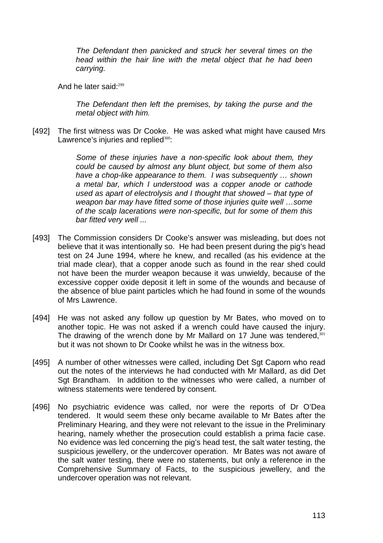*The Defendant then panicked and struck her several times on the head within the hair line with the metal object that he had been carrying.* 

And he later said:<sup>299</sup>

*The Defendant then left the premises, by taking the purse and the metal object with him.* 

[492] The first witness was Dr Cooke. He was asked what might have caused Mrs Lawrence's injuries and replied $300$ :

> *Some of these injuries have a non-specific look about them, they could be caused by almost any blunt object, but some of them also have a chop-like appearance to them. I was subsequently … shown a metal bar, which I understood was a copper anode or cathode used as apart of electrolysis and I thought that showed – that type of weapon bar may have fitted some of those injuries quite well …some of the scalp lacerations were non-specific, but for some of them this bar fitted very well ...*

- [493] The Commission considers Dr Cooke's answer was misleading, but does not believe that it was intentionally so. He had been present during the pig's head test on 24 June 1994, where he knew, and recalled (as his evidence at the trial made clear), that a copper anode such as found in the rear shed could not have been the murder weapon because it was unwieldy, because of the excessive copper oxide deposit it left in some of the wounds and because of the absence of blue paint particles which he had found in some of the wounds of Mrs Lawrence.
- [494] He was not asked any follow up question by Mr Bates, who moved on to another topic. He was not asked if a wrench could have caused the injury. The drawing of the wrench done by Mr Mallard on 17 June was tendered,  $301$ but it was not shown to Dr Cooke whilst he was in the witness box.
- [495] A number of other witnesses were called, including Det Sgt Caporn who read out the notes of the interviews he had conducted with Mr Mallard, as did Det Sgt Brandham. In addition to the witnesses who were called, a number of witness statements were tendered by consent.
- [496] No psychiatric evidence was called, nor were the reports of Dr O'Dea tendered. It would seem these only became available to Mr Bates after the Preliminary Hearing, and they were not relevant to the issue in the Preliminary hearing, namely whether the prosecution could establish a prima facie case. No evidence was led concerning the pig's head test, the salt water testing, the suspicious jewellery, or the undercover operation. Mr Bates was not aware of the salt water testing, there were no statements, but only a reference in the Comprehensive Summary of Facts, to the suspicious jewellery, and the undercover operation was not relevant.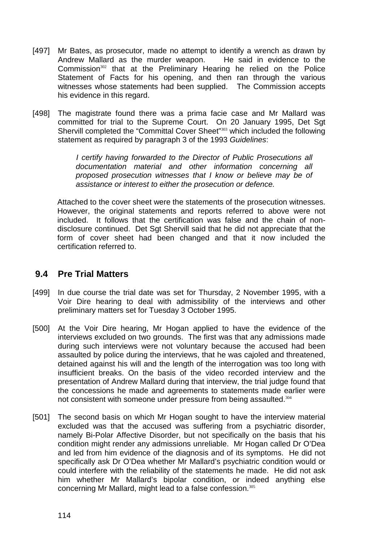- [497] Mr Bates, as prosecutor, made no attempt to identify a wrench as drawn by Andrew Mallard as the murder weapon. He said in evidence to the Commission<sup>302</sup> that at the Preliminary Hearing he relied on the Police Statement of Facts for his opening, and then ran through the various witnesses whose statements had been supplied. The Commission accepts his evidence in this regard.
- [498] The magistrate found there was a prima facie case and Mr Mallard was committed for trial to the Supreme Court. On 20 January 1995, Det Sgt Shervill completed the "Committal Cover Sheet"<sup>303</sup> which included the following statement as required by paragraph 3 of the 1993 *Guidelines*:

*I certify having forwarded to the Director of Public Prosecutions all documentation material and other information concerning all proposed prosecution witnesses that I know or believe may be of assistance or interest to either the prosecution or defence.* 

Attached to the cover sheet were the statements of the prosecution witnesses. However, the original statements and reports referred to above were not included. It follows that the certification was false and the chain of nondisclosure continued. Det Sgt Shervill said that he did not appreciate that the form of cover sheet had been changed and that it now included the certification referred to.

### **9.4 Pre Trial Matters**

- [499] In due course the trial date was set for Thursday, 2 November 1995, with a Voir Dire hearing to deal with admissibility of the interviews and other preliminary matters set for Tuesday 3 October 1995.
- [500] At the Voir Dire hearing. Mr Hogan applied to have the evidence of the interviews excluded on two grounds. The first was that any admissions made during such interviews were not voluntary because the accused had been assaulted by police during the interviews, that he was cajoled and threatened, detained against his will and the length of the interrogation was too long with insufficient breaks. On the basis of the video recorded interview and the presentation of Andrew Mallard during that interview, the trial judge found that the concessions he made and agreements to statements made earlier were not consistent with someone under pressure from being assaulted.<sup>304</sup>
- [501] The second basis on which Mr Hogan sought to have the interview material excluded was that the accused was suffering from a psychiatric disorder, namely Bi-Polar Affective Disorder, but not specifically on the basis that his condition might render any admissions unreliable. Mr Hogan called Dr O'Dea and led from him evidence of the diagnosis and of its symptoms. He did not specifically ask Dr O'Dea whether Mr Mallard's psychiatric condition would or could interfere with the reliability of the statements he made. He did not ask him whether Mr Mallard's bipolar condition, or indeed anything else concerning Mr Mallard, might lead to a false confession.305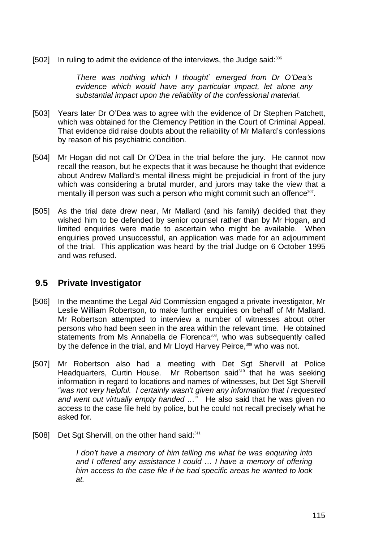[502] In ruling to admit the evidence of the interviews, the Judge said: 306

*There was nothing which I thought` emerged from Dr O'Dea's evidence which would have any particular impact, let alone any substantial impact upon the reliability of the confessional material.* 

- [503] Years later Dr O'Dea was to agree with the evidence of Dr Stephen Patchett, which was obtained for the Clemency Petition in the Court of Criminal Appeal. That evidence did raise doubts about the reliability of Mr Mallard's confessions by reason of his psychiatric condition.
- [504] Mr Hogan did not call Dr O'Dea in the trial before the jury. He cannot now recall the reason, but he expects that it was because he thought that evidence about Andrew Mallard's mental illness might be prejudicial in front of the jury which was considering a brutal murder, and jurors may take the view that a mentally ill person was such a person who might commit such an offence<sup>307</sup>.
- [505] As the trial date drew near, Mr Mallard (and his family) decided that they wished him to be defended by senior counsel rather than by Mr Hogan, and limited enquiries were made to ascertain who might be available. When enquiries proved unsuccessful, an application was made for an adjournment of the trial. This application was heard by the trial Judge on 6 October 1995 and was refused.

### **9.5 Private Investigator**

- [506] In the meantime the Legal Aid Commission engaged a private investigator, Mr Leslie William Robertson, to make further enquiries on behalf of Mr Mallard. Mr Robertson attempted to interview a number of witnesses about other persons who had been seen in the area within the relevant time. He obtained statements from Ms Annabella de Florenca<sup>308</sup>, who was subsequently called by the defence in the trial, and Mr Lloyd Harvey Peirce,<sup>309</sup> who was not.
- [507] Mr Robertson also had a meeting with Det Sgt Shervill at Police Headquarters, Curtin House. Mr Robertson said<sup>310</sup> that he was seeking information in regard to locations and names of witnesses, but Det Sgt Shervill *"was not very helpful. I certainly wasn't given any information that I requested and went out virtually empty handed …"* He also said that he was given no access to the case file held by police, but he could not recall precisely what he asked for.
- [508] Det Sqt Shervill, on the other hand said: 311

I don't have a memory of him telling me what he was enquiring into *and I offered any assistance I could … I have a memory of offering him access to the case file if he had specific areas he wanted to look at.*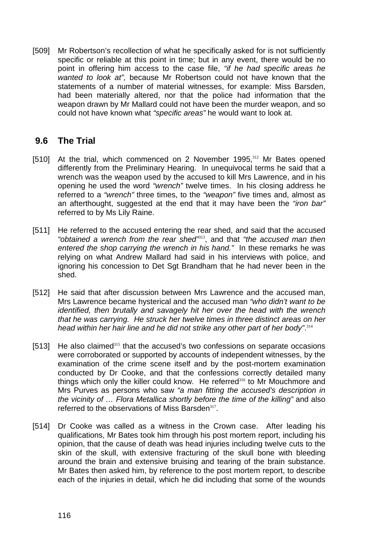[509] Mr Robertson's recollection of what he specifically asked for is not sufficiently specific or reliable at this point in time; but in any event, there would be no point in offering him access to the case file, *"if he had specific areas he wanted to look at",* because Mr Robertson could not have known that the statements of a number of material witnesses, for example: Miss Barsden, had been materially altered, nor that the police had information that the weapon drawn by Mr Mallard could not have been the murder weapon, and so could not have known what *"specific areas"* he would want to look at.

### **9.6 The Trial**

- [510] At the trial, which commenced on 2 November 1995,<sup>312</sup> Mr Bates opened differently from the Preliminary Hearing. In unequivocal terms he said that a wrench was the weapon used by the accused to kill Mrs Lawrence, and in his opening he used the word *"wrench"* twelve times. In his closing address he referred to a *"wrench"* three times, to the *"weapon"* five times and, almost as an afterthought, suggested at the end that it may have been the *"iron bar"* referred to by Ms Lily Raine.
- [511] He referred to the accused entering the rear shed, and said that the accused *"obtained a wrench from the rear shed"*<sup>313</sup>, and that *"the accused man then entered the shop carrying the wrench in his hand."* In these remarks he was relying on what Andrew Mallard had said in his interviews with police, and ignoring his concession to Det Sgt Brandham that he had never been in the shed.
- [512] He said that after discussion between Mrs Lawrence and the accused man, Mrs Lawrence became hysterical and the accused man *"who didn't want to be identified, then brutally and savagely hit her over the head with the wrench that he was carrying. He struck her twelve times in three distinct areas on her head within her hair line and he did not strike any other part of her body"*. 314
- [513] He also claimed<sup>315</sup> that the accused's two confessions on separate occasions were corroborated or supported by accounts of independent witnesses, by the examination of the crime scene itself and by the post-mortem examination conducted by Dr Cooke, and that the confessions correctly detailed many things which only the killer could know. He referred<sup>316</sup> to Mr Mouchmore and Mrs Purves as persons who saw *"a man fitting the accused's description in the vicinity of … Flora Metallica shortly before the time of the killing"* and also referred to the observations of Miss Barsden<sup>317</sup>.
- [514] Dr Cooke was called as a witness in the Crown case. After leading his qualifications, Mr Bates took him through his post mortem report, including his opinion, that the cause of death was head injuries including twelve cuts to the skin of the skull, with extensive fracturing of the skull bone with bleeding around the brain and extensive bruising and tearing of the brain substance. Mr Bates then asked him, by reference to the post mortem report, to describe each of the injuries in detail, which he did including that some of the wounds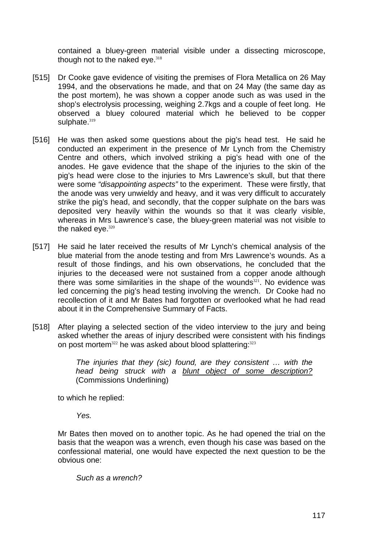contained a bluey-green material visible under a dissecting microscope, though not to the naked eye. $318$ 

- [515] Dr Cooke gave evidence of visiting the premises of Flora Metallica on 26 May 1994, and the observations he made, and that on 24 May (the same day as the post mortem), he was shown a copper anode such as was used in the shop's electrolysis processing, weighing 2.7kgs and a couple of feet long. He observed a bluey coloured material which he believed to be copper sulphate.<sup>319</sup>
- [516] He was then asked some questions about the pig's head test. He said he conducted an experiment in the presence of Mr Lynch from the Chemistry Centre and others, which involved striking a pig's head with one of the anodes. He gave evidence that the shape of the injuries to the skin of the pig's head were close to the injuries to Mrs Lawrence's skull, but that there were some *"disappointing aspects"* to the experiment. These were firstly, that the anode was very unwieldy and heavy, and it was very difficult to accurately strike the pig's head, and secondly, that the copper sulphate on the bars was deposited very heavily within the wounds so that it was clearly visible, whereas in Mrs Lawrence's case, the bluey-green material was not visible to the naked eye.<sup>320</sup>
- [517] He said he later received the results of Mr Lynch's chemical analysis of the blue material from the anode testing and from Mrs Lawrence's wounds. As a result of those findings, and his own observations, he concluded that the injuries to the deceased were not sustained from a copper anode although there was some similarities in the shape of the wounds $321$ . No evidence was led concerning the pig's head testing involving the wrench. Dr Cooke had no recollection of it and Mr Bates had forgotten or overlooked what he had read about it in the Comprehensive Summary of Facts.
- [518] After playing a selected section of the video interview to the jury and being asked whether the areas of injury described were consistent with his findings on post mortem<sup>322</sup> he was asked about blood splattering:<sup>323</sup>

*The injuries that they (sic) found, are they consistent … with the head being struck with a blunt object of some description?*  (Commissions Underlining)

to which he replied:

*Yes.* 

Mr Bates then moved on to another topic. As he had opened the trial on the basis that the weapon was a wrench, even though his case was based on the confessional material, one would have expected the next question to be the obvious one:

*Such as a wrench?*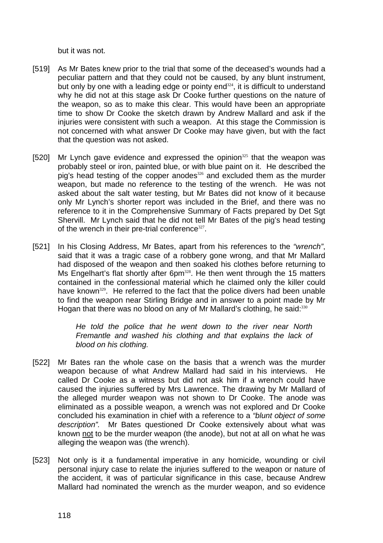but it was not.

- [519] As Mr Bates knew prior to the trial that some of the deceased's wounds had a peculiar pattern and that they could not be caused, by any blunt instrument, but only by one with a leading edge or pointy end $324$ , it is difficult to understand why he did not at this stage ask Dr Cooke further questions on the nature of the weapon, so as to make this clear. This would have been an appropriate time to show Dr Cooke the sketch drawn by Andrew Mallard and ask if the injuries were consistent with such a weapon. At this stage the Commission is not concerned with what answer Dr Cooke may have given, but with the fact that the question was not asked.
- [520] Mr Lynch gave evidence and expressed the opinion $325$  that the weapon was probably steel or iron, painted blue, or with blue paint on it. He described the pig's head testing of the copper anodes<sup>326</sup> and excluded them as the murder weapon, but made no reference to the testing of the wrench. He was not asked about the salt water testing, but Mr Bates did not know of it because only Mr Lynch's shorter report was included in the Brief, and there was no reference to it in the Comprehensive Summary of Facts prepared by Det Sgt Shervill. Mr Lynch said that he did not tell Mr Bates of the pig's head testing of the wrench in their pre-trial conference<sup>327</sup>.
- [521] In his Closing Address, Mr Bates, apart from his references to the *"wrench"*, said that it was a tragic case of a robbery gone wrong, and that Mr Mallard had disposed of the weapon and then soaked his clothes before returning to Ms Engelhart's flat shortly after 6pm<sup>328</sup>. He then went through the 15 matters contained in the confessional material which he claimed only the killer could have known<sup>329</sup>. He referred to the fact that the police divers had been unable to find the weapon near Stirling Bridge and in answer to a point made by Mr Hogan that there was no blood on any of Mr Mallard's clothing, he said:<sup>330</sup>

*He told the police that he went down to the river near North Fremantle and washed his clothing and that explains the lack of blood on his clothing.*

- [522] Mr Bates ran the whole case on the basis that a wrench was the murder weapon because of what Andrew Mallard had said in his interviews. He called Dr Cooke as a witness but did not ask him if a wrench could have caused the injuries suffered by Mrs Lawrence. The drawing by Mr Mallard of the alleged murder weapon was not shown to Dr Cooke. The anode was eliminated as a possible weapon, a wrench was not explored and Dr Cooke concluded his examination in chief with a reference to a *"blunt object of some description".* Mr Bates questioned Dr Cooke extensively about what was known not to be the murder weapon (the anode), but not at all on what he was alleging the weapon was (the wrench).
- [523] Not only is it a fundamental imperative in any homicide, wounding or civil personal injury case to relate the injuries suffered to the weapon or nature of the accident, it was of particular significance in this case, because Andrew Mallard had nominated the wrench as the murder weapon, and so evidence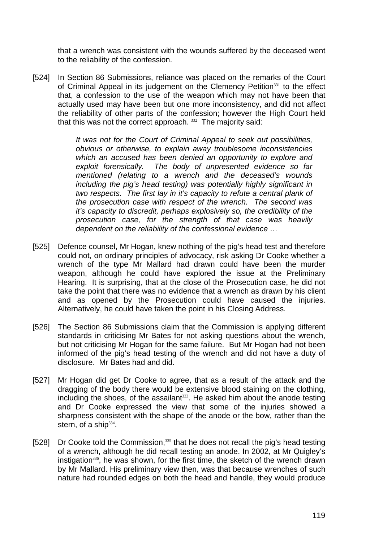that a wrench was consistent with the wounds suffered by the deceased went to the reliability of the confession.

[524] In Section 86 Submissions, reliance was placed on the remarks of the Court of Criminal Appeal in its judgement on the Clemency Petition<sup>331</sup> to the effect that, a confession to the use of the weapon which may not have been that actually used may have been but one more inconsistency, and did not affect the reliability of other parts of the confession; however the High Court held that this was not the correct approach.<sup>332</sup> The majority said:

> *It was not for the Court of Criminal Appeal to seek out possibilities, obvious or otherwise, to explain away troublesome inconsistencies which an accused has been denied an opportunity to explore and exploit forensically. The body of unpresented evidence so far mentioned (relating to a wrench and the deceased's wounds including the pig's head testing) was potentially highly significant in two respects. The first lay in it's capacity to refute a central plank of the prosecution case with respect of the wrench. The second was it's capacity to discredit, perhaps explosively so, the credibility of the prosecution case, for the strength of that case was heavily dependent on the reliability of the confessional evidence …*

- [525] Defence counsel, Mr Hogan, knew nothing of the pig's head test and therefore could not, on ordinary principles of advocacy, risk asking Dr Cooke whether a wrench of the type Mr Mallard had drawn could have been the murder weapon, although he could have explored the issue at the Preliminary Hearing. It is surprising, that at the close of the Prosecution case, he did not take the point that there was no evidence that a wrench as drawn by his client and as opened by the Prosecution could have caused the injuries. Alternatively, he could have taken the point in his Closing Address.
- [526] The Section 86 Submissions claim that the Commission is applying different standards in criticising Mr Bates for not asking questions about the wrench, but not criticising Mr Hogan for the same failure. But Mr Hogan had not been informed of the pig's head testing of the wrench and did not have a duty of disclosure. Mr Bates had and did.
- [527] Mr Hogan did get Dr Cooke to agree, that as a result of the attack and the dragging of the body there would be extensive blood staining on the clothing, including the shoes, of the assailant<sup>333</sup>. He asked him about the anode testing and Dr Cooke expressed the view that some of the injuries showed a sharpness consistent with the shape of the anode or the bow, rather than the stern, of a ship $334$ .
- [528] Dr Cooke told the Commission,<sup>335</sup> that he does not recall the pig's head testing of a wrench, although he did recall testing an anode. In 2002, at Mr Quigley's instigation<sup>336</sup>, he was shown, for the first time, the sketch of the wrench drawn by Mr Mallard. His preliminary view then, was that because wrenches of such nature had rounded edges on both the head and handle, they would produce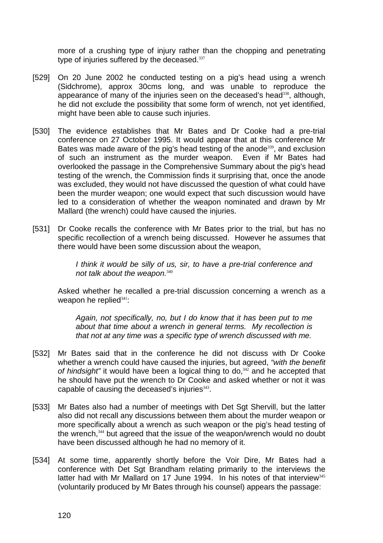more of a crushing type of injury rather than the chopping and penetrating type of injuries suffered by the deceased.<sup>337</sup>

- [529] On 20 June 2002 he conducted testing on a pig's head using a wrench (Sidchrome), approx 30cms long, and was unable to reproduce the appearance of many of the injuries seen on the deceased's head<sup>338</sup>, although, he did not exclude the possibility that some form of wrench, not yet identified, might have been able to cause such injuries.
- [530] The evidence establishes that Mr Bates and Dr Cooke had a pre-trial conference on 27 October 1995. It would appear that at this conference Mr Bates was made aware of the pig's head testing of the anode<sup>339</sup>, and exclusion of such an instrument as the murder weapon. Even if Mr Bates had overlooked the passage in the Comprehensive Summary about the pig's head testing of the wrench, the Commission finds it surprising that, once the anode was excluded, they would not have discussed the question of what could have been the murder weapon; one would expect that such discussion would have led to a consideration of whether the weapon nominated and drawn by Mr Mallard (the wrench) could have caused the injuries.
- [531] Dr Cooke recalls the conference with Mr Bates prior to the trial, but has no specific recollection of a wrench being discussed. However he assumes that there would have been some discussion about the weapon,

*I think it would be silly of us, sir, to have a pre-trial conference and not talk about the weapon.*<sup>340</sup>

Asked whether he recalled a pre-trial discussion concerning a wrench as a weapon he replied $341$ :

*Again, not specifically, no, but I do know that it has been put to me about that time about a wrench in general terms. My recollection is that not at any time was a specific type of wrench discussed with me.*

- [532] Mr Bates said that in the conference he did not discuss with Dr Cooke whether a wrench could have caused the injuries, but agreed, *"with the benefit*  of hindsight" it would have been a logical thing to do,<sup>342</sup> and he accepted that he should have put the wrench to Dr Cooke and asked whether or not it was capable of causing the deceased's injuries<sup>343</sup>.
- [533] Mr Bates also had a number of meetings with Det Sgt Shervill, but the latter also did not recall any discussions between them about the murder weapon or more specifically about a wrench as such weapon or the pig's head testing of the wrench,<sup>344</sup> but agreed that the issue of the weapon/wrench would no doubt have been discussed although he had no memory of it.
- [534] At some time, apparently shortly before the Voir Dire, Mr Bates had a conference with Det Sgt Brandham relating primarily to the interviews the latter had with Mr Mallard on 17 June 1994. In his notes of that interview<sup>345</sup> (voluntarily produced by Mr Bates through his counsel) appears the passage: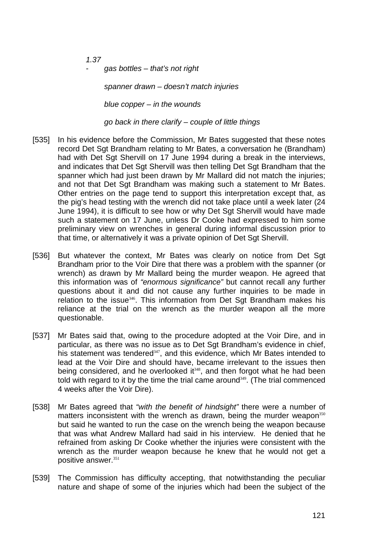*1.37* 

*- gas bottles – that's not right* 

 *spanner drawn – doesn't match injuries* 

 *blue copper – in the wounds* 

 *go back in there clarify – couple of little things*

- [535] In his evidence before the Commission, Mr Bates suggested that these notes record Det Sgt Brandham relating to Mr Bates, a conversation he (Brandham) had with Det Sgt Shervill on 17 June 1994 during a break in the interviews, and indicates that Det Sgt Shervill was then telling Det Sgt Brandham that the spanner which had just been drawn by Mr Mallard did not match the injuries; and not that Det Sgt Brandham was making such a statement to Mr Bates. Other entries on the page tend to support this interpretation except that, as the pig's head testing with the wrench did not take place until a week later (24 June 1994), it is difficult to see how or why Det Sgt Shervill would have made such a statement on 17 June, unless Dr Cooke had expressed to him some preliminary view on wrenches in general during informal discussion prior to that time, or alternatively it was a private opinion of Det Sgt Shervill.
- [536] But whatever the context, Mr Bates was clearly on notice from Det Sgt Brandham prior to the Voir Dire that there was a problem with the spanner (or wrench) as drawn by Mr Mallard being the murder weapon. He agreed that this information was of *"enormous significance"* but cannot recall any further questions about it and did not cause any further inquiries to be made in relation to the issue<sup>346</sup>. This information from Det Sqt Brandham makes his reliance at the trial on the wrench as the murder weapon all the more questionable.
- [537] Mr Bates said that, owing to the procedure adopted at the Voir Dire, and in particular, as there was no issue as to Det Sgt Brandham's evidence in chief, his statement was tendered<sup>347</sup>, and this evidence, which Mr Bates intended to lead at the Voir Dire and should have, became irrelevant to the issues then being considered, and he overlooked it $348$ , and then forgot what he had been told with regard to it by the time the trial came around<sup>349</sup>. (The trial commenced 4 weeks after the Voir Dire).
- [538] Mr Bates agreed that *"with the benefit of hindsight"* there were a number of matters inconsistent with the wrench as drawn, being the murder weapon<sup>350</sup> but said he wanted to run the case on the wrench being the weapon because that was what Andrew Mallard had said in his interview. He denied that he refrained from asking Dr Cooke whether the injuries were consistent with the wrench as the murder weapon because he knew that he would not get a positive answer.<sup>351</sup>
- [539] The Commission has difficulty accepting, that notwithstanding the peculiar nature and shape of some of the injuries which had been the subject of the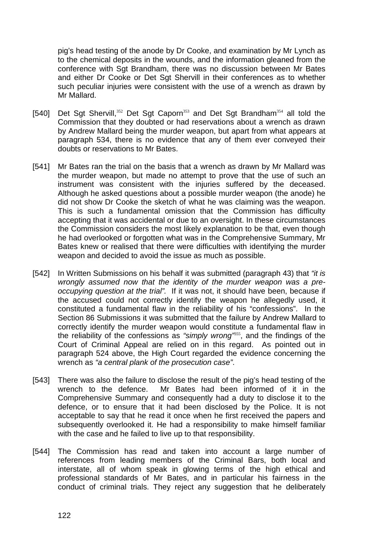pig's head testing of the anode by Dr Cooke, and examination by Mr Lynch as to the chemical deposits in the wounds, and the information gleaned from the conference with Sgt Brandham, there was no discussion between Mr Bates and either Dr Cooke or Det Sgt Shervill in their conferences as to whether such peculiar injuries were consistent with the use of a wrench as drawn by Mr Mallard.

- [540] Det Sgt Shervill,<sup>352</sup> Det Sgt Caporn<sup>353</sup> and Det Sgt Brandham<sup>354</sup> all told the Commission that they doubted or had reservations about a wrench as drawn by Andrew Mallard being the murder weapon, but apart from what appears at paragraph 534, there is no evidence that any of them ever conveyed their doubts or reservations to Mr Bates.
- [541] Mr Bates ran the trial on the basis that a wrench as drawn by Mr Mallard was the murder weapon, but made no attempt to prove that the use of such an instrument was consistent with the injuries suffered by the deceased. Although he asked questions about a possible murder weapon (the anode) he did not show Dr Cooke the sketch of what he was claiming was the weapon. This is such a fundamental omission that the Commission has difficulty accepting that it was accidental or due to an oversight. In these circumstances the Commission considers the most likely explanation to be that, even though he had overlooked or forgotten what was in the Comprehensive Summary, Mr Bates knew or realised that there were difficulties with identifying the murder weapon and decided to avoid the issue as much as possible.
- [542] In Written Submissions on his behalf it was submitted (paragraph 43) that *"it is wrongly assumed now that the identity of the murder weapon was a preoccupying question at the trial".* If it was not, it should have been, because if the accused could not correctly identify the weapon he allegedly used, it constituted a fundamental flaw in the reliability of his "confessions". In the Section 86 Submissions it was submitted that the failure by Andrew Mallard to correctly identify the murder weapon would constitute a fundamental flaw in the reliability of the confessions as *"simply wrong"*<sup>355</sup>, and the findings of the Court of Criminal Appeal are relied on in this regard. As pointed out in paragraph 524 above, the High Court regarded the evidence concerning the wrench as *"a central plank of the prosecution case"*.
- [543] There was also the failure to disclose the result of the pig's head testing of the wrench to the defence. Mr Bates had been informed of it in the Comprehensive Summary and consequently had a duty to disclose it to the defence, or to ensure that it had been disclosed by the Police. It is not acceptable to say that he read it once when he first received the papers and subsequently overlooked it. He had a responsibility to make himself familiar with the case and he failed to live up to that responsibility.
- [544] The Commission has read and taken into account a large number of references from leading members of the Criminal Bars, both local and interstate, all of whom speak in glowing terms of the high ethical and professional standards of Mr Bates, and in particular his fairness in the conduct of criminal trials. They reject any suggestion that he deliberately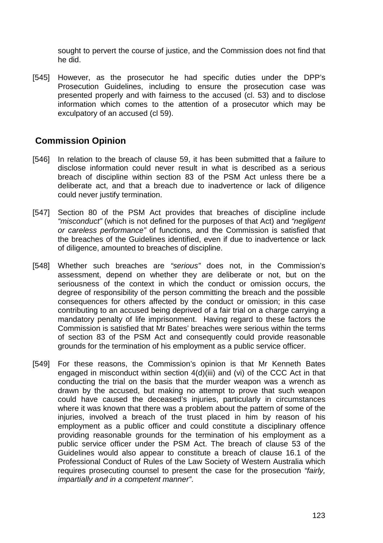sought to pervert the course of justice, and the Commission does not find that he did.

[545] However, as the prosecutor he had specific duties under the DPP's Prosecution Guidelines, including to ensure the prosecution case was presented properly and with fairness to the accused (cl. 53) and to disclose information which comes to the attention of a prosecutor which may be exculpatory of an accused (cl 59).

# **Commission Opinion**

- [546] In relation to the breach of clause 59, it has been submitted that a failure to disclose information could never result in what is described as a serious breach of discipline within section 83 of the PSM Act unless there be a deliberate act, and that a breach due to inadvertence or lack of diligence could never justify termination.
- [547] Section 80 of the PSM Act provides that breaches of discipline include *"misconduct"* (which is not defined for the purposes of that Act) and *"negligent or careless performance"* of functions, and the Commission is satisfied that the breaches of the Guidelines identified, even if due to inadvertence or lack of diligence, amounted to breaches of discipline.
- [548] Whether such breaches are *"serious"* does not, in the Commission's assessment, depend on whether they are deliberate or not, but on the seriousness of the context in which the conduct or omission occurs, the degree of responsibility of the person committing the breach and the possible consequences for others affected by the conduct or omission; in this case contributing to an accused being deprived of a fair trial on a charge carrying a mandatory penalty of life imprisonment. Having regard to these factors the Commission is satisfied that Mr Bates' breaches were serious within the terms of section 83 of the PSM Act and consequently could provide reasonable grounds for the termination of his employment as a public service officer.
- [549] For these reasons, the Commission's opinion is that Mr Kenneth Bates engaged in misconduct within section 4(d)(iii) and (vi) of the CCC Act in that conducting the trial on the basis that the murder weapon was a wrench as drawn by the accused, but making no attempt to prove that such weapon could have caused the deceased's injuries, particularly in circumstances where it was known that there was a problem about the pattern of some of the injuries, involved a breach of the trust placed in him by reason of his employment as a public officer and could constitute a disciplinary offence providing reasonable grounds for the termination of his employment as a public service officer under the PSM Act. The breach of clause 53 of the Guidelines would also appear to constitute a breach of clause 16.1 of the Professional Conduct of Rules of the Law Society of Western Australia which requires prosecuting counsel to present the case for the prosecution *"fairly, impartially and in a competent manner"*.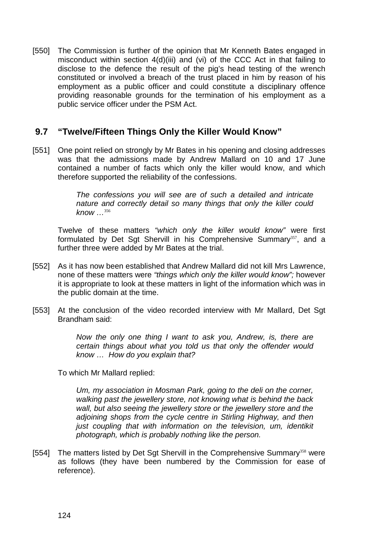[550] The Commission is further of the opinion that Mr Kenneth Bates engaged in misconduct within section 4(d)(iii) and (vi) of the CCC Act in that failing to disclose to the defence the result of the pig's head testing of the wrench constituted or involved a breach of the trust placed in him by reason of his employment as a public officer and could constitute a disciplinary offence providing reasonable grounds for the termination of his employment as a public service officer under the PSM Act.

## **9.7 "Twelve/Fifteen Things Only the Killer Would Know"**

[551] One point relied on strongly by Mr Bates in his opening and closing addresses was that the admissions made by Andrew Mallard on 10 and 17 June contained a number of facts which only the killer would know, and which therefore supported the reliability of the confessions.

> *The confessions you will see are of such a detailed and intricate nature and correctly detail so many things that only the killer could know …*<sup>356</sup>

Twelve of these matters *"which only the killer would know"* were first formulated by Det Sqt Shervill in his Comprehensive Summary<sup>357</sup>, and a further three were added by Mr Bates at the trial.

- [552] As it has now been established that Andrew Mallard did not kill Mrs Lawrence, none of these matters were *"things which only the killer would know";* however it is appropriate to look at these matters in light of the information which was in the public domain at the time.
- [553] At the conclusion of the video recorded interview with Mr Mallard, Det Sgt Brandham said:

*Now the only one thing I want to ask you, Andrew, is, there are certain things about what you told us that only the offender would know … How do you explain that?* 

To which Mr Mallard replied:

*Um, my association in Mosman Park, going to the deli on the corner, walking past the jewellery store, not knowing what is behind the back wall, but also seeing the jewellery store or the jewellery store and the adjoining shops from the cycle centre in Stirling Highway, and then just coupling that with information on the television, um, identikit photograph, which is probably nothing like the person.*

[554] The matters listed by Det Sgt Shervill in the Comprehensive Summary<sup>358</sup> were as follows (they have been numbered by the Commission for ease of reference).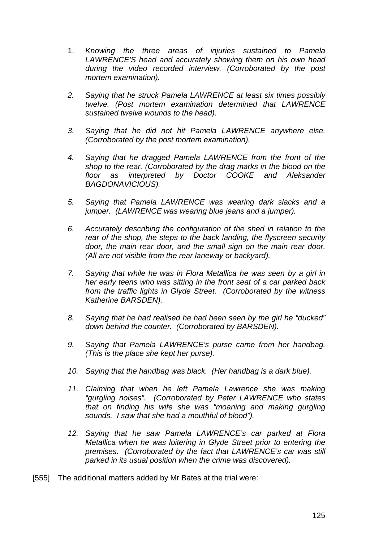- 1. *Knowing the three areas of injuries sustained to Pamela LAWRENCE'S head and accurately showing them on his own head during the video recorded interview. (Corroborated by the post mortem examination).*
- *2. Saying that he struck Pamela LAWRENCE at least six times possibly twelve. (Post mortem examination determined that LAWRENCE sustained twelve wounds to the head).*
- *3. Saying that he did not hit Pamela LAWRENCE anywhere else. (Corroborated by the post mortem examination).*
- *4. Saying that he dragged Pamela LAWRENCE from the front of the shop to the rear. (Corroborated by the drag marks in the blood on the floor as interpreted by Doctor COOKE and Aleksander BAGDONAVICIOUS).*
- *5. Saying that Pamela LAWRENCE was wearing dark slacks and a jumper. (LAWRENCE was wearing blue jeans and a jumper).*
- *6. Accurately describing the configuration of the shed in relation to the rear of the shop, the steps to the back landing, the flyscreen security door, the main rear door, and the small sign on the main rear door. (All are not visible from the rear laneway or backyard).*
- *7. Saying that while he was in Flora Metallica he was seen by a girl in her early teens who was sitting in the front seat of a car parked back from the traffic lights in Glyde Street. (Corroborated by the witness Katherine BARSDEN).*
- *8. Saying that he had realised he had been seen by the girl he "ducked" down behind the counter. (Corroborated by BARSDEN).*
- *9. Saying that Pamela LAWRENCE's purse came from her handbag. (This is the place she kept her purse).*
- *10. Saying that the handbag was black. (Her handbag is a dark blue).*
- 11. Claiming that when he left Pamela Lawrence she was making *"gurgling noises". (Corroborated by Peter LAWRENCE who states that on finding his wife she was "moaning and making gurgling sounds. I saw that she had a mouthful of blood").*
- *12. Saying that he saw Pamela LAWRENCE's car parked at Flora Metallica when he was loitering in Glyde Street prior to entering the premises. (Corroborated by the fact that LAWRENCE's car was still parked in its usual position when the crime was discovered).*
- [555] The additional matters added by Mr Bates at the trial were: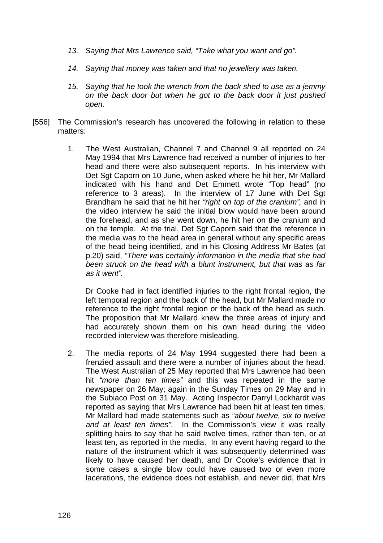- *13. Saying that Mrs Lawrence said, "Take what you want and go".*
- *14. Saying that money was taken and that no jewellery was taken.*
- *15. Saying that he took the wrench from the back shed to use as a jemmy on the back door but when he got to the back door it just pushed open.*
- [556] The Commission's research has uncovered the following in relation to these matters:
	- 1. The West Australian, Channel 7 and Channel 9 all reported on 24 May 1994 that Mrs Lawrence had received a number of injuries to her head and there were also subsequent reports. In his interview with Det Sgt Caporn on 10 June, when asked where he hit her, Mr Mallard indicated with his hand and Det Emmett wrote "Top head" (no reference to 3 areas). In the interview of 17 June with Det Sgt Brandham he said that he hit her *"right on top of the cranium",* and in the video interview he said the initial blow would have been around the forehead, and as she went down, he hit her on the cranium and on the temple. At the trial, Det Sgt Caporn said that the reference in the media was to the head area in general without any specific areas of the head being identified, and in his Closing Address Mr Bates (at p.20) said, *"There was certainly information in the media that she had been struck on the head with a blunt instrument, but that was as far as it went".*

Dr Cooke had in fact identified injuries to the right frontal region, the left temporal region and the back of the head, but Mr Mallard made no reference to the right frontal region or the back of the head as such. The proposition that Mr Mallard knew the three areas of injury and had accurately shown them on his own head during the video recorded interview was therefore misleading.

2. The media reports of 24 May 1994 suggested there had been a frenzied assault and there were a number of injuries about the head. The West Australian of 25 May reported that Mrs Lawrence had been hit *"more than ten times"* and this was repeated in the same newspaper on 26 May; again in the Sunday Times on 29 May and in the Subiaco Post on 31 May. Acting Inspector Darryl Lockhardt was reported as saying that Mrs Lawrence had been hit at least ten times. Mr Mallard had made statements such as *"about twelve, six to twelve and at least ten times"*. In the Commission's view it was really splitting hairs to say that he said twelve times, rather than ten, or at least ten, as reported in the media. In any event having regard to the nature of the instrument which it was subsequently determined was likely to have caused her death, and Dr Cooke's evidence that in some cases a single blow could have caused two or even more lacerations, the evidence does not establish, and never did, that Mrs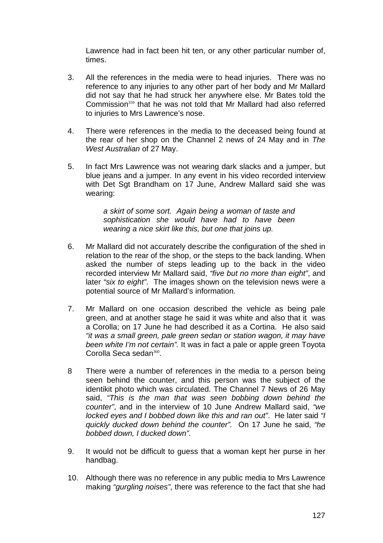Lawrence had in fact been hit ten, or any other particular number of, times.

- 3. All the references in the media were to head injuries. There was no reference to any injuries to any other part of her body and Mr Mallard did not say that he had struck her anywhere else. Mr Bates told the Commission<sup>359</sup> that he was not told that Mr Mallard had also referred to injuries to Mrs Lawrence's nose.
- 4. There were references in the media to the deceased being found at the rear of her shop on the Channel 2 news of 24 May and in *The West Australian* of 27 May.
- 5. In fact Mrs Lawrence was not wearing dark slacks and a jumper, but blue jeans and a jumper. In any event in his video recorded interview with Det Sgt Brandham on 17 June, Andrew Mallard said she was wearing:

*a skirt of some sort. Again being a woman of taste and sophistication she would have had to have been wearing a nice skirt like this, but one that joins up.* 

- 6. Mr Mallard did not accurately describe the configuration of the shed in relation to the rear of the shop, or the steps to the back landing. When asked the number of steps leading up to the back in the video recorded interview Mr Mallard said, *"five but no more than eight"*, and later *"six to eight"*. The images shown on the television news were a potential source of Mr Mallard's information.
- 7. Mr Mallard on one occasion described the vehicle as being pale green, and at another stage he said it was white and also that it was a Corolla; on 17 June he had described it as a Cortina. He also said *"it was a small green, pale green sedan or station wagon, it may have been white I'm not certain".* It was in fact a pale or apple green Toyota Corolla Seca sedan<sup>360</sup>.
- 8 There were a number of references in the media to a person being seen behind the counter, and this person was the subject of the identikit photo which was circulated. The Channel 7 News of 26 May said, *"This is the man that was seen bobbing down behind the counter"*, and in the interview of 10 June Andrew Mallard said, *"we locked eyes and I bobbed down like this and ran out"*. He later said *"I quickly ducked down behind the counter".* On 17 June he said, *"he bobbed down, I ducked down".*
- 9. It would not be difficult to guess that a woman kept her purse in her handbag.
- 10. Although there was no reference in any public media to Mrs Lawrence making *"gurgling noises"*, there was reference to the fact that she had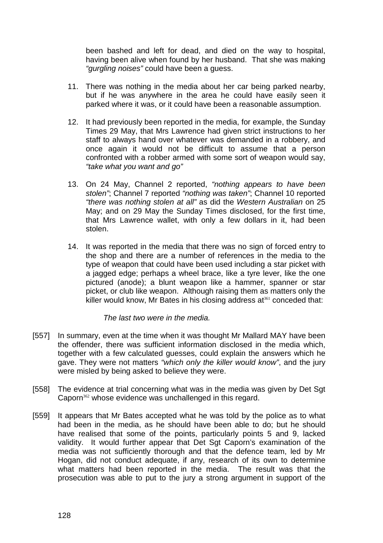been bashed and left for dead, and died on the way to hospital, having been alive when found by her husband. That she was making *"gurgling noises"* could have been a guess.

- 11. There was nothing in the media about her car being parked nearby, but if he was anywhere in the area he could have easily seen it parked where it was, or it could have been a reasonable assumption.
- 12. It had previously been reported in the media, for example, the Sunday Times 29 May, that Mrs Lawrence had given strict instructions to her staff to always hand over whatever was demanded in a robbery, and once again it would not be difficult to assume that a person confronted with a robber armed with some sort of weapon would say, *"take what you want and go"*
- 13. On 24 May, Channel 2 reported, *"nothing appears to have been stolen"*; Channel 7 reported *"nothing was taken"*; Channel 10 reported *"there was nothing stolen at all"* as did the *Western Australian* on 25 May; and on 29 May the Sunday Times disclosed, for the first time, that Mrs Lawrence wallet, with only a few dollars in it, had been stolen.
- 14. It was reported in the media that there was no sign of forced entry to the shop and there are a number of references in the media to the type of weapon that could have been used including a star picket with a jagged edge; perhaps a wheel brace, like a tyre lever, like the one pictured (anode); a blunt weapon like a hammer, spanner or star picket, or club like weapon. Although raising them as matters only the killer would know, Mr Bates in his closing address  $at<sub>361</sub>$  conceded that:

*The last two were in the media.*

- [557] In summary, even at the time when it was thought Mr Mallard MAY have been the offender, there was sufficient information disclosed in the media which, together with a few calculated guesses, could explain the answers which he gave. They were not matters *"which only the killer would know"*, and the jury were misled by being asked to believe they were.
- [558] The evidence at trial concerning what was in the media was given by Det Sgt Caporn<sup>362</sup> whose evidence was unchallenged in this regard.
- [559] It appears that Mr Bates accepted what he was told by the police as to what had been in the media, as he should have been able to do; but he should have realised that some of the points, particularly points 5 and 9, lacked validity. It would further appear that Det Sgt Caporn's examination of the media was not sufficiently thorough and that the defence team, led by Mr Hogan, did not conduct adequate, if any, research of its own to determine what matters had been reported in the media. The result was that the prosecution was able to put to the jury a strong argument in support of the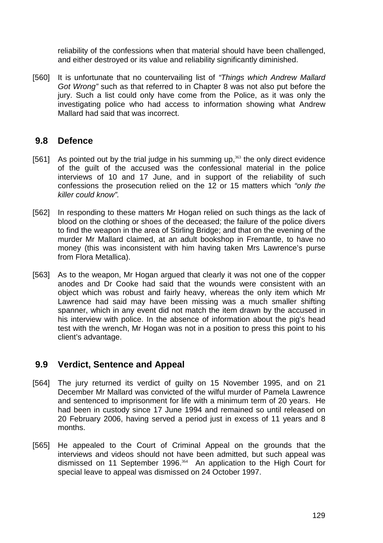reliability of the confessions when that material should have been challenged, and either destroyed or its value and reliability significantly diminished.

[560] It is unfortunate that no countervailing list of *"Things which Andrew Mallard Got Wrong"* such as that referred to in Chapter 8 was not also put before the jury. Such a list could only have come from the Police, as it was only the investigating police who had access to information showing what Andrew Mallard had said that was incorrect.

### **9.8 Defence**

- [561] As pointed out by the trial judge in his summing up, $363$  the only direct evidence of the guilt of the accused was the confessional material in the police interviews of 10 and 17 June, and in support of the reliability of such confessions the prosecution relied on the 12 or 15 matters which *"only the killer could know".*
- [562] In responding to these matters Mr Hogan relied on such things as the lack of blood on the clothing or shoes of the deceased; the failure of the police divers to find the weapon in the area of Stirling Bridge; and that on the evening of the murder Mr Mallard claimed, at an adult bookshop in Fremantle, to have no money (this was inconsistent with him having taken Mrs Lawrence's purse from Flora Metallica).
- [563] As to the weapon, Mr Hogan argued that clearly it was not one of the copper anodes and Dr Cooke had said that the wounds were consistent with an object which was robust and fairly heavy, whereas the only item which Mr Lawrence had said may have been missing was a much smaller shifting spanner, which in any event did not match the item drawn by the accused in his interview with police. In the absence of information about the pig's head test with the wrench, Mr Hogan was not in a position to press this point to his client's advantage.

### **9.9 Verdict, Sentence and Appeal**

- [564] The jury returned its verdict of guilty on 15 November 1995, and on 21 December Mr Mallard was convicted of the wilful murder of Pamela Lawrence and sentenced to imprisonment for life with a minimum term of 20 years. He had been in custody since 17 June 1994 and remained so until released on 20 February 2006, having served a period just in excess of 11 years and 8 months.
- [565] He appealed to the Court of Criminal Appeal on the grounds that the interviews and videos should not have been admitted, but such appeal was dismissed on 11 September 1996.<sup>364</sup> An application to the High Court for special leave to appeal was dismissed on 24 October 1997.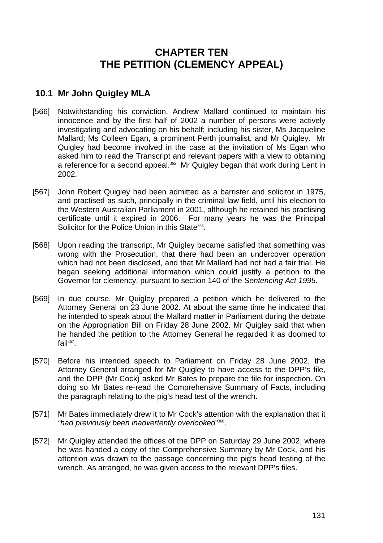# **CHAPTER TEN THE PETITION (CLEMENCY APPEAL)**

# **10.1 Mr John Quigley MLA**

- [566] Notwithstanding his conviction, Andrew Mallard continued to maintain his innocence and by the first half of 2002 a number of persons were actively investigating and advocating on his behalf; including his sister, Ms Jacqueline Mallard; Ms Colleen Egan, a prominent Perth journalist, and Mr Quigley. Mr Quigley had become involved in the case at the invitation of Ms Egan who asked him to read the Transcript and relevant papers with a view to obtaining a reference for a second appeal.<sup>365</sup> Mr Quigley began that work during Lent in 2002.
- [567] John Robert Quigley had been admitted as a barrister and solicitor in 1975, and practised as such, principally in the criminal law field, until his election to the Western Australian Parliament in 2001, although he retained his practising certificate until it expired in 2006. For many years he was the Principal Solicitor for the Police Union in this State<sup>366</sup>.
- [568] Upon reading the transcript, Mr Quigley became satisfied that something was wrong with the Prosecution, that there had been an undercover operation which had not been disclosed, and that Mr Mallard had not had a fair trial. He began seeking additional information which could justify a petition to the Governor for clemency, pursuant to section 140 of the *Sentencing Act 1995*.
- [569] In due course, Mr Quigley prepared a petition which he delivered to the Attorney General on 23 June 2002. At about the same time he indicated that he intended to speak about the Mallard matter in Parliament during the debate on the Appropriation Bill on Friday 28 June 2002. Mr Quigley said that when he handed the petition to the Attorney General he regarded it as doomed to fail $367$ .
- [570] Before his intended speech to Parliament on Friday 28 June 2002, the Attorney General arranged for Mr Quigley to have access to the DPP's file, and the DPP (Mr Cock) asked Mr Bates to prepare the file for inspection. On doing so Mr Bates re-read the Comprehensive Summary of Facts, including the paragraph relating to the pig's head test of the wrench.
- [571] Mr Bates immediately drew it to Mr Cock's attention with the explanation that it *"had previously been inadvertently overlooked*" <sup>368</sup>.
- [572] Mr Quigley attended the offices of the DPP on Saturday 29 June 2002, where he was handed a copy of the Comprehensive Summary by Mr Cock, and his attention was drawn to the passage concerning the pig's head testing of the wrench. As arranged, he was given access to the relevant DPP's files.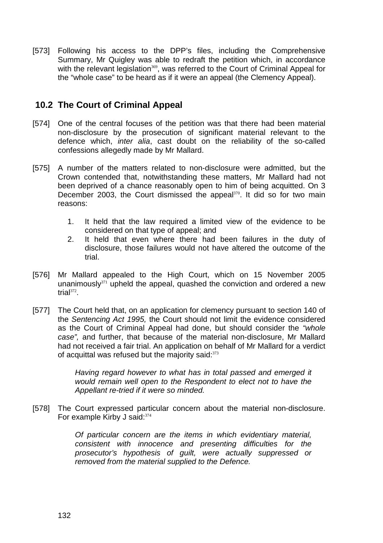[573] Following his access to the DPP's files, including the Comprehensive Summary, Mr Quigley was able to redraft the petition which, in accordance with the relevant legislation<sup>369</sup>, was referred to the Court of Criminal Appeal for the "whole case" to be heard as if it were an appeal (the Clemency Appeal).

## **10.2 The Court of Criminal Appeal**

- [574] One of the central focuses of the petition was that there had been material non-disclosure by the prosecution of significant material relevant to the defence which, *inter alia*, cast doubt on the reliability of the so-called confessions allegedly made by Mr Mallard.
- [575] A number of the matters related to non-disclosure were admitted, but the Crown contended that, notwithstanding these matters, Mr Mallard had not been deprived of a chance reasonably open to him of being acquitted. On 3 December 2003, the Court dismissed the appeal<sup>370</sup>. It did so for two main reasons:
	- 1. It held that the law required a limited view of the evidence to be considered on that type of appeal; and
	- 2. It held that even where there had been failures in the duty of disclosure, those failures would not have altered the outcome of the trial.
- [576] Mr Mallard appealed to the High Court, which on 15 November 2005 unanimously $371$  upheld the appeal, quashed the conviction and ordered a new trial $372$ .
- [577] The Court held that, on an application for clemency pursuant to section 140 of the *Sentencing Act 1995,* the Court should not limit the evidence considered as the Court of Criminal Appeal had done, but should consider the *"whole case",* and further, that because of the material non-disclosure, Mr Mallard had not received a fair trial. An application on behalf of Mr Mallard for a verdict of acquittal was refused but the majority said: 373

*Having regard however to what has in total passed and emerged it would remain well open to the Respondent to elect not to have the Appellant re-tried if it were so minded.* 

[578] The Court expressed particular concern about the material non-disclosure. For example Kirby J said: 374

> *Of particular concern are the items in which evidentiary material, consistent with innocence and presenting difficulties for the prosecutor's hypothesis of guilt, were actually suppressed or removed from the material supplied to the Defence.*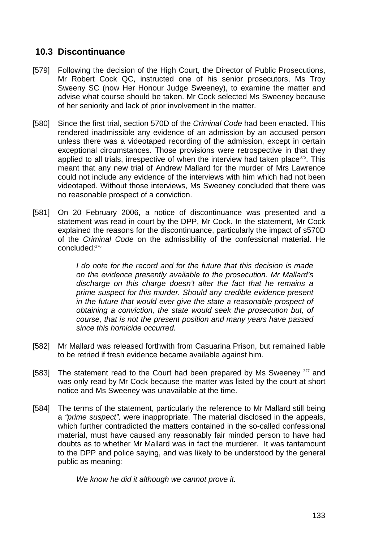# **10.3 Discontinuance**

- [579] Following the decision of the High Court, the Director of Public Prosecutions, Mr Robert Cock QC, instructed one of his senior prosecutors, Ms Troy Sweeny SC (now Her Honour Judge Sweeney), to examine the matter and advise what course should be taken. Mr Cock selected Ms Sweeney because of her seniority and lack of prior involvement in the matter.
- [580] Since the first trial, section 570D of the *Criminal Code* had been enacted. This rendered inadmissible any evidence of an admission by an accused person unless there was a videotaped recording of the admission, except in certain exceptional circumstances. Those provisions were retrospective in that they applied to all trials, irrespective of when the interview had taken place $375$ . This meant that any new trial of Andrew Mallard for the murder of Mrs Lawrence could not include any evidence of the interviews with him which had not been videotaped. Without those interviews, Ms Sweeney concluded that there was no reasonable prospect of a conviction.
- [581] On 20 February 2006, a notice of discontinuance was presented and a statement was read in court by the DPP, Mr Cock. In the statement, Mr Cock explained the reasons for the discontinuance, particularly the impact of s570D of the *Criminal Code* on the admissibility of the confessional material. He concluded:<sup>376</sup>

*I do note for the record and for the future that this decision is made on the evidence presently available to the prosecution. Mr Mallard's discharge on this charge doesn't alter the fact that he remains a prime suspect for this murder. Should any credible evidence present in the future that would ever give the state a reasonable prospect of obtaining a conviction, the state would seek the prosecution but, of course, that is not the present position and many years have passed since this homicide occurred.*

- [582] Mr Mallard was released forthwith from Casuarina Prison, but remained liable to be retried if fresh evidence became available against him.
- [583] The statement read to the Court had been prepared by Ms Sweeney 377 and was only read by Mr Cock because the matter was listed by the court at short notice and Ms Sweeney was unavailable at the time.
- [584] The terms of the statement, particularly the reference to Mr Mallard still being a *"prime suspect",* were inappropriate. The material disclosed in the appeals, which further contradicted the matters contained in the so-called confessional material, must have caused any reasonably fair minded person to have had doubts as to whether Mr Mallard was in fact the murderer. It was tantamount to the DPP and police saying, and was likely to be understood by the general public as meaning:

*We know he did it although we cannot prove it.*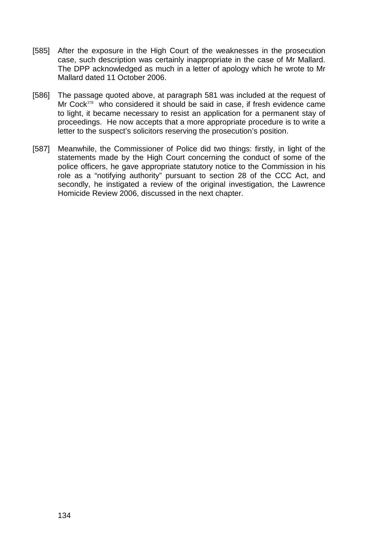- [585] After the exposure in the High Court of the weaknesses in the prosecution case, such description was certainly inappropriate in the case of Mr Mallard. The DPP acknowledged as much in a letter of apology which he wrote to Mr Mallard dated 11 October 2006.
- [586] The passage quoted above, at paragraph 581 was included at the request of Mr Cock<sup>378</sup> who considered it should be said in case, if fresh evidence came to light, it became necessary to resist an application for a permanent stay of proceedings. He now accepts that a more appropriate procedure is to write a letter to the suspect's solicitors reserving the prosecution's position.
- [587] Meanwhile, the Commissioner of Police did two things: firstly, in light of the statements made by the High Court concerning the conduct of some of the police officers, he gave appropriate statutory notice to the Commission in his role as a "notifying authority" pursuant to section 28 of the CCC Act, and secondly, he instigated a review of the original investigation, the Lawrence Homicide Review 2006, discussed in the next chapter.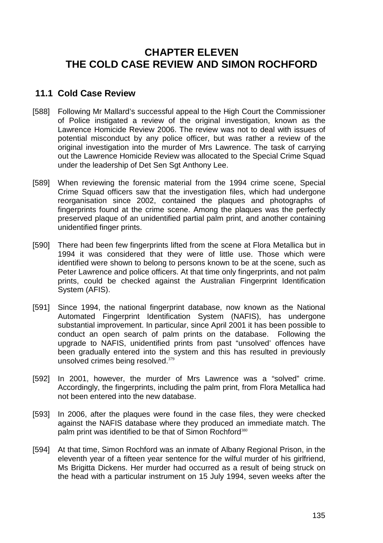# **CHAPTER ELEVEN THE COLD CASE REVIEW AND SIMON ROCHFORD**

### **11.1 Cold Case Review**

- [588] Following Mr Mallard's successful appeal to the High Court the Commissioner of Police instigated a review of the original investigation, known as the Lawrence Homicide Review 2006. The review was not to deal with issues of potential misconduct by any police officer, but was rather a review of the original investigation into the murder of Mrs Lawrence. The task of carrying out the Lawrence Homicide Review was allocated to the Special Crime Squad under the leadership of Det Sen Sgt Anthony Lee.
- [589] When reviewing the forensic material from the 1994 crime scene, Special Crime Squad officers saw that the investigation files, which had undergone reorganisation since 2002, contained the plaques and photographs of fingerprints found at the crime scene. Among the plaques was the perfectly preserved plaque of an unidentified partial palm print, and another containing unidentified finger prints.
- [590] There had been few fingerprints lifted from the scene at Flora Metallica but in 1994 it was considered that they were of little use. Those which were identified were shown to belong to persons known to be at the scene, such as Peter Lawrence and police officers. At that time only fingerprints, and not palm prints, could be checked against the Australian Fingerprint Identification System (AFIS).
- [591] Since 1994, the national fingerprint database, now known as the National Automated Fingerprint Identification System (NAFIS), has undergone substantial improvement. In particular, since April 2001 it has been possible to conduct an open search of palm prints on the database. Following the upgrade to NAFIS, unidentified prints from past "unsolved' offences have been gradually entered into the system and this has resulted in previously unsolved crimes being resolved.<sup>379</sup>
- [592] In 2001, however, the murder of Mrs Lawrence was a "solved" crime. Accordingly, the fingerprints, including the palm print, from Flora Metallica had not been entered into the new database.
- [593] In 2006, after the plaques were found in the case files, they were checked against the NAFIS database where they produced an immediate match. The palm print was identified to be that of Simon Rochford<sup>380</sup>
- [594] At that time, Simon Rochford was an inmate of Albany Regional Prison, in the eleventh year of a fifteen year sentence for the wilful murder of his girlfriend, Ms Brigitta Dickens. Her murder had occurred as a result of being struck on the head with a particular instrument on 15 July 1994, seven weeks after the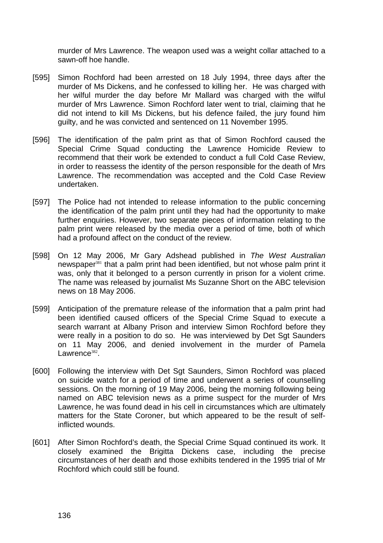murder of Mrs Lawrence. The weapon used was a weight collar attached to a sawn-off hoe handle.

- [595] Simon Rochford had been arrested on 18 July 1994, three days after the murder of Ms Dickens, and he confessed to killing her. He was charged with her wilful murder the day before Mr Mallard was charged with the wilful murder of Mrs Lawrence. Simon Rochford later went to trial, claiming that he did not intend to kill Ms Dickens, but his defence failed, the jury found him guilty, and he was convicted and sentenced on 11 November 1995.
- [596] The identification of the palm print as that of Simon Rochford caused the Special Crime Squad conducting the Lawrence Homicide Review to recommend that their work be extended to conduct a full Cold Case Review, in order to reassess the identity of the person responsible for the death of Mrs Lawrence. The recommendation was accepted and the Cold Case Review undertaken.
- [597] The Police had not intended to release information to the public concerning the identification of the palm print until they had had the opportunity to make further enquiries. However, two separate pieces of information relating to the palm print were released by the media over a period of time, both of which had a profound affect on the conduct of the review.
- [598] On 12 May 2006, Mr Gary Adshead published in *The West Australian* newspaper<sup>381</sup> that a palm print had been identified, but not whose palm print it was, only that it belonged to a person currently in prison for a violent crime. The name was released by journalist Ms Suzanne Short on the ABC television news on 18 May 2006.
- [599] Anticipation of the premature release of the information that a palm print had been identified caused officers of the Special Crime Squad to execute a search warrant at Albany Prison and interview Simon Rochford before they were really in a position to do so. He was interviewed by Det Sgt Saunders on 11 May 2006, and denied involvement in the murder of Pamela Lawrence $382$ .
- [600] Following the interview with Det Sgt Saunders, Simon Rochford was placed on suicide watch for a period of time and underwent a series of counselling sessions. On the morning of 19 May 2006, being the morning following being named on ABC television news as a prime suspect for the murder of Mrs Lawrence, he was found dead in his cell in circumstances which are ultimately matters for the State Coroner, but which appeared to be the result of selfinflicted wounds.
- [601] After Simon Rochford's death, the Special Crime Squad continued its work. It closely examined the Brigitta Dickens case, including the precise circumstances of her death and those exhibits tendered in the 1995 trial of Mr Rochford which could still be found.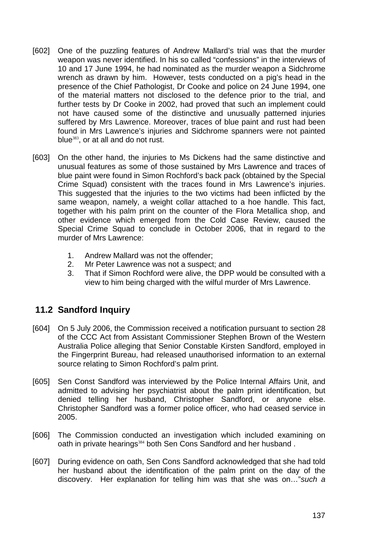- [602] One of the puzzling features of Andrew Mallard's trial was that the murder weapon was never identified. In his so called "confessions" in the interviews of 10 and 17 June 1994, he had nominated as the murder weapon a Sidchrome wrench as drawn by him. However, tests conducted on a pig's head in the presence of the Chief Pathologist, Dr Cooke and police on 24 June 1994, one of the material matters not disclosed to the defence prior to the trial, and further tests by Dr Cooke in 2002, had proved that such an implement could not have caused some of the distinctive and unusually patterned injuries suffered by Mrs Lawrence. Moreover, traces of blue paint and rust had been found in Mrs Lawrence's injuries and Sidchrome spanners were not painted blue<sup>383</sup>, or at all and do not rust.
- [603] On the other hand, the injuries to Ms Dickens had the same distinctive and unusual features as some of those sustained by Mrs Lawrence and traces of blue paint were found in Simon Rochford's back pack (obtained by the Special Crime Squad) consistent with the traces found in Mrs Lawrence's injuries. This suggested that the injuries to the two victims had been inflicted by the same weapon, namely, a weight collar attached to a hoe handle. This fact, together with his palm print on the counter of the Flora Metallica shop, and other evidence which emerged from the Cold Case Review, caused the Special Crime Squad to conclude in October 2006, that in regard to the murder of Mrs Lawrence:
	- 1. Andrew Mallard was not the offender;
	- 2. Mr Peter Lawrence was not a suspect; and
	- 3. That if Simon Rochford were alive, the DPP would be consulted with a view to him being charged with the wilful murder of Mrs Lawrence.

# **11.2 Sandford Inquiry**

- [604] On 5 July 2006, the Commission received a notification pursuant to section 28 of the CCC Act from Assistant Commissioner Stephen Brown of the Western Australia Police alleging that Senior Constable Kirsten Sandford, employed in the Fingerprint Bureau, had released unauthorised information to an external source relating to Simon Rochford's palm print.
- [605] Sen Const Sandford was interviewed by the Police Internal Affairs Unit, and admitted to advising her psychiatrist about the palm print identification, but denied telling her husband, Christopher Sandford, or anyone else. Christopher Sandford was a former police officer, who had ceased service in 2005.
- [606] The Commission conducted an investigation which included examining on oath in private hearings<sup>384</sup> both Sen Cons Sandford and her husband.
- [607] During evidence on oath, Sen Cons Sandford acknowledged that she had told her husband about the identification of the palm print on the day of the discovery. Her explanation for telling him was that she was on…"*such a*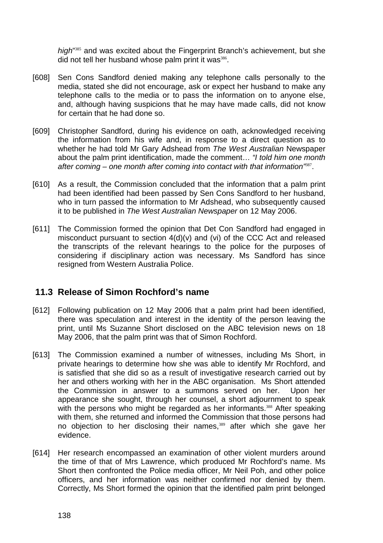high<sup>1385</sup> and was excited about the Fingerprint Branch's achievement, but she did not tell her husband whose palm print it was<sup>386</sup>.

- [608] Sen Cons Sandford denied making any telephone calls personally to the media, stated she did not encourage, ask or expect her husband to make any telephone calls to the media or to pass the information on to anyone else, and, although having suspicions that he may have made calls, did not know for certain that he had done so.
- [609] Christopher Sandford, during his evidence on oath, acknowledged receiving the information from his wife and, in response to a direct question as to whether he had told Mr Gary Adshead from *The West Australian* Newspaper about the palm print identification, made the comment… *"I told him one month after coming – one month after coming into contact with that information"*<sup>387</sup>.
- [610] As a result, the Commission concluded that the information that a palm print had been identified had been passed by Sen Cons Sandford to her husband, who in turn passed the information to Mr Adshead, who subsequently caused it to be published in *The West Australian Newspaper* on 12 May 2006.
- [611] The Commission formed the opinion that Det Con Sandford had engaged in misconduct pursuant to section 4(d)(v) and (vi) of the CCC Act and released the transcripts of the relevant hearings to the police for the purposes of considering if disciplinary action was necessary. Ms Sandford has since resigned from Western Australia Police.

### **11.3 Release of Simon Rochford's name**

- [612] Following publication on 12 May 2006 that a palm print had been identified, there was speculation and interest in the identity of the person leaving the print, until Ms Suzanne Short disclosed on the ABC television news on 18 May 2006, that the palm print was that of Simon Rochford.
- [613] The Commission examined a number of witnesses, including Ms Short, in private hearings to determine how she was able to identify Mr Rochford, and is satisfied that she did so as a result of investigative research carried out by her and others working with her in the ABC organisation. Ms Short attended the Commission in answer to a summons served on her. Upon her appearance she sought, through her counsel, a short adjournment to speak with the persons who might be regarded as her informants.<sup>388</sup> After speaking with them, she returned and informed the Commission that those persons had no objection to her disclosing their names,<sup>389</sup> after which she gave her evidence.
- [614] Her research encompassed an examination of other violent murders around the time of that of Mrs Lawrence, which produced Mr Rochford's name. Ms Short then confronted the Police media officer, Mr Neil Poh, and other police officers, and her information was neither confirmed nor denied by them. Correctly, Ms Short formed the opinion that the identified palm print belonged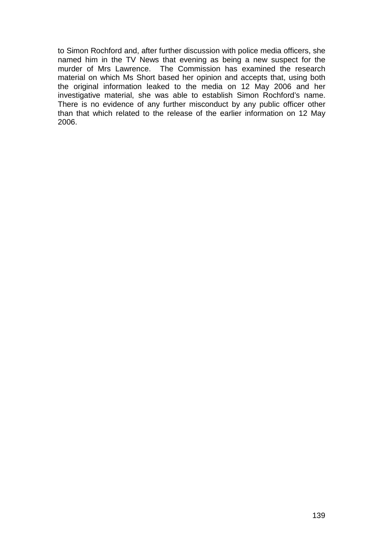to Simon Rochford and, after further discussion with police media officers, she named him in the TV News that evening as being a new suspect for the murder of Mrs Lawrence. The Commission has examined the research material on which Ms Short based her opinion and accepts that, using both the original information leaked to the media on 12 May 2006 and her investigative material, she was able to establish Simon Rochford's name. There is no evidence of any further misconduct by any public officer other than that which related to the release of the earlier information on 12 May 2006.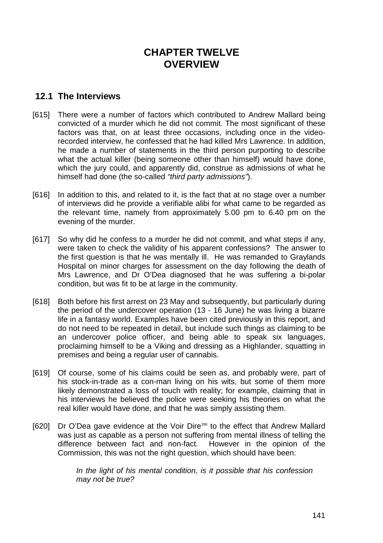# **CHAPTER TWELVE OVERVIEW**

## **12.1 The Interviews**

- [615] There were a number of factors which contributed to Andrew Mallard being convicted of a murder which he did not commit. The most significant of these factors was that, on at least three occasions, including once in the videorecorded interview, he confessed that he had killed Mrs Lawrence. In addition, he made a number of statements in the third person purporting to describe what the actual killer (being someone other than himself) would have done, which the jury could, and apparently did, construe as admissions of what he himself had done (the so-called *"third party admissions"*).
- [616] In addition to this, and related to it, is the fact that at no stage over a number of interviews did he provide a verifiable alibi for what came to be regarded as the relevant time, namely from approximately 5.00 pm to 6.40 pm on the evening of the murder.
- [617] So why did he confess to a murder he did not commit, and what steps if any, were taken to check the validity of his apparent confessions? The answer to the first question is that he was mentally ill. He was remanded to Graylands Hospital on minor charges for assessment on the day following the death of Mrs Lawrence, and Dr O'Dea diagnosed that he was suffering a bi-polar condition, but was fit to be at large in the community.
- [618] Both before his first arrest on 23 May and subsequently, but particularly during the period of the undercover operation (13 - 16 June) he was living a bizarre life in a fantasy world. Examples have been cited previously in this report, and do not need to be repeated in detail, but include such things as claiming to be an undercover police officer, and being able to speak six languages, proclaiming himself to be a Viking and dressing as a Highlander, squatting in premises and being a regular user of cannabis.
- [619] Of course, some of his claims could be seen as, and probably were, part of his stock-in-trade as a con-man living on his wits, but some of them more likely demonstrated a loss of touch with reality; for example, claiming that in his interviews he believed the police were seeking his theories on what the real killer would have done, and that he was simply assisting them.
- [620] Dr O'Dea gave evidence at the Voir Dire<sup>390</sup> to the effect that Andrew Mallard was just as capable as a person not suffering from mental illness of telling the difference between fact and non-fact. However in the opinion of the Commission, this was not the right question, which should have been:

*In the light of his mental condition, is it possible that his confession may not be true?*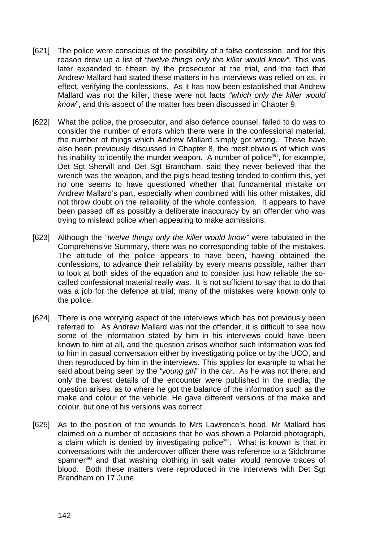- [621] The police were conscious of the possibility of a false confession, and for this reason drew up a list of *"twelve things only the killer would know".* This was later expanded to fifteen by the prosecutor at the trial, and the fact that Andrew Mallard had stated these matters in his interviews was relied on as, in effect, verifying the confessions. As it has now been established that Andrew Mallard was not the killer, these were not facts *"which only the killer would know*", and this aspect of the matter has been discussed in Chapter 9.
- [622] What the police, the prosecutor, and also defence counsel, failed to do was to consider the number of errors which there were in the confessional material, the number of things which Andrew Mallard simply got wrong. These have also been previously discussed in Chapter 8, the most obvious of which was his inability to identify the murder weapon. A number of police<sup>391</sup>, for example, Det Sgt Shervill and Det Sgt Brandham, said they never believed that the wrench was the weapon, and the pig's head testing tended to confirm this, yet no one seems to have questioned whether that fundamental mistake on Andrew Mallard's part, especially when combined with his other mistakes, did not throw doubt on the reliability of the whole confession. It appears to have been passed off as possibly a deliberate inaccuracy by an offender who was trying to mislead police when appearing to make admissions.
- [623] Although the *"twelve things only the killer would know"* were tabulated in the Comprehensive Summary, there was no corresponding table of the mistakes. The attitude of the police appears to have been, having obtained the confessions, to advance their reliability by every means possible, rather than to look at both sides of the equation and to consider just how reliable the socalled confessional material really was. It is not sufficient to say that to do that was a job for the defence at trial; many of the mistakes were known only to the police.
- [624] There is one worrying aspect of the interviews which has not previously been referred to. As Andrew Mallard was not the offender, it is difficult to see how some of the information stated by him in his interviews could have been known to him at all, and the question arises whether such information was fed to him in casual conversation either by investigating police or by the UCO, and then reproduced by him in the interviews. This applies for example to what he said about being seen by the *"young girl"* in the car. As he was not there, and only the barest details of the encounter were published in the media, the question arises, as to where he got the balance of the information such as the make and colour of the vehicle. He gave different versions of the make and colour, but one of his versions was correct.
- [625] As to the position of the wounds to Mrs Lawrence's head, Mr Mallard has claimed on a number of occasions that he was shown a Polaroid photograph, a claim which is denied by investigating police $392$ . What is known is that in conversations with the undercover officer there was reference to a Sidchrome spanner<sup>393</sup> and that washing clothing in salt water would remove traces of blood. Both these matters were reproduced in the interviews with Det Sgt Brandham on 17 June.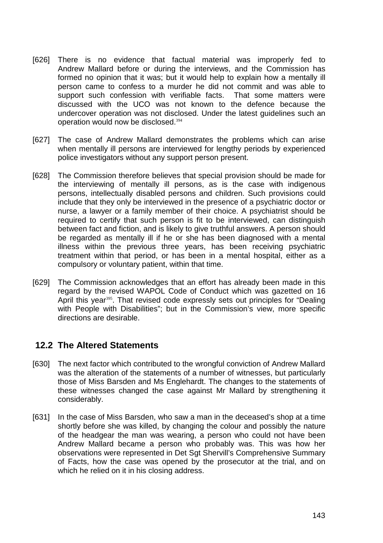- [626] There is no evidence that factual material was improperly fed to Andrew Mallard before or during the interviews, and the Commission has formed no opinion that it was; but it would help to explain how a mentally ill person came to confess to a murder he did not commit and was able to support such confession with verifiable facts. That some matters were discussed with the UCO was not known to the defence because the undercover operation was not disclosed. Under the latest guidelines such an operation would now be disclosed.<sup>394</sup>
- [627] The case of Andrew Mallard demonstrates the problems which can arise when mentally ill persons are interviewed for lengthy periods by experienced police investigators without any support person present.
- [628] The Commission therefore believes that special provision should be made for the interviewing of mentally ill persons, as is the case with indigenous persons, intellectually disabled persons and children. Such provisions could include that they only be interviewed in the presence of a psychiatric doctor or nurse, a lawyer or a family member of their choice. A psychiatrist should be required to certify that such person is fit to be interviewed, can distinguish between fact and fiction, and is likely to give truthful answers. A person should be regarded as mentally ill if he or she has been diagnosed with a mental illness within the previous three years, has been receiving psychiatric treatment within that period, or has been in a mental hospital, either as a compulsory or voluntary patient, within that time.
- [629] The Commission acknowledges that an effort has already been made in this regard by the revised WAPOL Code of Conduct which was gazetted on 16 April this year<sup>395</sup>. That revised code expressly sets out principles for "Dealing with People with Disabilities"; but in the Commission's view, more specific directions are desirable.

### **12.2 The Altered Statements**

- [630] The next factor which contributed to the wrongful conviction of Andrew Mallard was the alteration of the statements of a number of witnesses, but particularly those of Miss Barsden and Ms Englehardt. The changes to the statements of these witnesses changed the case against Mr Mallard by strengthening it considerably.
- [631] In the case of Miss Barsden, who saw a man in the deceased's shop at a time shortly before she was killed, by changing the colour and possibly the nature of the headgear the man was wearing, a person who could not have been Andrew Mallard became a person who probably was. This was how her observations were represented in Det Sgt Shervill's Comprehensive Summary of Facts, how the case was opened by the prosecutor at the trial, and on which he relied on it in his closing address.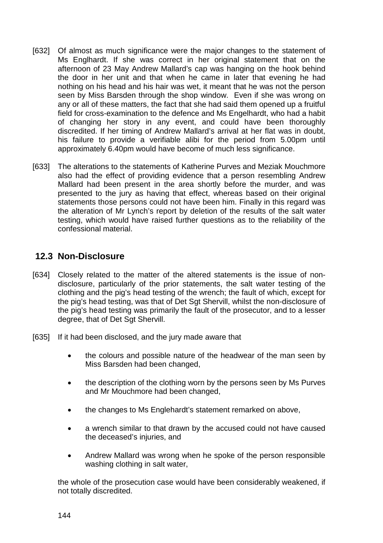- [632] Of almost as much significance were the major changes to the statement of Ms Englhardt. If she was correct in her original statement that on the afternoon of 23 May Andrew Mallard's cap was hanging on the hook behind the door in her unit and that when he came in later that evening he had nothing on his head and his hair was wet, it meant that he was not the person seen by Miss Barsden through the shop window. Even if she was wrong on any or all of these matters, the fact that she had said them opened up a fruitful field for cross-examination to the defence and Ms Engelhardt, who had a habit of changing her story in any event, and could have been thoroughly discredited. If her timing of Andrew Mallard's arrival at her flat was in doubt, his failure to provide a verifiable alibi for the period from 5.00pm until approximately 6.40pm would have become of much less significance.
- [633] The alterations to the statements of Katherine Purves and Meziak Mouchmore also had the effect of providing evidence that a person resembling Andrew Mallard had been present in the area shortly before the murder, and was presented to the jury as having that effect, whereas based on their original statements those persons could not have been him. Finally in this regard was the alteration of Mr Lynch's report by deletion of the results of the salt water testing, which would have raised further questions as to the reliability of the confessional material.

### **12.3 Non-Disclosure**

- [634] Closely related to the matter of the altered statements is the issue of nondisclosure, particularly of the prior statements, the salt water testing of the clothing and the pig's head testing of the wrench; the fault of which, except for the pig's head testing, was that of Det Sgt Shervill, whilst the non-disclosure of the pig's head testing was primarily the fault of the prosecutor, and to a lesser degree, that of Det Sgt Shervill.
- [635] If it had been disclosed, and the jury made aware that
	- the colours and possible nature of the headwear of the man seen by Miss Barsden had been changed,
	- the description of the clothing worn by the persons seen by Ms Purves and Mr Mouchmore had been changed,
	- the changes to Ms Englehardt's statement remarked on above,
	- a wrench similar to that drawn by the accused could not have caused the deceased's injuries, and
	- Andrew Mallard was wrong when he spoke of the person responsible washing clothing in salt water,

the whole of the prosecution case would have been considerably weakened, if not totally discredited.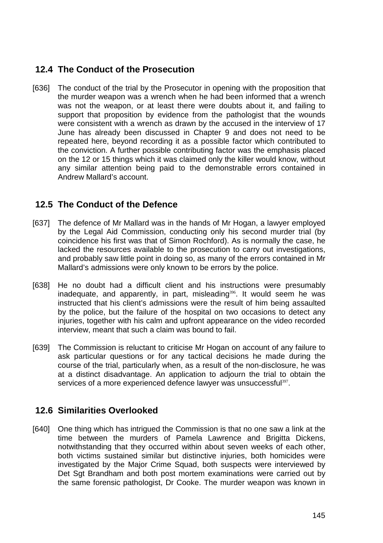# **12.4 The Conduct of the Prosecution**

[636] The conduct of the trial by the Prosecutor in opening with the proposition that the murder weapon was a wrench when he had been informed that a wrench was not the weapon, or at least there were doubts about it, and failing to support that proposition by evidence from the pathologist that the wounds were consistent with a wrench as drawn by the accused in the interview of 17 June has already been discussed in Chapter 9 and does not need to be repeated here, beyond recording it as a possible factor which contributed to the conviction. A further possible contributing factor was the emphasis placed on the 12 or 15 things which it was claimed only the killer would know, without any similar attention being paid to the demonstrable errors contained in Andrew Mallard's account.

# **12.5 The Conduct of the Defence**

- [637] The defence of Mr Mallard was in the hands of Mr Hogan, a lawyer employed by the Legal Aid Commission, conducting only his second murder trial (by coincidence his first was that of Simon Rochford). As is normally the case, he lacked the resources available to the prosecution to carry out investigations, and probably saw little point in doing so, as many of the errors contained in Mr Mallard's admissions were only known to be errors by the police.
- [638] He no doubt had a difficult client and his instructions were presumably inadequate, and apparently, in part, misleading $396$ . It would seem he was instructed that his client's admissions were the result of him being assaulted by the police, but the failure of the hospital on two occasions to detect any injuries, together with his calm and upfront appearance on the video recorded interview, meant that such a claim was bound to fail.
- [639] The Commission is reluctant to criticise Mr Hogan on account of any failure to ask particular questions or for any tactical decisions he made during the course of the trial, particularly when, as a result of the non-disclosure, he was at a distinct disadvantage. An application to adjourn the trial to obtain the services of a more experienced defence lawyer was unsuccessful<sup>397</sup>.

# **12.6 Similarities Overlooked**

[640] One thing which has intrigued the Commission is that no one saw a link at the time between the murders of Pamela Lawrence and Brigitta Dickens, notwithstanding that they occurred within about seven weeks of each other, both victims sustained similar but distinctive injuries, both homicides were investigated by the Major Crime Squad, both suspects were interviewed by Det Sgt Brandham and both post mortem examinations were carried out by the same forensic pathologist, Dr Cooke. The murder weapon was known in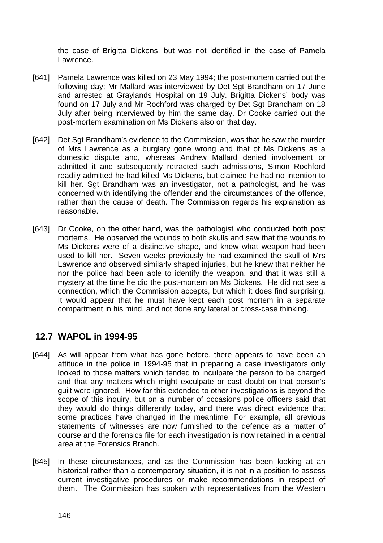the case of Brigitta Dickens, but was not identified in the case of Pamela Lawrence.

- [641] Pamela Lawrence was killed on 23 May 1994; the post-mortem carried out the following day; Mr Mallard was interviewed by Det Sgt Brandham on 17 June and arrested at Graylands Hospital on 19 July. Brigitta Dickens' body was found on 17 July and Mr Rochford was charged by Det Sgt Brandham on 18 July after being interviewed by him the same day. Dr Cooke carried out the post-mortem examination on Ms Dickens also on that day.
- [642] Det Sgt Brandham's evidence to the Commission, was that he saw the murder of Mrs Lawrence as a burglary gone wrong and that of Ms Dickens as a domestic dispute and, whereas Andrew Mallard denied involvement or admitted it and subsequently retracted such admissions, Simon Rochford readily admitted he had killed Ms Dickens, but claimed he had no intention to kill her. Sgt Brandham was an investigator, not a pathologist, and he was concerned with identifying the offender and the circumstances of the offence, rather than the cause of death. The Commission regards his explanation as reasonable.
- [643] Dr Cooke, on the other hand, was the pathologist who conducted both post mortems. He observed the wounds to both skulls and saw that the wounds to Ms Dickens were of a distinctive shape, and knew what weapon had been used to kill her. Seven weeks previously he had examined the skull of Mrs Lawrence and observed similarly shaped injuries, but he knew that neither he nor the police had been able to identify the weapon, and that it was still a mystery at the time he did the post-mortem on Ms Dickens. He did not see a connection, which the Commission accepts, but which it does find surprising. It would appear that he must have kept each post mortem in a separate compartment in his mind, and not done any lateral or cross-case thinking.

### **12.7 WAPOL in 1994-95**

- [644] As will appear from what has gone before, there appears to have been an attitude in the police in 1994-95 that in preparing a case investigators only looked to those matters which tended to inculpate the person to be charged and that any matters which might exculpate or cast doubt on that person's guilt were ignored. How far this extended to other investigations is beyond the scope of this inquiry, but on a number of occasions police officers said that they would do things differently today, and there was direct evidence that some practices have changed in the meantime. For example, all previous statements of witnesses are now furnished to the defence as a matter of course and the forensics file for each investigation is now retained in a central area at the Forensics Branch.
- [645] In these circumstances, and as the Commission has been looking at an historical rather than a contemporary situation, it is not in a position to assess current investigative procedures or make recommendations in respect of them. The Commission has spoken with representatives from the Western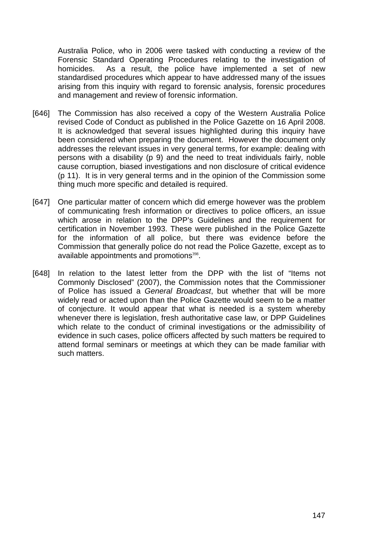Australia Police, who in 2006 were tasked with conducting a review of the Forensic Standard Operating Procedures relating to the investigation of homicides. As a result, the police have implemented a set of new standardised procedures which appear to have addressed many of the issues arising from this inquiry with regard to forensic analysis, forensic procedures and management and review of forensic information.

- [646] The Commission has also received a copy of the Western Australia Police revised Code of Conduct as published in the Police Gazette on 16 April 2008. It is acknowledged that several issues highlighted during this inquiry have been considered when preparing the document. However the document only addresses the relevant issues in very general terms, for example: dealing with persons with a disability (p 9) and the need to treat individuals fairly, noble cause corruption, biased investigations and non disclosure of critical evidence (p 11). It is in very general terms and in the opinion of the Commission some thing much more specific and detailed is required.
- [647] One particular matter of concern which did emerge however was the problem of communicating fresh information or directives to police officers, an issue which arose in relation to the DPP's Guidelines and the requirement for certification in November 1993. These were published in the Police Gazette for the information of all police, but there was evidence before the Commission that generally police do not read the Police Gazette, except as to available appointments and promotions<sup>398</sup>.
- [648] In relation to the latest letter from the DPP with the list of "Items not Commonly Disclosed" (2007), the Commission notes that the Commissioner of Police has issued a *General Broadcast*, but whether that will be more widely read or acted upon than the Police Gazette would seem to be a matter of conjecture. It would appear that what is needed is a system whereby whenever there is legislation, fresh authoritative case law, or DPP Guidelines which relate to the conduct of criminal investigations or the admissibility of evidence in such cases, police officers affected by such matters be required to attend formal seminars or meetings at which they can be made familiar with such matters.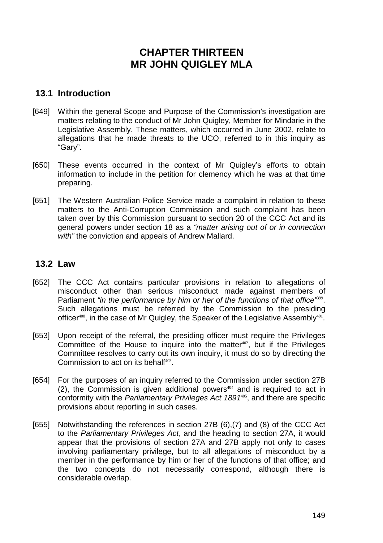# **CHAPTER THIRTEEN MR JOHN QUIGLEY MLA**

## **13.1 Introduction**

- [649] Within the general Scope and Purpose of the Commission's investigation are matters relating to the conduct of Mr John Quigley, Member for Mindarie in the Legislative Assembly. These matters, which occurred in June 2002, relate to allegations that he made threats to the UCO, referred to in this inquiry as "Gary".
- [650] These events occurred in the context of Mr Quigley's efforts to obtain information to include in the petition for clemency which he was at that time preparing.
- [651] The Western Australian Police Service made a complaint in relation to these matters to the Anti-Corruption Commission and such complaint has been taken over by this Commission pursuant to section 20 of the CCC Act and its general powers under section 18 as a *"matter arising out of or in connection with"* the conviction and appeals of Andrew Mallard.

### **13.2 Law**

- [652] The CCC Act contains particular provisions in relation to allegations of misconduct other than serious misconduct made against members of Parliament "in the performance by him or her of the functions of that office<sup>7599</sup>. Such allegations must be referred by the Commission to the presiding officer $400$ , in the case of Mr Quigley, the Speaker of the Legislative Assembly $401$ .
- [653] Upon receipt of the referral, the presiding officer must require the Privileges Committee of the House to inquire into the matter $402$ , but if the Privileges Committee resolves to carry out its own inquiry, it must do so by directing the Commission to act on its behalf $403$ .
- [654] For the purposes of an inquiry referred to the Commission under section 27B  $(2)$ , the Commission is given additional powers<sup>404</sup> and is required to act in conformity with the *Parliamentary Privileges Act 1891*<sup>405</sup>, and there are specific provisions about reporting in such cases.
- [655] Notwithstanding the references in section 27B (6),(7) and (8) of the CCC Act to the *Parliamentary Privileges Act*, and the heading to section 27A, it would appear that the provisions of section 27A and 27B apply not only to cases involving parliamentary privilege, but to all allegations of misconduct by a member in the performance by him or her of the functions of that office; and the two concepts do not necessarily correspond, although there is considerable overlap.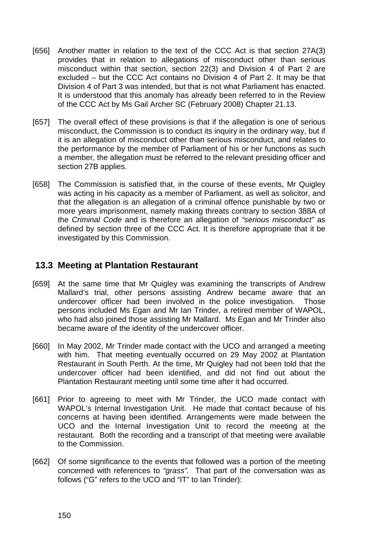- [656] Another matter in relation to the text of the CCC Act is that section 27A(3) provides that in relation to allegations of misconduct other than serious misconduct within that section, section 22(3) and Division 4 of Part 2 are excluded – but the CCC Act contains no Division 4 of Part 2. It may be that Division 4 of Part 3 was intended, but that is not what Parliament has enacted. It is understood that this anomaly has already been referred to in the Review of the CCC Act by Ms Gail Archer SC (February 2008) Chapter 21.13.
- [657] The overall effect of these provisions is that if the allegation is one of serious misconduct, the Commission is to conduct its inquiry in the ordinary way, but if it is an allegation of misconduct other than serious misconduct, and relates to the performance by the member of Parliament of his or her functions as such a member, the allegation must be referred to the relevant presiding officer and section 27B applies.
- [658] The Commission is satisfied that, in the course of these events, Mr Quigley was acting in his capacity as a member of Parliament, as well as solicitor, and that the allegation is an allegation of a criminal offence punishable by two or more years imprisonment, namely making threats contrary to section 388A of the *Criminal Code* and is therefore an allegation of *"serious misconduct"* as defined by section three of the CCC Act. It is therefore appropriate that it be investigated by this Commission.

### **13.3 Meeting at Plantation Restaurant**

- [659] At the same time that Mr Quigley was examining the transcripts of Andrew Mallard's trial, other persons assisting Andrew became aware that an undercover officer had been involved in the police investigation. Those persons included Ms Egan and Mr Ian Trinder, a retired member of WAPOL, who had also joined those assisting Mr Mallard. Ms Egan and Mr Trinder also became aware of the identity of the undercover officer.
- [660] In May 2002, Mr Trinder made contact with the UCO and arranged a meeting with him. That meeting eventually occurred on 29 May 2002 at Plantation Restaurant in South Perth. At the time, Mr Quigley had not been told that the undercover officer had been identified, and did not find out about the Plantation Restaurant meeting until some time after it had occurred.
- [661] Prior to agreeing to meet with Mr Trinder, the UCO made contact with WAPOL's Internal Investigation Unit. He made that contact because of his concerns at having been identified. Arrangements were made between the UCO and the Internal Investigation Unit to record the meeting at the restaurant. Both the recording and a transcript of that meeting were available to the Commission.
- [662] Of some significance to the events that followed was a portion of the meeting concerned with references to *"grass".* That part of the conversation was as follows ("G" refers to the UCO and "IT" to Ian Trinder):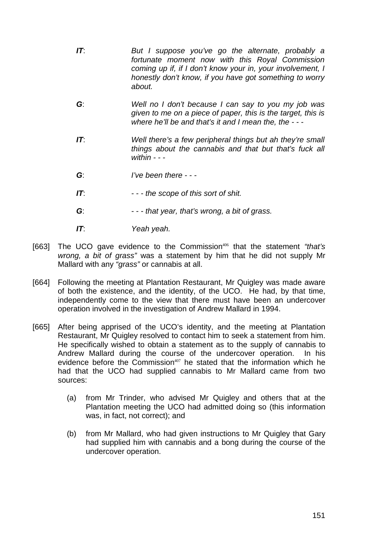- *IT*: *But I suppose you've go the alternate, probably a fortunate moment now with this Royal Commission coming up if, if I don't know your in, your involvement, I honestly don't know, if you have got something to worry about.*
- *G*: *Well no I don't because I can say to you my job was given to me on a piece of paper, this is the target, this is where he'll be and that's it and I mean the, the - - -*
- *IT*: *Well there's a few peripheral things but ah they're small things about the cannabis and that but that's fuck all within - - -*
- *G*: *I've been there -*
- *IT*: *- the scope of this sort of shit.*
- *G*: *- that year, that's wrong, a bit of grass.*
- *IT*: *Yeah yeah.*
- [663] The UCO gave evidence to the Commission<sup>406</sup> that the statement "that's *wrong, a bit of grass"* was a statement by him that he did not supply Mr Mallard with any *"grass"* or cannabis at all.
- [664] Following the meeting at Plantation Restaurant, Mr Quigley was made aware of both the existence, and the identity, of the UCO. He had, by that time, independently come to the view that there must have been an undercover operation involved in the investigation of Andrew Mallard in 1994.
- [665] After being apprised of the UCO's identity, and the meeting at Plantation Restaurant, Mr Quigley resolved to contact him to seek a statement from him. He specifically wished to obtain a statement as to the supply of cannabis to Andrew Mallard during the course of the undercover operation. In his evidence before the Commission $407$  he stated that the information which he had that the UCO had supplied cannabis to Mr Mallard came from two sources:
	- (a) from Mr Trinder, who advised Mr Quigley and others that at the Plantation meeting the UCO had admitted doing so (this information was, in fact, not correct); and
	- (b) from Mr Mallard, who had given instructions to Mr Quigley that Gary had supplied him with cannabis and a bong during the course of the undercover operation.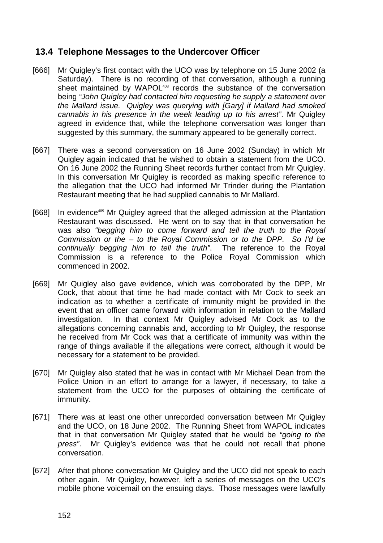## **13.4 Telephone Messages to the Undercover Officer**

- [666] Mr Quigley's first contact with the UCO was by telephone on 15 June 2002 (a Saturday). There is no recording of that conversation, although a running sheet maintained by WAPOL<sup>408</sup> records the substance of the conversation being *"John Quigley had contacted him requesting he supply a statement over the Mallard issue. Quigley was querying with [Gary] if Mallard had smoked cannabis in his presence in the week leading up to his arrest"*. Mr Quigley agreed in evidence that, while the telephone conversation was longer than suggested by this summary, the summary appeared to be generally correct.
- [667] There was a second conversation on 16 June 2002 (Sunday) in which Mr Quigley again indicated that he wished to obtain a statement from the UCO. On 16 June 2002 the Running Sheet records further contact from Mr Quigley. In this conversation Mr Quigley is recorded as making specific reference to the allegation that the UCO had informed Mr Trinder during the Plantation Restaurant meeting that he had supplied cannabis to Mr Mallard.
- [668] In evidence<sup>409</sup> Mr Quigley agreed that the alleged admission at the Plantation Restaurant was discussed. He went on to say that in that conversation he was also *"begging him to come forward and tell the truth to the Royal Commission or the – to the Royal Commission or to the DPP. So I'd be continually begging him to tell the truth"*. The reference to the Royal Commission is a reference to the Police Royal Commission which commenced in 2002.
- [669] Mr Quigley also gave evidence, which was corroborated by the DPP, Mr Cock, that about that time he had made contact with Mr Cock to seek an indication as to whether a certificate of immunity might be provided in the event that an officer came forward with information in relation to the Mallard investigation. In that context Mr Quigley advised Mr Cock as to the allegations concerning cannabis and, according to Mr Quigley, the response he received from Mr Cock was that a certificate of immunity was within the range of things available if the allegations were correct, although it would be necessary for a statement to be provided.
- [670] Mr Quigley also stated that he was in contact with Mr Michael Dean from the Police Union in an effort to arrange for a lawyer, if necessary, to take a statement from the UCO for the purposes of obtaining the certificate of immunity.
- [671] There was at least one other unrecorded conversation between Mr Quigley and the UCO, on 18 June 2002. The Running Sheet from WAPOL indicates that in that conversation Mr Quigley stated that he would be *"going to the press"*. Mr Quigley's evidence was that he could not recall that phone conversation.
- [672] After that phone conversation Mr Quigley and the UCO did not speak to each other again. Mr Quigley, however, left a series of messages on the UCO's mobile phone voicemail on the ensuing days. Those messages were lawfully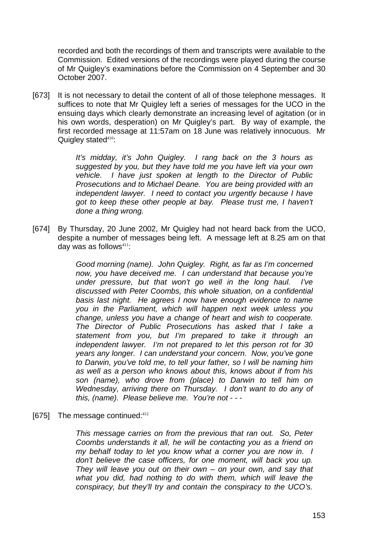recorded and both the recordings of them and transcripts were available to the Commission. Edited versions of the recordings were played during the course of Mr Quigley's examinations before the Commission on 4 September and 30 October 2007.

[673] It is not necessary to detail the content of all of those telephone messages. It suffices to note that Mr Quigley left a series of messages for the UCO in the ensuing days which clearly demonstrate an increasing level of agitation (or in his own words, desperation) on Mr Quigley's part. By way of example, the first recorded message at 11:57am on 18 June was relatively innocuous. Mr Quigley stated $410$ :

> *It's midday, it's John Quigley. I rang back on the 3 hours as suggested by you, but they have told me you have left via your own vehicle. I have just spoken at length to the Director of Public Prosecutions and to Michael Deane. You are being provided with an independent lawyer. I need to contact you urgently because I have got to keep these other people at bay. Please trust me, I haven't done a thing wrong.*

[674] By Thursday, 20 June 2002, Mr Quigley had not heard back from the UCO, despite a number of messages being left. A message left at 8.25 am on that day was as follows $411$ :

> *Good morning (name). John Quigley. Right, as far as I'm concerned now, you have deceived me. I can understand that because you're under pressure, but that won't go well in the long haul. I've discussed with Peter Coombs, this whole situation, on a confidential basis last night. He agrees I now have enough evidence to name you in the Parliament, which will happen next week unless you change, unless you have a change of heart and wish to cooperate. The Director of Public Prosecutions has asked that I take a statement from you, but I'm prepared to take it through an independent lawyer. I'm not prepared to let this person rot for 30 years any longer. I can understand your concern. Now, you've gone to Darwin, you've told me, to tell your father, so I will be naming him as well as a person who knows about this, knows about if from his son (name), who drove from (place) to Darwin to tell him on Wednesday, arriving there on Thursday. I don't want to do any of this, (name). Please believe me. You're not - - -*

[675] The message continued:<sup>412</sup>

*This message carries on from the previous that ran out. So, Peter Coombs understands it all, he will be contacting you as a friend on my behalf today to let you know what a corner you are now in. I don't believe the case officers, for one moment, will back you up. They will leave you out on their own – on your own, and say that what you did, had nothing to do with them, which will leave the conspiracy, but they'll try and contain the conspiracy to the UCO's.*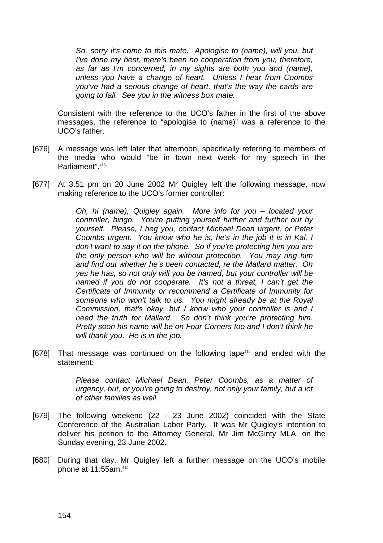*So, sorry it's come to this mate. Apologise to (name), will you, but I've done my best, there's been no cooperation from you, therefore, as far as I'm concerned, in my sights are both you and (name), unless you have a change of heart. Unless I hear from Coombs you've had a serious change of heart, that's the way the cards are going to fall. See you in the witness box mate.* 

Consistent with the reference to the UCO's father in the first of the above messages, the reference to "apologise to (name)" was a reference to the UCO's father.

- [676] A message was left later that afternoon, specifically referring to members of the media who would "be in town next week for my speech in the Parliament".<sup>413</sup>
- [677] At 3.51 pm on 20 June 2002 Mr Quigley left the following message, now making reference to the UCO's former controller:

*Oh, hi (name), Quigley again. More info for you – located your controller, bingo. You're putting yourself further and further out by yourself. Please, I beg you, contact Michael Dean urgent, or Peter Coombs urgent. You know who he is, he's in the job it is in Kal, I don't want to say it on the phone. So if you're protecting him you are the only person who will be without protection. You may ring him and find out whether he's been contacted, re the Mallard matter. Oh yes he has, so not only will you be named, but your controller will be named if you do not cooperate. It's not a threat, I can't get the Certificate of Immunity or recommend a Certificate of Immunity for someone who won't talk to us. You might already be at the Royal Commission, that's okay, but I know who your controller is and I need the truth for Mallard. So don't think you're protecting him. Pretty soon his name will be on Four Corners too and I don't think he will thank you. He is in the job.* 

 $[678]$  That message was continued on the following tape<sup>414</sup> and ended with the statement:

> *Please contact Michael Dean, Peter Coombs, as a matter of urgency, but, or you're going to destroy, not only your family, but a lot of other families as well.*

- [679] The following weekend (22 23 June 2002) coincided with the State Conference of the Australian Labor Party. It was Mr Quigley's intention to deliver his petition to the Attorney General, Mr Jim McGinty MLA, on the Sunday evening, 23 June 2002.
- [680] During that day, Mr Quigley left a further message on the UCO's mobile phone at 11:55am.415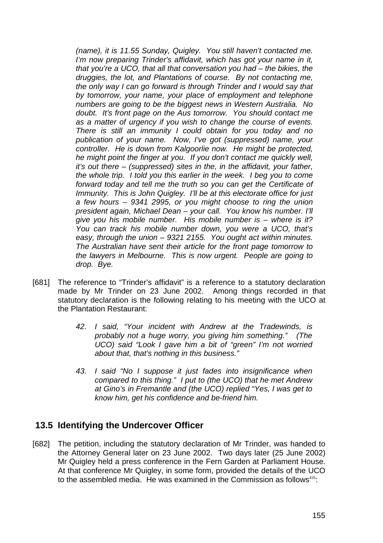*(name), it is 11.55 Sunday, Quigley. You still haven't contacted me. I'm now preparing Trinder's affidavit, which has got your name in it, that you're a UCO, that all that conversation you had – the bikies, the druggies, the lot, and Plantations of course. By not contacting me, the only way I can go forward is through Trinder and I would say that by tomorrow, your name, your place of employment and telephone numbers are going to be the biggest news in Western Australia. No doubt. It's front page on the Aus tomorrow. You should contact me as a matter of urgency if you wish to change the course of events. There is still an immunity I could obtain for you today and no publication of your name. Now, I've got (suppressed) name, your controller. He is down from Kalgoorlie now. He might be protected, he might point the finger at you. If you don't contact me quickly well, it's out there – (suppressed) sites in the, in the affidavit, your father, the whole trip. I told you this earlier in the week. I beg you to come forward today and tell me the truth so you can get the Certificate of Immunity. This is John Quigley. I'll be at this electorate office for just a few hours – 9341 2995, or you might choose to ring the union president again, Michael Dean – your call. You know his number. I'll give you his mobile number. His mobile number is – where is it? You can track his mobile number down, you were a UCO, that's easy, through the union – 9321 2155. You ought act within minutes. The Australian have sent their article for the front page tomorrow to the lawyers in Melbourne. This is now urgent. People are going to drop. Bye.* 

- [681] The reference to "Trinder's affidavit" is a reference to a statutory declaration made by Mr Trinder on 23 June 2002. Among things recorded in that statutory declaration is the following relating to his meeting with the UCO at the Plantation Restaurant:
	- *42. I said, "Your incident with Andrew at the Tradewinds, is probably not a huge worry, you giving him something." (The UCO) said "Look I gave him a bit of "green" I'm not worried about that, that's nothing in this business."*
	- *43. I said "No I suppose it just fades into insignificance when compared to this thing." I put to (the UCO) that he met Andrew at Gino's in Fremantle and (the UCO) replied "Yes, I was get to know him, get his confidence and be-friend him.*

#### **13.5 Identifying the Undercover Officer**

[682] The petition, including the statutory declaration of Mr Trinder, was handed to the Attorney General later on 23 June 2002. Two days later (25 June 2002) Mr Quigley held a press conference in the Fern Garden at Parliament House. At that conference Mr Quigley, in some form, provided the details of the UCO to the assembled media. He was examined in the Commission as follows<sup>416</sup>: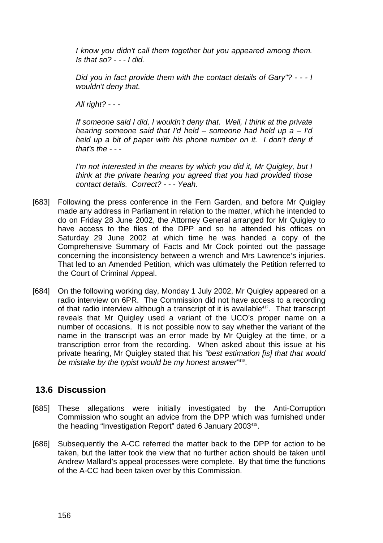*I know you didn't call them together but you appeared among them. Is that so? - - - I did.* 

*Did you in fact provide them with the contact details of Gary"? - - - I wouldn't deny that.* 

*All right? - - -* 

*If someone said I did, I wouldn't deny that. Well, I think at the private hearing someone said that I'd held – someone had held up a – I'd held up a bit of paper with his phone number on it. I don't deny if that's the - - -* 

*I'm not interested in the means by which you did it, Mr Quigley, but I think at the private hearing you agreed that you had provided those contact details. Correct? - - - Yeah.* 

- [683] Following the press conference in the Fern Garden, and before Mr Quigley made any address in Parliament in relation to the matter, which he intended to do on Friday 28 June 2002, the Attorney General arranged for Mr Quigley to have access to the files of the DPP and so he attended his offices on Saturday 29 June 2002 at which time he was handed a copy of the Comprehensive Summary of Facts and Mr Cock pointed out the passage concerning the inconsistency between a wrench and Mrs Lawrence's injuries. That led to an Amended Petition, which was ultimately the Petition referred to the Court of Criminal Appeal.
- [684] On the following working day, Monday 1 July 2002, Mr Quigley appeared on a radio interview on 6PR. The Commission did not have access to a recording of that radio interview although a transcript of it is available<sup>417</sup>. That transcript reveals that Mr Quigley used a variant of the UCO's proper name on a number of occasions. It is not possible now to say whether the variant of the name in the transcript was an error made by Mr Quigley at the time, or a transcription error from the recording. When asked about this issue at his private hearing, Mr Quigley stated that his *"best estimation [is] that that would be mistake by the typist would be my honest answer"*<sup>418</sup>*.*

### **13.6 Discussion**

- [685] These allegations were initially investigated by the Anti-Corruption Commission who sought an advice from the DPP which was furnished under the heading "Investigation Report" dated 6 January 2003<sup>419</sup>.
- [686] Subsequently the A-CC referred the matter back to the DPP for action to be taken, but the latter took the view that no further action should be taken until Andrew Mallard's appeal processes were complete. By that time the functions of the A-CC had been taken over by this Commission.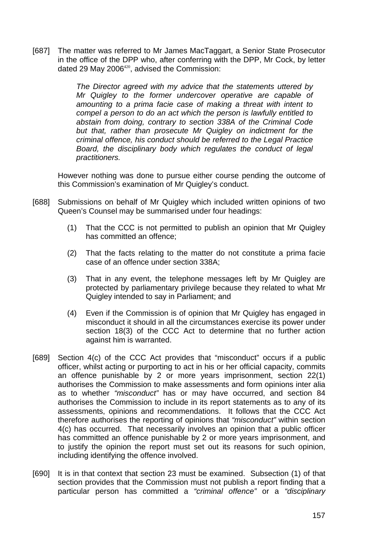[687] The matter was referred to Mr James MacTaggart, a Senior State Prosecutor in the office of the DPP who, after conferring with the DPP, Mr Cock, by letter dated 29 May 2006<sup>420</sup>, advised the Commission:

> *The Director agreed with my advice that the statements uttered by Mr Quigley to the former undercover operative are capable of amounting to a prima facie case of making a threat with intent to compel a person to do an act which the person is lawfully entitled to abstain from doing, contrary to section 338A of the Criminal Code but that, rather than prosecute Mr Quigley on indictment for the criminal offence, his conduct should be referred to the Legal Practice Board, the disciplinary body which regulates the conduct of legal practitioners.*

However nothing was done to pursue either course pending the outcome of this Commission's examination of Mr Quigley's conduct.

- [688] Submissions on behalf of Mr Quigley which included written opinions of two Queen's Counsel may be summarised under four headings:
	- (1) That the CCC is not permitted to publish an opinion that Mr Quigley has committed an offence;
	- (2) That the facts relating to the matter do not constitute a prima facie case of an offence under section 338A;
	- (3) That in any event, the telephone messages left by Mr Quigley are protected by parliamentary privilege because they related to what Mr Quigley intended to say in Parliament; and
	- (4) Even if the Commission is of opinion that Mr Quigley has engaged in misconduct it should in all the circumstances exercise its power under section 18(3) of the CCC Act to determine that no further action against him is warranted.
- [689] Section 4(c) of the CCC Act provides that "misconduct" occurs if a public officer, whilst acting or purporting to act in his or her official capacity, commits an offence punishable by 2 or more years imprisonment, section 22(1) authorises the Commission to make assessments and form opinions inter alia as to whether *"misconduct"* has or may have occurred, and section 84 authorises the Commission to include in its report statements as to any of its assessments, opinions and recommendations. It follows that the CCC Act therefore authorises the reporting of opinions that *"misconduct"* within section 4(c) has occurred. That necessarily involves an opinion that a public officer has committed an offence punishable by 2 or more years imprisonment, and to justify the opinion the report must set out its reasons for such opinion, including identifying the offence involved.
- [690] It is in that context that section 23 must be examined. Subsection (1) of that section provides that the Commission must not publish a report finding that a particular person has committed a *"criminal offence"* or a *"disciplinary*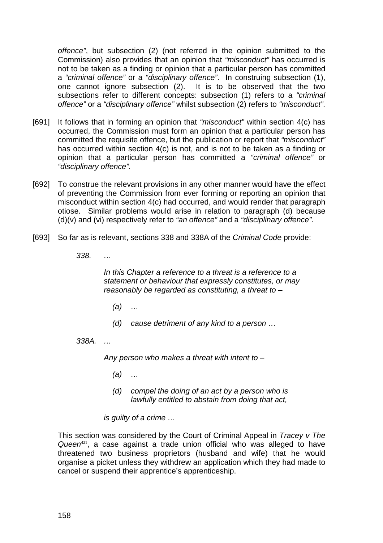*offence"*, but subsection (2) (not referred in the opinion submitted to the Commission) also provides that an opinion that *"misconduct"* has occurred is not to be taken as a finding or opinion that a particular person has committed a *"criminal offence"* or a *"disciplinary offence"*. In construing subsection (1), one cannot ignore subsection (2). It is to be observed that the two subsections refer to different concepts: subsection (1) refers to a *"criminal offence"* or a *"disciplinary offence"* whilst subsection (2) refers to *"misconduct"*.

- [691] It follows that in forming an opinion that *"misconduct"* within section 4(c) has occurred, the Commission must form an opinion that a particular person has committed the requisite offence, but the publication or report that *"misconduct"* has occurred within section 4(c) is not, and is not to be taken as a finding or opinion that a particular person has committed a *"criminal offence"* or *"disciplinary offence"*.
- [692] To construe the relevant provisions in any other manner would have the effect of preventing the Commission from ever forming or reporting an opinion that misconduct within section 4(c) had occurred, and would render that paragraph otiose. Similar problems would arise in relation to paragraph (d) because (d)(v) and (vi) respectively refer to *"an offence"* and a *"disciplinary offence"*.
- [693] So far as is relevant, sections 338 and 338A of the *Criminal Code* provide:
	- *338. …*

*In this Chapter a reference to a threat is a reference to a statement or behaviour that expressly constitutes, or may reasonably be regarded as constituting, a threat to –* 

- *(a) …*
- *(d) cause detriment of any kind to a person …*

*338A. …* 

*Any person who makes a threat with intent to –* 

- *(a) …*
- *(d) compel the doing of an act by a person who is lawfully entitled to abstain from doing that act,*

*is guilty of a crime …* 

This section was considered by the Court of Criminal Appeal in *Tracey v The*  Queen<sup>421</sup>, a case against a trade union official who was alleged to have threatened two business proprietors (husband and wife) that he would organise a picket unless they withdrew an application which they had made to cancel or suspend their apprentice's apprenticeship.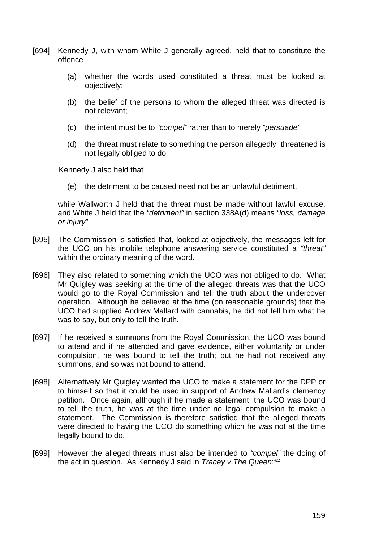- [694] Kennedy J, with whom White J generally agreed, held that to constitute the offence
	- (a) whether the words used constituted a threat must be looked at objectively;
	- (b) the belief of the persons to whom the alleged threat was directed is not relevant;
	- (c) the intent must be to *"compel"* rather than to merely *"persuade"*;
	- (d) the threat must relate to something the person allegedly threatened is not legally obliged to do

Kennedy J also held that

(e) the detriment to be caused need not be an unlawful detriment,

while Wallworth J held that the threat must be made without lawful excuse, and White J held that the *"detriment"* in section 338A(d) means *"loss, damage or injury"*.

- [695] The Commission is satisfied that, looked at objectively, the messages left for the UCO on his mobile telephone answering service constituted a *"threat"* within the ordinary meaning of the word.
- [696] They also related to something which the UCO was not obliged to do. What Mr Quigley was seeking at the time of the alleged threats was that the UCO would go to the Royal Commission and tell the truth about the undercover operation. Although he believed at the time (on reasonable grounds) that the UCO had supplied Andrew Mallard with cannabis, he did not tell him what he was to say, but only to tell the truth.
- [697] If he received a summons from the Royal Commission, the UCO was bound to attend and if he attended and gave evidence, either voluntarily or under compulsion, he was bound to tell the truth; but he had not received any summons, and so was not bound to attend.
- [698] Alternatively Mr Quigley wanted the UCO to make a statement for the DPP or to himself so that it could be used in support of Andrew Mallard's clemency petition. Once again, although if he made a statement, the UCO was bound to tell the truth, he was at the time under no legal compulsion to make a statement. The Commission is therefore satisfied that the alleged threats were directed to having the UCO do something which he was not at the time legally bound to do.
- [699] However the alleged threats must also be intended to *"compel"* the doing of the act in question. As Kennedy J said in *Tracey v The Queen*: 422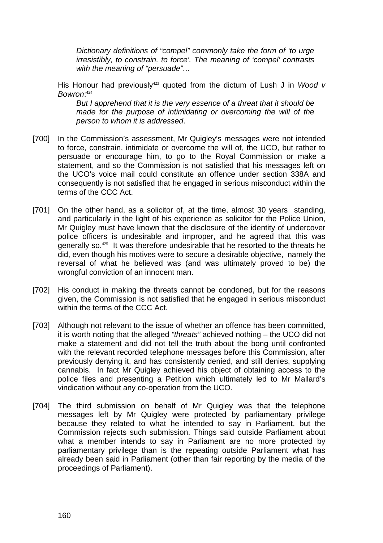*Dictionary definitions of "compel" commonly take the form of 'to urge irresistibly, to constrain, to force'. The meaning of 'compel' contrasts with the meaning of "persuade"…* 

His Honour had previously<sup>423</sup> quoted from the dictum of Lush J in *Wood v Bowron*: 424

*But I apprehend that it is the very essence of a threat that it should be made for the purpose of intimidating or overcoming the will of the person to whom it is addressed*.

- [700] In the Commission's assessment, Mr Quigley's messages were not intended to force, constrain, intimidate or overcome the will of, the UCO, but rather to persuade or encourage him, to go to the Royal Commission or make a statement, and so the Commission is not satisfied that his messages left on the UCO's voice mail could constitute an offence under section 338A and consequently is not satisfied that he engaged in serious misconduct within the terms of the CCC Act.
- [701] On the other hand, as a solicitor of, at the time, almost 30 years standing, and particularly in the light of his experience as solicitor for the Police Union, Mr Quigley must have known that the disclosure of the identity of undercover police officers is undesirable and improper, and he agreed that this was generally so.<sup>425</sup> It was therefore undesirable that he resorted to the threats he did, even though his motives were to secure a desirable objective, namely the reversal of what he believed was (and was ultimately proved to be) the wrongful conviction of an innocent man.
- [702] His conduct in making the threats cannot be condoned, but for the reasons given, the Commission is not satisfied that he engaged in serious misconduct within the terms of the CCC Act.
- [703] Although not relevant to the issue of whether an offence has been committed, it is worth noting that the alleged *"threats"* achieved nothing – the UCO did not make a statement and did not tell the truth about the bong until confronted with the relevant recorded telephone messages before this Commission, after previously denying it, and has consistently denied, and still denies, supplying cannabis. In fact Mr Quigley achieved his object of obtaining access to the police files and presenting a Petition which ultimately led to Mr Mallard's vindication without any co-operation from the UCO.
- [704] The third submission on behalf of Mr Quigley was that the telephone messages left by Mr Quigley were protected by parliamentary privilege because they related to what he intended to say in Parliament, but the Commission rejects such submission. Things said outside Parliament about what a member intends to say in Parliament are no more protected by parliamentary privilege than is the repeating outside Parliament what has already been said in Parliament (other than fair reporting by the media of the proceedings of Parliament).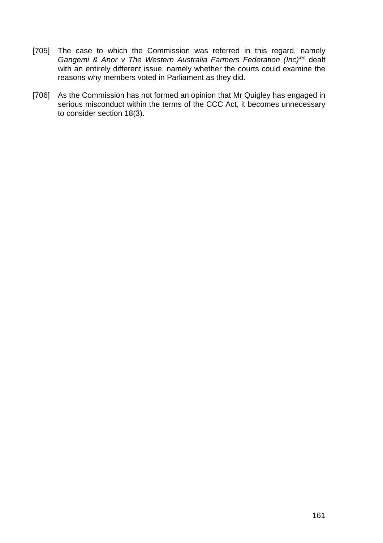- [705] The case to which the Commission was referred in this regard, namely Gangemi & Anor v The Western Australia Farmers Federation (Inc)<sup>426</sup> dealt with an entirely different issue, namely whether the courts could examine the reasons why members voted in Parliament as they did.
- [706] As the Commission has not formed an opinion that Mr Quigley has engaged in serious misconduct within the terms of the CCC Act, it becomes unnecessary to consider section 18(3).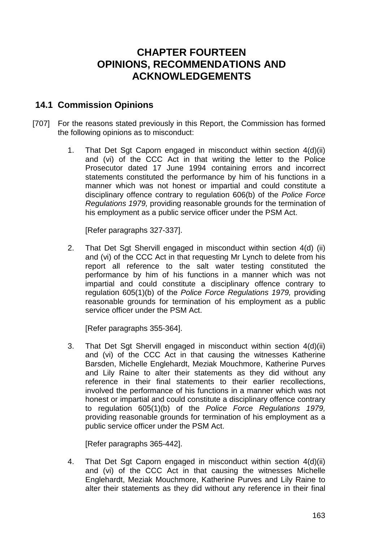# **CHAPTER FOURTEEN OPINIONS, RECOMMENDATIONS AND ACKNOWLEDGEMENTS**

### **14.1 Commission Opinions**

- [707] For the reasons stated previously in this Report, the Commission has formed the following opinions as to misconduct:
	- 1. That Det Sgt Caporn engaged in misconduct within section 4(d)(ii) and (vi) of the CCC Act in that writing the letter to the Police Prosecutor dated 17 June 1994 containing errors and incorrect statements constituted the performance by him of his functions in a manner which was not honest or impartial and could constitute a disciplinary offence contrary to regulation 606(b) of the *Police Force Regulations 1979,* providing reasonable grounds for the termination of his employment as a public service officer under the PSM Act.

[Refer paragraphs 327-337].

2. That Det Sgt Shervill engaged in misconduct within section 4(d) (ii) and (vi) of the CCC Act in that requesting Mr Lynch to delete from his report all reference to the salt water testing constituted the performance by him of his functions in a manner which was not impartial and could constitute a disciplinary offence contrary to regulation 605(1)(b) of the *Police Force Regulations 1979,* providing reasonable grounds for termination of his employment as a public service officer under the PSM Act.

[Refer paragraphs 355-364].

3. That Det Sgt Shervill engaged in misconduct within section 4(d)(ii) and (vi) of the CCC Act in that causing the witnesses Katherine Barsden, Michelle Englehardt, Meziak Mouchmore, Katherine Purves and Lily Raine to alter their statements as they did without any reference in their final statements to their earlier recollections, involved the performance of his functions in a manner which was not honest or impartial and could constitute a disciplinary offence contrary to regulation 605(1)(b) of the *Police Force Regulations 1979,* providing reasonable grounds for termination of his employment as a public service officer under the PSM Act.

[Refer paragraphs 365-442].

4. That Det Sgt Caporn engaged in misconduct within section 4(d)(ii) and (vi) of the CCC Act in that causing the witnesses Michelle Englehardt, Meziak Mouchmore, Katherine Purves and Lily Raine to alter their statements as they did without any reference in their final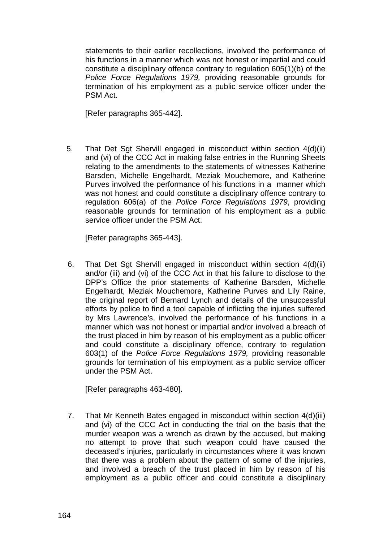statements to their earlier recollections, involved the performance of his functions in a manner which was not honest or impartial and could constitute a disciplinary offence contrary to regulation 605(1)(b) of the *Police Force Regulations 1979,* providing reasonable grounds for termination of his employment as a public service officer under the PSM Act.

[Refer paragraphs 365-442].

5. That Det Sgt Shervill engaged in misconduct within section 4(d)(ii) and (vi) of the CCC Act in making false entries in the Running Sheets relating to the amendments to the statements of witnesses Katherine Barsden, Michelle Engelhardt, Meziak Mouchemore, and Katherine Purves involved the performance of his functions in a manner which was not honest and could constitute a disciplinary offence contrary to regulation 606(a) of the *Police Force Regulations 1979*, providing reasonable grounds for termination of his employment as a public service officer under the PSM Act.

[Refer paragraphs 365-443].

6. That Det Sgt Shervill engaged in misconduct within section 4(d)(ii) and/or (iii) and (vi) of the CCC Act in that his failure to disclose to the DPP's Office the prior statements of Katherine Barsden, Michelle Engelhardt, Meziak Mouchemore, Katherine Purves and Lily Raine, the original report of Bernard Lynch and details of the unsuccessful efforts by police to find a tool capable of inflicting the injuries suffered by Mrs Lawrence's, involved the performance of his functions in a manner which was not honest or impartial and/or involved a breach of the trust placed in him by reason of his employment as a public officer and could constitute a disciplinary offence, contrary to regulation 603(1) of the *Police Force Regulations 1979,* providing reasonable grounds for termination of his employment as a public service officer under the PSM Act.

[Refer paragraphs 463-480].

7. That Mr Kenneth Bates engaged in misconduct within section 4(d)(iii) and (vi) of the CCC Act in conducting the trial on the basis that the murder weapon was a wrench as drawn by the accused, but making no attempt to prove that such weapon could have caused the deceased's injuries, particularly in circumstances where it was known that there was a problem about the pattern of some of the injuries, and involved a breach of the trust placed in him by reason of his employment as a public officer and could constitute a disciplinary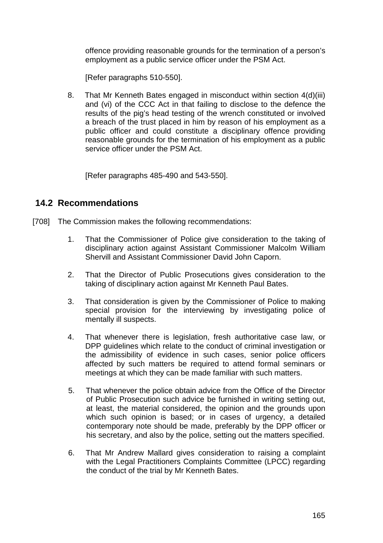offence providing reasonable grounds for the termination of a person's employment as a public service officer under the PSM Act.

[Refer paragraphs 510-550].

8. That Mr Kenneth Bates engaged in misconduct within section 4(d)(iii) and (vi) of the CCC Act in that failing to disclose to the defence the results of the pig's head testing of the wrench constituted or involved a breach of the trust placed in him by reason of his employment as a public officer and could constitute a disciplinary offence providing reasonable grounds for the termination of his employment as a public service officer under the PSM Act.

[Refer paragraphs 485-490 and 543-550].

#### **14.2 Recommendations**

- [708] The Commission makes the following recommendations:
	- 1. That the Commissioner of Police give consideration to the taking of disciplinary action against Assistant Commissioner Malcolm William Shervill and Assistant Commissioner David John Caporn.
	- 2. That the Director of Public Prosecutions gives consideration to the taking of disciplinary action against Mr Kenneth Paul Bates.
	- 3. That consideration is given by the Commissioner of Police to making special provision for the interviewing by investigating police of mentally ill suspects.
	- 4. That whenever there is legislation, fresh authoritative case law, or DPP guidelines which relate to the conduct of criminal investigation or the admissibility of evidence in such cases, senior police officers affected by such matters be required to attend formal seminars or meetings at which they can be made familiar with such matters.
	- 5. That whenever the police obtain advice from the Office of the Director of Public Prosecution such advice be furnished in writing setting out, at least, the material considered, the opinion and the grounds upon which such opinion is based; or in cases of urgency, a detailed contemporary note should be made, preferably by the DPP officer or his secretary, and also by the police, setting out the matters specified.
	- 6. That Mr Andrew Mallard gives consideration to raising a complaint with the Legal Practitioners Complaints Committee (LPCC) regarding the conduct of the trial by Mr Kenneth Bates.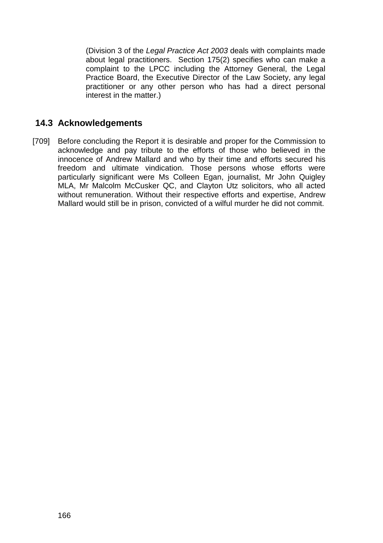(Division 3 of the *Legal Practice Act 2003* deals with complaints made about legal practitioners. Section 175(2) specifies who can make a complaint to the LPCC including the Attorney General, the Legal Practice Board, the Executive Director of the Law Society, any legal practitioner or any other person who has had a direct personal interest in the matter.)

### **14.3 Acknowledgements**

[709] Before concluding the Report it is desirable and proper for the Commission to acknowledge and pay tribute to the efforts of those who believed in the innocence of Andrew Mallard and who by their time and efforts secured his freedom and ultimate vindication. Those persons whose efforts were particularly significant were Ms Colleen Egan, journalist, Mr John Quigley MLA, Mr Malcolm McCusker QC, and Clayton Utz solicitors, who all acted without remuneration. Without their respective efforts and expertise. Andrew Mallard would still be in prison, convicted of a wilful murder he did not commit.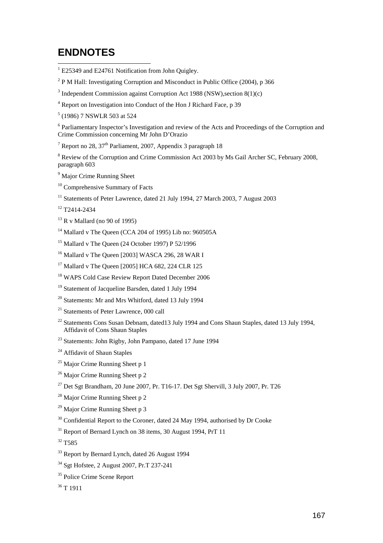# **ENDNOTES**

- <sup>1</sup> E25349 and E24761 Notification from John Quigley.
- $2$  P M Hall: Investigating Corruption and Misconduct in Public Office (2004), p 366
- $3$  Independent Commission against Corruption Act 1988 (NSW), section 8(1)(c)
- 4 Report on Investigation into Conduct of the Hon J Richard Face, p 39
- 5 (1986) 7 NSWLR 503 at 524

<sup>6</sup> Parliamentary Inspector's Investigation and review of the Acts and Proceedings of the Corruption and Crime Commission concerning Mr John D'Orazio

<sup>7</sup> Report no 28, 37<sup>th</sup> Parliament, 2007, Appendix 3 paragraph 18

<sup>8</sup> Review of the Corruption and Crime Commission Act 2003 by Ms Gail Archer SC, February 2008, paragraph 603

- <sup>9</sup> Major Crime Running Sheet
- <sup>10</sup> Comprehensive Summary of Facts
- <sup>11</sup> Statements of Peter Lawrence, dated 21 July 1994, 27 March 2003, 7 August 2003
- 12 T2414-2434
- $13$  R v Mallard (no 90 of 1995)
- 14 Mallard v The Queen (CCA 204 of 1995) Lib no: 960505A
- $15$  Mallard v The Queen (24 October 1997) P 52/1996
- <sup>16</sup> Mallard v The Queen [2003] WASCA 296, 28 WAR I
- <sup>17</sup> Mallard v The Queen [2005] HCA 682, 224 CLR 125
- <sup>18</sup> WAPS Cold Case Review Report Dated December 2006
- <sup>19</sup> Statement of Jacqueline Barsden, dated 1 July 1994
- 20 Statements: Mr and Mrs Whitford, dated 13 July 1994
- <sup>21</sup> Statements of Peter Lawrence, 000 call
- <sup>22</sup> Statements Cons Susan Debnam, dated13 July 1994 and Cons Shaun Staples, dated 13 July 1994, Affidavit of Cons Shaun Staples
- 23 Statements: John Rigby, John Pampano, dated 17 June 1994
- <sup>24</sup> Affidavit of Shaun Staples
- $25$  Major Crime Running Sheet p 1
- <sup>26</sup> Major Crime Running Sheet p 2
- $^{27}$  Det Sgt Brandham, 20 June 2007, Pr. T16-17. Det Sgt Shervill, 3 July 2007, Pr. T26
- <sup>28</sup> Major Crime Running Sheet p 2
- $29$  Major Crime Running Sheet p 3
- $30$  Confidential Report to the Coroner, dated 24 May 1994, authorised by Dr Cooke
- $31$  Report of Bernard Lynch on 38 items, 30 August 1994, PrT 11

 $32 T585$ 

- <sup>33</sup> Report by Bernard Lynch, dated 26 August 1994
- 34 Sgt Hofstee, 2 August 2007, Pr.T 237-241
- <sup>35</sup> Police Crime Scene Report
- $36$  T 1911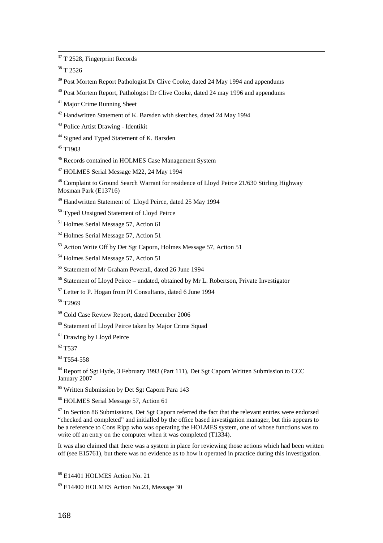<sup>37</sup> T 2528, Fingerprint Records

38 T 2526

l

<sup>39</sup> Post Mortem Report Pathologist Dr Clive Cooke, dated 24 May 1994 and appendums

40 Post Mortem Report, Pathologist Dr Clive Cooke, dated 24 may 1996 and appendums

41 Major Crime Running Sheet

42 Handwritten Statement of K. Barsden with sketches, dated 24 May 1994

43 Police Artist Drawing - Identikit

<sup>44</sup> Signed and Typed Statement of K. Barsden

 $45$  T<sub>1903</sub>

46 Records contained in HOLMES Case Management System

47 HOLMES Serial Message M22, 24 May 1994

48 Complaint to Ground Search Warrant for residence of Lloyd Peirce 21/630 Stirling Highway Mosman Park (E13716)

49 Handwritten Statement of Lloyd Peirce, dated 25 May 1994

<sup>50</sup> Typed Unsigned Statement of Lloyd Peirce

51 Holmes Serial Message 57, Action 61

52 Holmes Serial Message 57, Action 51

53 Action Write Off by Det Sgt Caporn, Holmes Message 57, Action 51

54 Holmes Serial Message 57, Action 51

55 Statement of Mr Graham Peverall, dated 26 June 1994

56 Statement of Lloyd Peirce – undated, obtained by Mr L. Robertson, Private Investigator

57 Letter to P. Hogan from PI Consultants, dated 6 June 1994

58 T2969

59 Cold Case Review Report, dated December 2006

60 Statement of Lloyd Peirce taken by Major Crime Squad

<sup>61</sup> Drawing by Lloyd Peirce

62 T537

<sup>63</sup> T554-558

<sup>64</sup> Report of Sgt Hyde, 3 February 1993 (Part 111), Det Sgt Caporn Written Submission to CCC January 2007

65 Written Submission by Det Sgt Caporn Para 143

66 HOLMES Serial Message 57, Action 61

 $67$  In Section 86 Submissions, Det Sgt Caporn referred the fact that the relevant entries were endorsed "checked and completed" and initialled by the office based investigation manager, but this appears to be a reference to Cons Ripp who was operating the HOLMES system, one of whose functions was to write off an entry on the computer when it was completed (T1334).

It was also claimed that there was a system in place for reviewing those actions which had been written off (see E15761), but there was no evidence as to how it operated in practice during this investigation.

68 E14401 HOLMES Action No. 21

69 E14400 HOLMES Action No.23, Message 30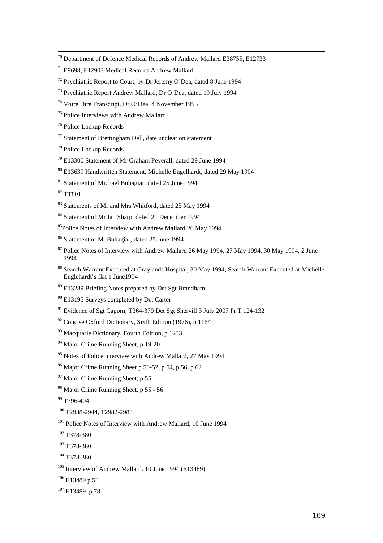- $70$  Department of Defence Medical Records of Andrew Mallard E38755, E12733
- 71 E9698, E12903 Medical Records Andrew Mallard
- $72$  Psychiatric Report to Court, by Dr Jeremy O'Dea, dated 8 June 1994
- 73 Psychiatric Report Andrew Mallard, Dr O'Dea, dated 19 July 1994
- 74 Voire Dire Transcript, Dr O'Dea, 4 November 1995
- 75 Police Interviews with Andrew Mallard
- 76 Police Lockup Records
- $77$  Statement of Brettingham Dell, date unclear on statement
- 78 Police Lockup Records
- 79 E13300 Statement of Mr Graham Peverall, dated 29 June 1994
- 80 E13639 Handwritten Statement, Michelle Engelhardt, dated 29 May 1994
- 81 Statement of Michael Buhagiar, dated 25 June 1994

82 TT801

- 83 Statements of Mr and Mrs Whitford, dated 25 May 1994
- 84 Statement of Mr Ian Sharp, dated 21 December 1994
- 85Police Notes of Interview with Andrew Mallard 26 May 1994
- 86 Statement of M. Buhagiar, dated 25 June 1994
- <sup>87</sup> Police Notes of Interview with Andrew Mallard 26 May 1994, 27 May 1994, 30 May 1994, 2 June 1994
- 88 Search Warrant Executed at Graylands Hospital, 30 May 1994, Search Warrant Executed at Michelle Englehardt's flat 1 June1994
- 89 E13289 Briefing Notes prepared by Det Sgt Brandham
- 90 E13195 Surveys completed by Det Carter
- <sup>91</sup> Evidence of Sgt Caporn, T364-370 Det Sgt Shervill 3 July 2007 Pr T 124-132
- $92$  Concise Oxford Dictionary, Sixth Edition (1976), p 1164
- 93 Macquarie Dictionary, Fourth Edition, p 1233
- <sup>94</sup> Major Crime Running Sheet, p 19-20
- <sup>95</sup> Notes of Police interview with Andrew Mallard, 27 May 1994
- $96$  Major Crime Running Sheet p 50-52, p 54, p 56, p 62
- <sup>97</sup> Major Crime Running Sheet, p 55
- 98 Major Crime Running Sheet, p 55 56
- 99 T396-404
- 100 T2938-2944, T2982-2983
- <sup>101</sup> Police Notes of Interview with Andrew Mallard, 10 June 1994
- 102 T378-380
- 103 T378-380
- 104 T378-380
- 105 Interview of Andrew Mallard. 10 June 1994 (E13489)
- $106$  E13489 p 58
- $107$  E13489 p 78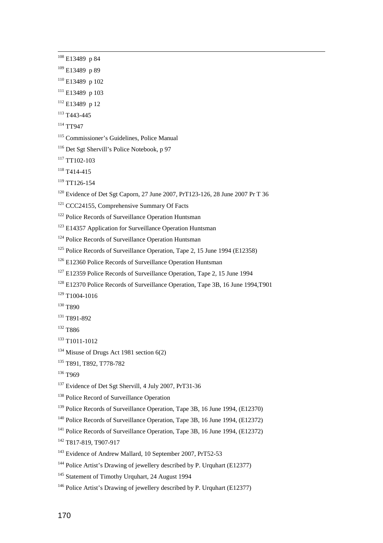l

- $109$  E13489 p 89
- 110 E13489 p 102
- $111$  E13489 p 103
- $112$  E13489 p 12
- 113 T443-445
- 114 TT947
- 115 Commissioner's Guidelines, Police Manual
- 116 Det Sgt Shervill's Police Notebook, p 97
- $117$  TT102-103
- $118$  T414-415
- $119$  TT126-154
- <sup>120</sup> Evidence of Det Sgt Caporn, 27 June 2007, PrT123-126, 28 June 2007 Pr T 36
- <sup>121</sup> CCC24155, Comprehensive Summary Of Facts
- <sup>122</sup> Police Records of Surveillance Operation Huntsman
- <sup>123</sup> E14357 Application for Surveillance Operation Huntsman
- <sup>124</sup> Police Records of Surveillance Operation Huntsman
- <sup>125</sup> Police Records of Surveillance Operation, Tape 2, 15 June 1994 (E12358)
- <sup>126</sup> E12360 Police Records of Surveillance Operation Huntsman
- <sup>127</sup> E12359 Police Records of Surveillance Operation, Tape 2, 15 June 1994
- <sup>128</sup> E12370 Police Records of Surveillance Operation, Tape 3B, 16 June 1994, T901

 $129$  T1004-1016

- <sup>130</sup> T890
- 131 T891-892
- 132 T886
- 133 T1011-1012
- <sup>134</sup> Misuse of Drugs Act 1981 section  $6(2)$
- 135 T891, T892, T778-782
- 136 T969
- <sup>137</sup> Evidence of Det Sgt Shervill, 4 July 2007, PrT31-36
- <sup>138</sup> Police Record of Surveillance Operation
- 139 Police Records of Surveillance Operation, Tape 3B, 16 June 1994, (E12370)
- 140 Police Records of Surveillance Operation, Tape 3B, 16 June 1994, (E12372)
- 141 Police Records of Surveillance Operation, Tape 3B, 16 June 1994, (E12372)
- 142 T817-819, T907-917
- 143 Evidence of Andrew Mallard, 10 September 2007, PrT52-53
- <sup>144</sup> Police Artist's Drawing of jewellery described by P. Urquhart (E12377)
- <sup>145</sup> Statement of Timothy Urquhart, 24 August 1994
- <sup>146</sup> Police Artist's Drawing of jewellery described by P. Urquhart (E12377)

<sup>108</sup> E13489 p 84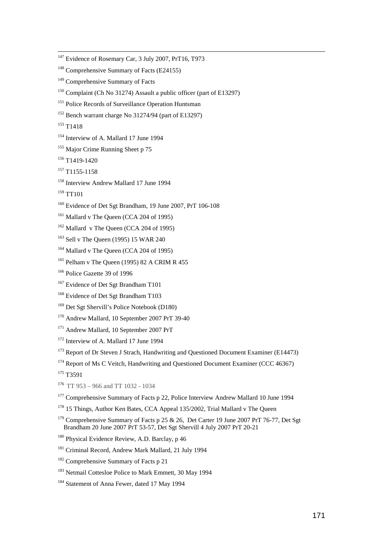<sup>147</sup> Evidence of Rosemary Car, 3 July 2007, PrT16, T973  $148$  Comprehensive Summary of Facts (E24155) <sup>149</sup> Comprehensive Summary of Facts 150 Complaint (Ch No 31274) Assault a public officer (part of E13297) <sup>151</sup> Police Records of Surveillance Operation Huntsman 152 Bench warrant charge No 31274/94 (part of E13297) <sup>153</sup> T<sub>1418</sub> <sup>154</sup> Interview of A. Mallard 17 June 1994 <sup>155</sup> Major Crime Running Sheet p 75  $156$  T1419-1420  $157$  T1155-1158 <sup>158</sup> Interview Andrew Mallard 17 June 1994 159 TT101 <sup>160</sup> Evidence of Det Sgt Brandham, 19 June 2007, PrT 106-108 <sup>161</sup> Mallard v The Queen (CCA 204 of 1995)  $162$  Mallard v The Queen (CCA 204 of 1995) <sup>163</sup> Sell v The Queen (1995) 15 WAR 240 <sup>164</sup> Mallard v The Queen (CCA 204 of 1995) <sup>165</sup> Pelham v The Queen (1995) 82 A CRIM R 455 <sup>166</sup> Police Gazette 39 of 1996 <sup>167</sup> Evidence of Det Sgt Brandham T101 <sup>168</sup> Evidence of Det Sgt Brandham T103 <sup>169</sup> Det Sgt Shervill's Police Notebook (D180) 170 Andrew Mallard, 10 September 2007 PrT 39-40 <sup>171</sup> Andrew Mallard, 10 September 2007 PrT <sup>172</sup> Interview of A. Mallard 17 June 1994 <sup>173</sup> Report of Dr Steven J Strach, Handwriting and Questioned Document Examiner (E14473) <sup>174</sup> Report of Ms C Veitch, Handwriting and Questioned Document Examiner (CCC 46367) 175 T3591  $176$  TT 953 – 966 and TT 1032 - 1034

- <sup>177</sup> Comprehensive Summary of Facts p 22, Police Interview Andrew Mallard 10 June 1994
- <sup>178</sup> 15 Things, Author Ken Bates, CCA Appeal 135/2002, Trial Mallard v The Queen
- <sup>179</sup> Comprehensive Summary of Facts p 25 & 26, Det Carter 19 June 2007 PrT 76-77, Det Sgt Brandham 20 June 2007 PrT 53-57, Det Sgt Shervill 4 July 2007 PrT 20-21
- <sup>180</sup> Physical Evidence Review, A.D. Barclay, p 46
- <sup>181</sup> Criminal Record, Andrew Mark Mallard, 21 July 1994
- <sup>182</sup> Comprehensive Summary of Facts p 21
- <sup>183</sup> Netmail Cottesloe Police to Mark Emmett, 30 May 1994
- <sup>184</sup> Statement of Anna Fewer, dated 17 May 1994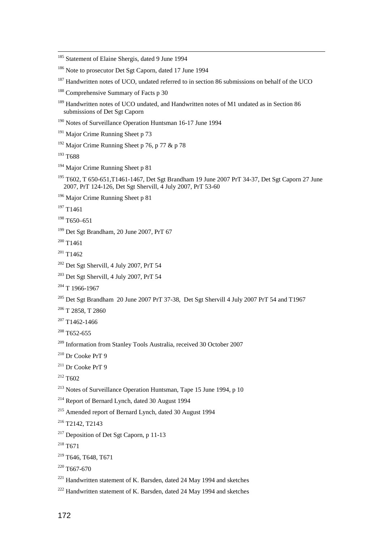<sup>185</sup> Statement of Elaine Shergis, dated 9 June 1994 <sup>186</sup> Note to prosecutor Det Sgt Caporn, dated 17 June 1994 <sup>187</sup> Handwritten notes of UCO, undated referred to in section 86 submissions on behalf of the UCO <sup>188</sup> Comprehensive Summary of Facts p 30 <sup>189</sup> Handwritten notes of UCO undated, and Handwritten notes of M1 undated as in Section 86 submissions of Det Sgt Caporn 190 Notes of Surveillance Operation Huntsman 16-17 June 1994 <sup>191</sup> Major Crime Running Sheet p 73 <sup>192</sup> Major Crime Running Sheet p 76, p 77 & p 78 193 T688 <sup>194</sup> Major Crime Running Sheet p 81 195 T602, T 650-651,T1461-1467, Det Sgt Brandham 19 June 2007 PrT 34-37, Det Sgt Caporn 27 June 2007, PrT 124-126, Det Sgt Shervill, 4 July 2007, PrT 53-60 <sup>196</sup> Major Crime Running Sheet p 81  $197$  T<sub>1461</sub> 198 T650–651 <sup>199</sup> Det Sgt Brandham, 20 June 2007, PrT 67  $200$  T<sub>1461</sub>  $201$  T<sub>1462</sub> 202 Det Sgt Shervill, 4 July 2007, PrT 54 203 Det Sgt Shervill, 4 July 2007, PrT 54  $204$  T 1966-1967 <sup>205</sup> Det Sgt Brandham 20 June 2007 PrT 37-38, Det Sgt Shervill 4 July 2007 PrT 54 and T1967  $206$  T 2858, T 2860  $207$  T1462-1466  $208$  T652-655 209 Information from Stanley Tools Australia, received 30 October 2007 210 Dr Cooke PrT 9  $211$  Dr Cooke PrT 9  $212$  T<sub>602</sub> 213 Notes of Surveillance Operation Huntsman, Tape 15 June 1994, p 10 214 Report of Bernard Lynch, dated 30 August 1994 215 Amended report of Bernard Lynch, dated 30 August 1994 216 T2142, T2143 217 Deposition of Det Sgt Caporn, p 11-13 218 T671 219 T646, T648, T671  $220$  T667-670  $221$  Handwritten statement of K. Barsden, dated 24 May 1994 and sketches  $222$  Handwritten statement of K. Barsden, dated 24 May 1994 and sketches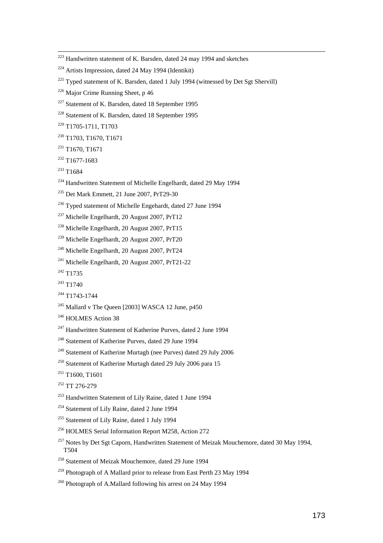- $225$  Typed statement of K. Barsden, dated 1 July 1994 (witnessed by Det Sgt Shervill)
- $226$  Major Crime Running Sheet, p 46
- <sup>227</sup> Statement of K. Barsden, dated 18 September 1995
- 228 Statement of K. Barsden, dated 18 September 1995
- 229 T1705-1711, T1703
- 230 T1703, T1670, T1671
- $231$  T1670, T1671
- 232 T1677-1683
- <sup>233</sup> T1684

- <sup>234</sup> Handwritten Statement of Michelle Engelhardt, dated 29 May 1994
- 235 Det Mark Emmett, 21 June 2007, PrT29-30
- <sup>236</sup> Typed statement of Michelle Engehardt, dated 27 June 1994
- 237 Michelle Engelhardt, 20 August 2007, PrT12
- 238 Michelle Engelhardt, 20 August 2007, PrT15
- 239 Michelle Engelhardt, 20 August 2007, PrT20
- 240 Michelle Engelhardt, 20 August 2007, PrT24
- 241 Michelle Engelhardt, 20 August 2007, PrT21-22
- <sup>242</sup> T1735
- $243$  T1740
- 244 T1743-1744
- 245 Mallard v The Queen [2003] WASCA 12 June, p450
- <sup>246</sup> HOLMES Action 38
- 247 Handwritten Statement of Katherine Purves, dated 2 June 1994
- <sup>248</sup> Statement of Katherine Purves, dated 29 June 1994
- 249 Statement of Katherine Murtagh (nee Purves) dated 29 July 2006
- <sup>250</sup> Statement of Katherine Murtagh dated 29 July 2006 para 15
- $251$  T1600, T1601
- 252 TT 276-279
- 253 Handwritten Statement of Lily Raine, dated 1 June 1994
- 254 Statement of Lily Raine, dated 2 June 1994
- <sup>255</sup> Statement of Lily Raine, dated 1 July 1994
- 256 HOLMES Serial Information Report M258, Action 272
- $257$  Notes by Det Sgt Caporn, Handwritten Statement of Meizak Mouchemore, dated 30 May 1994, T504
- 258 Statement of Meizak Mouchemore, dated 29 June 1994
- <sup>259</sup> Photograph of A Mallard prior to release from East Perth 23 May 1994
- <sup>260</sup> Photograph of A.Mallard following his arrest on 24 May 1994

 $223$  Handwritten statement of K. Barsden, dated 24 may 1994 and sketches

 $224$  Artists Impression, dated 24 May 1994 (Identikit)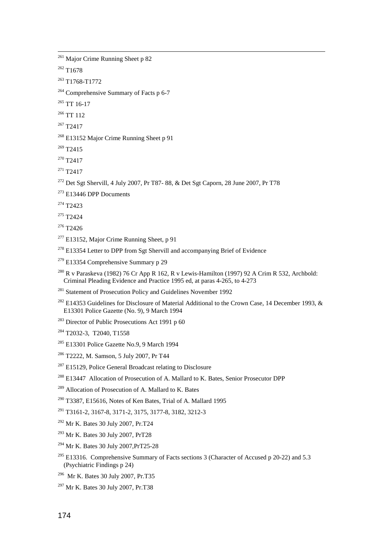<sup>261</sup> Major Crime Running Sheet p 82

 $262$  T<sub>1678</sub>

l

263 T1768-T1772

<sup>264</sup> Comprehensive Summary of Facts p 6-7

 $265$  TT 16-17

<sup>266</sup> TT 112

267 T2417

<sup>268</sup> E13152 Major Crime Running Sheet p 91

 $269$  T<sub>2415</sub>

 $270$  T<sub>2417</sub>

 $271$  T<sub>2417</sub>

 $272$  Det Sgt Shervill, 4 July 2007, Pr T87-88, & Det Sgt Caporn, 28 June 2007, Pr T78

 $273$  E13446 DPP Documents

274 T2423

 $275$  T<sub>2424</sub>

 $276$  T<sub>2426</sub>

 $277$  E13152, Major Crime Running Sheet, p 91

 $278$  E13354 Letter to DPP from Sgt Shervill and accompanying Brief of Evidence

 $279$  E13354 Comprehensive Summary p 29

 $^{280}$  R v Paraskeva (1982) 76 Cr App R 162, R v Lewis-Hamilton (1997) 92 A Crim R 532, Archbold: Criminal Pleading Evidence and Practice 1995 ed, at paras 4-265, to 4-273

281 Statement of Prosecution Policy and Guidelines November 1992

<sup>282</sup> E14353 Guidelines for Disclosure of Material Additional to the Crown Case, 14 December 1993, & E13301 Police Gazette (No. 9), 9 March 1994

<sup>283</sup> Director of Public Prosecutions Act 1991 p 60

284 T2032-3, T2040, T1558

285 E13301 Police Gazette No.9, 9 March 1994

286 T2222, M. Samson, 5 July 2007, Pr T44

<sup>287</sup> E15129, Police General Broadcast relating to Disclosure

<sup>288</sup> E13447 Allocation of Prosecution of A. Mallard to K. Bates, Senior Prosecutor DPP

<sup>289</sup> Allocation of Prosecution of A. Mallard to K. Bates

290 T3387, E15616, Notes of Ken Bates, Trial of A. Mallard 1995

291 T3161-2, 3167-8, 3171-2, 3175, 3177-8, 3182, 3212-3

292 Mr K. Bates 30 July 2007, Pr.T24

293 Mr K. Bates 30 July 2007, PrT28

294 Mr K. Bates 30 July 2007,PrT25-28

<sup>295</sup> E13316. Comprehensive Summary of Facts sections 3 (Character of Accused p 20-22) and 5.3 (Psychiatric Findings p 24)

296 Mr K. Bates 30 July 2007, Pr.T35

297 Mr K. Bates 30 July 2007, Pr.T38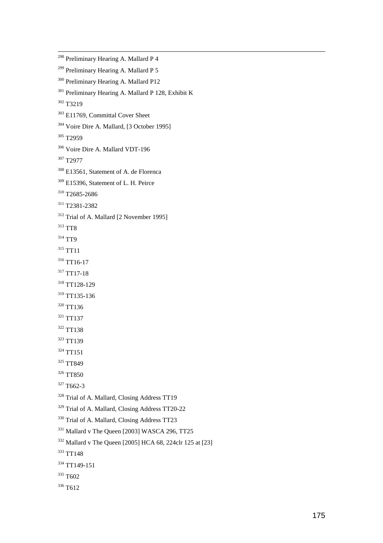<sup>298</sup> Preliminary Hearing A. Mallard P 4 <sup>299</sup> Preliminary Hearing A. Mallard P 5 300 Preliminary Hearing A. Mallard P12 301 Preliminary Hearing A. Mallard P 128, Exhibit K 302 T3219 303 E11769, Committal Cover Sheet 304 Voire Dire A. Mallard, [3 October 1995] <sup>305</sup> T<sub>2959</sub> 306 Voire Dire A. Mallard VDT-196 307 T2977 308 E13561, Statement of A. de Florenca <sup>309</sup> E15396, Statement of L. H. Peirce 310 T2685-2686 311 T2381-2382 <sup>312</sup> Trial of A. Mallard [2 November 1995] 313 TT8 <sup>314</sup> TT9 <sup>315</sup> TT11 <sup>316</sup> TT16-17 <sup>317</sup> TT17-18 318 TT128-129 319 TT135-136 320 TT136 <sup>321</sup> TT137 322 TT138 323 TT139 324 TT151 <sup>325</sup> TT849 <sup>326</sup> TT850  $327$  T662-3 <sup>328</sup> Trial of A. Mallard, Closing Address TT19 329 Trial of A. Mallard, Closing Address TT20-22 330 Trial of A. Mallard, Closing Address TT23 331 Mallard v The Queen [2003] WASCA 296, TT25 332 Mallard v The Queen [2005] HCA 68, 224clr 125 at [23] 333 TT148 334 TT149-151 <sup>335</sup> T<sub>6</sub>02 <sup>336</sup> T<sub>612</sub>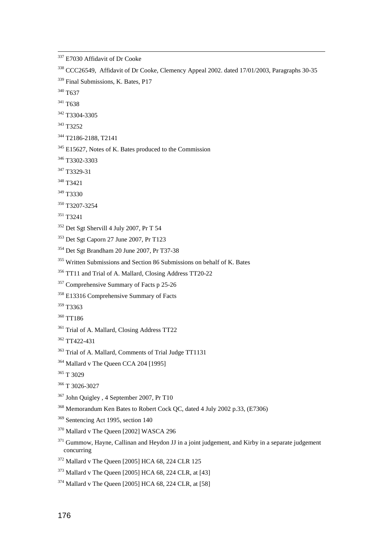<sup>337</sup> E7030 Affidavit of Dr Cooke <sup>338</sup> CCC26549, Affidavit of Dr Cooke, Clemency Appeal 2002. dated 17/01/2003, Paragraphs 30-35 <sup>339</sup> Final Submissions, K. Bates, P17 <sup>340</sup> T<sub>6</sub>37 341 T638 342 T3304-3305 343 T3252 344 T2186-2188, T2141 <sup>345</sup> E15627, Notes of K. Bates produced to the Commission 346 T3302-3303 347 T3329-31 348 T3421 349 T3330 350 T3207-3254 351 T3241  $352$  Det Sgt Shervill 4 July 2007, Pr T 54 353 Det Sgt Caporn 27 June 2007, Pr T123 354 Det Sgt Brandham 20 June 2007, Pr T37-38 <sup>355</sup> Written Submissions and Section 86 Submissions on behalf of K. Bates 356 TT11 and Trial of A. Mallard, Closing Address TT20-22 <sup>357</sup> Comprehensive Summary of Facts p 25-26 358 E13316 Comprehensive Summary of Facts 359 T3363 360 TT186 <sup>361</sup> Trial of A. Mallard, Closing Address TT22 362 TT422-431 363 Trial of A. Mallard, Comments of Trial Judge TT1131 <sup>364</sup> Mallard v The Queen CCA 204 [1995] <sup>365</sup> T 3029 366 T 3026-3027 367 John Quigley , 4 September 2007, Pr T10 368 Memorandum Ken Bates to Robert Cock QC, dated 4 July 2002 p.33, (E7306) <sup>369</sup> Sentencing Act 1995, section 140 370 Mallard v The Queen [2002] WASCA 296  $371$  Gummow, Hayne, Callinan and Heydon JJ in a joint judgement, and Kirby in a separate judgement concurring 372 Mallard v The Queen [2005] HCA 68, 224 CLR 125 373 Mallard v The Queen [2005] HCA 68, 224 CLR, at [43]

 $374$  Mallard v The Queen [2005] HCA 68, 224 CLR, at [58]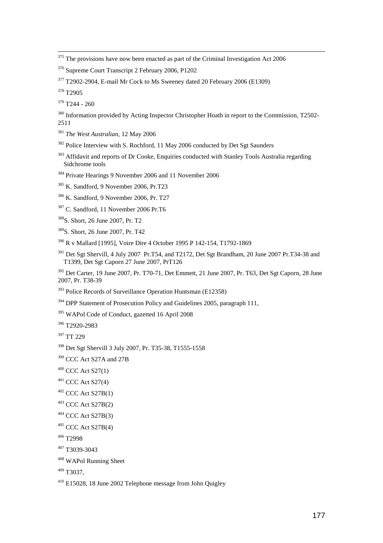$375$  The provisions have now been enacted as part of the Criminal Investigation Act 2006

377 T2902-2904, E-mail Mr Cock to Ms Sweeney dated 20 February 2006 (E1309)

<sup>378</sup> T<sub>2905</sub>

l

 $379$  T<sub>244</sub> - 260

- <sup>380</sup> Information provided by Acting Inspector Christopher Hoath in report to the Commission, T2502-2511
- <sup>381</sup> *The West Australian,* 12 May 2006
- <sup>382</sup> Police Interview with S. Rochford, 11 May 2006 conducted by Det Sgt Saunders
- <sup>383</sup> Affidavit and reports of Dr Cooke, Enquiries conducted with Stanley Tools Australia regarding Sidchrome tools
- 384 Private Hearings 9 November 2006 and 11 November 2006
- 385 K. Sandford, 9 November 2006, Pr.T23
- 386 K. Sandford, 9 November 2006, Pr. T27
- 387 C. Sandford, 11 November 2006 Pr.T6
- 388S. Short, 26 June 2007, Pr. T2
- 389S. Short, 26 June 2007, Pr. T42
- 390 R v Mallard [1995], Voire Dire 4 October 1995 P 142-154, T1792-1869
- <sup>391</sup> Det Sgt Shervill, 4 July 2007 Pr.T54, and T2172, Det Sgt Brandham, 20 June 2007 Pr.T34-38 and T1399, Det Sgt Caporn 27 June 2007, PrT126

392 Det Carter, 19 June 2007, Pr. T70-71, Det Emmett, 21 June 2007, Pr. T63, Det Sgt Caporn, 28 June 2007, Pr. T38-39

- <sup>393</sup> Police Records of Surveillance Operation Huntsman (E12358)
- <sup>394</sup> DPP Statement of Prosecution Policy and Guidelines 2005, paragraph 111,
- 395 WAPol Code of Conduct, gazetted 16 April 2008

396 T2920-2983

397 TT 229

- 398 Det Sgt Shervill 3 July 2007, Pr. T35-38, T1555-1558
- <sup>399</sup> CCC Act S27A and 27B
- $400$  CCC Act S27(1)
- $401$  CCC Act S27(4)
- $402$  CCC Act S27B(1)
- $403$  CCC Act S27B(2)
- $404$  CCC Act S27B(3)
- $405$  CCC Act S27B(4)
- 406 T2998
- 407 T3039-3043
- 408 WAPol Running Sheet

 $409$  T3037

410 E15028, 18 June 2002 Telephone message from John Quigley

<sup>376</sup> Supreme Court Transcript 2 February 2006, P1202